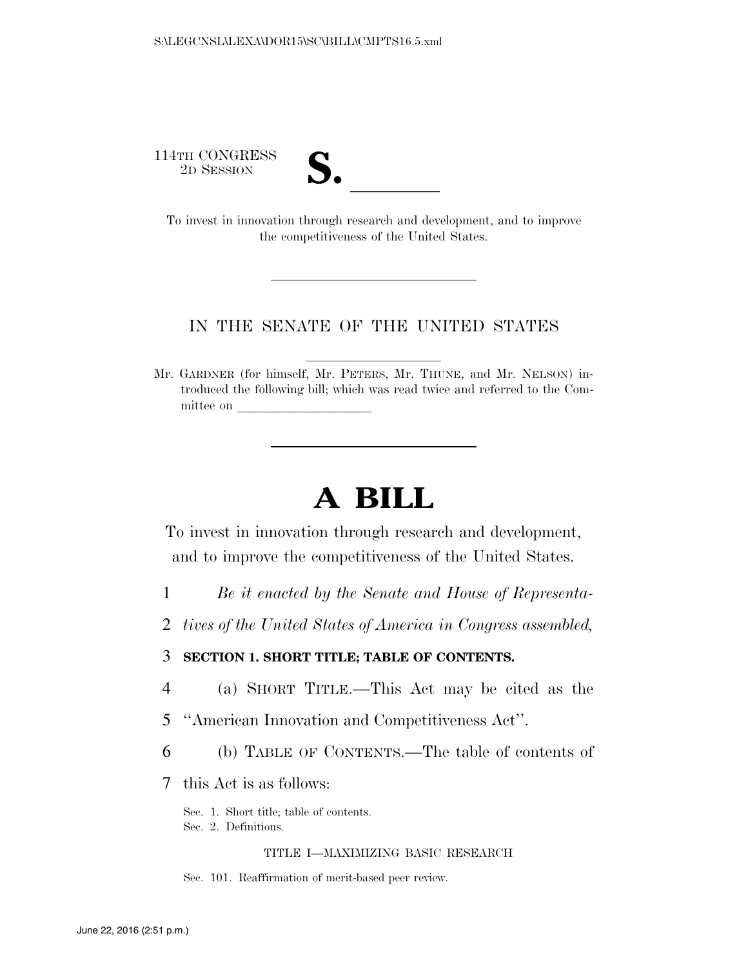114TH CONGRESS<br>2D SESSION



2D SESSION **S. S. S. B. S. S. B. S. B. S. To invest in innovation through research and development, and to improve** the competitiveness of the United States.

## IN THE SENATE OF THE UNITED STATES

Mr. GARDNER (for himself, Mr. PETERS, Mr. THUNE, and Mr. NELSON) introduced the following bill; which was read twice and referred to the Committee on

# **A BILL**

To invest in innovation through research and development, and to improve the competitiveness of the United States.

- 1 *Be it enacted by the Senate and House of Representa-*
- 2 *tives of the United States of America in Congress assembled,*

# 3 **SECTION 1. SHORT TITLE; TABLE OF CONTENTS.**

- 4 (a) SHORT TITLE.—This Act may be cited as the
- 5 ''American Innovation and Competitiveness Act''.
- 6 (b) TABLE OF CONTENTS.—The table of contents of
- 7 this Act is as follows:

Sec. 1. Short title; table of contents.

Sec. 2. Definitions.

## TITLE I—MAXIMIZING BASIC RESEARCH

Sec. 101. Reaffirmation of merit-based peer review.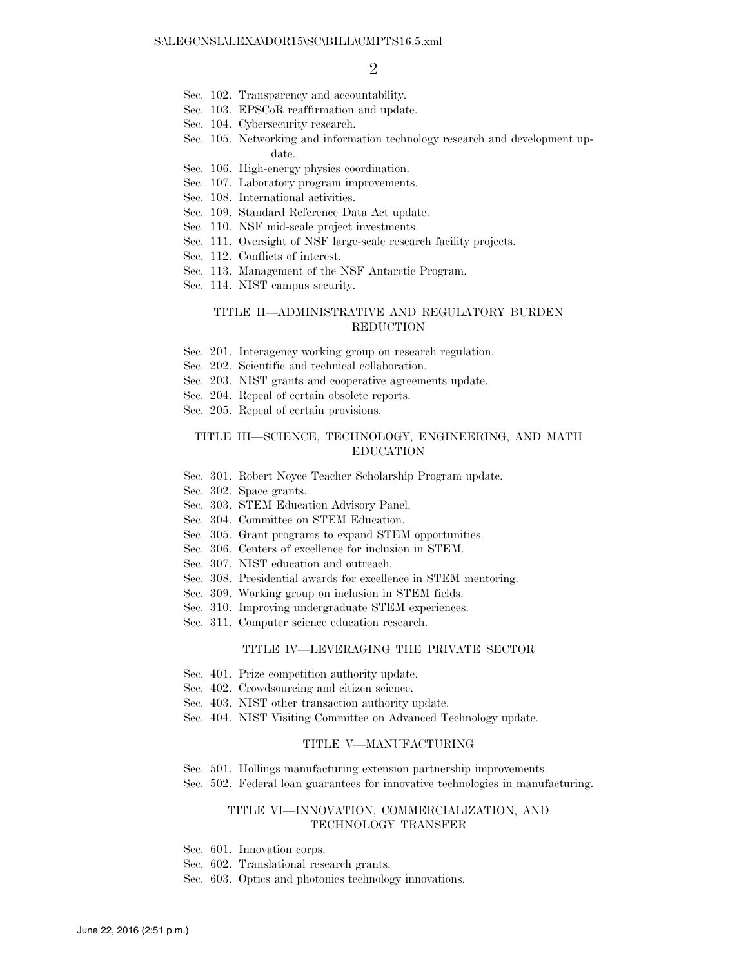- Sec. 102. Transparency and accountability.
- Sec. 103. EPSCoR reaffirmation and update.
- Sec. 104. Cybersecurity research.
- Sec. 105. Networking and information technology research and development update.
- Sec. 106. High-energy physics coordination.
- Sec. 107. Laboratory program improvements.
- Sec. 108. International activities.
- Sec. 109. Standard Reference Data Act update.
- Sec. 110. NSF mid-scale project investments.
- Sec. 111. Oversight of NSF large-scale research facility projects.
- Sec. 112. Conflicts of interest.
- Sec. 113. Management of the NSF Antarctic Program.
- Sec. 114. NIST campus security.

## TITLE II—ADMINISTRATIVE AND REGULATORY BURDEN REDUCTION

- Sec. 201. Interagency working group on research regulation.
- Sec. 202. Scientific and technical collaboration.
- Sec. 203. NIST grants and cooperative agreements update.
- Sec. 204. Repeal of certain obsolete reports.
- Sec. 205. Repeal of certain provisions.

### TITLE III—SCIENCE, TECHNOLOGY, ENGINEERING, AND MATH EDUCATION

- Sec. 301. Robert Noyce Teacher Scholarship Program update.
- Sec. 302. Space grants.
- Sec. 303. STEM Education Advisory Panel.
- Sec. 304. Committee on STEM Education.
- Sec. 305. Grant programs to expand STEM opportunities.
- Sec. 306. Centers of excellence for inclusion in STEM.
- Sec. 307. NIST education and outreach.
- Sec. 308. Presidential awards for excellence in STEM mentoring.
- Sec. 309. Working group on inclusion in STEM fields.
- Sec. 310. Improving undergraduate STEM experiences.
- Sec. 311. Computer science education research.

#### TITLE IV—LEVERAGING THE PRIVATE SECTOR

- Sec. 401. Prize competition authority update.
- Sec. 402. Crowdsourcing and citizen science.
- Sec. 403. NIST other transaction authority update.
- Sec. 404. NIST Visiting Committee on Advanced Technology update.

#### TITLE V—MANUFACTURING

- Sec. 501. Hollings manufacturing extension partnership improvements.
- Sec. 502. Federal loan guarantees for innovative technologies in manufacturing.

## TITLE VI—INNOVATION, COMMERCIALIZATION, AND TECHNOLOGY TRANSFER

- Sec. 601. Innovation corps.
- Sec. 602. Translational research grants.
- Sec. 603. Optics and photonics technology innovations.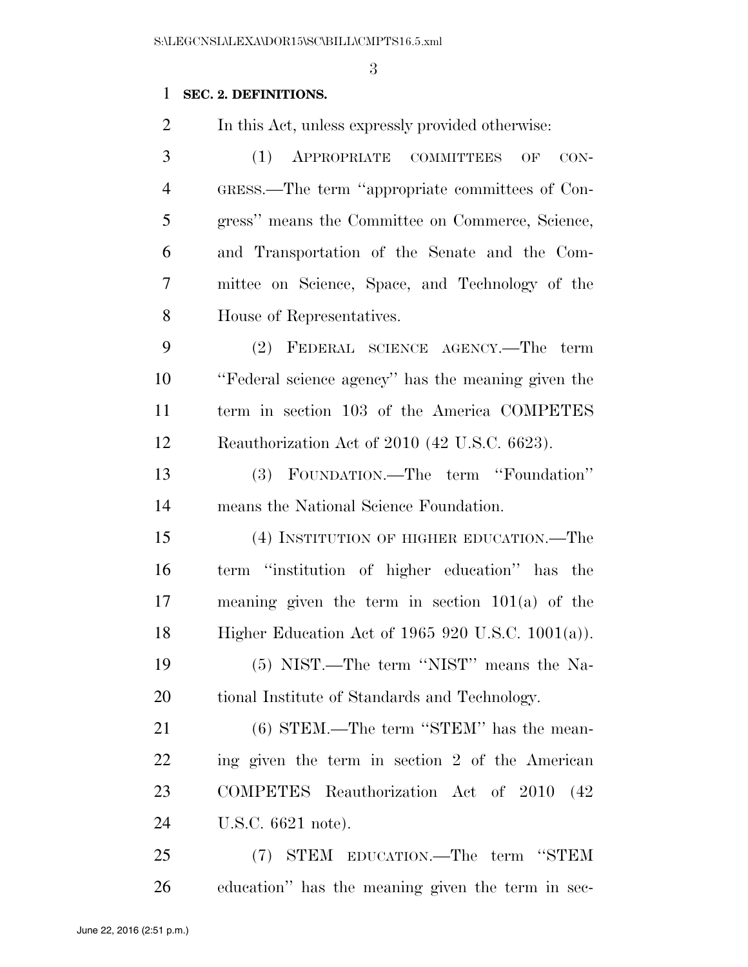# **SEC. 2. DEFINITIONS.**

In this Act, unless expressly provided otherwise:

 (1) APPROPRIATE COMMITTEES OF CON- GRESS.—The term ''appropriate committees of Con- gress'' means the Committee on Commerce, Science, and Transportation of the Senate and the Com- mittee on Science, Space, and Technology of the House of Representatives.

 (2) FEDERAL SCIENCE AGENCY.—The term ''Federal science agency'' has the meaning given the term in section 103 of the America COMPETES Reauthorization Act of 2010 (42 U.S.C. 6623).

 (3) FOUNDATION.—The term ''Foundation'' means the National Science Foundation.

 (4) INSTITUTION OF HIGHER EDUCATION.—The term ''institution of higher education'' has the meaning given the term in section 101(a) of the Higher Education Act of 1965 920 U.S.C. 1001(a)).

 (5) NIST.—The term ''NIST'' means the Na-tional Institute of Standards and Technology.

21 (6) STEM.—The term "STEM" has the mean- ing given the term in section 2 of the American COMPETES Reauthorization Act of 2010 (42 U.S.C. 6621 note).

 (7) STEM EDUCATION.—The term ''STEM education'' has the meaning given the term in sec-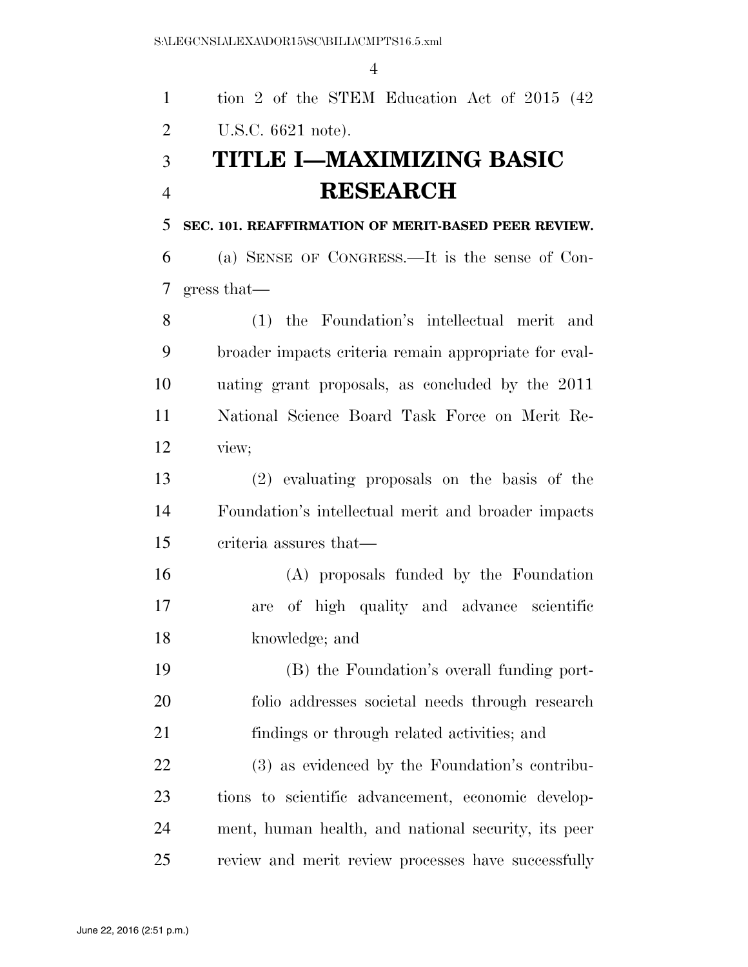|                | $\overline{4}$                                        |
|----------------|-------------------------------------------------------|
| $\mathbf{1}$   | tion 2 of the STEM Education Act of 2015 (42)         |
| $\overline{2}$ | U.S.C. 6621 note).                                    |
| 3              | TITLE I-MAXIMIZING BASIC                              |
| $\overline{4}$ | <b>RESEARCH</b>                                       |
| 5              | SEC. 101. REAFFIRMATION OF MERIT-BASED PEER REVIEW.   |
| 6              | (a) SENSE OF CONGRESS.—It is the sense of Con-        |
| 7              | gress that—                                           |
| 8              | (1) the Foundation's intellectual merit and           |
| 9              | broader impacts criteria remain appropriate for eval- |
| 10             | uating grant proposals, as concluded by the 2011      |
| 11             | National Science Board Task Force on Merit Re-        |
| 12             | view;                                                 |
| 13             | (2) evaluating proposals on the basis of the          |
| 14             | Foundation's intellectual merit and broader impacts   |
| 15             | criteria assures that—                                |
| 16             | (A) proposals funded by the Foundation                |
| 17             | are of high quality and advance scientific            |
| 18             | knowledge; and                                        |
| 19             | (B) the Foundation's overall funding port-            |
| 20             | folio addresses societal needs through research       |
| 21             | findings or through related activities; and           |
| 22             | (3) as evidenced by the Foundation's contribu-        |
| 23             | tions to scientific advancement, economic develop-    |
| 24             | ment, human health, and national security, its peer   |
| 25             | review and merit review processes have successfully   |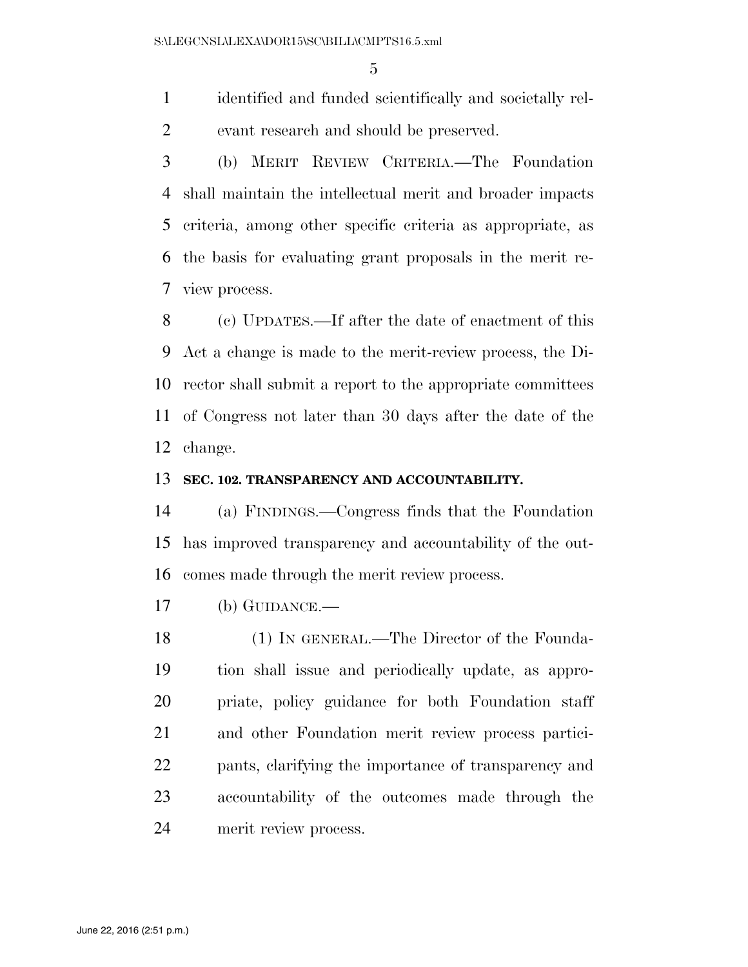identified and funded scientifically and societally rel-evant research and should be preserved.

 (b) MERIT REVIEW CRITERIA.—The Foundation shall maintain the intellectual merit and broader impacts criteria, among other specific criteria as appropriate, as the basis for evaluating grant proposals in the merit re-view process.

 (c) UPDATES.—If after the date of enactment of this Act a change is made to the merit-review process, the Di- rector shall submit a report to the appropriate committees of Congress not later than 30 days after the date of the change.

# **SEC. 102. TRANSPARENCY AND ACCOUNTABILITY.**

 (a) FINDINGS.—Congress finds that the Foundation has improved transparency and accountability of the out-comes made through the merit review process.

(b) GUIDANCE.—

 (1) IN GENERAL.—The Director of the Founda- tion shall issue and periodically update, as appro- priate, policy guidance for both Foundation staff and other Foundation merit review process partici- pants, clarifying the importance of transparency and accountability of the outcomes made through the merit review process.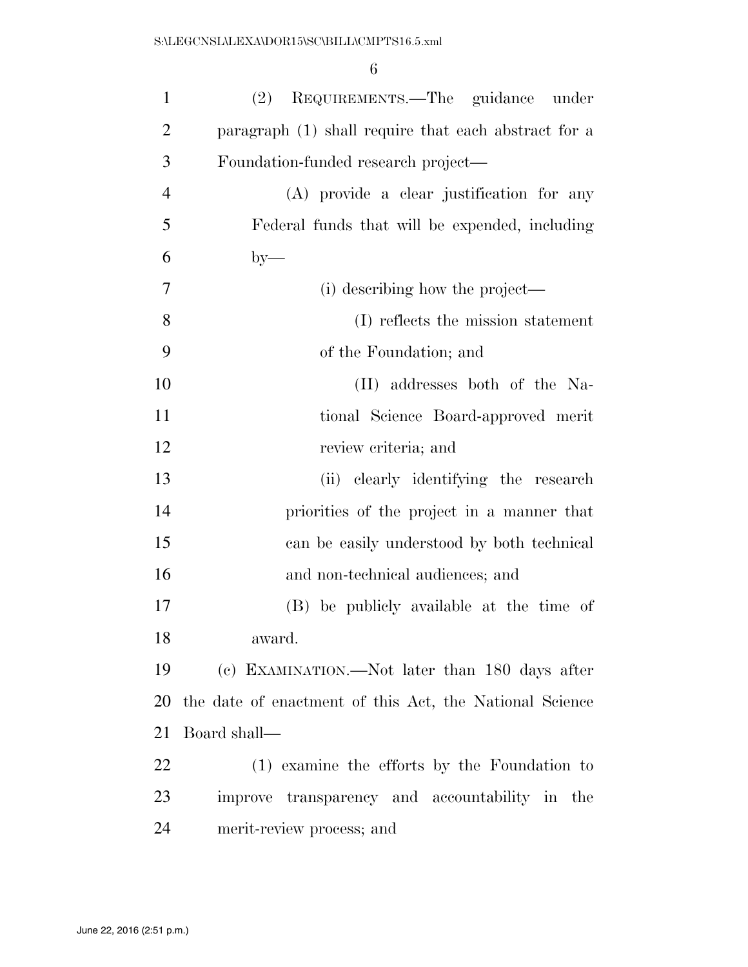| $\mathbf{1}$   | REQUIREMENTS.—The guidance under<br>(2)                 |
|----------------|---------------------------------------------------------|
| $\overline{2}$ | paragraph (1) shall require that each abstract for a    |
| 3              | Foundation-funded research project—                     |
| $\overline{4}$ | (A) provide a clear justification for any               |
| 5              | Federal funds that will be expended, including          |
| 6              | $by-$                                                   |
| 7              | (i) describing how the project—                         |
| 8              | (I) reflects the mission statement                      |
| 9              | of the Foundation; and                                  |
| 10             | (II) addresses both of the Na-                          |
| 11             | tional Science Board-approved merit                     |
| 12             | review criteria; and                                    |
| 13             | (ii) clearly identifying the research                   |
| 14             | priorities of the project in a manner that              |
| 15             | can be easily understood by both technical              |
| 16             | and non-technical audiences; and                        |
| 17             | (B) be publicly available at the time of                |
| 18             | award.                                                  |
| 19             | (c) EXAMINATION.—Not later than 180 days after          |
| 20             | the date of enactment of this Act, the National Science |
| 21             | Board shall—                                            |
| 22             | (1) examine the efforts by the Foundation to            |
| 23             | improve transparency and accountability in the          |
| 24             | merit-review process; and                               |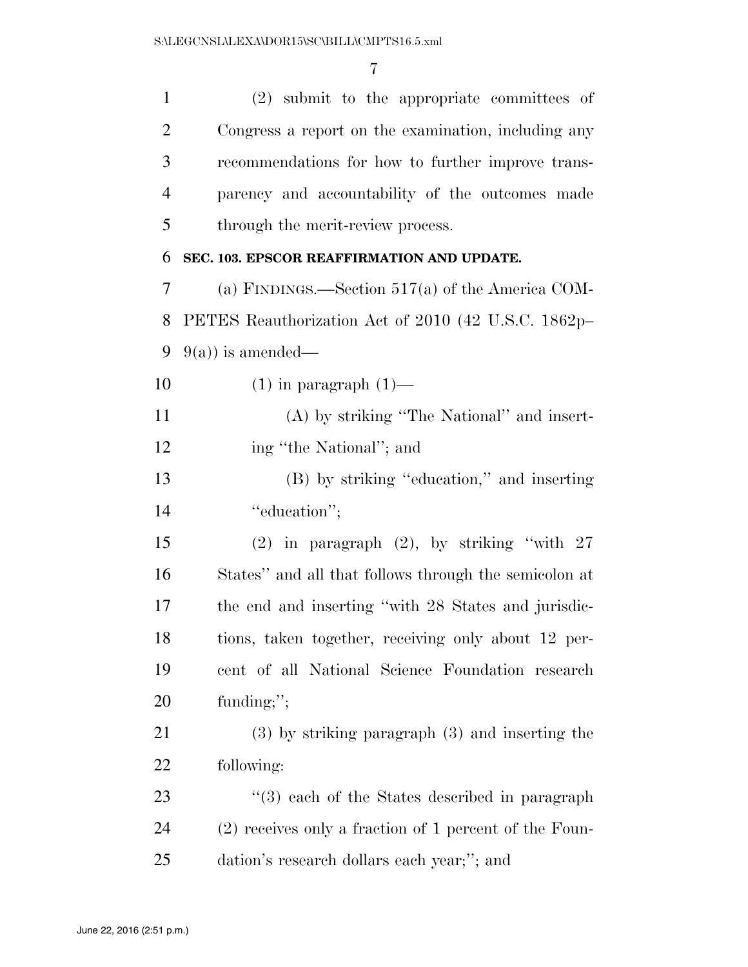| $\mathbf{1}$   | (2) submit to the appropriate committees of            |
|----------------|--------------------------------------------------------|
| $\overline{2}$ | Congress a report on the examination, including any    |
| 3              | recommendations for how to further improve trans-      |
| $\overline{4}$ | parency and accountability of the outcomes made        |
| 5              | through the merit-review process.                      |
| 6              | SEC. 103. EPSCOR REAFFIRMATION AND UPDATE.             |
| 7              | (a) FINDINGS.—Section $517(a)$ of the America COM-     |
| 8              | PETES Reauthorization Act of 2010 (42 U.S.C. 1862p-    |
| 9              | $9(a)$ is amended—                                     |
| 10             | $(1)$ in paragraph $(1)$ —                             |
| 11             | $(A)$ by striking "The National" and insert-           |
| 12             | ing "the National"; and                                |
| 13             | (B) by striking "education," and inserting             |
| 14             | "education";                                           |
| 15             | $(2)$ in paragraph $(2)$ , by striking "with $27$      |
| 16             | States" and all that follows through the semicolon at  |
| 17             | the end and inserting "with 28 States and jurisdic-    |
| 18             | tions, taken together, receiving only about 12 per-    |
| 19             | cent of all National Science Foundation research       |
| 20             | funding;";                                             |
| 21             | $(3)$ by striking paragraph $(3)$ and inserting the    |
| 22             | following:                                             |
| 23             | $\cdot$ (3) each of the States described in paragraph  |
| 24             | (2) receives only a fraction of 1 percent of the Foun- |
| 25             | dation's research dollars each year;"; and             |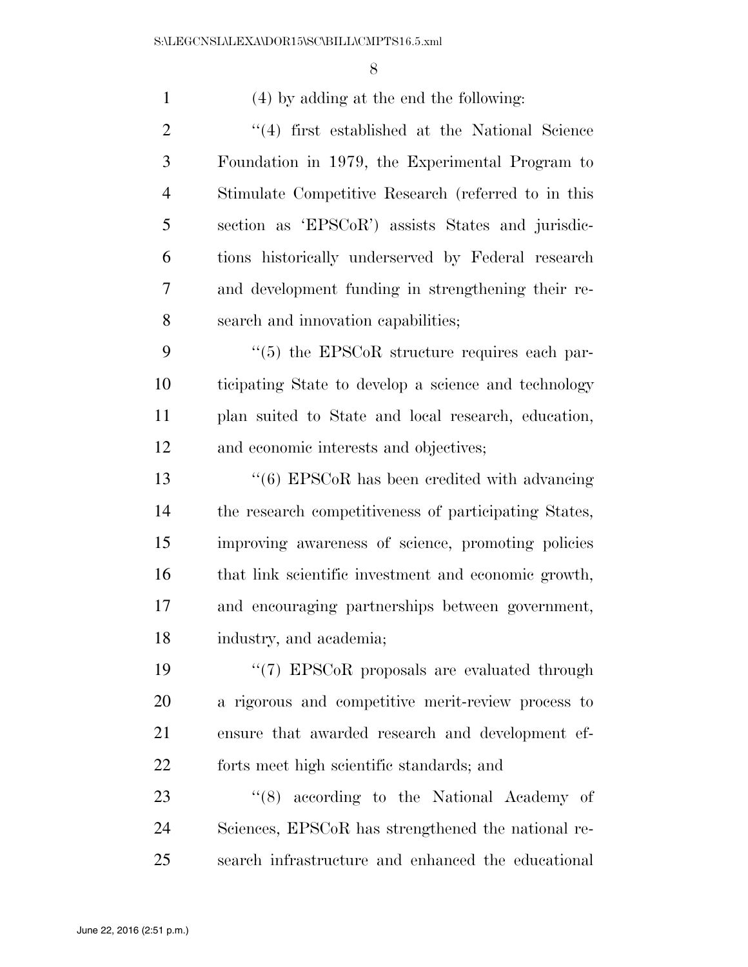(4) by adding at the end the following: 2 ''(4) first established at the National Science Foundation in 1979, the Experimental Program to Stimulate Competitive Research (referred to in this section as 'EPSCoR') assists States and jurisdic- tions historically underserved by Federal research and development funding in strengthening their re- search and innovation capabilities;  $\frac{4}{5}$  the EPSCoR structure requires each par- ticipating State to develop a science and technology plan suited to State and local research, education, and economic interests and objectives; ''(6) EPSCoR has been credited with advancing the research competitiveness of participating States, improving awareness of science, promoting policies that link scientific investment and economic growth, and encouraging partnerships between government, industry, and academia;  $\frac{1}{2}$  (7) EPSCoR proposals are evaluated through a rigorous and competitive merit-review process to ensure that awarded research and development ef- forts meet high scientific standards; and 23 ''(8) according to the National Academy of Sciences, EPSCoR has strengthened the national re-search infrastructure and enhanced the educational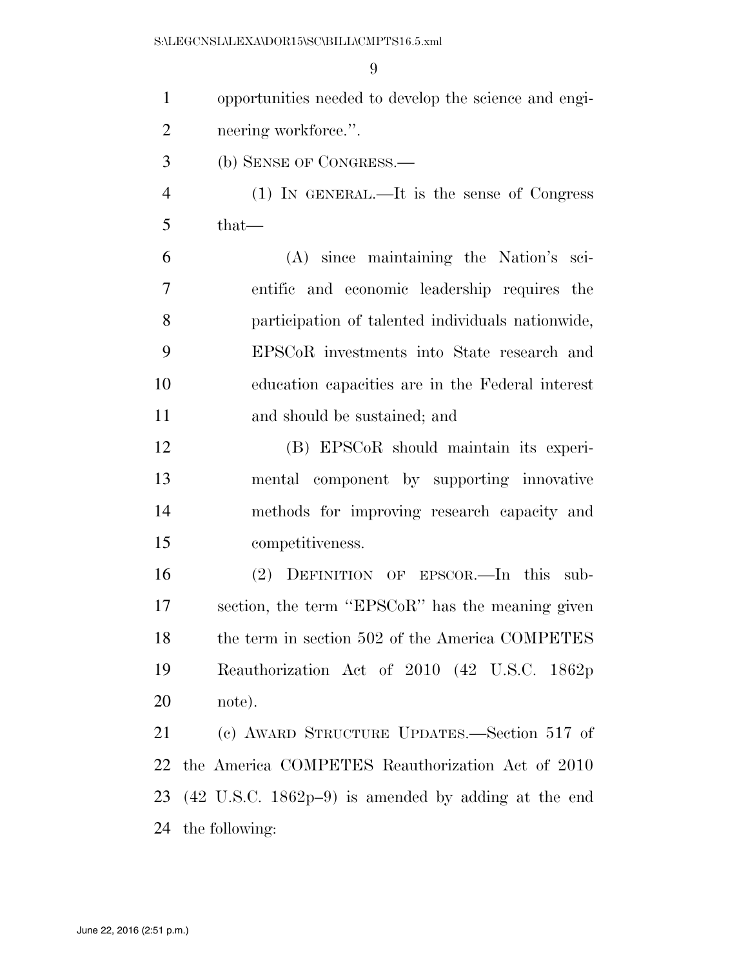| $\mathbf{1}$   | opportunities needed to develop the science and engi-                    |
|----------------|--------------------------------------------------------------------------|
| $\overline{2}$ | neering workforce.".                                                     |
| 3              | (b) SENSE OF CONGRESS.—                                                  |
| $\overline{4}$ | $(1)$ IN GENERAL.—It is the sense of Congress                            |
| 5              | $that-$                                                                  |
| 6              | (A) since maintaining the Nation's sci-                                  |
| $\tau$         | entific and economic leadership requires the                             |
| 8              | participation of talented individuals nationwide,                        |
| 9              | EPSCoR investments into State research and                               |
| 10             | education capacities are in the Federal interest                         |
| 11             | and should be sustained; and                                             |
| 12             | (B) EPSCoR should maintain its experi-                                   |
| 13             | mental component by supporting innovative                                |
| 14             | methods for improving research capacity and                              |
| 15             | competitiveness.                                                         |
| 16             | (2) DEFINITION OF EPSCOR.—In this sub-                                   |
| 17             | section, the term "EPSCoR" has the meaning given                         |
| 18             | the term in section 502 of the America COMPETES                          |
| 19             | Reauthorization Act of 2010 (42 U.S.C. 1862p)                            |
| 20             | note).                                                                   |
| 21             | (c) AWARD STRUCTURE UPDATES.—Section 517 of                              |
| 22             | the America COMPETES Reauthorization Act of 2010                         |
| 23             | $(42 \text{ U.S.C. } 1862 \text{p} - 9)$ is amended by adding at the end |
| 24             | the following:                                                           |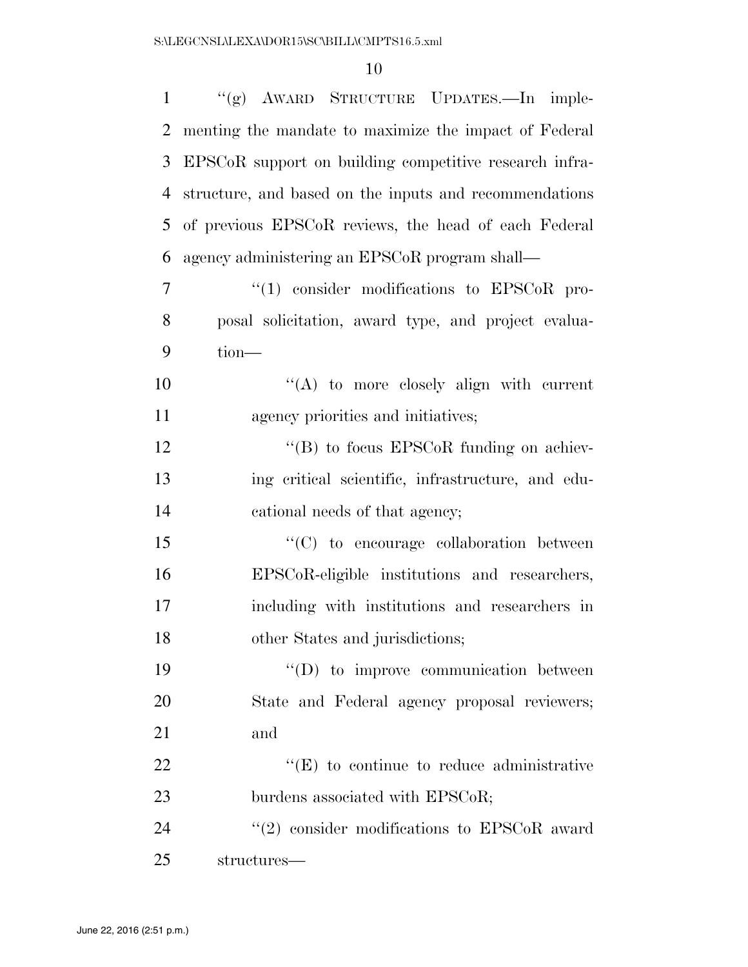| $\mathbf{1}$ | "(g) AWARD STRUCTURE UPDATES.—In imple-                |
|--------------|--------------------------------------------------------|
| 2            | menting the mandate to maximize the impact of Federal  |
| 3            | EPSCoR support on building competitive research infra- |
| 4            | structure, and based on the inputs and recommendations |
| 5            | of previous EPSCoR reviews, the head of each Federal   |
| 6            | agency administering an EPSCoR program shall—          |
| $\tau$       | $\lq(1)$ consider modifications to EPSCoR pro-         |
| 8            | posal solicitation, award type, and project evalua-    |
| 9            | tion-                                                  |
| 10           | $\lq\lq$ to more closely align with current            |
| 11           | agency priorities and initiatives;                     |
| 12           | $\lq\lq$ to focus EPSCoR funding on achiev-            |
| 13           | ing critical scientific, infrastructure, and edu-      |
| 14           | cational needs of that agency;                         |
| 15           | "(C) to encourage collaboration between                |
| 16           | EPSCoR-eligible institutions and researchers,          |
| 17           | including with institutions and researchers in         |
| 18           | other States and jurisdictions;                        |
| 19           | $\lq\lq$ to improve communication between              |
| 20           | State and Federal agency proposal reviewers;           |
| 21           | and                                                    |
| 22           | $\lq\lq$ (E) to continue to reduce administrative      |
| 23           | burdens associated with EPSCoR;                        |
| 24           | $(2)$ consider modifications to EPSCoR award           |
| 25           | structures—                                            |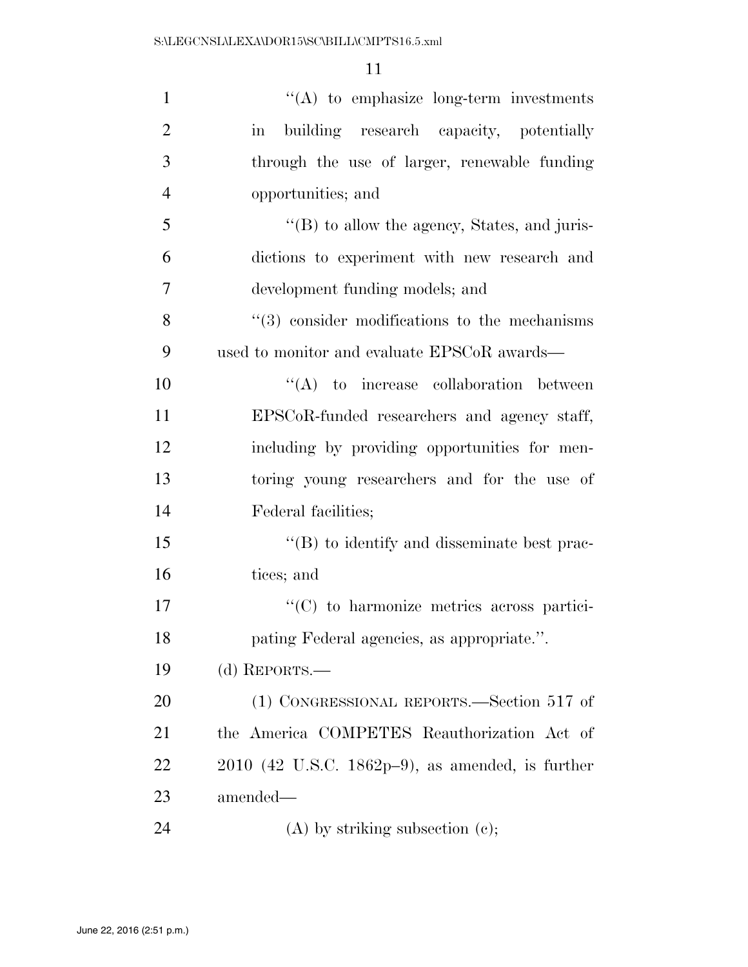| $\mathbf{1}$   | $\lq\lq$ to emphasize long-term investments                    |
|----------------|----------------------------------------------------------------|
| $\overline{2}$ | building research capacity, potentially<br>$\operatorname{in}$ |
| 3              | through the use of larger, renewable funding                   |
| $\overline{4}$ | opportunities; and                                             |
| 5              | "(B) to allow the agency, States, and juris-                   |
| 6              | dictions to experiment with new research and                   |
| $\overline{7}$ | development funding models; and                                |
| 8              | $\cdot\cdot$ (3) consider modifications to the mechanisms      |
| 9              | used to monitor and evaluate EPSCoR awards—                    |
| 10             | $\lq\lq$ to increase collaboration between                     |
| 11             | EPSCoR-funded researchers and agency staff,                    |
| 12             | including by providing opportunities for men-                  |
| 13             | toring young researchers and for the use of                    |
| 14             | Federal facilities;                                            |
| 15             | $\lq\lq (B)$ to identify and disseminate best prac-            |
| 16             | tices; and                                                     |
| 17             | $\cdot$ (C) to harmonize metrics across partici-               |
| 18             | pating Federal agencies, as appropriate.".                     |
| 19             | (d) REPORTS.—                                                  |
| 20             | (1) CONGRESSIONAL REPORTS.—Section 517 of                      |
| 21             | the America COMPETES Reauthorization Act of                    |
| 22             | $2010$ (42 U.S.C. 1862p-9), as amended, is further             |
| 23             | amended—                                                       |
| 24             | $(A)$ by striking subsection $(c)$ ;                           |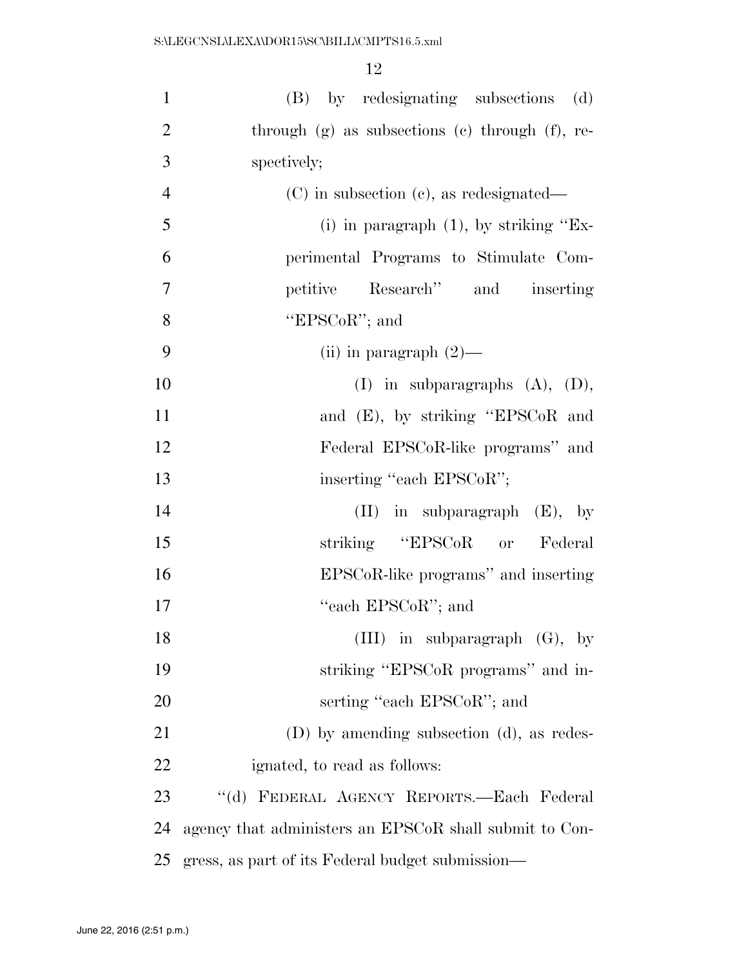| $\mathbf{1}$   | (B) by redesignating subsections (d)                   |
|----------------|--------------------------------------------------------|
| $\overline{2}$ | through $(g)$ as subsections $(e)$ through $(f)$ , re- |
| 3              | spectively;                                            |
| $\overline{4}$ | $(C)$ in subsection $(c)$ , as redesignated—           |
| 5              | (i) in paragraph $(1)$ , by striking "Ex-              |
| 6              | perimental Programs to Stimulate Com-                  |
| $\overline{7}$ | petitive Research" and inserting                       |
| 8              | "EPSCoR"; and                                          |
| 9              | (ii) in paragraph $(2)$ —                              |
| 10             | $(I)$ in subparagraphs $(A)$ , $(D)$ ,                 |
| 11             | and (E), by striking "EPSCoR and                       |
| 12             | Federal EPSCoR-like programs" and                      |
| 13             | inserting "each EPSCoR";                               |
| 14             | $(II)$ in subparagraph $(E)$ , by                      |
| 15             | striking "EPSCoR or Federal                            |
| 16             | EPSCoR-like programs" and inserting                    |
| 17             | "each EPSCoR"; and                                     |
| 18             | (III) in subparagraph $(G)$ , by                       |
| 19             | striking "EPSCoR programs" and in-                     |
| 20             | serting "each EPSCoR"; and                             |
| 21             | (D) by amending subsection (d), as redes-              |
| 22             | ignated, to read as follows:                           |
| 23             | "(d) FEDERAL AGENCY REPORTS.—Each Federal              |
| 24             | agency that administers an EPSCoR shall submit to Con- |
| 25             | gress, as part of its Federal budget submission—       |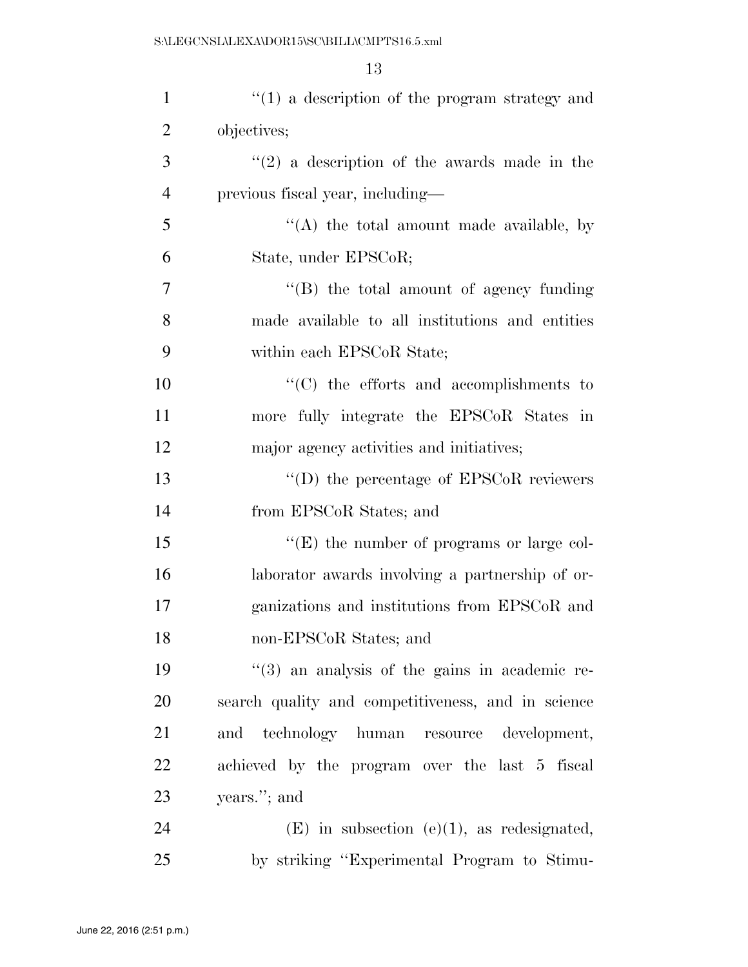| $\mathbf{1}$   | $f'(1)$ a description of the program strategy and         |
|----------------|-----------------------------------------------------------|
| $\overline{2}$ | objectives;                                               |
| 3              | $(2)$ a description of the awards made in the             |
| $\overline{4}$ | previous fiscal year, including—                          |
| 5              | "(A) the total amount made available, by                  |
| 6              | State, under EPSCoR;                                      |
| 7              | $\lq\lq$ the total amount of agency funding               |
| 8              | made available to all institutions and entities           |
| 9              | within each EPSCoR State;                                 |
| 10             | $\cdot$ (C) the efforts and accomplishments to            |
| 11             | more fully integrate the EPSCoR States in                 |
| 12             | major agency activities and initiatives;                  |
| 13             | $\lq\lq$ the percentage of EPSCoR reviewers               |
| 14             | from EPSCoR States; and                                   |
| 15             | $\lq\lq(E)$ the number of programs or large col-          |
| 16             | laborator awards involving a partnership of or-           |
| 17             | ganizations and institutions from EPSCoR and              |
| 18             | non-EPSCoR States; and                                    |
| 19             | $\cdot\cdot$ (3) an analysis of the gains in academic re- |
| 20             | search quality and competitiveness, and in science        |
| 21             | and technology human resource development,                |
| 22             | achieved by the program over the last 5 fiscal            |
| 23             | years."; and                                              |
| 24             | $(E)$ in subsection (e)(1), as redesignated,              |
| 25             | by striking "Experimental Program to Stimu-               |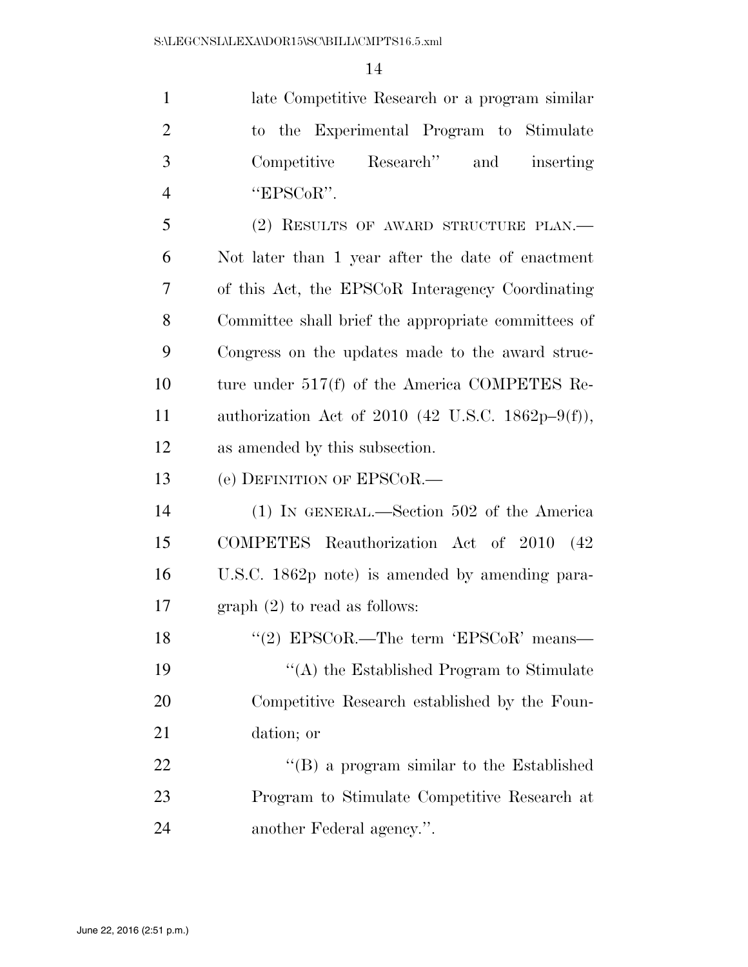late Competitive Research or a program similar to the Experimental Program to Stimulate Competitive Research'' and inserting  $4 \qquad \qquad \text{"EPSCoR"}.$  (2) RESULTS OF AWARD STRUCTURE PLAN.— Not later than 1 year after the date of enactment of this Act, the EPSCoR Interagency Coordinating

 Committee shall brief the appropriate committees of Congress on the updates made to the award struc- ture under 517(f) of the America COMPETES Re- authorization Act of 2010 (42 U.S.C. 1862p–9(f)), as amended by this subsection.

(e) DEFINITION OF EPSCOR.—

 (1) IN GENERAL.—Section 502 of the America COMPETES Reauthorization Act of 2010 (42 U.S.C. 1862p note) is amended by amending para-graph (2) to read as follows:

18 ''(2) EPSCoR.—The term 'EPSCoR' means— ''(A) the Established Program to Stimulate Competitive Research established by the Foun-dation; or

22 ''(B) a program similar to the Established Program to Stimulate Competitive Research at another Federal agency.''.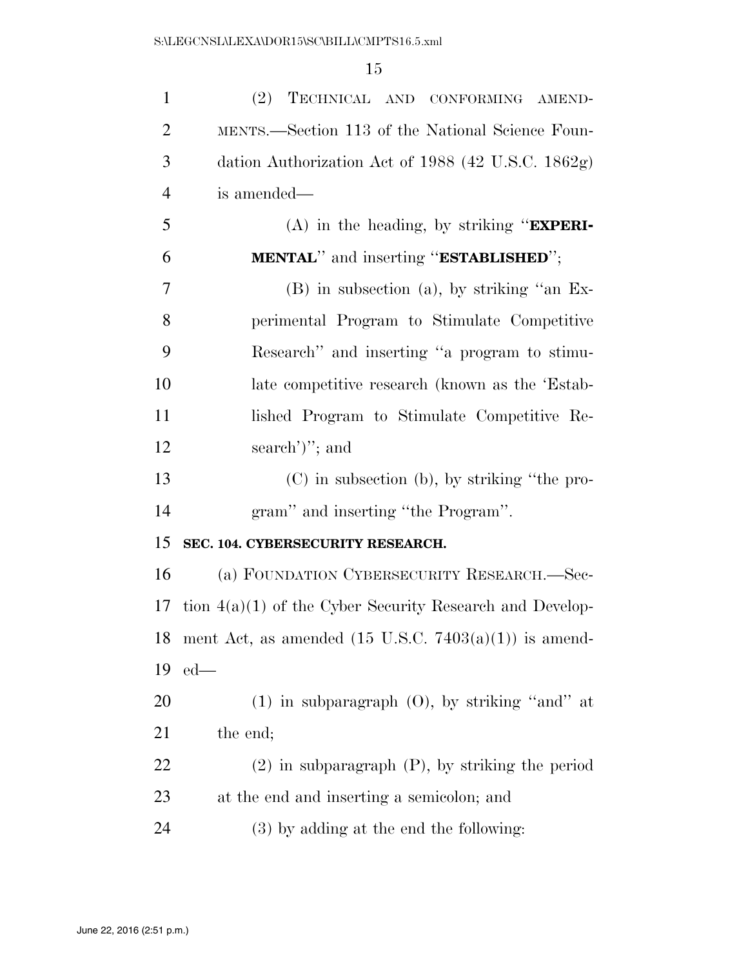| $\mathbf{1}$   | (2) TECHNICAL AND CONFORMING AMEND-                              |
|----------------|------------------------------------------------------------------|
| $\overline{2}$ | MENTS.—Section 113 of the National Science Foun-                 |
| 3              | dation Authorization Act of $1988$ (42 U.S.C. 1862g)             |
| $\overline{4}$ | is amended—                                                      |
| 5              | $(A)$ in the heading, by striking " <b>EXPERI-</b>               |
| 6              | <b>MENTAL</b> " and inserting " <b>ESTABLISHED</b> ";            |
| 7              | $(B)$ in subsection (a), by striking "an Ex-                     |
| 8              | perimental Program to Stimulate Competitive                      |
| 9              | Research" and inserting "a program to stimu-                     |
| 10             | late competitive research (known as the 'Estab-                  |
| 11             | lished Program to Stimulate Competitive Re-                      |
| 12             | search')''; and                                                  |
| 13             | $(C)$ in subsection (b), by striking "the pro-                   |
| 14             | gram" and inserting "the Program".                               |
| 15             | SEC. 104. CYBERSECURITY RESEARCH.                                |
| 16             | (a) FOUNDATION CYBERSECURITY RESEARCH.-Sec-                      |
| 17             | tion $4(a)(1)$ of the Cyber Security Research and Develop-       |
| 18             | ment Act, as amended $(15 \text{ U.S.C. } 7403(a)(1))$ is amend- |
| 19             | $ed$ —                                                           |
| 20             | $(1)$ in subparagraph $(0)$ , by striking "and" at               |
| 21             | the end;                                                         |
| 22             | $(2)$ in subparagraph $(P)$ , by striking the period             |
| 23             | at the end and inserting a semicolon; and                        |
| 24             | $(3)$ by adding at the end the following:                        |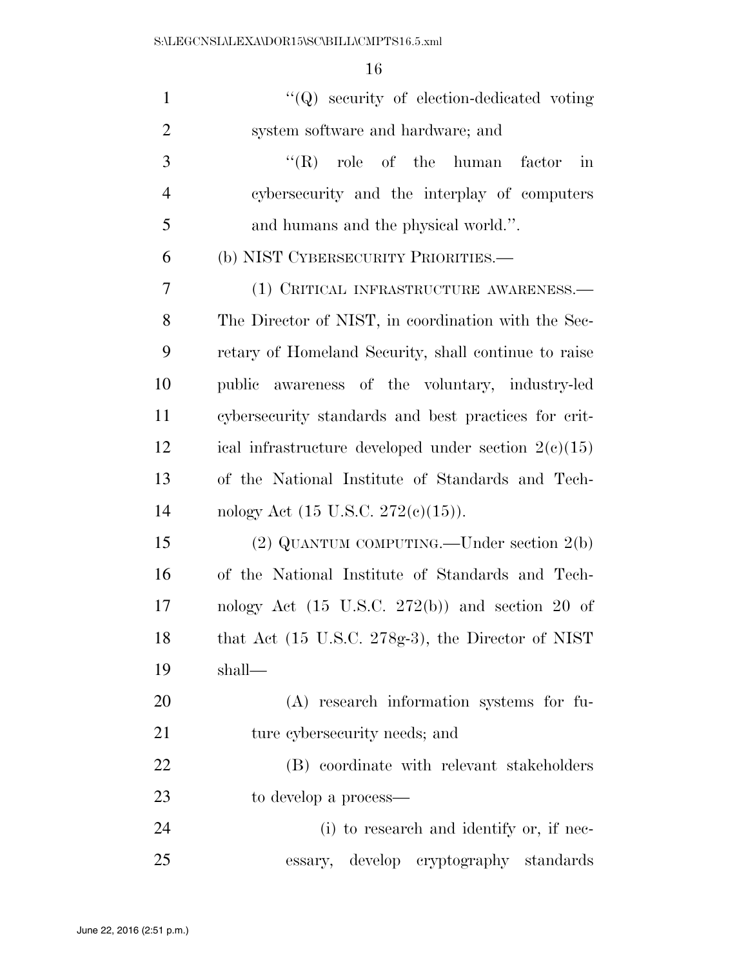| $\mathbf{1}$   | $\lq\lq Q$ security of election-dedicated voting           |
|----------------|------------------------------------------------------------|
| $\overline{2}$ | system software and hardware; and                          |
| 3              | $\lq\lq$ role of the human factor<br>in                    |
| $\overline{4}$ | cybersecurity and the interplay of computers               |
| 5              | and humans and the physical world.".                       |
| 6              | (b) NIST CYBERSECURITY PRIORITIES.—                        |
| 7              | (1) CRITICAL INFRASTRUCTURE AWARENESS.—                    |
| 8              | The Director of NIST, in coordination with the Sec-        |
| 9              | retary of Homeland Security, shall continue to raise       |
| 10             | public awareness of the voluntary, industry-led            |
| 11             | cybersecurity standards and best practices for crit-       |
| 12             | ical infrastructure developed under section $2(e)(15)$     |
| 13             | of the National Institute of Standards and Tech-           |
| 14             | nology Act $(15 \text{ U.S.C. } 272(e)(15)).$              |
| 15             | $(2)$ QUANTUM COMPUTING.—Under section $2(b)$              |
| 16             | of the National Institute of Standards and Tech-           |
| 17             | nology Act $(15 \text{ U.S.C. } 272(b))$ and section 20 of |
| 18             | that Act (15 U.S.C. 278g-3), the Director of NIST          |
| 19             | shall-                                                     |
| <b>20</b>      | (A) research information systems for fu-                   |
| 21             | ture cybersecurity needs; and                              |
| 22             | (B) coordinate with relevant stakeholders                  |
| 23             | to develop a process—                                      |
| 24             | (i) to research and identify or, if nec-                   |
| 25             | develop cryptography standards<br>essary,                  |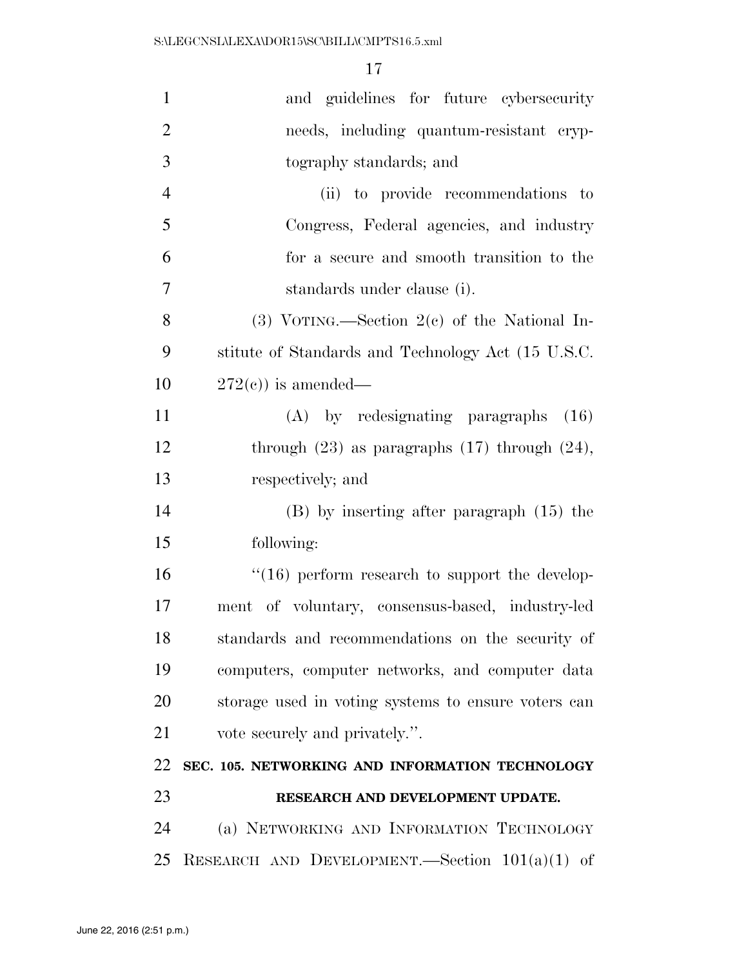| $\mathbf{1}$   | and guidelines for future cybersecurity               |
|----------------|-------------------------------------------------------|
| $\overline{2}$ | needs, including quantum-resistant cryp-              |
| 3              | tography standards; and                               |
| $\overline{4}$ | (ii) to provide recommendations to                    |
| 5              | Congress, Federal agencies, and industry              |
| 6              | for a secure and smooth transition to the             |
| 7              | standards under clause (i).                           |
| 8              | (3) VOTING.—Section $2(e)$ of the National In-        |
| 9              | stitute of Standards and Technology Act (15 U.S.C.    |
| 10             | $272(e)$ ) is amended—                                |
| 11             | (A) by redesignating paragraphs<br>(16)               |
| 12             | through $(23)$ as paragraphs $(17)$ through $(24)$ ,  |
| 13             | respectively; and                                     |
| 14             | $(B)$ by inserting after paragraph $(15)$ the         |
| 15             | following:                                            |
| 16             | $\cdot$ (16) perform research to support the develop- |
| 17             | ment of voluntary, consensus-based, industry-led      |
| 18             | standards and recommendations on the security of      |
| 19             | computers, computer networks, and computer data       |
| 20             | storage used in voting systems to ensure voters can   |
| 21             | vote securely and privately.".                        |
| 22             | SEC. 105. NETWORKING AND INFORMATION TECHNOLOGY       |
| 23             | RESEARCH AND DEVELOPMENT UPDATE.                      |
| 24             | (a) NETWORKING AND INFORMATION TECHNOLOGY             |
| 25             | RESEARCH AND DEVELOPMENT.—Section $101(a)(1)$ of      |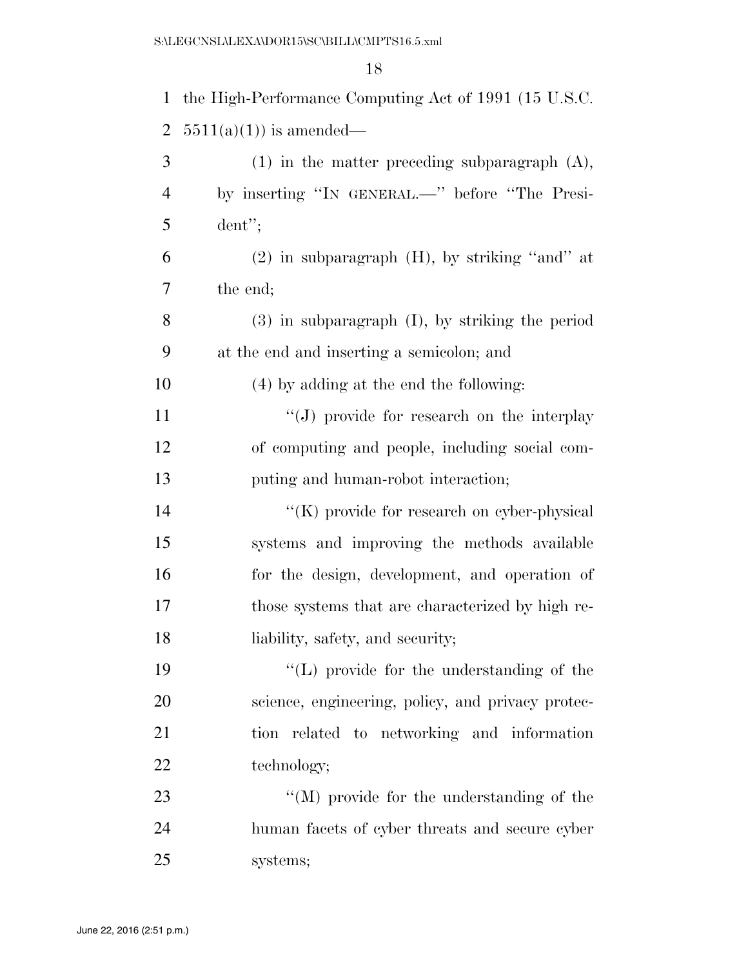| $\mathbf{1}$   | the High-Performance Computing Act of 1991 (15 U.S.C. |
|----------------|-------------------------------------------------------|
| $\overline{2}$ | $5511(a)(1)$ is amended—                              |
| 3              | $(1)$ in the matter preceding subparagraph $(A)$ ,    |
| $\overline{4}$ | by inserting "IN GENERAL.—" before "The Presi-        |
| 5              | $d$ ent";                                             |
| 6              | $(2)$ in subparagraph $(H)$ , by striking "and" at    |
| 7              | the end;                                              |
| 8              | $(3)$ in subparagraph $(I)$ , by striking the period  |
| 9              | at the end and inserting a semicolon; and             |
| 10             | (4) by adding at the end the following:               |
| 11             | "(J) provide for research on the interplay            |
| 12             | of computing and people, including social com-        |
| 13             | puting and human-robot interaction;                   |
| 14             | $\lq\lq$ (K) provide for research on cyber-physical   |
| 15             | systems and improving the methods available           |
| 16             | for the design, development, and operation of         |
| 17             | those systems that are characterized by high re-      |
| 18             | liability, safety, and security;                      |
| 19             | $\lq\lq$ (L) provide for the understanding of the     |
| <b>20</b>      | science, engineering, policy, and privacy protec-     |
| 21             | tion related to networking and information            |
| 22             | technology;                                           |
| 23             | $\lq\lq (M)$ provide for the understanding of the     |
| 24             | human facets of cyber threats and secure cyber        |
| 25             | systems;                                              |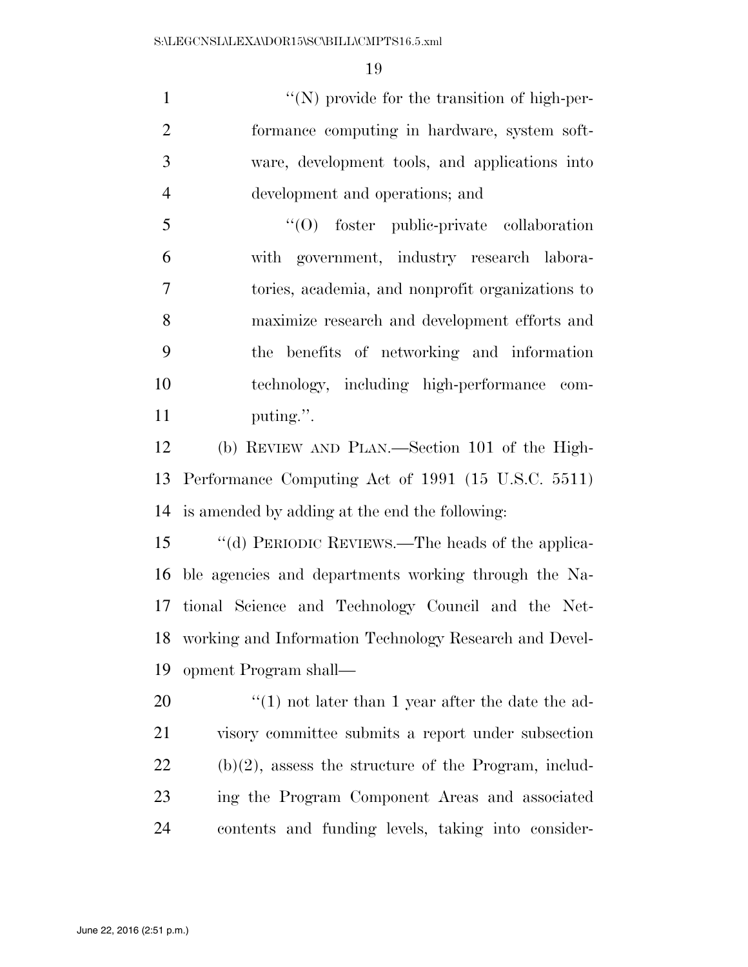$\langle \langle N \rangle$  provide for the transition of high-per- formance computing in hardware, system soft- ware, development tools, and applications into development and operations; and

 ''(O) foster public-private collaboration with government, industry research labora- tories, academia, and nonprofit organizations to maximize research and development efforts and the benefits of networking and information technology, including high-performance com-11 puting.".

 (b) REVIEW AND PLAN.—Section 101 of the High- Performance Computing Act of 1991 (15 U.S.C. 5511) is amended by adding at the end the following:

 ''(d) PERIODIC REVIEWS.—The heads of the applica- ble agencies and departments working through the Na- tional Science and Technology Council and the Net- working and Information Technology Research and Devel-opment Program shall—

 $\frac{1}{20}$  (1) not later than 1 year after the date the ad- visory committee submits a report under subsection (b)(2), assess the structure of the Program, includ- ing the Program Component Areas and associated contents and funding levels, taking into consider-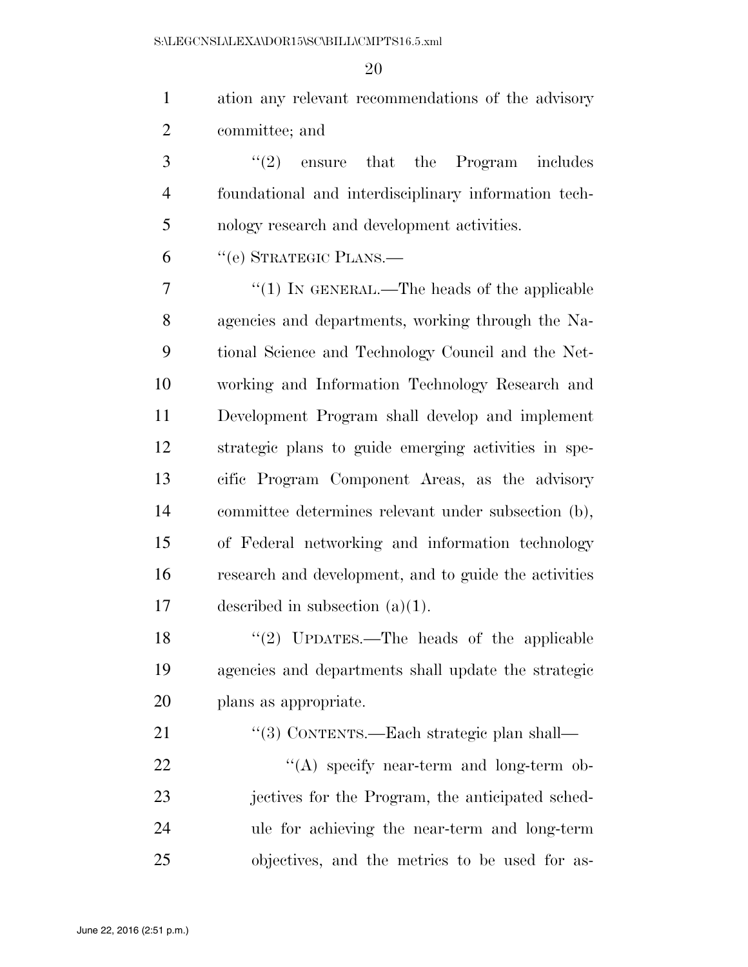| $\mathbf{1}$   | ation any relevant recommendations of the advisory    |
|----------------|-------------------------------------------------------|
| $\overline{2}$ | committee; and                                        |
| 3              | $(2)$ ensure<br>that the Program includes             |
| $\overline{4}$ | foundational and interdisciplinary information tech-  |
| 5              | nology research and development activities.           |
| 6              | "(e) STRATEGIC PLANS.—                                |
| 7              | $\lq(1)$ In GENERAL.—The heads of the applicable      |
| 8              | agencies and departments, working through the Na-     |
| 9              | tional Science and Technology Council and the Net-    |
| 10             | working and Information Technology Research and       |
| 11             | Development Program shall develop and implement       |
| 12             | strategic plans to guide emerging activities in spe-  |
| 13             | cific Program Component Areas, as the advisory        |
| 14             | committee determines relevant under subsection (b),   |
| 15             | of Federal networking and information technology      |
| 16             | research and development, and to guide the activities |
| 17             | described in subsection $(a)(1)$ .                    |
| 18             | "(2) UPDATES.—The heads of the applicable             |
| 19             | agencies and departments shall update the strategic   |
| 20             | plans as appropriate.                                 |
| 21             | "(3) CONTENTS.—Each strategic plan shall—             |
| 22             | "(A) specify near-term and long-term ob-              |
| 23             | jectives for the Program, the anticipated sched-      |
| 24             | ule for achieving the near-term and long-term         |
| 25             | objectives, and the metrics to be used for as-        |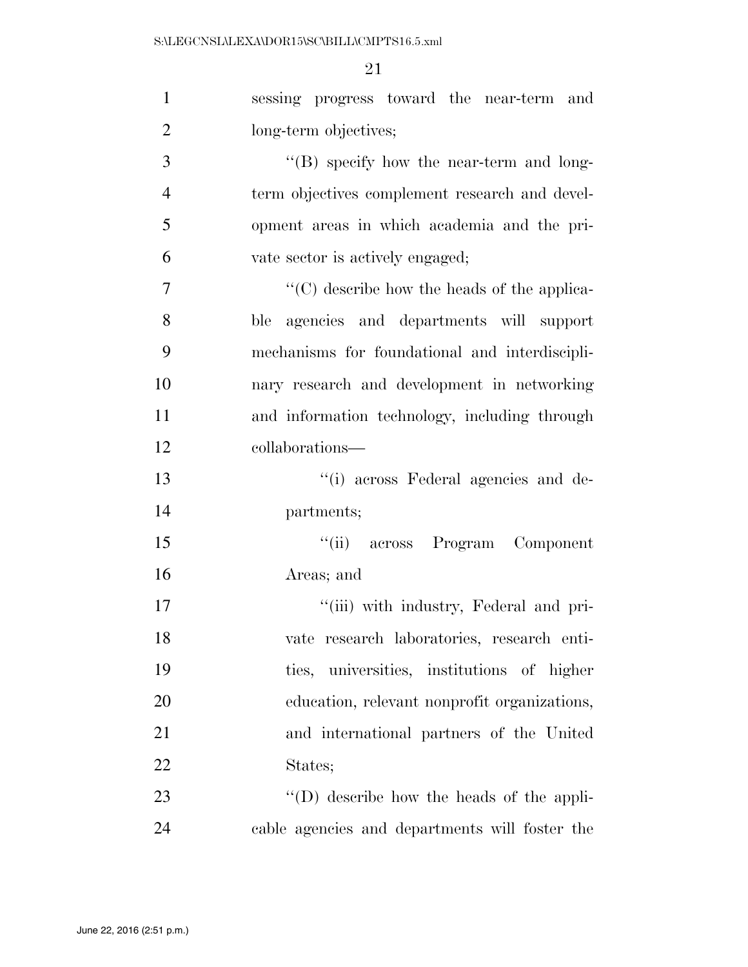| $\mathbf{1}$   | sessing progress toward the near-term and           |
|----------------|-----------------------------------------------------|
| $\overline{2}$ | long-term objectives;                               |
| 3              | "(B) specify how the near-term and long-            |
| $\overline{4}$ | term objectives complement research and devel-      |
| 5              | opment areas in which academia and the pri-         |
| 6              | vate sector is actively engaged;                    |
| 7              | $\lq\lq$ (C) describe how the heads of the applica- |
| 8              | ble agencies and departments will support           |
| 9              | mechanisms for foundational and interdiscipli-      |
| 10             | nary research and development in networking         |
| 11             | and information technology, including through       |
| 12             | collaborations—                                     |
| 13             | "(i) across Federal agencies and de-                |
| 14             | partments;                                          |
| 15             | "(ii) across Program Component                      |
| 16             | Areas; and                                          |
| 17             | "(iii) with industry, Federal and pri-              |
| 18             | vate research laboratories, research enti-          |
| 19             | ties, universities, institutions of higher          |
| 20             | education, relevant nonprofit organizations,        |
| 21             | and international partners of the United            |
| 22             | States;                                             |
| 23             | $\lq\lq$ (D) describe how the heads of the appli-   |
| 24             | cable agencies and departments will foster the      |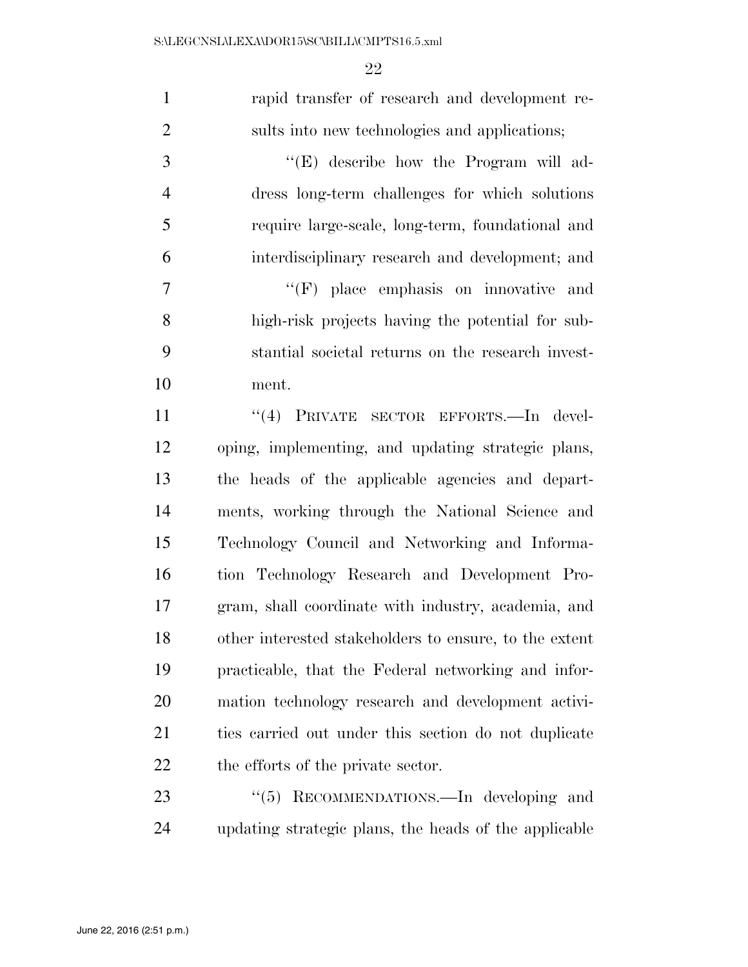| $\mathbf{1}$   | rapid transfer of research and development re-         |
|----------------|--------------------------------------------------------|
| $\overline{2}$ | sults into new technologies and applications;          |
| 3              | "(E) describe how the Program will ad-                 |
| $\overline{4}$ | dress long-term challenges for which solutions         |
| 5              | require large-scale, long-term, foundational and       |
| 6              | interdisciplinary research and development; and        |
| $\tau$         | $\lq\lq(F)$ place emphasis on innovative and           |
| 8              | high-risk projects having the potential for sub-       |
| 9              | stantial societal returns on the research invest-      |
| 10             | ment.                                                  |
| 11             | "(4) PRIVATE SECTOR EFFORTS.-In devel-                 |
| 12             | oping, implementing, and updating strategic plans,     |
| 13             | the heads of the applicable agencies and depart-       |
| 14             | ments, working through the National Science and        |
| 15             | Technology Council and Networking and Informa-         |
| 16             | tion Technology Research and Development Pro-          |
| 17             | gram, shall coordinate with industry, academia, and    |
| 18             | other interested stakeholders to ensure, to the extent |
| 19             | practicable, that the Federal networking and infor-    |
| <b>20</b>      | mation technology research and development activi-     |
| 21             | ties carried out under this section do not duplicate   |
| 22             | the efforts of the private sector.                     |
| 23             | RECOMMENDATIONS.—In developing and<br>(5)              |
| 24             | updating strategic plans, the heads of the applicable  |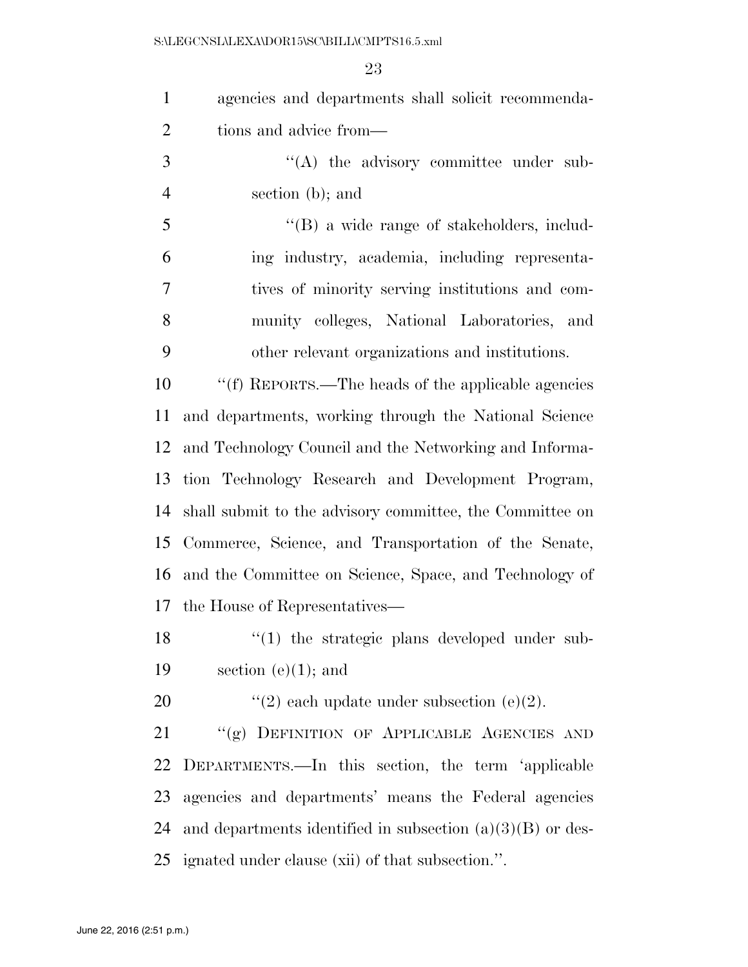S:\LEGCNSL\LEXA\DOR15\SC\BILL\CMPTS16.5.xml

| $\mathbf{1}$   | agencies and departments shall solicit recommenda-           |
|----------------|--------------------------------------------------------------|
| $\overline{2}$ | tions and advice from—                                       |
| 3              | $\lq\lq$ the advisory committee under sub-                   |
| $\overline{4}$ | section (b); and                                             |
| 5              | $\lq\lq (B)$ a wide range of stakeholders, includ-           |
| 6              | ing industry, academia, including representa-                |
| 7              | tives of minority serving institutions and com-              |
| 8              | munity colleges, National Laboratories, and                  |
| 9              | other relevant organizations and institutions.               |
| 10             | "(f) REPORTS.—The heads of the applicable agencies           |
| 11             | and departments, working through the National Science        |
| 12             | and Technology Council and the Networking and Informa-       |
| 13             | tion Technology Research and Development Program,            |
| 14             | shall submit to the advisory committee, the Committee on     |
| 15             | Commerce, Science, and Transportation of the Senate,         |
| 16             | and the Committee on Science, Space, and Technology of       |
|                | 17 the House of Representatives—                             |
| 18             | "(1) the strategic plans developed under sub-                |
| 19             | section $(e)(1)$ ; and                                       |
| 20             | "(2) each update under subsection (e)(2).                    |
| 21             | "(g) DEFINITION OF APPLICABLE AGENCIES AND                   |
| 22             | DEPARTMENTS.—In this section, the term 'applicable           |
| 23             | agencies and departments' means the Federal agencies         |
| 24             | and departments identified in subsection $(a)(3)(B)$ or des- |
| 25             | ignated under clause (xii) of that subsection.".             |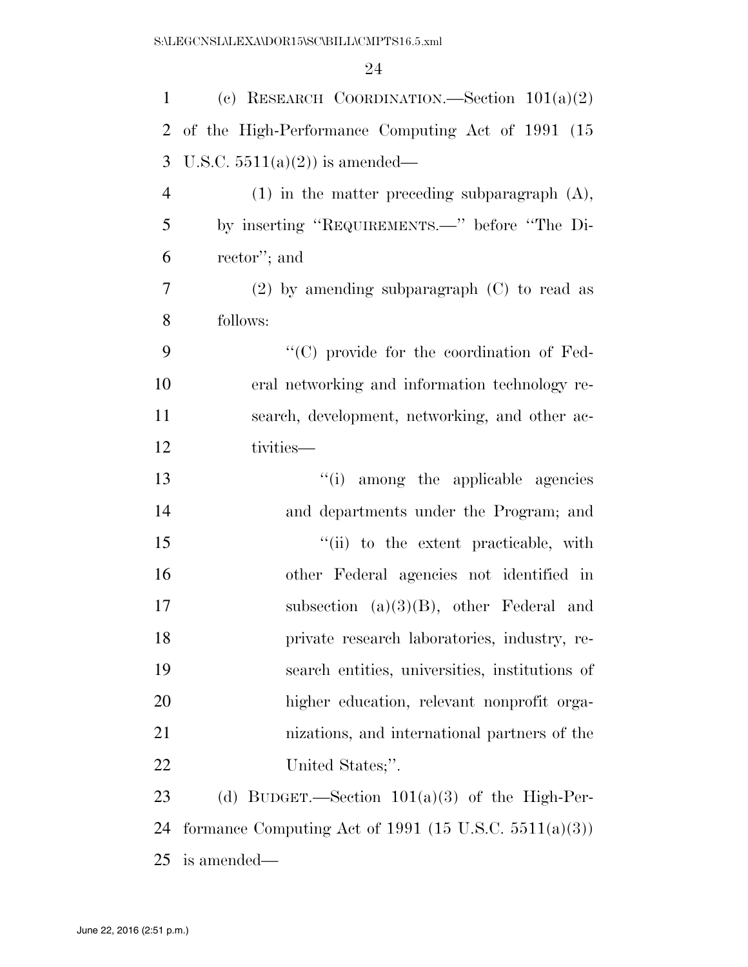| $\mathbf{1}$   | (c) RESEARCH COORDINATION. Section $101(a)(2)$           |
|----------------|----------------------------------------------------------|
| $\overline{2}$ | of the High-Performance Computing Act of 1991 (15        |
| 3              | U.S.C. $5511(a)(2)$ is amended—                          |
| $\overline{4}$ | $(1)$ in the matter preceding subparagraph $(A)$ ,       |
| 5              | by inserting "REQUIREMENTS.—" before "The Di-            |
| 6              | rector'; and                                             |
| 7              | $(2)$ by amending subparagraph $(C)$ to read as          |
| 8              | follows:                                                 |
| 9              | "(C) provide for the coordination of Fed-                |
| 10             | eral networking and information technology re-           |
| 11             | search, development, networking, and other ac-           |
| 12             | tivities-                                                |
| 13             | "(i) among the applicable agencies                       |
| 14             | and departments under the Program; and                   |
| 15             | "(ii) to the extent practicable, with                    |
| 16             | other Federal agencies not identified in                 |
| 17             | subsection $(a)(3)(B)$ , other Federal and               |
| 18             | private research laboratories, industry, re-             |
| 19             | search entities, universities, institutions of           |
| 20             | higher education, relevant nonprofit orga-               |
| 21             | nizations, and international partners of the             |
| 22             | United States;".                                         |
| 23             | (d) BUDGET.—Section $101(a)(3)$ of the High-Per-         |
| 24             | formance Computing Act of 1991 (15 U.S.C. $5511(a)(3)$ ) |
| 25             | is amended—                                              |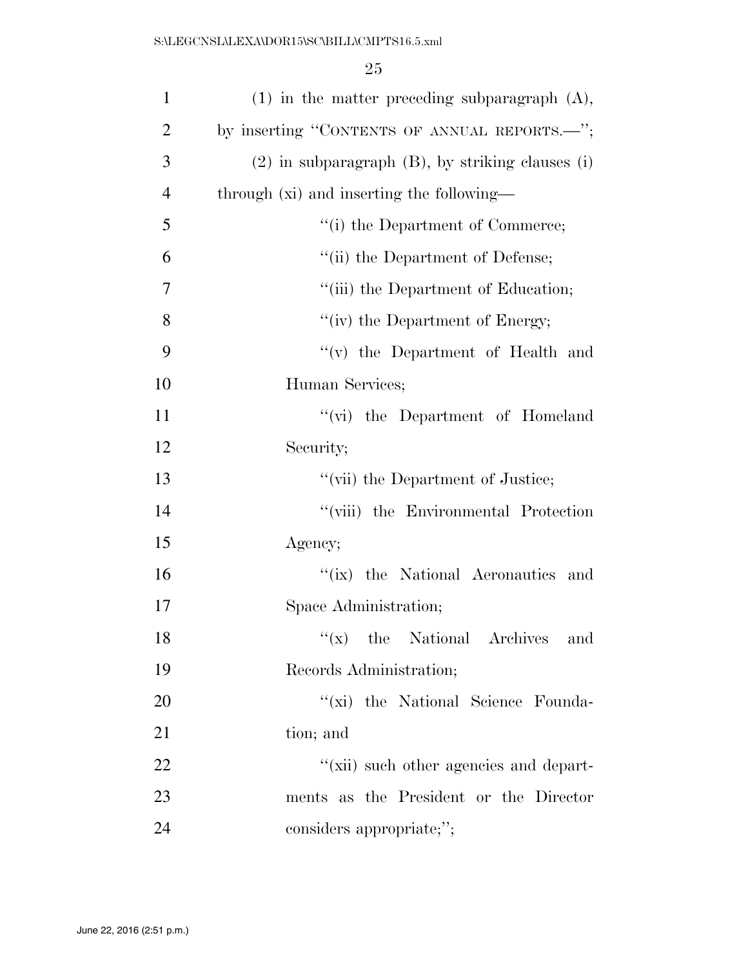| $\mathbf{1}$   | $(1)$ in the matter preceding subparagraph $(A)$ ,      |
|----------------|---------------------------------------------------------|
| $\overline{2}$ | by inserting "CONTENTS OF ANNUAL REPORTS.—";            |
| 3              | $(2)$ in subparagraph $(B)$ , by striking clauses $(i)$ |
| $\overline{4}$ | through (xi) and inserting the following—               |
| 5              | "(i) the Department of Commerce;                        |
| 6              | "(ii) the Department of Defense;                        |
| 7              | "(iii) the Department of Education;                     |
| 8              | "(iv) the Department of Energy;                         |
| 9              | $f'(v)$ the Department of Health and                    |
| 10             | Human Services;                                         |
| 11             | "(vi) the Department of Homeland                        |
| 12             | Security;                                               |
| 13             | "(vii) the Department of Justice;                       |
| 14             | "(viii) the Environmental Protection                    |
| 15             | Agency;                                                 |
| 16             | "(ix) the National Aeronautics and                      |
| 17             | Space Administration;                                   |
| 18             | $f(x)$ the National Archives<br>and                     |
| 19             | Records Administration;                                 |
| 20             | "(xi) the National Science Founda-                      |
| 21             | tion; and                                               |
| 22             | "(xii) such other agencies and depart-                  |
| 23             | ments as the President or the Director                  |
| 24             | considers appropriate;";                                |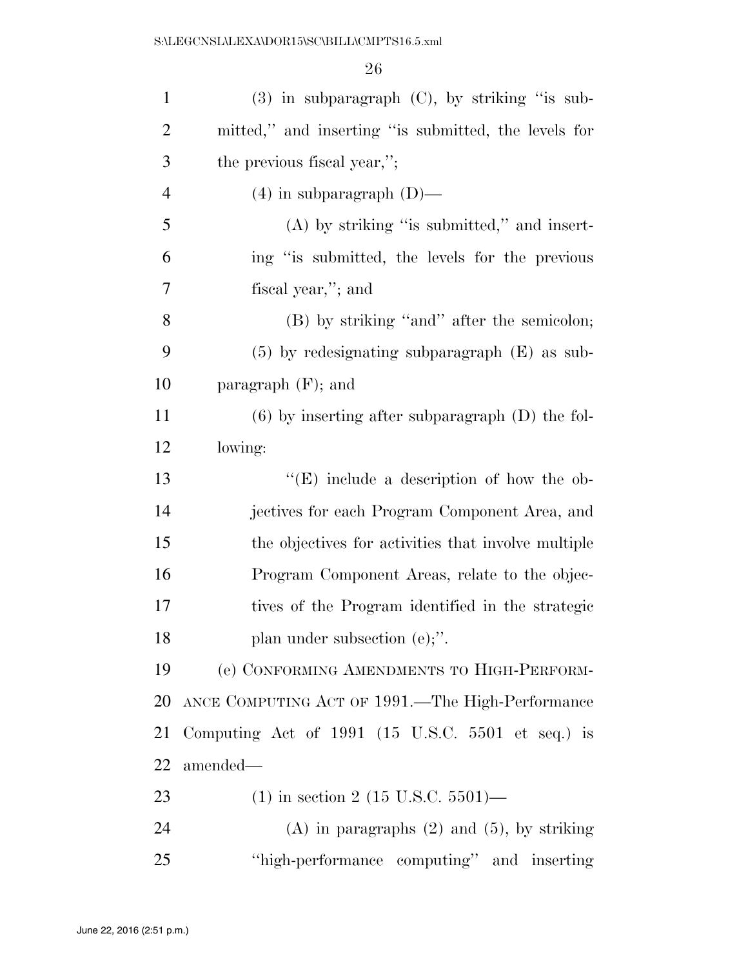| $\mathbf{1}$   | $(3)$ in subparagraph $(C)$ , by striking "is sub-                   |
|----------------|----------------------------------------------------------------------|
| $\overline{2}$ | mitted," and inserting "is submitted, the levels for                 |
| 3              | the previous fiscal year,";                                          |
| $\overline{4}$ | $(4)$ in subparagraph $(D)$ —                                        |
| 5              | $(A)$ by striking "is submitted," and insert-                        |
| 6              | ing "is submitted, the levels for the previous                       |
| 7              | fiscal year,"; and                                                   |
| 8              | (B) by striking "and" after the semicolon;                           |
| 9              | $(5)$ by redesignating subparagraph $(E)$ as sub-                    |
| 10             | paragraph $(F)$ ; and                                                |
| 11             | $(6)$ by inserting after subparagraph $(D)$ the fol-                 |
| 12             | lowing:                                                              |
| 13             | "(E) include a description of how the ob-                            |
| 14             | jectives for each Program Component Area, and                        |
| 15             | the objectives for activities that involve multiple                  |
| 16             | Program Component Areas, relate to the objec-                        |
| 17             | tives of the Program identified in the strategic                     |
| 18             | plan under subsection $(e)$ ;".                                      |
| 19             | (e) CONFORMING AMENDMENTS TO HIGH-PERFORM-                           |
| 20             | ANCE COMPUTING ACT OF 1991.—The High-Performance                     |
| 21             | Computing Act of 1991 $(15 \text{ U.S.C. } 5501 \text{ et seq.})$ is |
| 22             | amended—                                                             |
| 23             | $(1)$ in section 2 (15 U.S.C. 5501)—                                 |
| 24             | $(A)$ in paragraphs $(2)$ and $(5)$ , by striking                    |
| 25             | "high-performance computing" and inserting                           |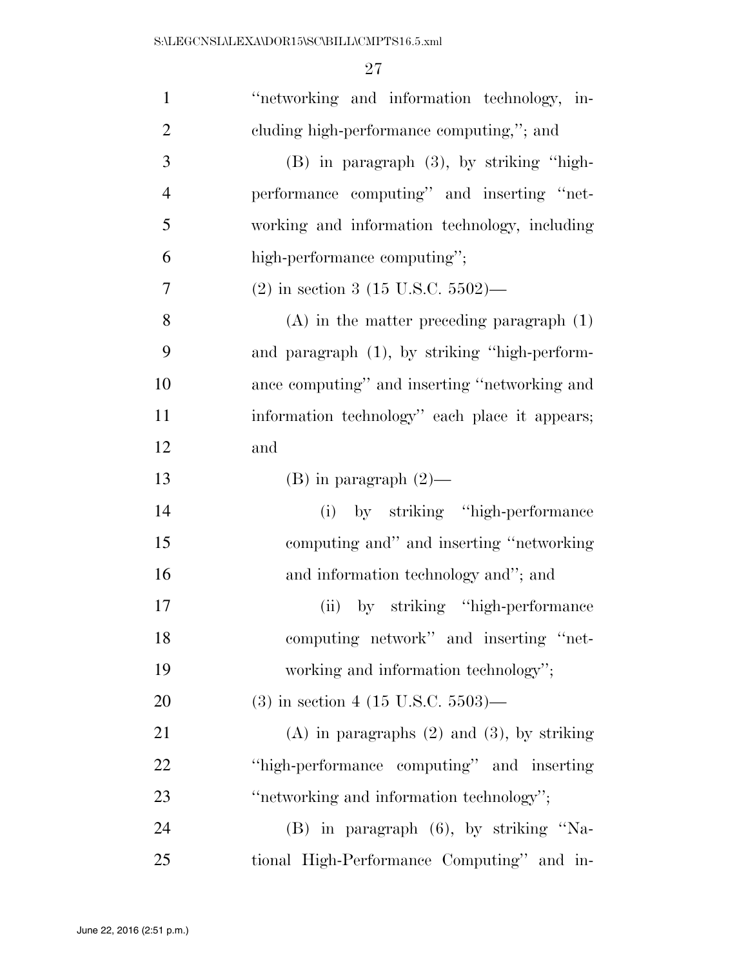| $\mathbf{1}$   | "networking and information technology, in-       |
|----------------|---------------------------------------------------|
| $\overline{2}$ | cluding high-performance computing,"; and         |
| 3              | (B) in paragraph (3), by striking "high-          |
| $\overline{4}$ | performance computing" and inserting "net-        |
| 5              | working and information technology, including     |
| 6              | high-performance computing";                      |
| 7              | $(2)$ in section 3 (15 U.S.C. 5502)—              |
| 8              | $(A)$ in the matter preceding paragraph $(1)$     |
| 9              | and paragraph (1), by striking "high-perform-     |
| 10             | ance computing" and inserting "networking and     |
| 11             | information technology" each place it appears;    |
| 12             | and                                               |
| 13             | $(B)$ in paragraph $(2)$ —                        |
| 14             | (i) by striking "high-performance"                |
| 15             | computing and" and inserting "networking          |
| 16             | and information technology and"; and              |
| 17             | by striking "high-performance"<br>(ii)            |
| 18             | computing network" and inserting "net-            |
| 19             | working and information technology";              |
| 20             | $(3)$ in section 4 (15 U.S.C. 5503)—              |
| 21             | $(A)$ in paragraphs $(2)$ and $(3)$ , by striking |
| 22             | "high-performance computing" and inserting        |
| 23             | "networking and information technology";          |
| 24             | (B) in paragraph (6), by striking "Na-            |
| 25             | tional High-Performance Computing" and in-        |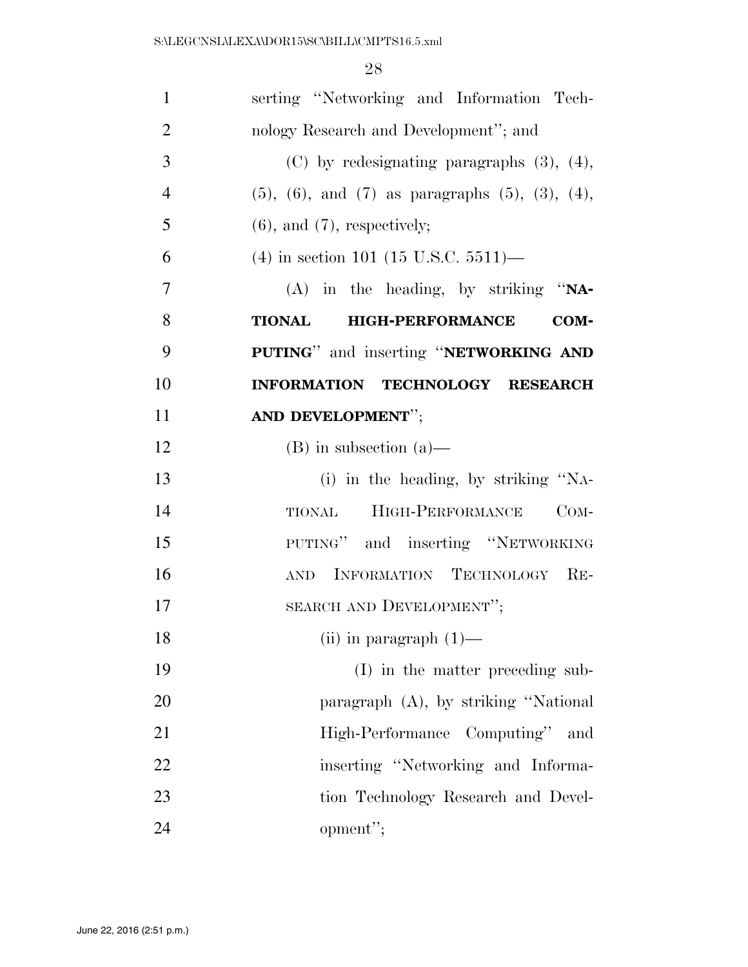| $\mathbf{1}$   | serting "Networking and Information Tech-                       |
|----------------|-----------------------------------------------------------------|
| $\overline{2}$ | nology Research and Development"; and                           |
| 3              | $(C)$ by redesignating paragraphs $(3)$ , $(4)$ ,               |
| $\overline{4}$ | $(5)$ , $(6)$ , and $(7)$ as paragraphs $(5)$ , $(3)$ , $(4)$ , |
| 5              | $(6)$ , and $(7)$ , respectively;                               |
| 6              | $(4)$ in section 101 (15 U.S.C. 5511)—                          |
| $\overline{7}$ | $(A)$ in the heading, by striking "NA-                          |
| 8              | <b>HIGH-PERFORMANCE</b><br><b>TIONAL</b><br>COM-                |
| 9              | PUTING" and inserting "NETWORKING AND                           |
| 10             | INFORMATION TECHNOLOGY RESEARCH                                 |
| 11             | AND DEVELOPMENT";                                               |
| 12             | $(B)$ in subsection $(a)$ —                                     |
| 13             | (i) in the heading, by striking "NA-                            |
| 14             | HIGH-PERFORMANCE<br>$COM-$<br><b>TIONAL</b>                     |
| 15             | PUTING" and inserting "NETWORKING                               |
| 16             | AND INFORMATION TECHNOLOGY RE-                                  |
| 17             | SEARCH AND DEVELOPMENT";                                        |
| 18             | (ii) in paragraph $(1)$ —                                       |
| 19             | (I) in the matter preceding sub-                                |
| 20             | paragraph (A), by striking "National                            |
| 21             | High-Performance Computing"<br>and                              |
| 22             | inserting "Networking and Informa-                              |
| 23             | tion Technology Research and Devel-                             |
| 24             | opment";                                                        |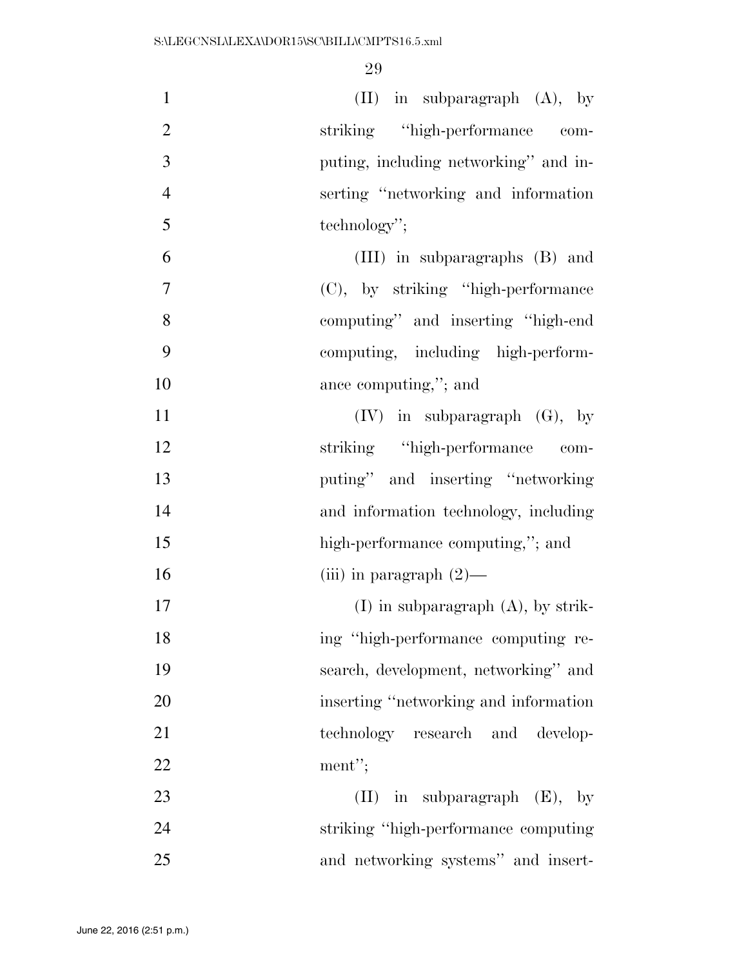| $\mathbf{1}$   | $(II)$ in subparagraph $(A)$ , by       |
|----------------|-----------------------------------------|
| $\overline{2}$ | striking "high-performance com-         |
| 3              | puting, including networking" and in-   |
| $\overline{4}$ | serting "networking and information"    |
| 5              | technology";                            |
| 6              | (III) in subparagraphs (B) and          |
| $\overline{7}$ | (C), by striking "high-performance"     |
| 8              | computing" and inserting "high-end"     |
| 9              | computing, including high-perform-      |
| 10             | ance computing,"; and                   |
| 11             | $(IV)$ in subparagraph $(G)$ , by       |
| 12             | striking "high-performance"<br>com-     |
| 13             | puting" and inserting "networking"      |
| 14             | and information technology, including   |
| 15             | high-performance computing,"; and       |
| 16             | (iii) in paragraph $(2)$ —              |
| 17             | $(I)$ in subparagraph $(A)$ , by strik- |
| 18             | ing "high-performance computing re-     |
| 19             | search, development, networking" and    |
| 20             | inserting "networking and information   |
| 21             | technology research and develop-        |
| 22             | ment";                                  |
| 23             | $(II)$ in subparagraph $(E)$ , by       |
| 24             | striking "high-performance computing"   |
| 25             | and networking systems" and insert-     |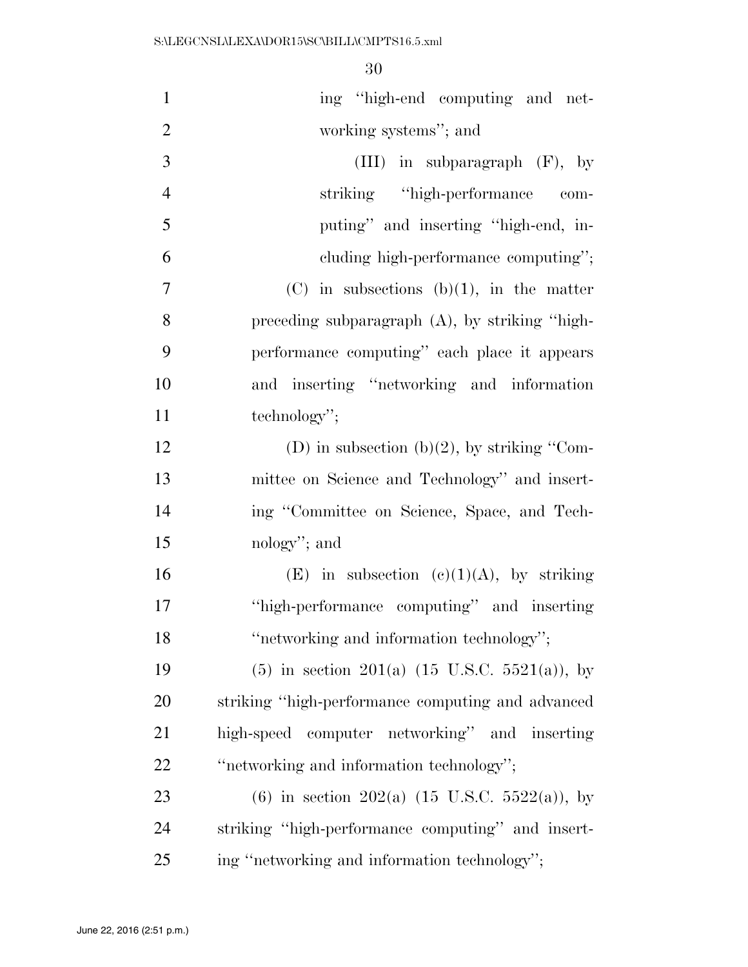| $\mathbf{1}$   | ing "high-end computing and net-                          |
|----------------|-----------------------------------------------------------|
| $\overline{2}$ | working systems"; and                                     |
| 3              | (III) in subparagraph $(F)$ , by                          |
| $\overline{4}$ | striking "high-performance"<br>com-                       |
| 5              | puting" and inserting "high-end, in-                      |
| 6              | cluding high-performance computing";                      |
| $\overline{7}$ | $(C)$ in subsections $(b)(1)$ , in the matter             |
| 8              | preceding subparagraph $(A)$ , by striking "high-         |
| 9              | performance computing" each place it appears              |
| 10             | and inserting "networking and information                 |
| 11             | technology";                                              |
| 12             | (D) in subsection (b)(2), by striking "Com-               |
| 13             | mittee on Science and Technology" and insert-             |
| 14             | ing "Committee on Science, Space, and Tech-               |
| 15             | nology"; and                                              |
| 16             | (E) in subsection (c)(1)(A), by striking                  |
| 17             | "high-performance computing" and inserting                |
| 18             | "networking and information technology";                  |
| 19             | $(5)$ in section 201(a) (15 U.S.C. 5521(a)), by           |
| 20             | striking "high-performance computing and advanced         |
| 21             | high-speed computer networking" and inserting             |
| 22             | "networking and information technology";                  |
| 23             | (6) in section 202(a) $(15 \text{ U.S.C. } 5522(a))$ , by |
| 24             | striking "high-performance computing" and insert-         |
| 25             | ing "networking and information technology";              |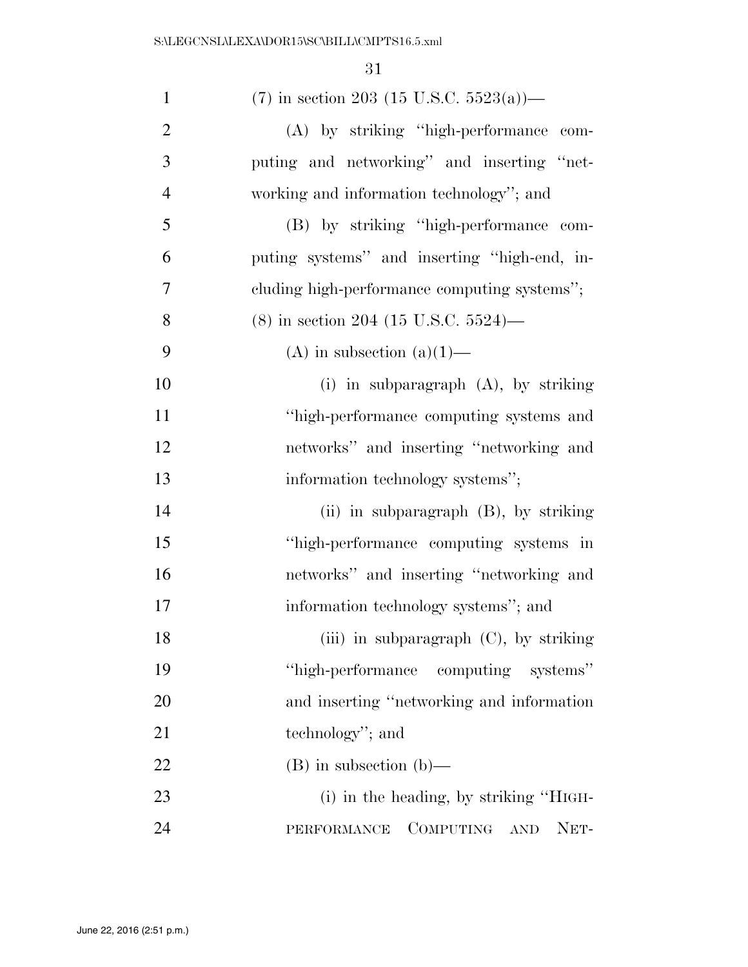| $\mathbf{1}$   | $(7)$ in section 203 (15 U.S.C. 5523(a))—                |
|----------------|----------------------------------------------------------|
| $\overline{2}$ | (A) by striking "high-performance com-                   |
| 3              | puting and networking" and inserting "net-               |
| $\overline{4}$ | working and information technology"; and                 |
| 5              | (B) by striking "high-performance com-                   |
| 6              | puting systems" and inserting "high-end, in-             |
| $\overline{7}$ | cluding high-performance computing systems";             |
| 8              | $(8)$ in section 204 (15 U.S.C. 5524)—                   |
| 9              | (A) in subsection $(a)(1)$ —                             |
| 10             | (i) in subparagraph $(A)$ , by striking                  |
| 11             | "high-performance computing systems and                  |
| 12             | networks" and inserting "networking and                  |
| 13             | information technology systems";                         |
| 14             | (ii) in subparagraph $(B)$ , by striking                 |
| 15             | "high-performance computing systems in                   |
| 16             | networks" and inserting "networking and                  |
| 17             | information technology systems"; and                     |
| 18             | (iii) in subparagraph (C), by striking                   |
| 19             | "high-performance computing systems"                     |
| 20             | and inserting "networking and information                |
| 21             | technology"; and                                         |
| 22             | $(B)$ in subsection $(b)$ —                              |
| 23             | (i) in the heading, by striking "HIGH-                   |
| 24             | COMPUTING<br>NET-<br>PERFORMANCE<br>$\operatorname{AND}$ |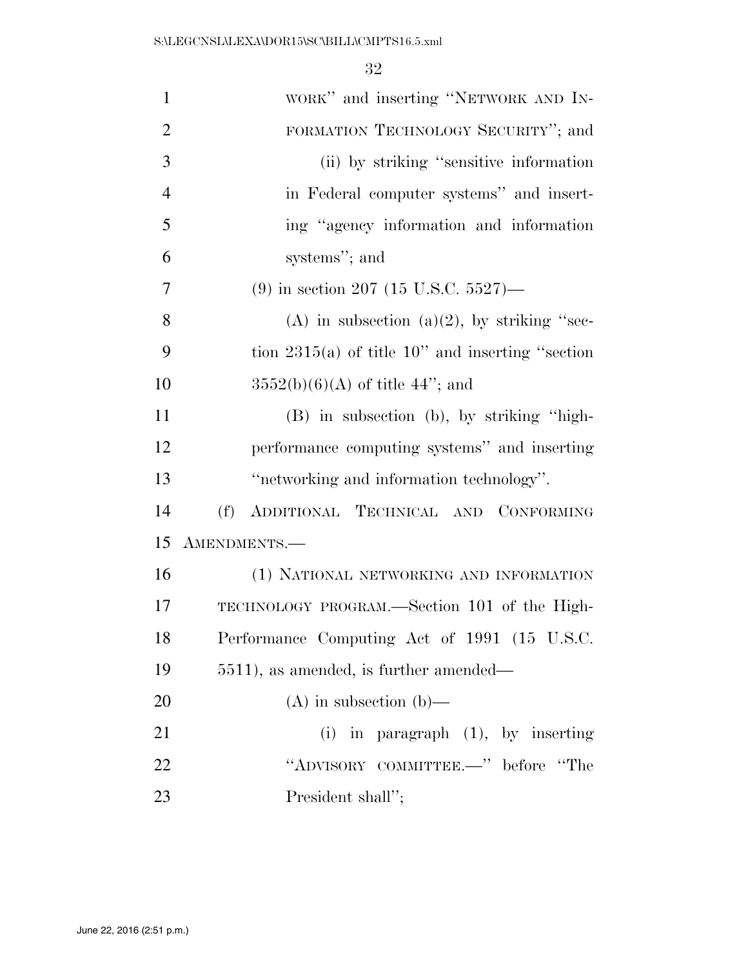| $\mathbf{1}$   | WORK" and inserting "NETWORK AND IN-                |
|----------------|-----------------------------------------------------|
| $\overline{2}$ | FORMATION TECHNOLOGY SECURITY"; and                 |
| 3              | (ii) by striking "sensitive information             |
| $\overline{4}$ | in Federal computer systems" and insert-            |
| 5              | ing "agency information and information             |
| 6              | systems"; and                                       |
| 7              | $(9)$ in section 207 (15 U.S.C. 5527)—              |
| 8              | (A) in subsection (a)(2), by striking "sec-         |
| 9              | tion $2315(a)$ of title 10" and inserting "section" |
| 10             | $3552(b)(6)(A)$ of title 44"; and                   |
| 11             | (B) in subsection (b), by striking "high-           |
| 12             | performance computing systems" and inserting        |
| 13             | "networking and information technology".            |
| 14             | (f)<br>ADDITIONAL TECHNICAL AND CONFORMING          |
| 15             | AMENDMENTS.-                                        |
| 16             | (1) NATIONAL NETWORKING AND INFORMATION             |
| 17             | TECHNOLOGY PROGRAM.—Section 101 of the High-        |
| 18             | Performance Computing Act of 1991 (15 U.S.C.        |
| 19             | 5511), as amended, is further amended—              |
| 20             | $(A)$ in subsection $(b)$ —                         |
| 21             | $(i)$ in paragraph $(1)$ , by inserting             |
| 22             | "ADVISORY COMMITTEE.-" before "The                  |
| 23             | President shall";                                   |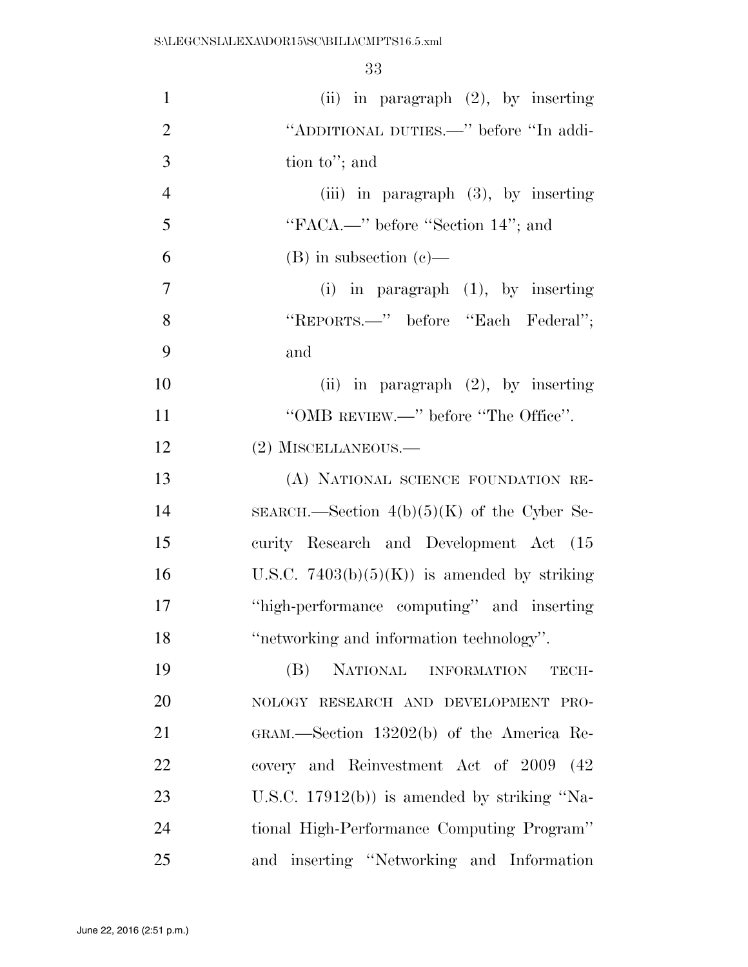| $\mathbf{1}$   | (ii) in paragraph $(2)$ , by inserting        |
|----------------|-----------------------------------------------|
| $\overline{2}$ | "ADDITIONAL DUTIES.—" before "In addi-        |
| 3              | tion to"; and                                 |
| $\overline{4}$ | (iii) in paragraph $(3)$ , by inserting       |
| 5              | "FACA.—" before "Section 14"; and             |
| 6              | $(B)$ in subsection $(c)$ —                   |
| 7              | (i) in paragraph $(1)$ , by inserting         |
| 8              | "REPORTS.—" before "Each Federal";            |
| 9              | and                                           |
| 10             | (ii) in paragraph $(2)$ , by inserting        |
| 11             | "OMB REVIEW.—" before "The Office".           |
| 12             | (2) MISCELLANEOUS.-                           |
| 13             | (A) NATIONAL SCIENCE FOUNDATION RE-           |
| 14             | SEARCH.—Section $4(b)(5)(K)$ of the Cyber Se- |
| 15             | curity Research and Development Act (15       |
| 16             | U.S.C. $7403(b)(5)(K)$ is amended by striking |
| 17             | "high-performance computing" and inserting    |
| 18             | "networking and information technology".      |
| 19             | NATIONAL INFORMATION<br>(B)<br>TECH-          |
| 20             | NOLOGY RESEARCH AND DEVELOPMENT PRO-          |
| 21             | GRAM.—Section 13202(b) of the America Re-     |
| 22             | covery and Reinvestment Act of 2009 (42)      |
| 23             | U.S.C. $17912(b)$ is amended by striking "Na- |
| 24             | tional High-Performance Computing Program"    |
| 25             | and inserting "Networking and Information"    |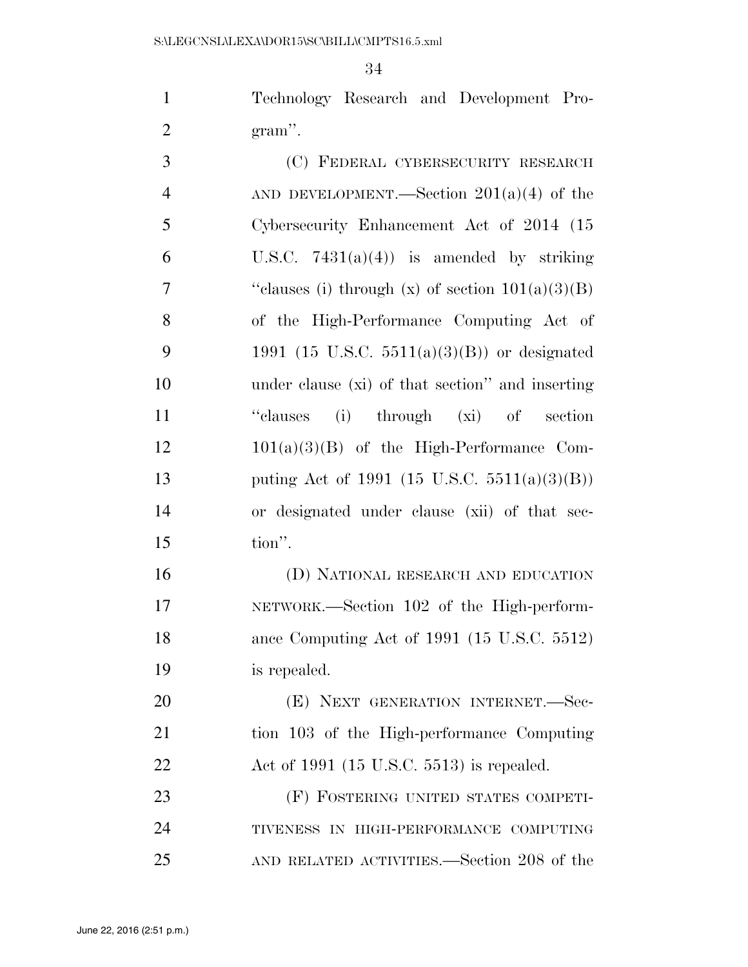Technology Research and Development Pro-gram''.

| 3              | (C) FEDERAL CYBERSECURITY RESEARCH                 |
|----------------|----------------------------------------------------|
| $\overline{4}$ | AND DEVELOPMENT.—Section $201(a)(4)$ of the        |
| 5              | Cybersecurity Enhancement Act of 2014 (15          |
| 6              | U.S.C. $7431(a)(4)$ is amended by striking         |
| 7              | "clauses (i) through (x) of section $101(a)(3)(B)$ |
| 8              | of the High-Performance Computing Act of           |
| 9              | 1991 (15 U.S.C. 5511(a)(3)(B)) or designated       |
| 10             | under clause (xi) of that section" and inserting   |
| 11             | "clauses (i) through (xi) of section               |
| 12             | $101(a)(3)(B)$ of the High-Performance Com-        |
| 13             | puting Act of 1991 (15 U.S.C. 5511(a)(3)(B))       |
| 14             | or designated under clause (xii) of that sec-      |
| 15             | tion".                                             |
|                |                                                    |

 (D) NATIONAL RESEARCH AND EDUCATION NETWORK.—Section 102 of the High-perform- ance Computing Act of 1991 (15 U.S.C. 5512) is repealed.

20 (E) NEXT GENERATION INTERNET. Sec- tion 103 of the High-performance Computing Act of 1991 (15 U.S.C. 5513) is repealed.

 (F) FOSTERING UNITED STATES COMPETI- TIVENESS IN HIGH-PERFORMANCE COMPUTING AND RELATED ACTIVITIES.—Section 208 of the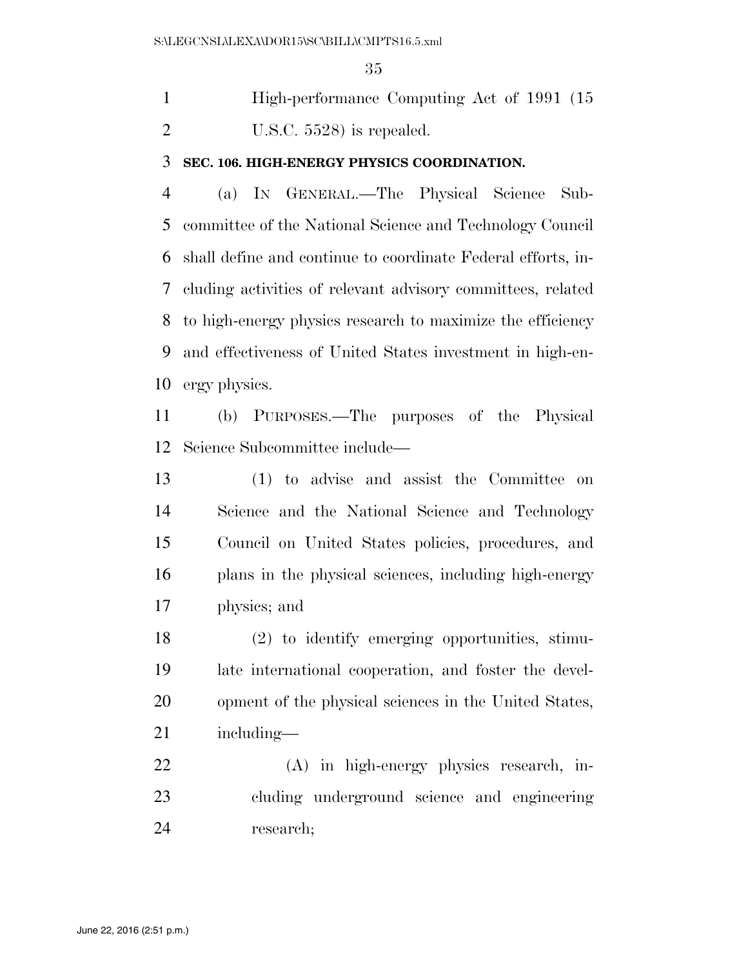High-performance Computing Act of 1991 (15 U.S.C. 5528) is repealed.

## **SEC. 106. HIGH-ENERGY PHYSICS COORDINATION.**

 (a) IN GENERAL.—The Physical Science Sub- committee of the National Science and Technology Council shall define and continue to coordinate Federal efforts, in- cluding activities of relevant advisory committees, related to high-energy physics research to maximize the efficiency and effectiveness of United States investment in high-en-ergy physics.

 (b) PURPOSES.—The purposes of the Physical Science Subcommittee include—

 (1) to advise and assist the Committee on Science and the National Science and Technology Council on United States policies, procedures, and plans in the physical sciences, including high-energy physics; and

 (2) to identify emerging opportunities, stimu- late international cooperation, and foster the devel- opment of the physical sciences in the United States, including—

 (A) in high-energy physics research, in- cluding underground science and engineering research;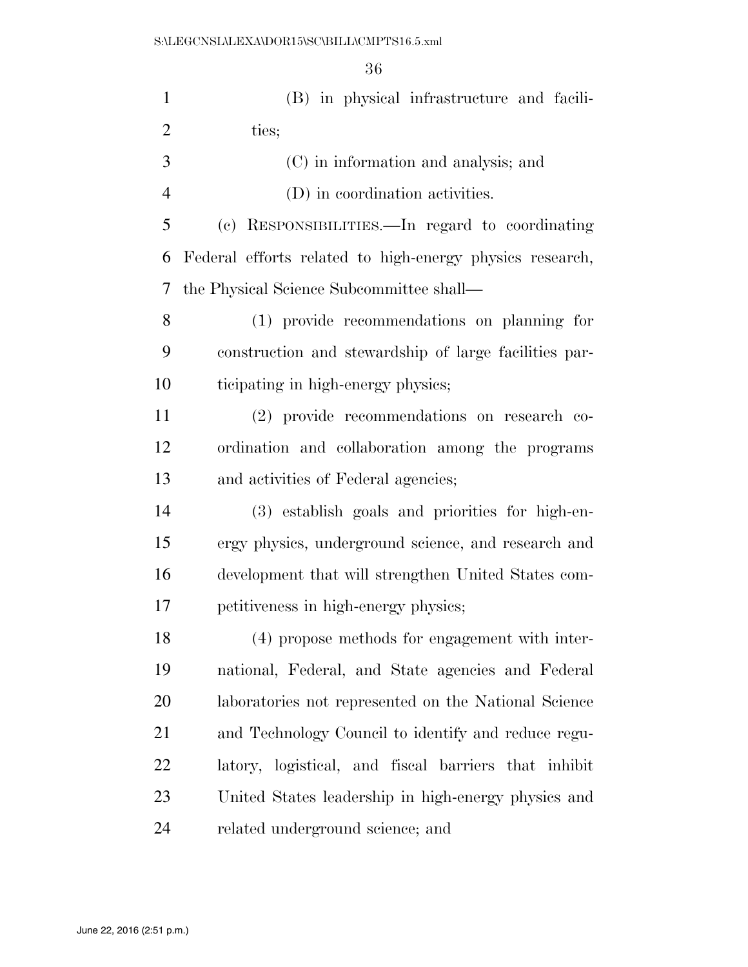| $\mathbf{1}$   | (B) in physical infrastructure and facili-               |
|----------------|----------------------------------------------------------|
| $\overline{2}$ | ties;                                                    |
| 3              | (C) in information and analysis; and                     |
| $\overline{4}$ | (D) in coordination activities.                          |
| 5              | (c) RESPONSIBILITIES.—In regard to coordinating          |
| 6              | Federal efforts related to high-energy physics research, |
| 7              | the Physical Science Subcommittee shall—                 |
| 8              | (1) provide recommendations on planning for              |
| 9              | construction and stewardship of large facilities par-    |
| 10             | ticipating in high-energy physics;                       |
| 11             | (2) provide recommendations on research co-              |
| 12             | ordination and collaboration among the programs          |
| 13             | and activities of Federal agencies;                      |
| 14             | (3) establish goals and priorities for high-en-          |
| 15             | ergy physics, underground science, and research and      |
| 16             | development that will strengthen United States com-      |
| 17             | petitiveness in high-energy physics;                     |
| 18             | (4) propose methods for engagement with inter-           |
| 19             | national, Federal, and State agencies and Federal        |
| 20             | laboratories not represented on the National Science     |
| 21             | and Technology Council to identify and reduce regu-      |
| 22             | latory, logistical, and fiscal barriers that inhibit     |
| 23             | United States leadership in high-energy physics and      |
| 24             | related underground science; and                         |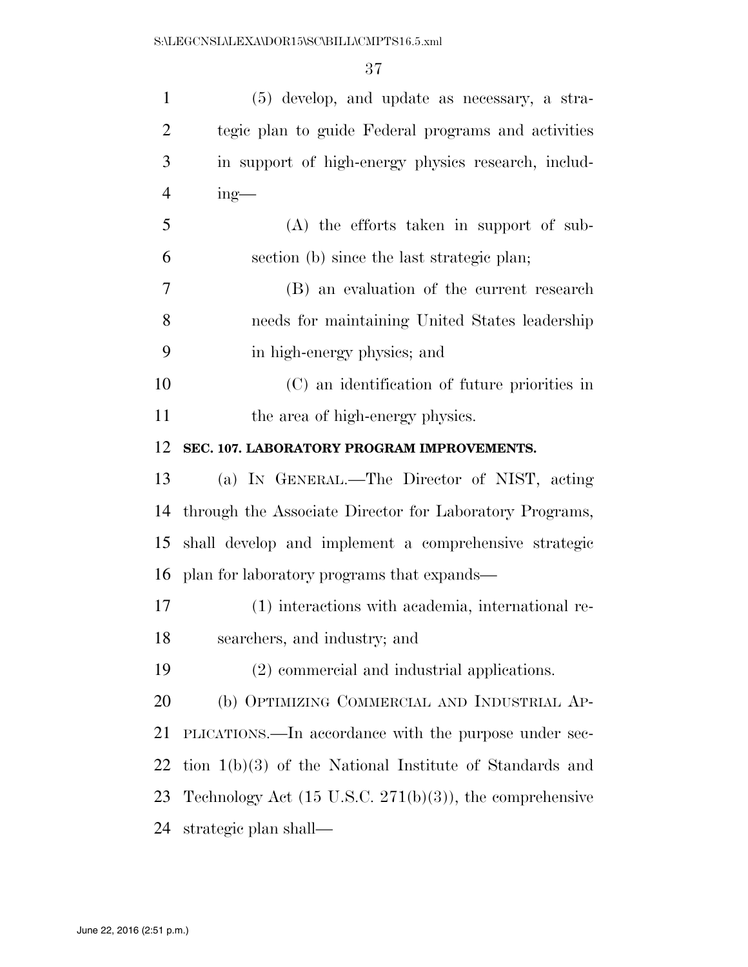| $\mathbf{1}$   | (5) develop, and update as necessary, a stra-                       |
|----------------|---------------------------------------------------------------------|
| $\overline{2}$ | tegic plan to guide Federal programs and activities                 |
| 3              | in support of high-energy physics research, includ-                 |
| $\overline{4}$ | $ing$ —                                                             |
| 5              | (A) the efforts taken in support of sub-                            |
| 6              | section (b) since the last strategic plan;                          |
| 7              | (B) an evaluation of the current research                           |
| 8              | needs for maintaining United States leadership                      |
| 9              | in high-energy physics; and                                         |
| 10             | (C) an identification of future priorities in                       |
| 11             | the area of high-energy physics.                                    |
| 12             | SEC. 107. LABORATORY PROGRAM IMPROVEMENTS.                          |
| 13             | (a) IN GENERAL.—The Director of NIST, acting                        |
| 14             | through the Associate Director for Laboratory Programs,             |
| 15             | shall develop and implement a comprehensive strategic               |
| 16             | plan for laboratory programs that expands—                          |
| 17             | (1) interactions with academia, international re-                   |
| 18             | searchers, and industry; and                                        |
| 19             | (2) commercial and industrial applications.                         |
| 20             | (b) OPTIMIZING COMMERCIAL AND INDUSTRIAL AP-                        |
| 21             | PLICATIONS.—In accordance with the purpose under sec-               |
| 22             | tion $1(b)(3)$ of the National Institute of Standards and           |
| 23             | Technology Act $(15 \text{ U.S.C. } 271(b)(3))$ , the comprehensive |
| 24             | strategic plan shall—                                               |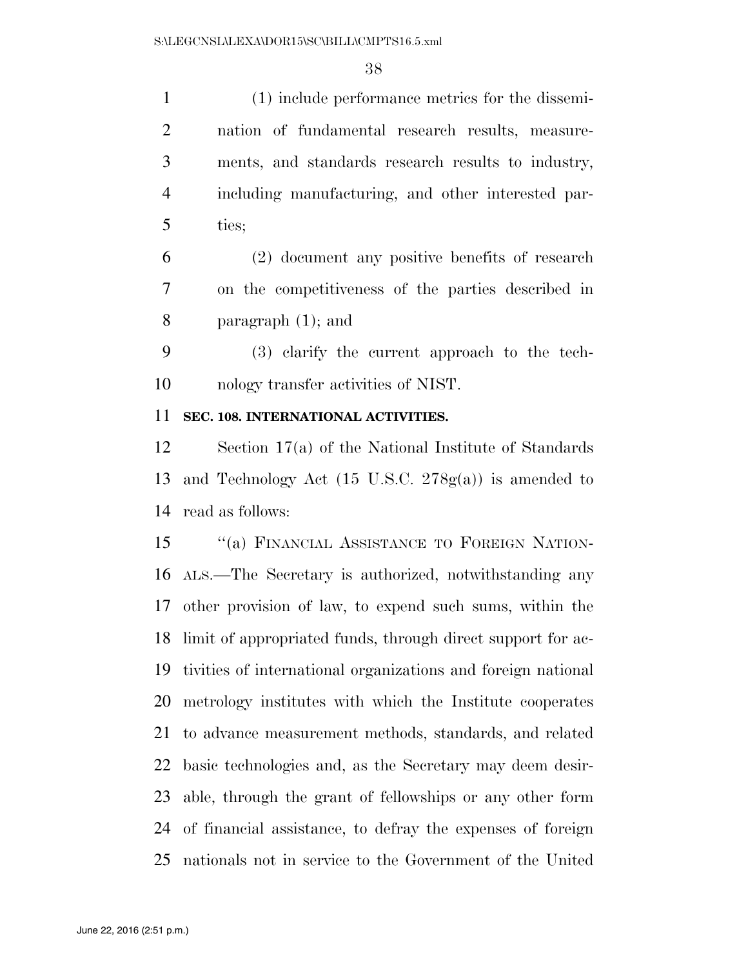(1) include performance metrics for the dissemi- nation of fundamental research results, measure- ments, and standards research results to industry, including manufacturing, and other interested par- ties; (2) document any positive benefits of research on the competitiveness of the parties described in paragraph (1); and (3) clarify the current approach to the tech- nology transfer activities of NIST. **SEC. 108. INTERNATIONAL ACTIVITIES.**  Section 17(a) of the National Institute of Standards and Technology Act (15 U.S.C. 278g(a)) is amended to read as follows: 15 "(a) FINANCIAL ASSISTANCE TO FOREIGN NATION- ALS.—The Secretary is authorized, notwithstanding any other provision of law, to expend such sums, within the limit of appropriated funds, through direct support for ac- tivities of international organizations and foreign national metrology institutes with which the Institute cooperates to advance measurement methods, standards, and related

 basic technologies and, as the Secretary may deem desir- able, through the grant of fellowships or any other form of financial assistance, to defray the expenses of foreign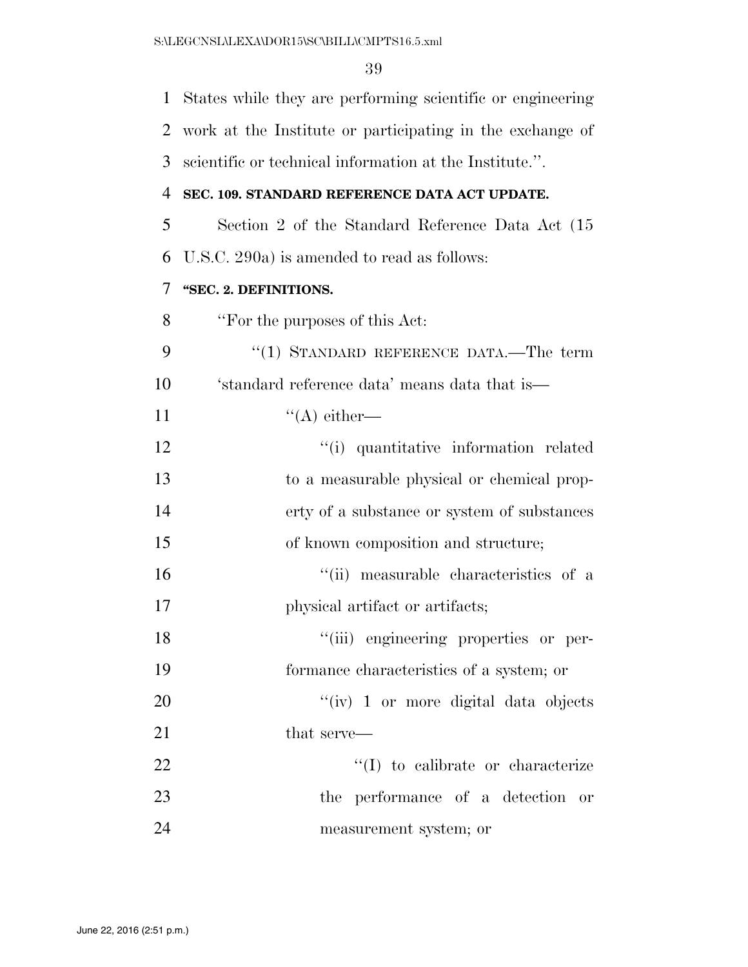| 1              | States while they are performing scientific or engineering |
|----------------|------------------------------------------------------------|
| $\overline{2}$ | work at the Institute or participating in the exchange of  |
| 3              | scientific or technical information at the Institute.".    |
| 4              | SEC. 109. STANDARD REFERENCE DATA ACT UPDATE.              |
| 5              | Section 2 of the Standard Reference Data Act (15)          |
| 6              | U.S.C. 290a) is amended to read as follows:                |
| 7              | "SEC. 2. DEFINITIONS.                                      |
| 8              | "For the purposes of this Act:                             |
| 9              | "(1) STANDARD REFERENCE DATA.—The term                     |
| 10             | 'standard reference data' means data that is—              |
| 11             | $\lq\lq$ either—                                           |
| 12             | "(i) quantitative information related                      |
| 13             | to a measurable physical or chemical prop-                 |
| 14             | erty of a substance or system of substances                |
| 15             | of known composition and structure;                        |
| 16             | "(ii) measurable characteristics of a                      |
| 17             | physical artifact or artifacts;                            |
| 18             | "(iii) engineering properties or per-                      |
| 19             | formance characteristics of a system; or                   |
| 20             | "(iv) 1 or more digital data objects                       |
| 21             | that serve—                                                |
| 22             | $\lq\lq$ to calibrate or characterize                      |
| 23             | the performance of a detection<br>- or                     |
| 24             | measurement system; or                                     |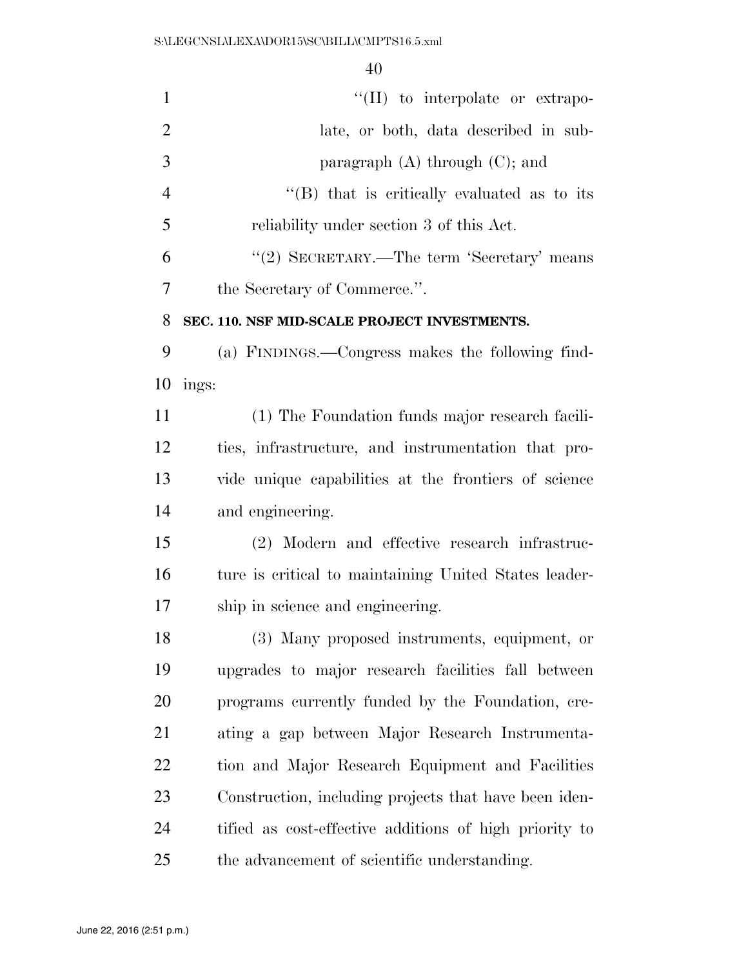| $\mathbf{1}$   | "(II) to interpolate or extrapo-                       |
|----------------|--------------------------------------------------------|
| $\overline{2}$ | late, or both, data described in sub-                  |
| 3              | paragraph $(A)$ through $(C)$ ; and                    |
| $\overline{4}$ | $\cdot$ (B) that is critically evaluated as to its     |
| 5              | reliability under section 3 of this Act.               |
| 6              | "(2) SECRETARY.—The term 'Secretary' means             |
| $\tau$         | the Secretary of Commerce.".                           |
| 8              | SEC. 110. NSF MID-SCALE PROJECT INVESTMENTS.           |
| 9              | (a) FINDINGS.—Congress makes the following find-       |
| 10             | ings:                                                  |
| 11             | (1) The Foundation funds major research facili-        |
| 12             | ties, infrastructure, and instrumentation that pro-    |
| 13             | vide unique capabilities at the frontiers of science   |
| 14             | and engineering.                                       |
| 15             | (2) Modern and effective research infrastruc-          |
| 16             | ture is critical to maintaining United States leader-  |
| 17             | ship in science and engineering.                       |
| 18             | (3) Many proposed instruments, equipment, or           |
| 19             | upgrades to major research facilities fall between     |
| 20             | programs currently funded by the Foundation, cre-      |
| 21             | ating a gap between Major Research Instrumenta-        |
| 22             | tion and Major Research Equipment and Facilities       |
| 23             | Construction, including projects that have been iden-  |
| 24             | tified as cost-effective additions of high priority to |
| 25             | the advancement of scientific understanding.           |
|                |                                                        |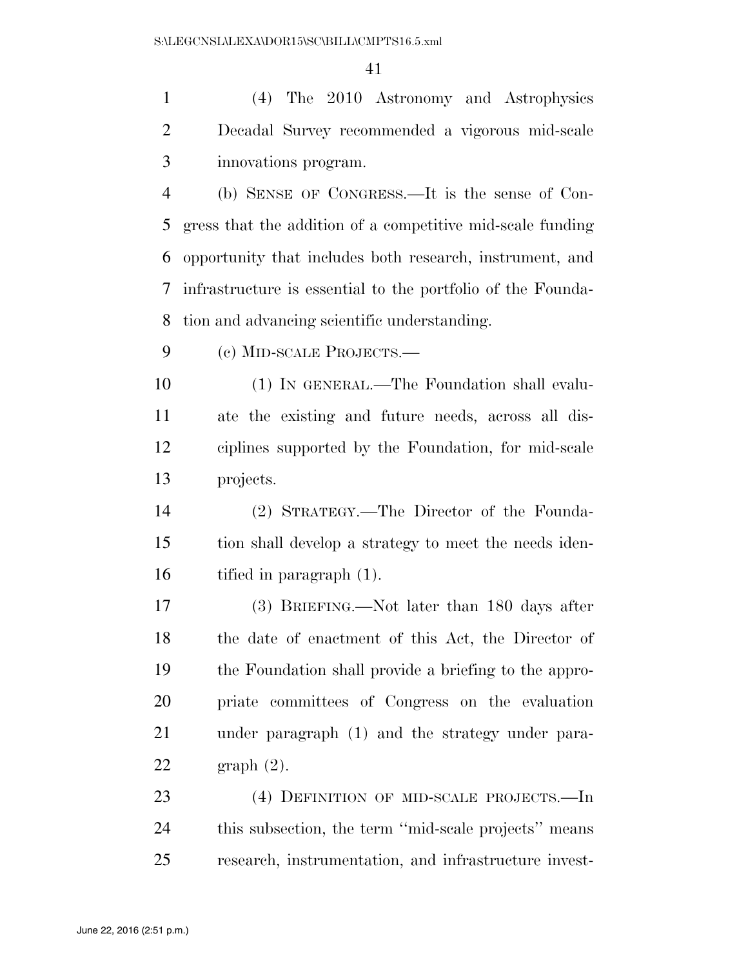(4) The 2010 Astronomy and Astrophysics Decadal Survey recommended a vigorous mid-scale innovations program.

 (b) SENSE OF CONGRESS.—It is the sense of Con- gress that the addition of a competitive mid-scale funding opportunity that includes both research, instrument, and infrastructure is essential to the portfolio of the Founda-tion and advancing scientific understanding.

(c) MID-SCALE PROJECTS.—

 (1) IN GENERAL.—The Foundation shall evalu- ate the existing and future needs, across all dis- ciplines supported by the Foundation, for mid-scale projects.

 (2) STRATEGY.—The Director of the Founda- tion shall develop a strategy to meet the needs iden-tified in paragraph (1).

 (3) BRIEFING.—Not later than 180 days after the date of enactment of this Act, the Director of the Foundation shall provide a briefing to the appro- priate committees of Congress on the evaluation under paragraph (1) and the strategy under para-graph (2).

 (4) DEFINITION OF MID-SCALE PROJECTS.—In this subsection, the term ''mid-scale projects'' means research, instrumentation, and infrastructure invest-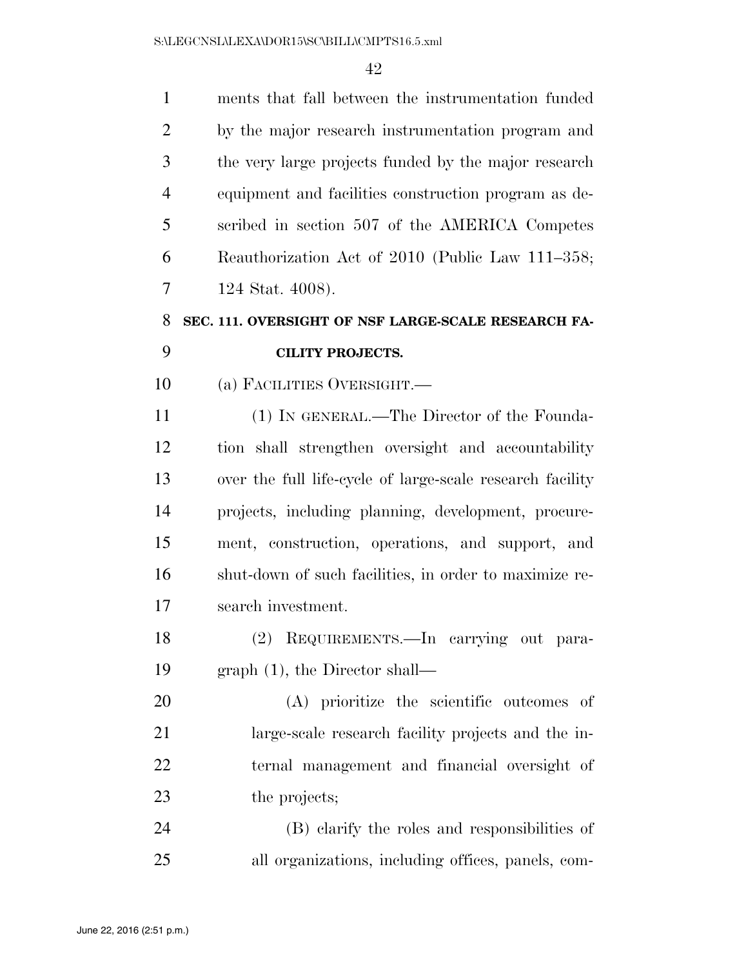| $\mathbf{1}$   | ments that fall between the instrumentation funded        |
|----------------|-----------------------------------------------------------|
| $\overline{2}$ | by the major research instrumentation program and         |
| 3              | the very large projects funded by the major research      |
| $\overline{4}$ | equipment and facilities construction program as de-      |
| 5              | scribed in section 507 of the AMERICA Competes            |
| 6              | Reauthorization Act of 2010 (Public Law 111–358;          |
| 7              | 124 Stat. 4008).                                          |
| 8              | SEC. 111. OVERSIGHT OF NSF LARGE-SCALE RESEARCH FA-       |
| 9              | <b>CILITY PROJECTS.</b>                                   |
| 10             | (a) FACILITIES OVERSIGHT.                                 |
| 11             | (1) IN GENERAL.—The Director of the Founda-               |
| 12             | tion shall strengthen oversight and accountability        |
| 13             | over the full life-cycle of large-scale research facility |
| 14             | projects, including planning, development, procure-       |
| 15             | ment, construction, operations, and support, and          |
| 16             | shut-down of such facilities, in order to maximize re-    |
| 17             | search investment.                                        |
| 18             | (2) REQUIREMENTS. In carrying out para-                   |
| 19             | graph $(1)$ , the Director shall—                         |
| 20             | (A) prioritize the scientific outcomes of                 |
| 21             | large-scale research facility projects and the in-        |
| 22             | ternal management and financial oversight of              |
| 23             | the projects;                                             |
| 24             | (B) clarify the roles and responsibilities of             |
| 25             | all organizations, including offices, panels, com-        |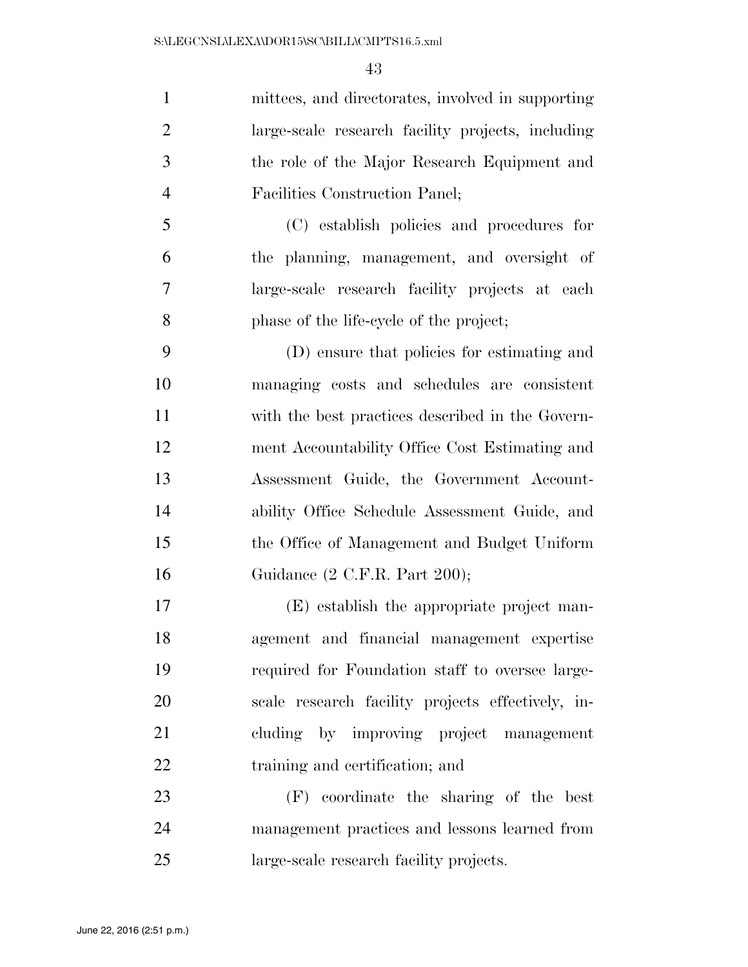mittees, and directorates, involved in supporting large-scale research facility projects, including the role of the Major Research Equipment and Facilities Construction Panel;

 (C) establish policies and procedures for the planning, management, and oversight of large-scale research facility projects at each phase of the life-cycle of the project;

 (D) ensure that policies for estimating and managing costs and schedules are consistent with the best practices described in the Govern- ment Accountability Office Cost Estimating and Assessment Guide, the Government Account- ability Office Schedule Assessment Guide, and the Office of Management and Budget Uniform Guidance (2 C.F.R. Part 200);

 (E) establish the appropriate project man- agement and financial management expertise required for Foundation staff to oversee large- scale research facility projects effectively, in- cluding by improving project management 22 training and certification; and

 (F) coordinate the sharing of the best management practices and lessons learned from large-scale research facility projects.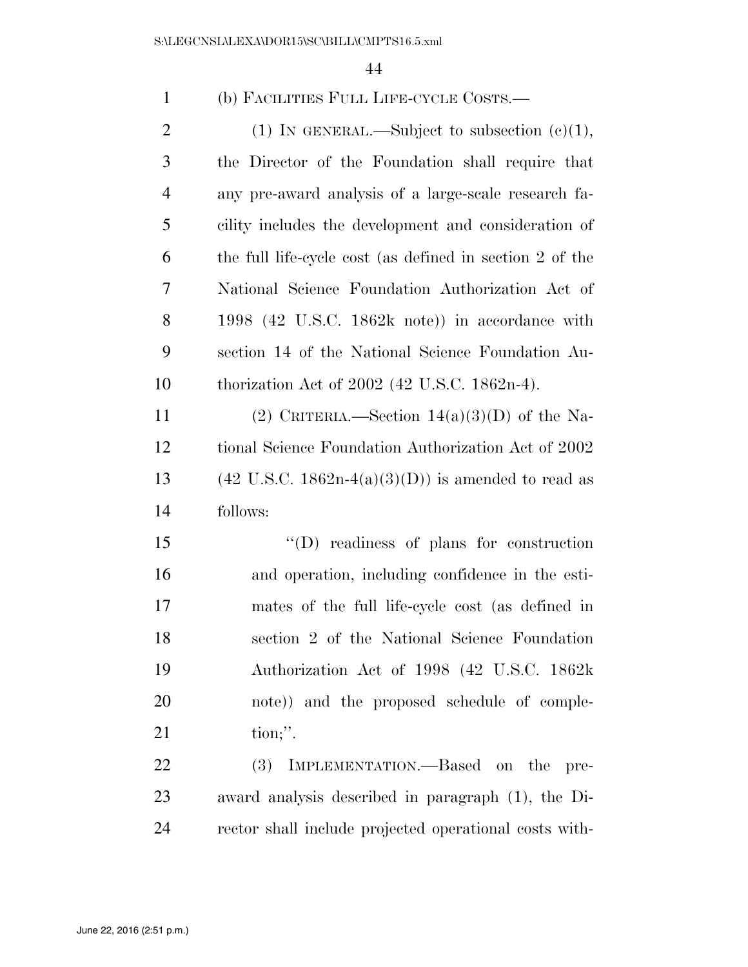| $\mathbf{1}$   | (b) FACILITIES FULL LIFE-CYCLE COSTS.—                                   |
|----------------|--------------------------------------------------------------------------|
| $\overline{2}$ | (1) IN GENERAL.—Subject to subsection $(c)(1)$ ,                         |
| 3              | the Director of the Foundation shall require that                        |
| $\overline{4}$ | any pre-award analysis of a large-scale research fa-                     |
| 5              | cility includes the development and consideration of                     |
| 6              | the full life-cycle cost (as defined in section 2 of the                 |
| 7              | National Science Foundation Authorization Act of                         |
| 8              | 1998 $(42 \text{ U.S.C. } 1862\text{k} \text{ note})$ in accordance with |
| 9              | section 14 of the National Science Foundation Au-                        |
| 10             | thorization Act of $2002$ (42 U.S.C. 1862n-4).                           |
| 11             | (2) CRITERIA.—Section $14(a)(3)(D)$ of the Na-                           |
| 12             | tional Science Foundation Authorization Act of 2002                      |
| 13             | $(42 \text{ U.S.C. } 1862n-4(a)(3)(D))$ is amended to read as            |
| 14             | follows:                                                                 |
| 15             | $\lq\lq$ readiness of plans for construction                             |
| 16             | and operation, including confidence in the esti-                         |
| 17             | mates of the full life-cycle cost (as defined in                         |
| 18             | section 2 of the National Science Foundation                             |
| 19             | Authorization Act of 1998 (42 U.S.C. 1862k                               |
| 20             | note)) and the proposed schedule of comple-                              |
| 21             | $\text{tion};$ ".                                                        |
| 22             | IMPLEMENTATION.—Based on the<br>(3)<br>pre-                              |
| 23             | award analysis described in paragraph (1), the Di-                       |
| 24             | rector shall include projected operational costs with-                   |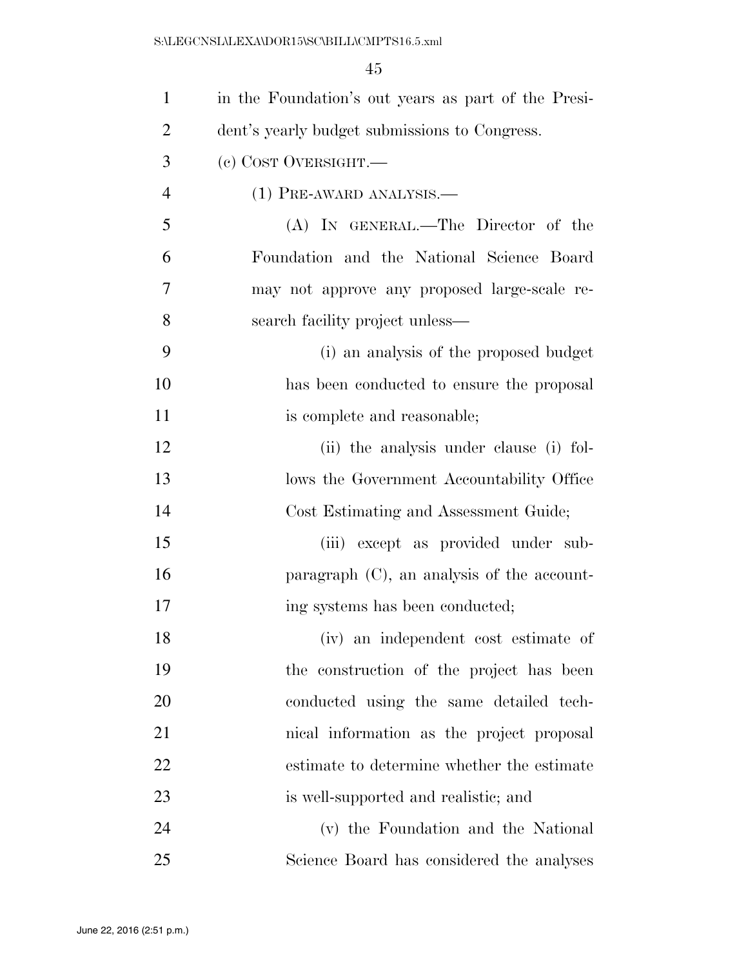| $\mathbf{1}$   | in the Foundation's out years as part of the Presi- |
|----------------|-----------------------------------------------------|
| $\overline{2}$ | dent's yearly budget submissions to Congress.       |
| 3              | (c) COST OVERSIGHT.                                 |
| $\overline{4}$ | $(1)$ PRE-AWARD ANALYSIS.—                          |
| 5              | (A) IN GENERAL.—The Director of the                 |
| 6              | Foundation and the National Science Board           |
| 7              | may not approve any proposed large-scale re-        |
| 8              | search facility project unless—                     |
| 9              | (i) an analysis of the proposed budget              |
| 10             | has been conducted to ensure the proposal           |
| 11             | is complete and reasonable;                         |
| 12             | (ii) the analysis under clause (i) fol-             |
| 13             | lows the Government Accountability Office           |
| 14             | Cost Estimating and Assessment Guide;               |
| 15             | (iii) except as provided under sub-                 |
| 16             | paragraph (C), an analysis of the account-          |
| 17             | ing systems has been conducted;                     |
| 18             | (iv) an independent cost estimate of                |
| 19             | the construction of the project has been            |
| 20             | conducted using the same detailed tech-             |
| 21             | nical information as the project proposal           |
| 22             | estimate to determine whether the estimate          |
| 23             | is well-supported and realistic; and                |
| 24             | (v) the Foundation and the National                 |
| 25             | Science Board has considered the analyses           |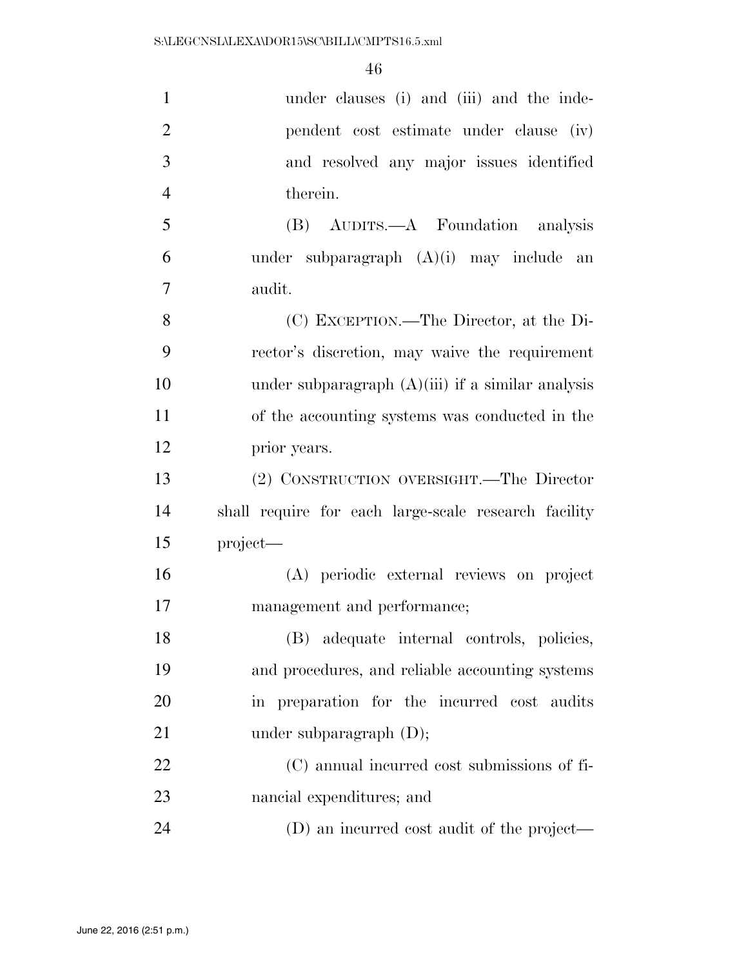| $\mathbf{1}$   | under clauses (i) and (iii) and the inde-            |
|----------------|------------------------------------------------------|
| $\overline{2}$ | pendent cost estimate under clause (iv)              |
| 3              | and resolved any major issues identified             |
| $\overline{4}$ | therein.                                             |
| 5              | (B) AUDITS.—A Foundation analysis                    |
| 6              | under subparagraph $(A)(i)$ may include an           |
| $\overline{7}$ | audit.                                               |
| 8              | (C) EXCEPTION.—The Director, at the Di-              |
| 9              | rector's discretion, may waive the requirement       |
| 10             | under subparagraph $(A)(iii)$ if a similar analysis  |
| 11             | of the accounting systems was conducted in the       |
| 12             | prior years.                                         |
| 13             | (2) CONSTRUCTION OVERSIGHT.—The Director             |
| 14             | shall require for each large-scale research facility |
| 15             | project-                                             |
| 16             | (A) periodic external reviews on project             |
| 17             | management and performance;                          |
| 18             | (B) adequate internal controls, policies,            |
| 19             | and procedures, and reliable accounting systems      |
| 20             | in preparation for the incurred cost audits          |
| 21             | under subparagraph $(D)$ ;                           |
| 22             | (C) annual incurred cost submissions of fi-          |
| 23             | nancial expenditures; and                            |
| 24             | (D) an incurred cost audit of the project—           |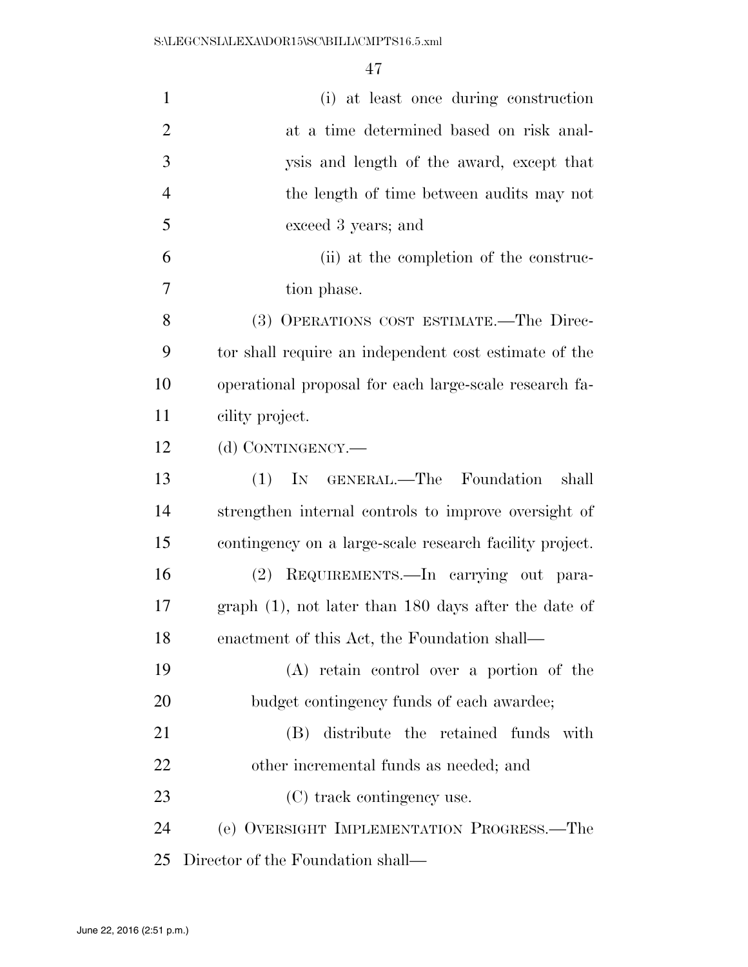| $\mathbf{1}$   | (i) at least once during construction                   |
|----------------|---------------------------------------------------------|
| $\overline{2}$ | at a time determined based on risk anal-                |
| 3              | ysis and length of the award, except that               |
| $\overline{4}$ | the length of time between audits may not               |
| 5              | exceed 3 years; and                                     |
| 6              | (ii) at the completion of the construc-                 |
| 7              | tion phase.                                             |
| 8              | (3) OPERATIONS COST ESTIMATE.—The Direc-                |
| 9              | tor shall require an independent cost estimate of the   |
| 10             | operational proposal for each large-scale research fa-  |
| 11             | cility project.                                         |
| 12             | (d) CONTINGENCY.—                                       |
| 13             | IN GENERAL.—The Foundation<br>(1)<br>shall              |
| 14             | strengthen internal controls to improve oversight of    |
| 15             | contingency on a large-scale research facility project. |
| 16             | (2) REQUIREMENTS.—In carrying out para-                 |
| 17             | $graph(1)$ , not later than 180 days after the date of  |
| 18             | enactment of this Act, the Foundation shall—            |
| 19             | (A) retain control over a portion of the                |
| 20             | budget contingency funds of each awardee;               |
| 21             | distribute the retained funds with<br>(B)               |
| 22             | other incremental funds as needed; and                  |
| 23             | (C) track contingency use.                              |
| 24             | (e) OVERSIGHT IMPLEMENTATION PROGRESS.—The              |
| 25             | Director of the Foundation shall—                       |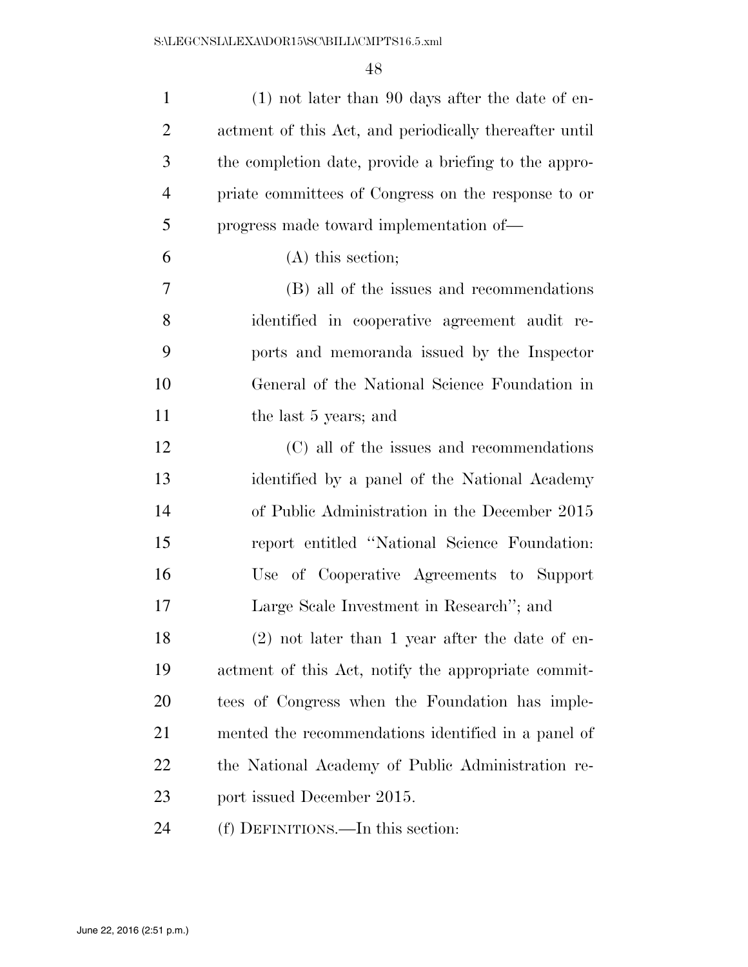| $\mathbf{1}$   | $(1)$ not later than 90 days after the date of en-     |
|----------------|--------------------------------------------------------|
| $\overline{2}$ | actment of this Act, and periodically thereafter until |
| 3              | the completion date, provide a briefing to the appro-  |
| $\overline{4}$ | priate committees of Congress on the response to or    |
| 5              | progress made toward implementation of—                |
| 6              | $(A)$ this section;                                    |
| 7              | (B) all of the issues and recommendations              |
| 8              | identified in cooperative agreement audit re-          |
| 9              | ports and memoranda issued by the Inspector            |
| 10             | General of the National Science Foundation in          |
| 11             | the last 5 years; and                                  |
| 12             | (C) all of the issues and recommendations              |
| 13             | identified by a panel of the National Academy          |
| 14             | of Public Administration in the December 2015          |
| 15             | report entitled "National Science Foundation:          |
| 16             | Use of Cooperative Agreements to Support               |
| 17             | Large Scale Investment in Research"; and               |
| 18             | $(2)$ not later than 1 year after the date of en-      |
| 19             | actment of this Act, notify the appropriate commit-    |
| <b>20</b>      | tees of Congress when the Foundation has imple-        |
| 21             | mented the recommendations identified in a panel of    |
| 22             | the National Academy of Public Administration re-      |
| 23             | port issued December 2015.                             |
| 24             | (f) DEFINITIONS.—In this section:                      |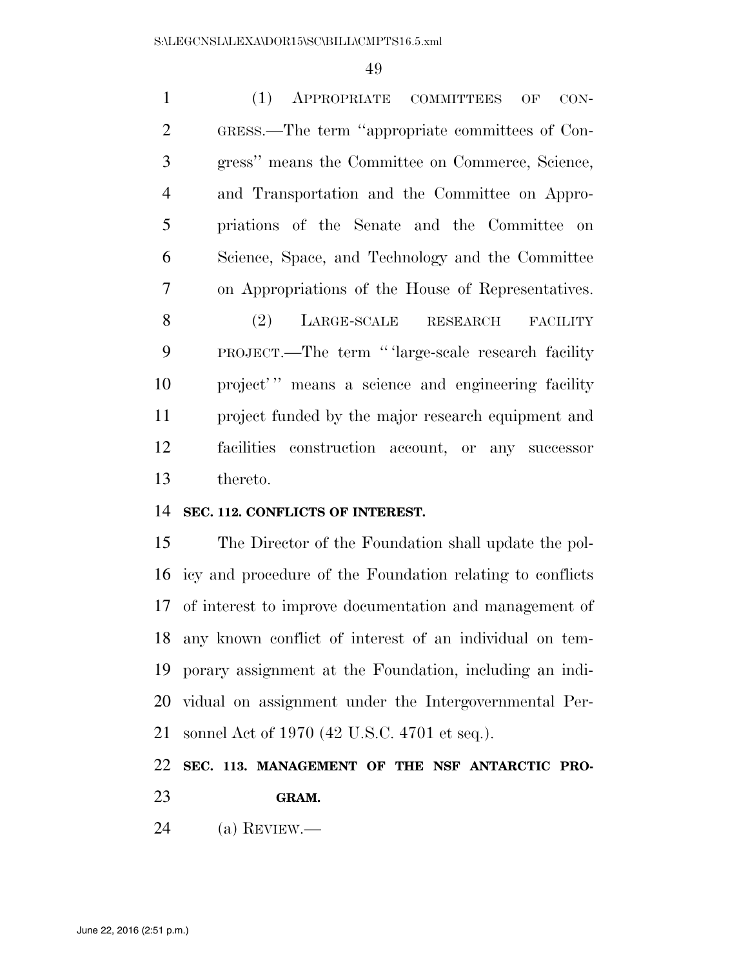(1) APPROPRIATE COMMITTEES OF CON- GRESS.—The term ''appropriate committees of Con- gress'' means the Committee on Commerce, Science, and Transportation and the Committee on Appro- priations of the Senate and the Committee on Science, Space, and Technology and the Committee on Appropriations of the House of Representatives. 8 (2) LARGE-SCALE RESEARCH FACILITY PROJECT.—The term '' 'large-scale research facility 10 project'" means a science and engineering facility project funded by the major research equipment and facilities construction account, or any successor thereto.

## **SEC. 112. CONFLICTS OF INTEREST.**

 The Director of the Foundation shall update the pol- icy and procedure of the Foundation relating to conflicts of interest to improve documentation and management of any known conflict of interest of an individual on tem- porary assignment at the Foundation, including an indi- vidual on assignment under the Intergovernmental Per-sonnel Act of 1970 (42 U.S.C. 4701 et seq.).

# **SEC. 113. MANAGEMENT OF THE NSF ANTARCTIC PRO-GRAM.**

(a) REVIEW.—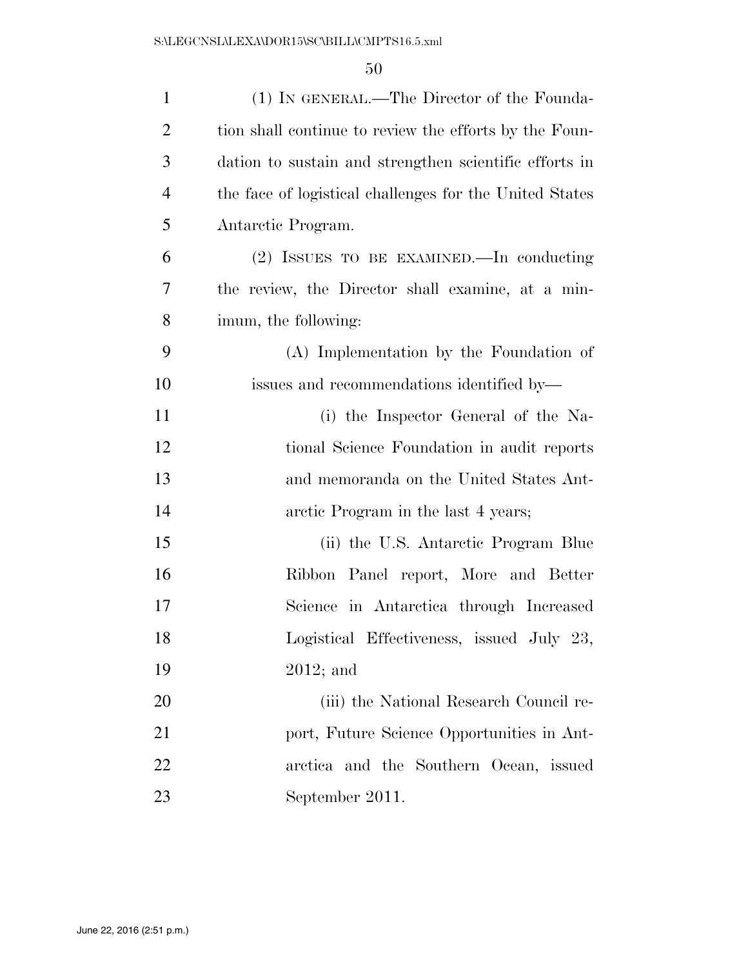| $\mathbf{1}$   | (1) IN GENERAL.—The Director of the Founda-             |
|----------------|---------------------------------------------------------|
| $\overline{2}$ | tion shall continue to review the efforts by the Foun-  |
| 3              | dation to sustain and strengthen scientific efforts in  |
| $\overline{4}$ | the face of logistical challenges for the United States |
| 5              | Antarctic Program.                                      |
| 6              | (2) ISSUES TO BE EXAMINED.—In conducting                |
| 7              | the review, the Director shall examine, at a min-       |
| 8              | imum, the following:                                    |
| 9              | (A) Implementation by the Foundation of                 |
| 10             | issues and recommendations identified by—               |
| 11             | (i) the Inspector General of the Na-                    |
| 12             | tional Science Foundation in audit reports              |
| 13             | and memoranda on the United States Ant-                 |
| 14             | arctic Program in the last 4 years;                     |
| 15             | (ii) the U.S. Antarctic Program Blue                    |
| 16             | Ribbon Panel report, More and Better                    |
| 17             | Science in Antarctica through Increased                 |
| 18             | Logistical Effectiveness, issued July 23,               |
| 19             | $2012$ ; and                                            |
| 20             | (iii) the National Research Council re-                 |
| 21             | port, Future Science Opportunities in Ant-              |
| 22             | arctica and the Southern Ocean, issued                  |
| 23             | September 2011.                                         |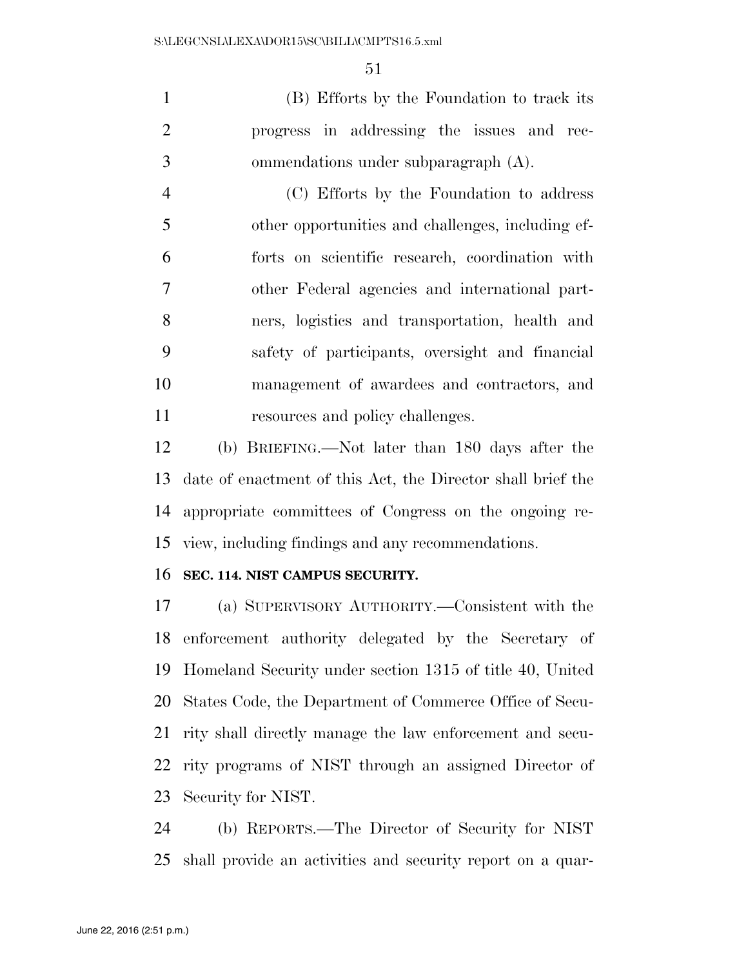(B) Efforts by the Foundation to track its progress in addressing the issues and rec-ommendations under subparagraph (A).

 (C) Efforts by the Foundation to address other opportunities and challenges, including ef- forts on scientific research, coordination with other Federal agencies and international part- ners, logistics and transportation, health and safety of participants, oversight and financial management of awardees and contractors, and 11 resources and policy challenges.

 (b) BRIEFING.—Not later than 180 days after the date of enactment of this Act, the Director shall brief the appropriate committees of Congress on the ongoing re-view, including findings and any recommendations.

#### **SEC. 114. NIST CAMPUS SECURITY.**

 (a) SUPERVISORY AUTHORITY.—Consistent with the enforcement authority delegated by the Secretary of Homeland Security under section 1315 of title 40, United States Code, the Department of Commerce Office of Secu- rity shall directly manage the law enforcement and secu- rity programs of NIST through an assigned Director of Security for NIST.

 (b) REPORTS.—The Director of Security for NIST shall provide an activities and security report on a quar-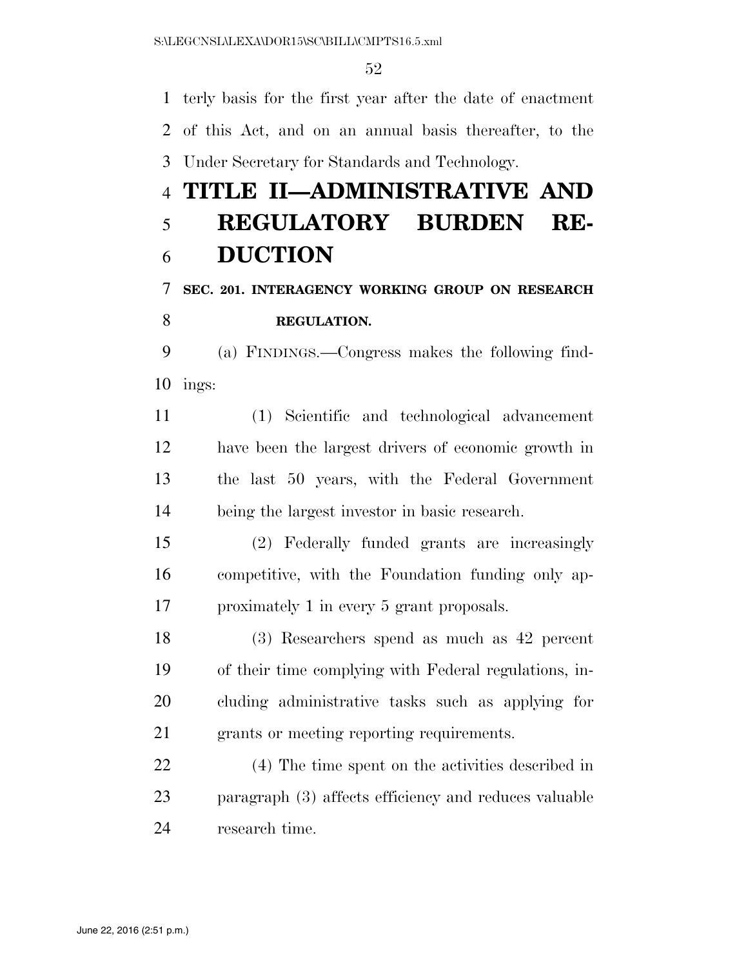terly basis for the first year after the date of enactment of this Act, and on an annual basis thereafter, to the Under Secretary for Standards and Technology.

# **TITLE II—ADMINISTRATIVE AND REGULATORY BURDEN RE-DUCTION**

# **SEC. 201. INTERAGENCY WORKING GROUP ON RESEARCH REGULATION.**

# (a) FINDINGS.—Congress makes the following find-

ings:

 (1) Scientific and technological advancement have been the largest drivers of economic growth in the last 50 years, with the Federal Government being the largest investor in basic research.

 (2) Federally funded grants are increasingly competitive, with the Foundation funding only ap-proximately 1 in every 5 grant proposals.

 (3) Researchers spend as much as 42 percent of their time complying with Federal regulations, in- cluding administrative tasks such as applying for grants or meeting reporting requirements.

 (4) The time spent on the activities described in paragraph (3) affects efficiency and reduces valuable research time.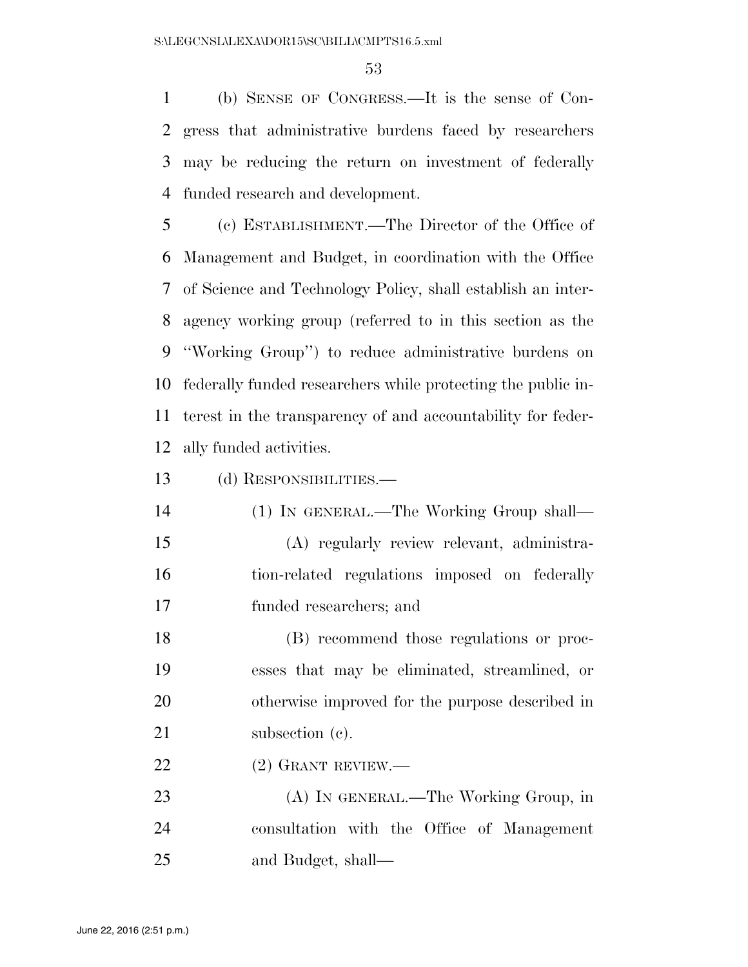(b) SENSE OF CONGRESS.—It is the sense of Con- gress that administrative burdens faced by researchers may be reducing the return on investment of federally funded research and development.

 (c) ESTABLISHMENT.—The Director of the Office of Management and Budget, in coordination with the Office of Science and Technology Policy, shall establish an inter- agency working group (referred to in this section as the ''Working Group'') to reduce administrative burdens on federally funded researchers while protecting the public in- terest in the transparency of and accountability for feder-ally funded activities.

(d) RESPONSIBILITIES.—

 (1) IN GENERAL.—The Working Group shall— (A) regularly review relevant, administra- tion-related regulations imposed on federally funded researchers; and

 (B) recommend those regulations or proc- esses that may be eliminated, streamlined, or otherwise improved for the purpose described in 21 subsection (c).

22 (2) GRANT REVIEW.—

 (A) IN GENERAL.—The Working Group, in consultation with the Office of Management and Budget, shall—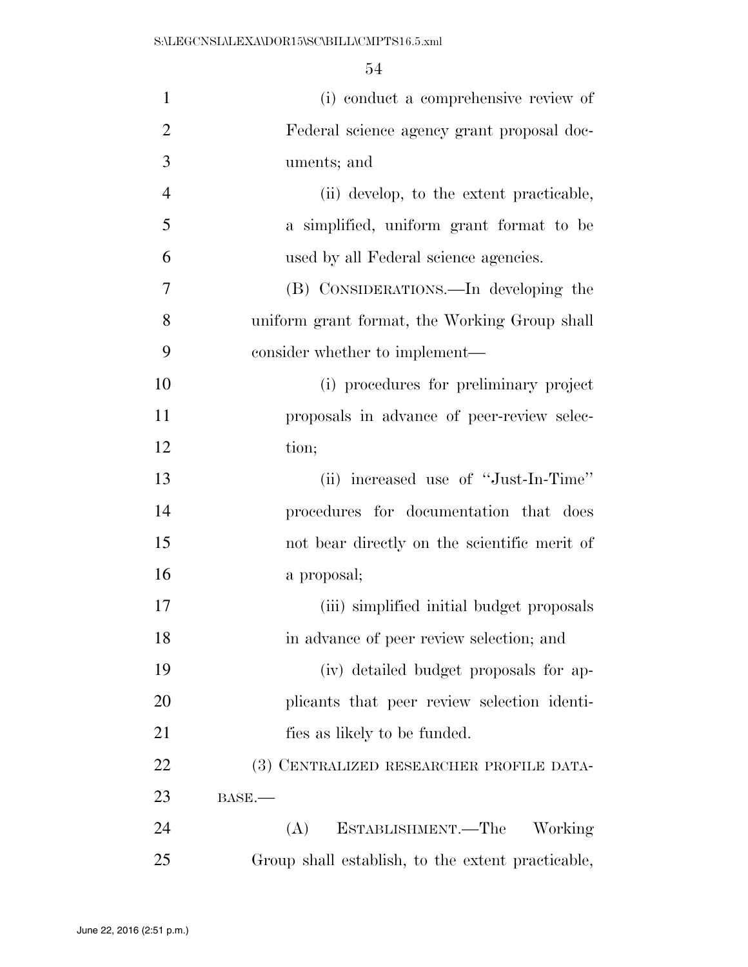| $\mathbf{1}$   | (i) conduct a comprehensive review of             |
|----------------|---------------------------------------------------|
| $\overline{2}$ | Federal science agency grant proposal doc-        |
| 3              | uments; and                                       |
| $\overline{4}$ | (ii) develop, to the extent practicable,          |
| 5              | a simplified, uniform grant format to be          |
| 6              | used by all Federal science agencies.             |
| 7              | (B) CONSIDERATIONS.—In developing the             |
| 8              | uniform grant format, the Working Group shall     |
| 9              | consider whether to implement—                    |
| 10             | (i) procedures for preliminary project            |
| 11             | proposals in advance of peer-review selec-        |
| 12             | tion;                                             |
| 13             | (ii) increased use of "Just-In-Time"              |
| 14             | procedures for documentation that does            |
| 15             | not bear directly on the scientific merit of      |
| 16             | a proposal;                                       |
| 17             | (iii) simplified initial budget proposals         |
| 18             | in advance of peer review selection; and          |
| 19             | (iv) detailed budget proposals for ap-            |
| 20             | plicants that peer review selection identi-       |
| 21             | fies as likely to be funded.                      |
| 22             | (3) CENTRALIZED RESEARCHER PROFILE DATA-          |
| 23             | $BASE$ .                                          |
| 24             | ESTABLISHMENT.—The<br>(A)<br>Working              |
| 25             | Group shall establish, to the extent practicable, |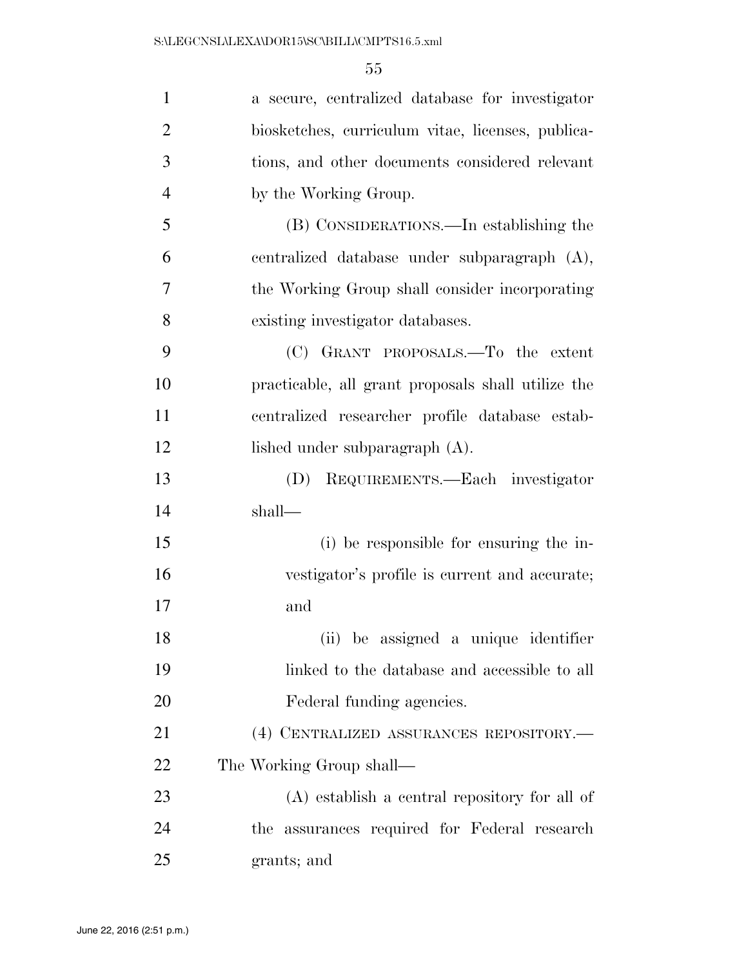| $\mathbf{1}$   | a secure, centralized database for investigator    |
|----------------|----------------------------------------------------|
| $\overline{2}$ | biosketches, curriculum vitae, licenses, publica-  |
| 3              | tions, and other documents considered relevant     |
| $\overline{4}$ | by the Working Group.                              |
| 5              | (B) CONSIDERATIONS.—In establishing the            |
| 6              | centralized database under subparagraph (A),       |
| 7              | the Working Group shall consider incorporating     |
| 8              | existing investigator databases.                   |
| 9              | (C) GRANT PROPOSALS.—To the extent                 |
| 10             | practicable, all grant proposals shall utilize the |
| 11             | centralized researcher profile database estab-     |
| 12             | lished under subparagraph (A).                     |
| 13             | REQUIREMENTS.—Each investigator<br>(D)             |
| 14             | shall—                                             |
| 15             | (i) be responsible for ensuring the in-            |
| 16             | vestigator's profile is current and accurate;      |
| 17             | and                                                |
| 18             | (ii) be assigned a unique identifier               |
| 19             | linked to the database and accessible to all       |
| 20             | Federal funding agencies.                          |
| 21             | (4) CENTRALIZED ASSURANCES REPOSITORY.-            |
| 22             | The Working Group shall—                           |
| 23             | $(A)$ establish a central repository for all of    |
| 24             | the assurances required for Federal research       |
| 25             | grants; and                                        |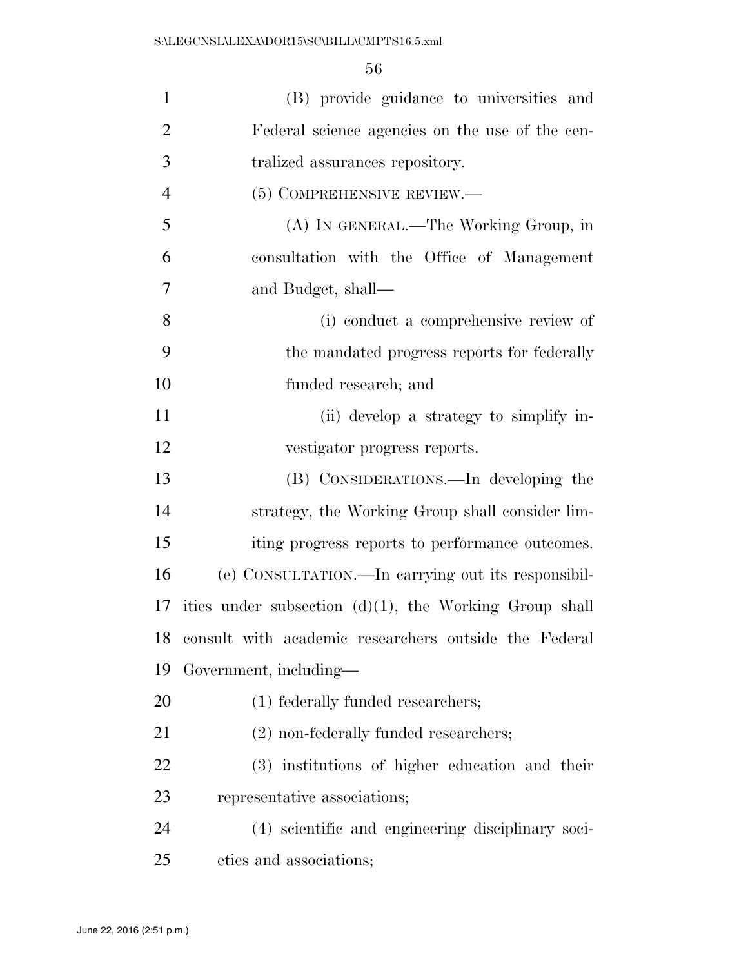| $\mathbf{1}$   | (B) provide guidance to universities and                  |
|----------------|-----------------------------------------------------------|
| $\overline{2}$ | Federal science agencies on the use of the cen-           |
| 3              | tralized assurances repository.                           |
| $\overline{4}$ | (5) COMPREHENSIVE REVIEW.—                                |
| 5              | (A) IN GENERAL.—The Working Group, in                     |
| 6              | consultation with the Office of Management                |
| $\tau$         | and Budget, shall—                                        |
| 8              | (i) conduct a comprehensive review of                     |
| 9              | the mandated progress reports for federally               |
| 10             | funded research; and                                      |
| 11             | (ii) develop a strategy to simplify in-                   |
| 12             | vestigator progress reports.                              |
| 13             | (B) CONSIDERATIONS.—In developing the                     |
| 14             | strategy, the Working Group shall consider lim-           |
| 15             | iting progress reports to performance outcomes.           |
| 16             | (e) CONSULTATION.—In carrying out its responsibil-        |
| 17             | ities under subsection $(d)(1)$ , the Working Group shall |
| 18             | consult with academic researchers outside the Federal     |
| 19             | Government, including-                                    |
| 20             | (1) federally funded researchers;                         |
| 21             | (2) non-federally funded researchers;                     |
| 22             | (3) institutions of higher education and their            |
| 23             | representative associations;                              |
| 24             | (4) scientific and engineering disciplinary soci-         |
| 25             | eties and associations;                                   |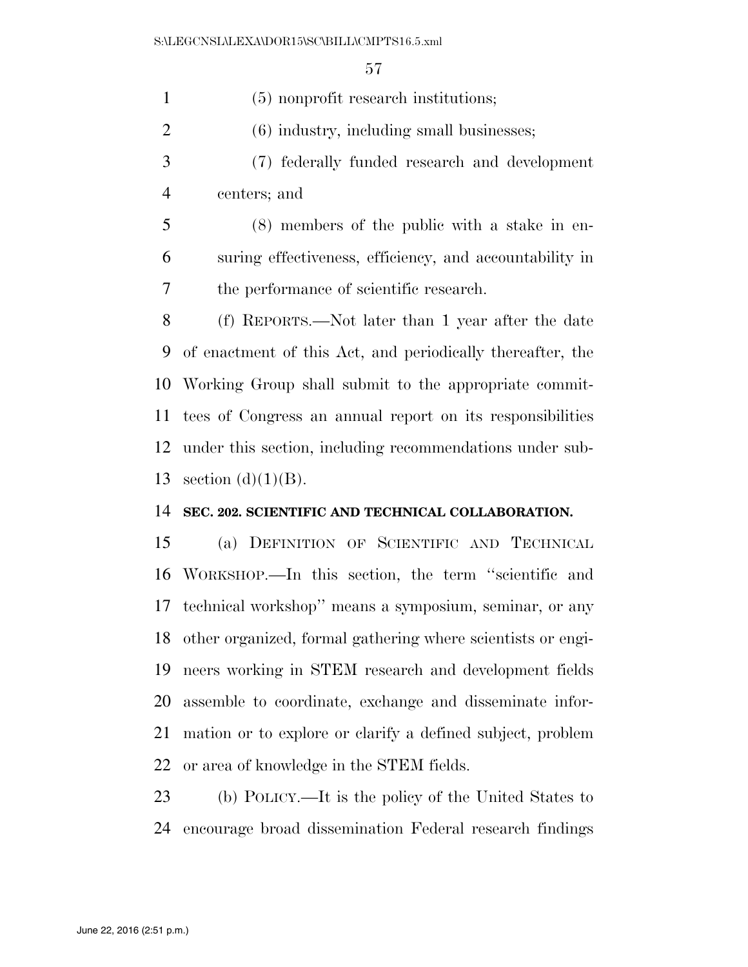(5) nonprofit research institutions;

(6) industry, including small businesses;

 (7) federally funded research and development centers; and

 (8) members of the public with a stake in en- suring effectiveness, efficiency, and accountability in the performance of scientific research.

 (f) REPORTS.—Not later than 1 year after the date of enactment of this Act, and periodically thereafter, the Working Group shall submit to the appropriate commit- tees of Congress an annual report on its responsibilities under this section, including recommendations under sub-13 section  $(d)(1)(B)$ .

#### **SEC. 202. SCIENTIFIC AND TECHNICAL COLLABORATION.**

 (a) DEFINITION OF SCIENTIFIC AND TECHNICAL WORKSHOP.—In this section, the term ''scientific and technical workshop'' means a symposium, seminar, or any other organized, formal gathering where scientists or engi- neers working in STEM research and development fields assemble to coordinate, exchange and disseminate infor- mation or to explore or clarify a defined subject, problem or area of knowledge in the STEM fields.

 (b) POLICY.—It is the policy of the United States to encourage broad dissemination Federal research findings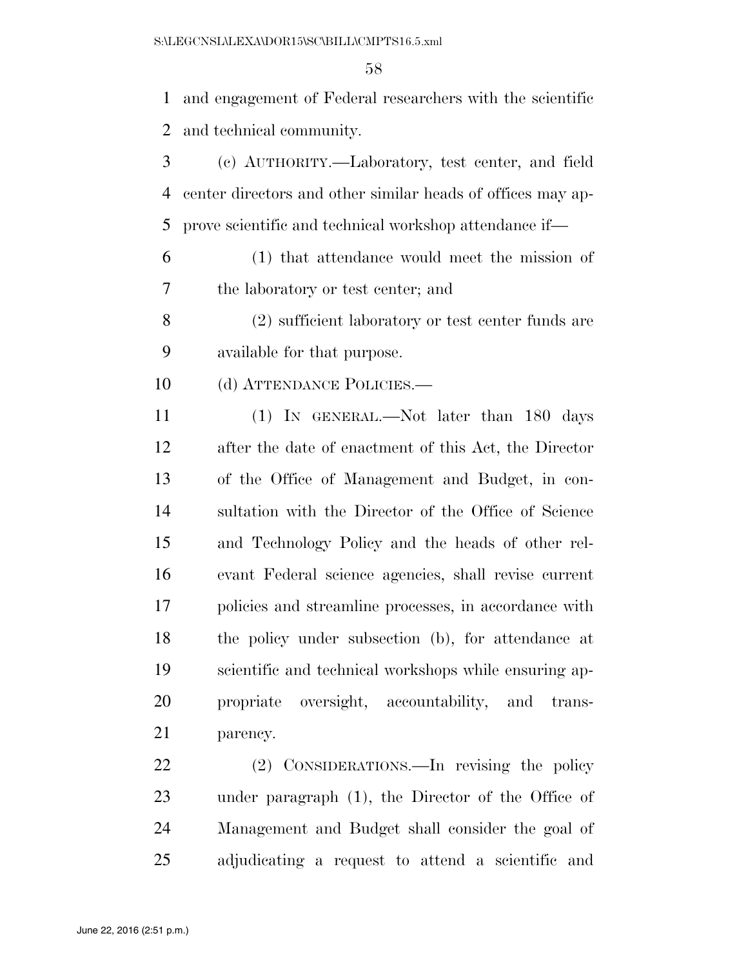and engagement of Federal researchers with the scientific and technical community.

- (c) AUTHORITY.—Laboratory, test center, and field center directors and other similar heads of offices may ap-prove scientific and technical workshop attendance if—
- (1) that attendance would meet the mission of the laboratory or test center; and
- (2) sufficient laboratory or test center funds are available for that purpose.
- 10 (d) ATTENDANCE POLICIES.—
- (1) IN GENERAL.—Not later than 180 days after the date of enactment of this Act, the Director of the Office of Management and Budget, in con- sultation with the Director of the Office of Science and Technology Policy and the heads of other rel- evant Federal science agencies, shall revise current policies and streamline processes, in accordance with the policy under subsection (b), for attendance at scientific and technical workshops while ensuring ap- propriate oversight, accountability, and trans-parency.

 (2) CONSIDERATIONS.—In revising the policy under paragraph (1), the Director of the Office of Management and Budget shall consider the goal of adjudicating a request to attend a scientific and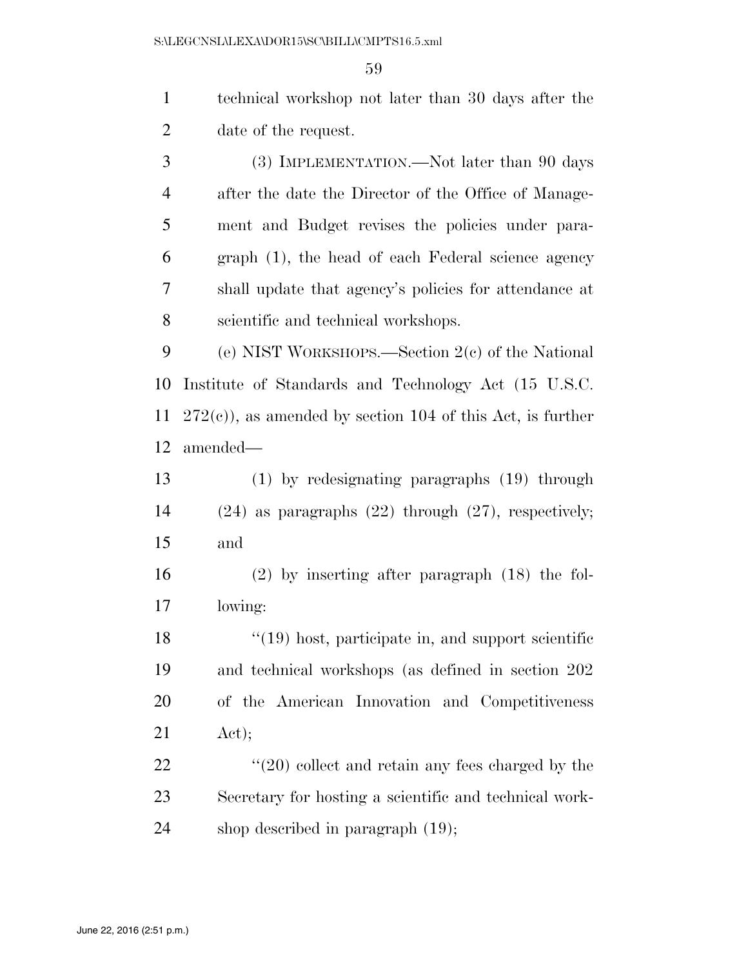technical workshop not later than 30 days after the date of the request. (3) IMPLEMENTATION.—Not later than 90 days after the date the Director of the Office of Manage- ment and Budget revises the policies under para- graph (1), the head of each Federal science agency shall update that agency's policies for attendance at scientific and technical workshops. (e) NIST WORKSHOPS.—Section 2(c) of the National Institute of Standards and Technology Act (15 U.S.C.

 272(c)), as amended by section 104 of this Act, is further amended—

 (1) by redesignating paragraphs (19) through (24) as paragraphs (22) through (27), respectively; and

 (2) by inserting after paragraph (18) the fol-lowing:

18 ''(19) host, participate in, and support scientific and technical workshops (as defined in section 202 of the American Innovation and Competitiveness Act);

22 ''(20) collect and retain any fees charged by the Secretary for hosting a scientific and technical work-shop described in paragraph (19);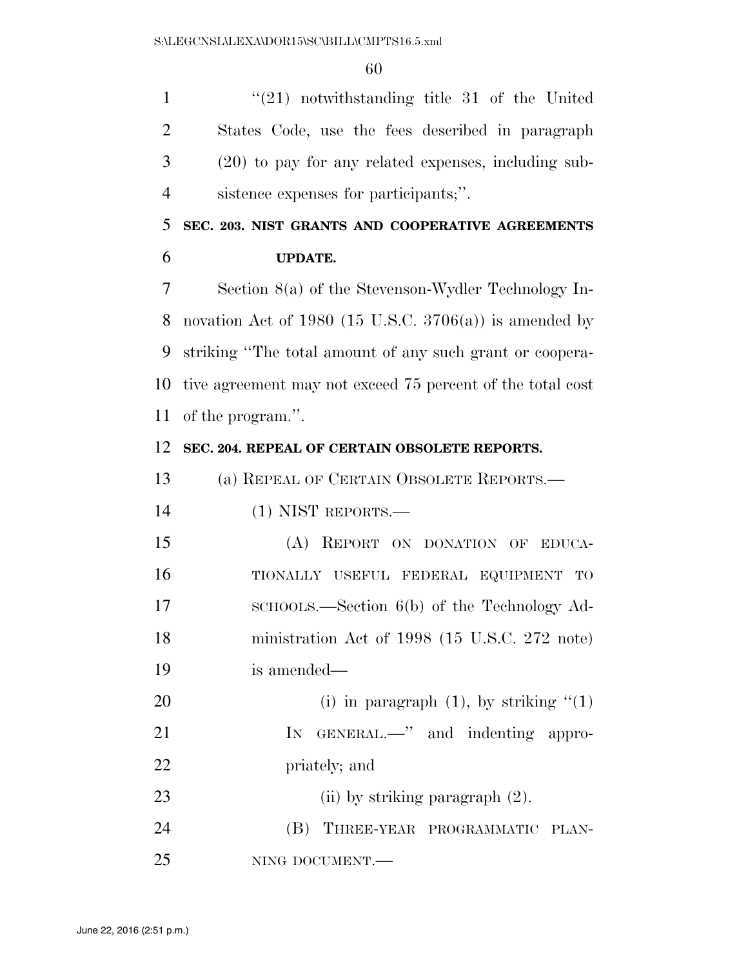''(21) notwithstanding title 31 of the United States Code, use the fees described in paragraph (20) to pay for any related expenses, including sub-sistence expenses for participants;''.

 **SEC. 203. NIST GRANTS AND COOPERATIVE AGREEMENTS UPDATE.** 

 Section 8(a) of the Stevenson-Wydler Technology In-8 novation Act of 1980 (15 U.S.C.  $3706(a)$ ) is amended by striking ''The total amount of any such grant or coopera- tive agreement may not exceed 75 percent of the total cost of the program.''.

#### **SEC. 204. REPEAL OF CERTAIN OBSOLETE REPORTS.**

(a) REPEAL OF CERTAIN OBSOLETE REPORTS.—

(1) NIST REPORTS.—

 (A) REPORT ON DONATION OF EDUCA- TIONALLY USEFUL FEDERAL EQUIPMENT TO 17 SCHOOLS.—Section 6(b) of the Technology Ad- ministration Act of 1998 (15 U.S.C. 272 note) is amended—

20 (i) in paragraph  $(1)$ , by striking  $(1)$ 21 IN GENERAL.—" and indenting appro-priately; and

23 (ii) by striking paragraph  $(2)$ . 24 (B) THREE-YEAR PROGRAMMATIC PLAN-NING DOCUMENT.—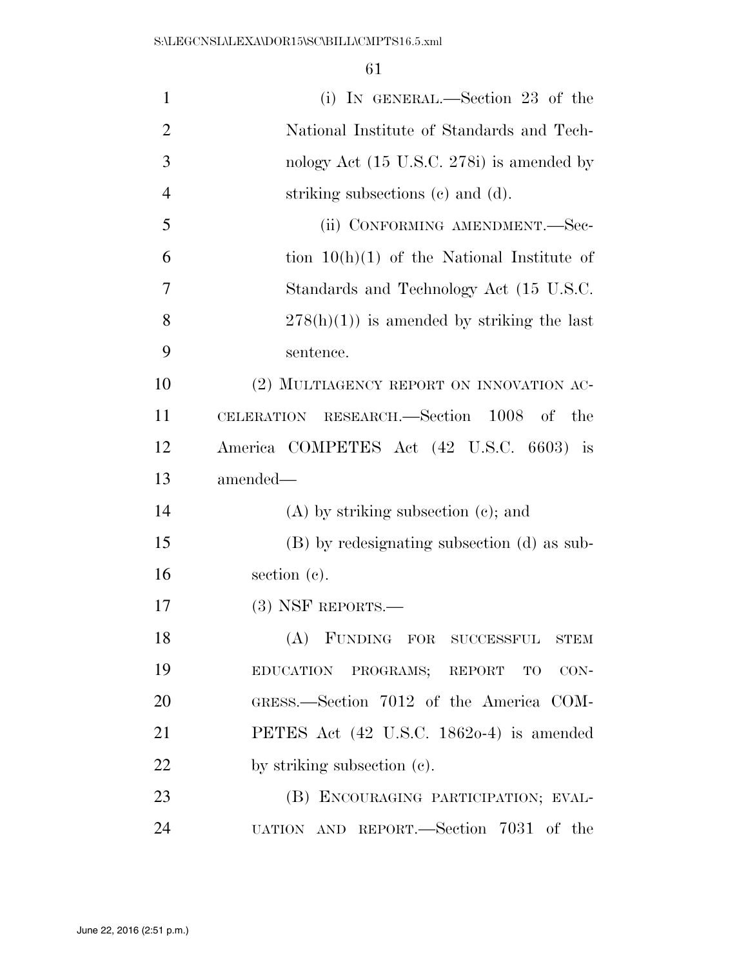| $\mathbf{1}$   | (i) IN GENERAL.—Section 23 of the                   |
|----------------|-----------------------------------------------------|
| $\overline{2}$ | National Institute of Standards and Tech-           |
| 3              | nology Act (15 U.S.C. 278i) is amended by           |
| $\overline{4}$ | striking subsections (c) and (d).                   |
| 5              | (ii) CONFORMING AMENDMENT.—Sec-                     |
| 6              | tion $10(h)(1)$ of the National Institute of        |
| 7              | Standards and Technology Act (15 U.S.C.             |
| 8              | $278(h)(1)$ is amended by striking the last         |
| 9              | sentence.                                           |
| 10             | (2) MULTIAGENCY REPORT ON INNOVATION AC-            |
| 11             | CELERATION RESEARCH.—Section 1008 of the            |
| 12             | America COMPETES Act (42 U.S.C. 6603) is            |
| 13             | amended-                                            |
| 14             | $(A)$ by striking subsection $(e)$ ; and            |
| 15             | (B) by redesignating subsection (d) as sub-         |
| 16             | section $(c)$ .                                     |
| 17             | $(3)$ NSF REPORTS.—                                 |
| 18             | (A) FUNDING FOR SUCCESSFUL<br>STEM                  |
| 19             | EDUCATION PROGRAMS; REPORT TO CON-                  |
| 20             | GRESS.-Section 7012 of the America COM-             |
| 21             | PETES Act $(42 \text{ U.S.C. } 18620-4)$ is amended |
| 22             | by striking subsection (c).                         |
| 23             | (B) ENCOURAGING PARTICIPATION; EVAL-                |
| 24             | UATION AND REPORT.—Section 7031 of the              |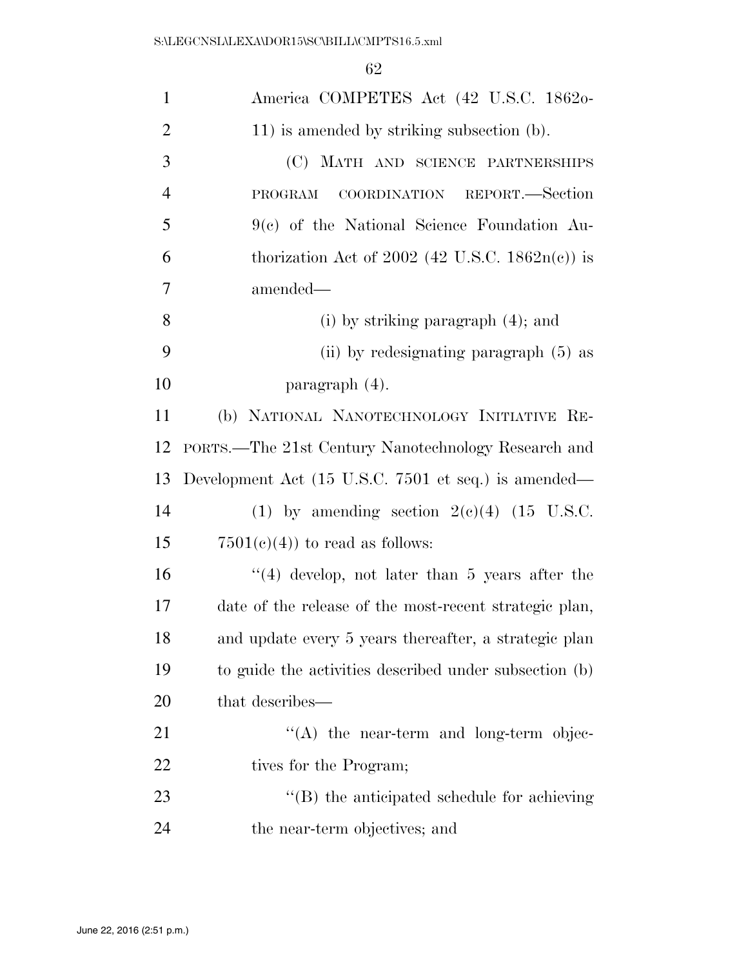| $\mathbf{1}$   | America COMPETES Act (42 U.S.C. 1862o-                 |
|----------------|--------------------------------------------------------|
| $\overline{2}$ | 11) is amended by striking subsection (b).             |
| 3              | (C) MATH AND SCIENCE PARTNERSHIPS                      |
| $\overline{4}$ | COORDINATION REPORT.—Section<br>PROGRAM                |
| 5              | $9(c)$ of the National Science Foundation Au-          |
| 6              | thorization Act of 2002 (42 U.S.C. $1862n(c)$ ) is     |
| $\overline{7}$ | amended-                                               |
| 8              | $(i)$ by striking paragraph $(4)$ ; and                |
| 9              | (ii) by redesignating paragraph (5) as                 |
| 10             | paragraph (4).                                         |
| 11             | (b) NATIONAL NANOTECHNOLOGY INITIATIVE RE-             |
| 12             | PORTS.—The 21st Century Nanotechnology Research and    |
| 13             | Development Act (15 U.S.C. 7501 et seq.) is amended—   |
| 14             | (1) by amending section $2(e)(4)$ (15 U.S.C.           |
| 15             | $7501(c)(4)$ to read as follows:                       |
| 16             | $(4)$ develop, not later than 5 years after the        |
| 17             | date of the release of the most-recent strategic plan, |
| 18             | and update every 5 years thereafter, a strategic plan  |
| 19             | to guide the activities described under subsection (b) |
| 20             | that describes—                                        |
| 21             | $\lq\lq$ the near-term and long-term objec-            |
| 22             | tives for the Program;                                 |
| 23             |                                                        |
|                | "(B) the anticipated schedule for achieving            |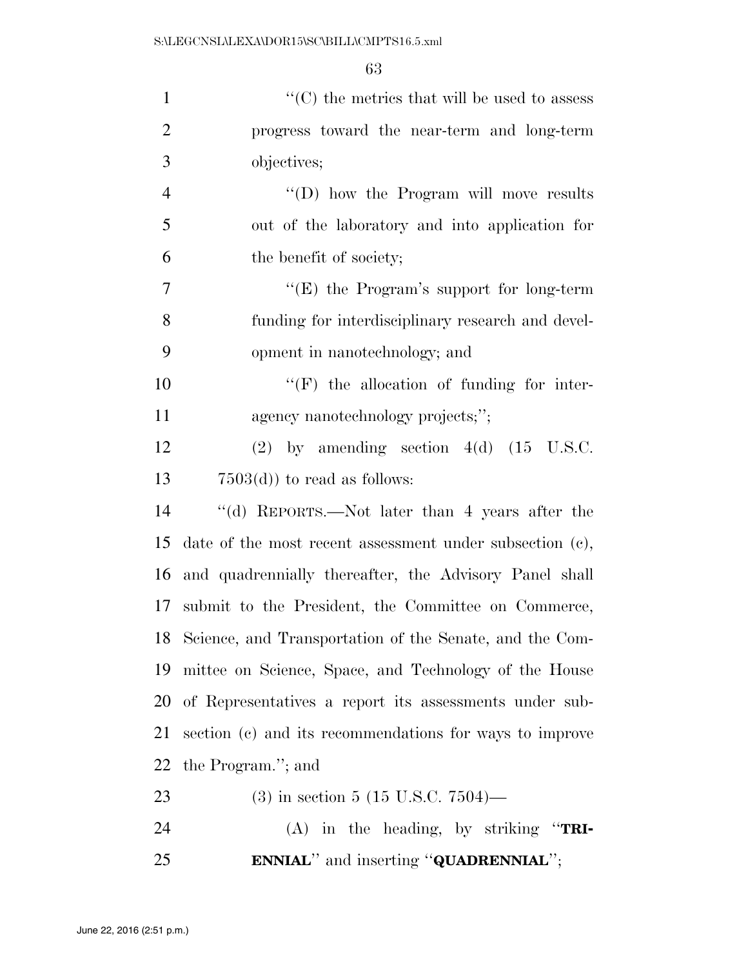| $\mathbf{1}$     | $\lq\lq$ <sup>*</sup> (C) the metrics that will be used to assess |
|------------------|-------------------------------------------------------------------|
| $\overline{2}$   | progress toward the near-term and long-term                       |
| 3                | objectives;                                                       |
| $\overline{4}$   | "(D) how the Program will move results                            |
| 5                | out of the laboratory and into application for                    |
| 6                | the benefit of society;                                           |
| $\boldsymbol{7}$ | " $(E)$ the Program's support for long-term                       |
| 8                | funding for interdisciplinary research and devel-                 |
| 9                | opment in nanotechnology; and                                     |
| 10               | "(F) the allocation of funding for inter-                         |
| 11               | agency nanotechnology projects;";                                 |
| 12               | $(2)$ by amending section $4(d)$ $(15 \text{ U.S.C.})$            |
| 13               | $7503(d)$ to read as follows:                                     |
| 14               | "(d) REPORTS.—Not later than 4 years after the                    |
| 15               | date of the most recent assessment under subsection $(c)$ ,       |
| 16               | and quadrennially thereafter, the Advisory Panel shall            |
| 17               | submit to the President, the Committee on Commerce,               |
| 18               | Science, and Transportation of the Senate, and the Com-           |
| 19               | mittee on Science, Space, and Technology of the House             |
| 20               | of Representatives a report its assessments under sub-            |
| 21               | section (c) and its recommendations for ways to improve           |
| 22               | the Program."; and                                                |
| 23               | $(3)$ in section 5 (15 U.S.C. 7504)—                              |
| 24               | $(A)$ in the heading, by striking "TRI-                           |
| 25               | <b>ENNIAL</b> " and inserting " <b>QUADRENNIAL</b> ";             |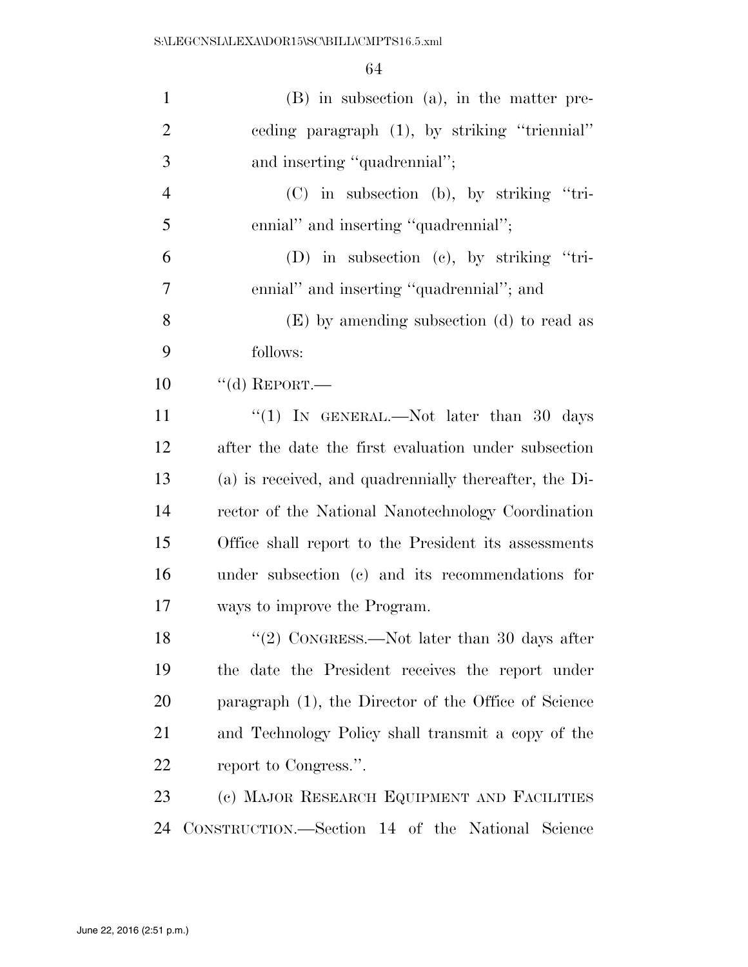| $\mathbf{1}$   | $(B)$ in subsection $(a)$ , in the matter pre-         |
|----------------|--------------------------------------------------------|
| $\overline{2}$ | ceding paragraph (1), by striking "triennial"          |
| 3              | and inserting "quadrennial";                           |
| $\overline{4}$ | $(C)$ in subsection (b), by striking "tri-             |
| 5              | ennial" and inserting "quadrennial";                   |
| 6              | (D) in subsection (c), by striking "tri-               |
| 7              | ennial" and inserting "quadrennial"; and               |
| 8              | (E) by amending subsection (d) to read as              |
| 9              | follows:                                               |
| 10             | "(d) REPORT.—                                          |
| 11             | "(1) IN GENERAL.—Not later than 30 days                |
| 12             | after the date the first evaluation under subsection   |
| 13             | (a) is received, and quadrennially thereafter, the Di- |
| 14             | rector of the National Nanotechnology Coordination     |
| 15             | Office shall report to the President its assessments   |
| 16             | under subsection (c) and its recommendations for       |
| 17             | ways to improve the Program.                           |
| 18             | "(2) CONGRESS.—Not later than 30 days after            |
| 19             | the date the President receives the report under       |
| 20             | paragraph (1), the Director of the Office of Science   |
| 21             | and Technology Policy shall transmit a copy of the     |
| 22             | report to Congress.".                                  |
| 23             | (c) MAJOR RESEARCH EQUIPMENT AND FACILITIES            |
| 24             | CONSTRUCTION.—Section 14 of the National Science       |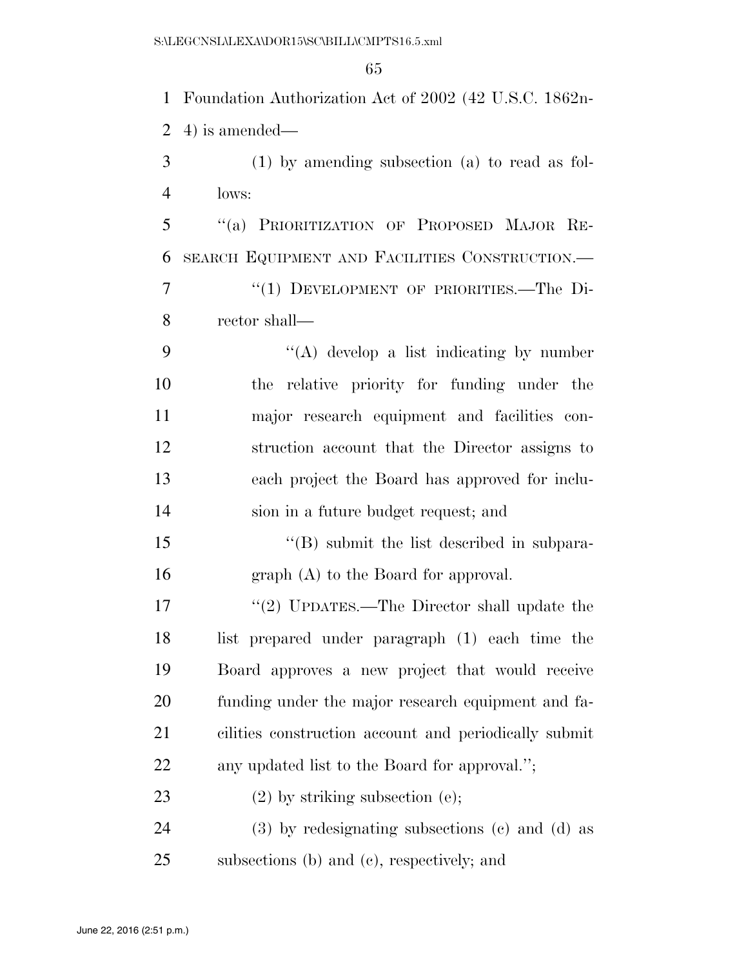Foundation Authorization Act of 2002 (42 U.S.C. 1862n- 4) is amended— (1) by amending subsection (a) to read as fol- lows: ''(a) PRIORITIZATION OF PROPOSED MAJOR RE- SEARCH EQUIPMENT AND FACILITIES CONSTRUCTION.— 7 "(1) DEVELOPMENT OF PRIORITIES.—The Di- rector shall—  $\langle (A) \rangle$  develop a list indicating by number the relative priority for funding under the major research equipment and facilities con- struction account that the Director assigns to each project the Board has approved for inclu- sion in a future budget request; and 15 "(B) submit the list described in subpara-16 graph (A) to the Board for approval. 17 "(2) UPDATES.—The Director shall update the list prepared under paragraph (1) each time the Board approves a new project that would receive funding under the major research equipment and fa- cilities construction account and periodically submit any updated list to the Board for approval.''; 23 (2) by striking subsection (e); (3) by redesignating subsections (c) and (d) as subsections (b) and (c), respectively; and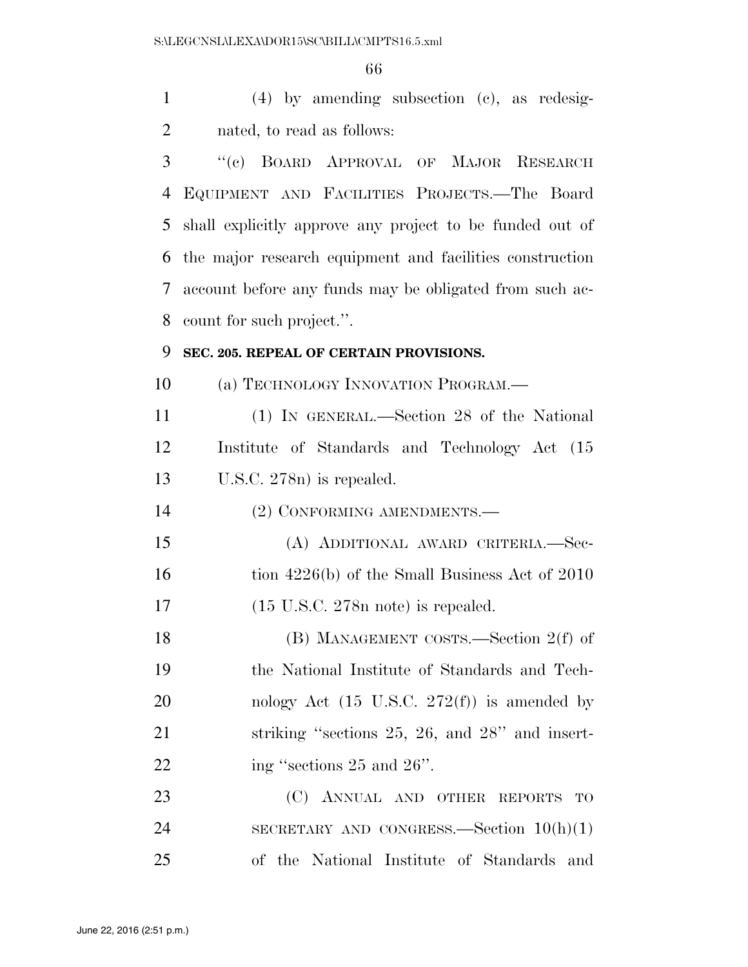(4) by amending subsection (c), as redesig-nated, to read as follows:

 ''(c) BOARD APPROVAL OF MAJOR RESEARCH EQUIPMENT AND FACILITIES PROJECTS.—The Board shall explicitly approve any project to be funded out of the major research equipment and facilities construction account before any funds may be obligated from such ac-count for such project.''.

## **SEC. 205. REPEAL OF CERTAIN PROVISIONS.**

10 (a) TECHNOLOGY INNOVATION PROGRAM.—

 (1) IN GENERAL.—Section 28 of the National Institute of Standards and Technology Act (15 U.S.C. 278n) is repealed.

(2) CONFORMING AMENDMENTS.—

 (A) ADDITIONAL AWARD CRITERIA.—Sec-16 tion 4226(b) of the Small Business Act of 2010 (15 U.S.C. 278n note) is repealed.

 (B) MANAGEMENT COSTS.—Section 2(f) of the National Institute of Standards and Tech-20 nology Act  $(15 \text{ U.S.C. } 272(\text{f}))$  is amended by 21 striking "sections 25, 26, and 28" and insert-22 ing "sections 25 and 26".

23 (C) ANNUAL AND OTHER REPORTS TO SECRETARY AND CONGRESS.—Section 10(h)(1) of the National Institute of Standards and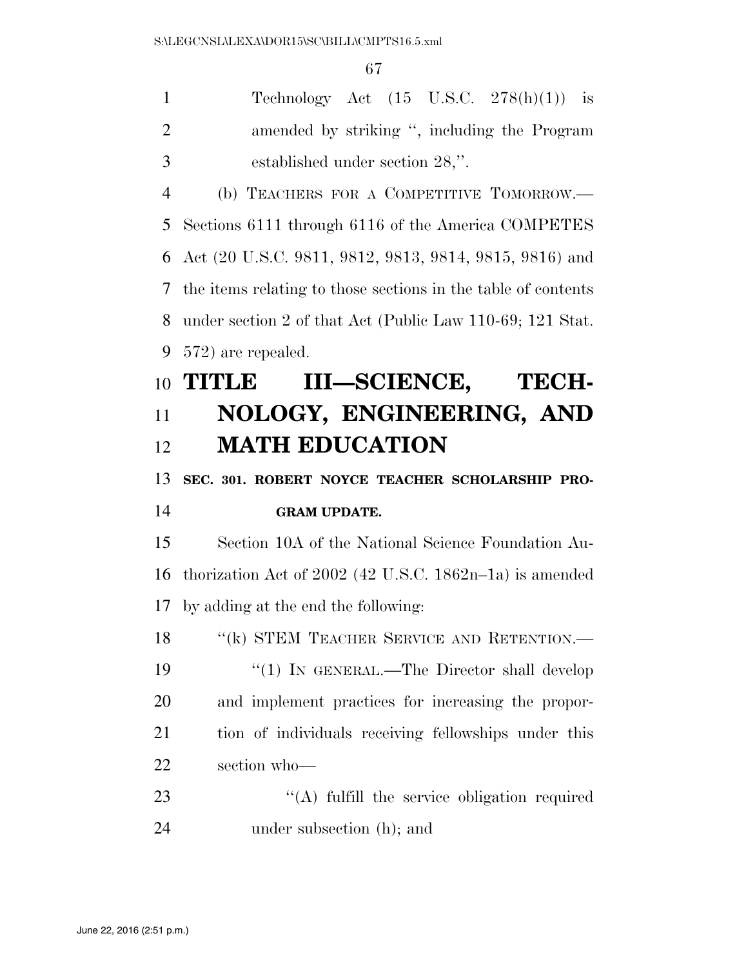| $\mathbf{1}$   | Technology Act $(15 \text{ U.S.C. } 278(h)(1))$ is            |
|----------------|---------------------------------------------------------------|
| $\overline{2}$ | amended by striking ", including the Program                  |
| 3              | established under section 28,".                               |
| $\overline{4}$ | (b) TEACHERS FOR A COMPETITIVE TOMORROW.—                     |
| 5              | Sections 6111 through 6116 of the America COMPETES            |
| 6              | Act (20 U.S.C. 9811, 9812, 9813, 9814, 9815, 9816) and        |
| 7              | the items relating to those sections in the table of contents |
| 8              | under section 2 of that Act (Public Law 110-69; 121 Stat.     |
| 9              | 572) are repealed.                                            |
| 10             | III-SCIENCE, TECH-<br><b>TITLE</b>                            |
| 11             | NOLOGY, ENGINEERING, AND                                      |
| 12             | <b>MATH EDUCATION</b>                                         |
| 13             | SEC. 301. ROBERT NOYCE TEACHER SCHOLARSHIP PRO-               |
| 14             | <b>GRAM UPDATE.</b>                                           |
| 15             | Section 10A of the National Science Foundation Au-            |
| 16             | thorization Act of $2002$ (42 U.S.C. 1862n–1a) is amended     |
|                |                                                               |
|                | 17 by adding at the end the following:                        |
| 18             | "(k) STEM TEACHER SERVICE AND RETENTION.-                     |
| 19             | "(1) IN GENERAL.—The Director shall develop                   |
| 20             | and implement practices for increasing the propor-            |
| 21             | tion of individuals receiving fellowships under this          |
| 22             | section who-                                                  |
| 23             | $\lq\lq$ fulfill the service obligation required              |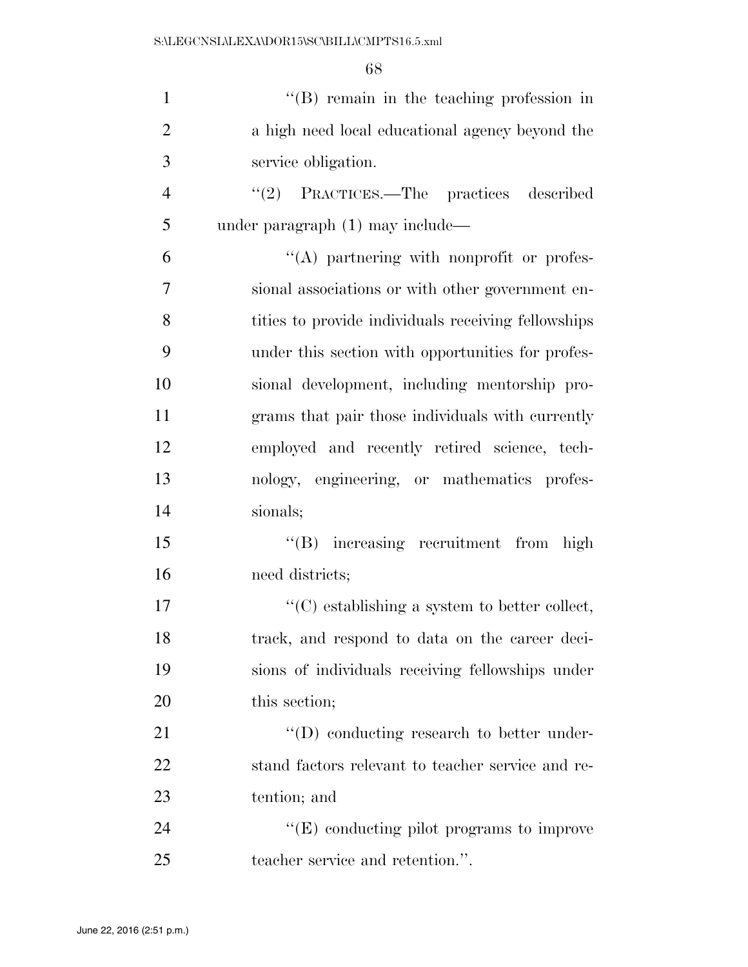| $\mathbf{1}$   | $\lq\lq$ remain in the teaching profession in       |
|----------------|-----------------------------------------------------|
| $\overline{2}$ | a high need local educational agency beyond the     |
| 3              | service obligation.                                 |
| $\overline{4}$ | $\lq(2)$ PRACTICES.—The practices<br>described      |
| 5              | under paragraph $(1)$ may include—                  |
| 6              | "(A) partnering with nonprofit or profes-           |
| 7              | sional associations or with other government en-    |
| 8              | tities to provide individuals receiving fellowships |
| 9              | under this section with opportunities for profes-   |
| 10             | sional development, including mentorship pro-       |
| 11             | grams that pair those individuals with currently    |
| 12             | employed and recently retired science, tech-        |
| 13             | nology, engineering, or mathematics profes-         |
| 14             | sionals;                                            |
| 15             | "(B) increasing recruitment from high               |
| 16             | need districts;                                     |
| 17             | $\lq\lq$ establishing a system to better collect,   |
| 18             | track, and respond to data on the career deci-      |
| 19             | sions of individuals receiving fellowships under    |
| 20             | this section;                                       |
| 21             | $\lq\lq$ (D) conducting research to better under-   |
| 22             | stand factors relevant to teacher service and re-   |
| 23             | tention; and                                        |
| 24             | $\lq\lq(E)$ conducting pilot programs to improve    |
| 25             | teacher service and retention.".                    |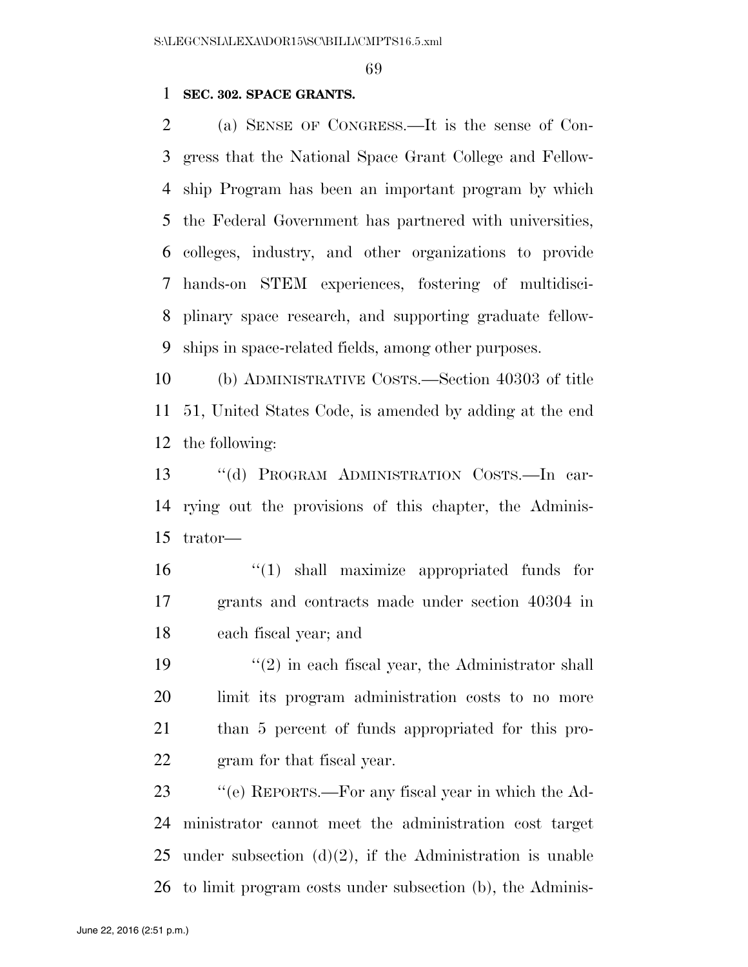## **SEC. 302. SPACE GRANTS.**

 (a) SENSE OF CONGRESS.—It is the sense of Con- gress that the National Space Grant College and Fellow- ship Program has been an important program by which the Federal Government has partnered with universities, colleges, industry, and other organizations to provide hands-on STEM experiences, fostering of multidisci- plinary space research, and supporting graduate fellow-ships in space-related fields, among other purposes.

 (b) ADMINISTRATIVE COSTS.—Section 40303 of title 51, United States Code, is amended by adding at the end the following:

 ''(d) PROGRAM ADMINISTRATION COSTS.—In car- rying out the provisions of this chapter, the Adminis-trator—

 ''(1) shall maximize appropriated funds for grants and contracts made under section 40304 in each fiscal year; and

 $\frac{1}{2}$  in each fiscal year, the Administrator shall limit its program administration costs to no more than 5 percent of funds appropriated for this pro-gram for that fiscal year.

 ''(e) REPORTS.—For any fiscal year in which the Ad- ministrator cannot meet the administration cost target 25 under subsection  $(d)(2)$ , if the Administration is unable to limit program costs under subsection (b), the Adminis-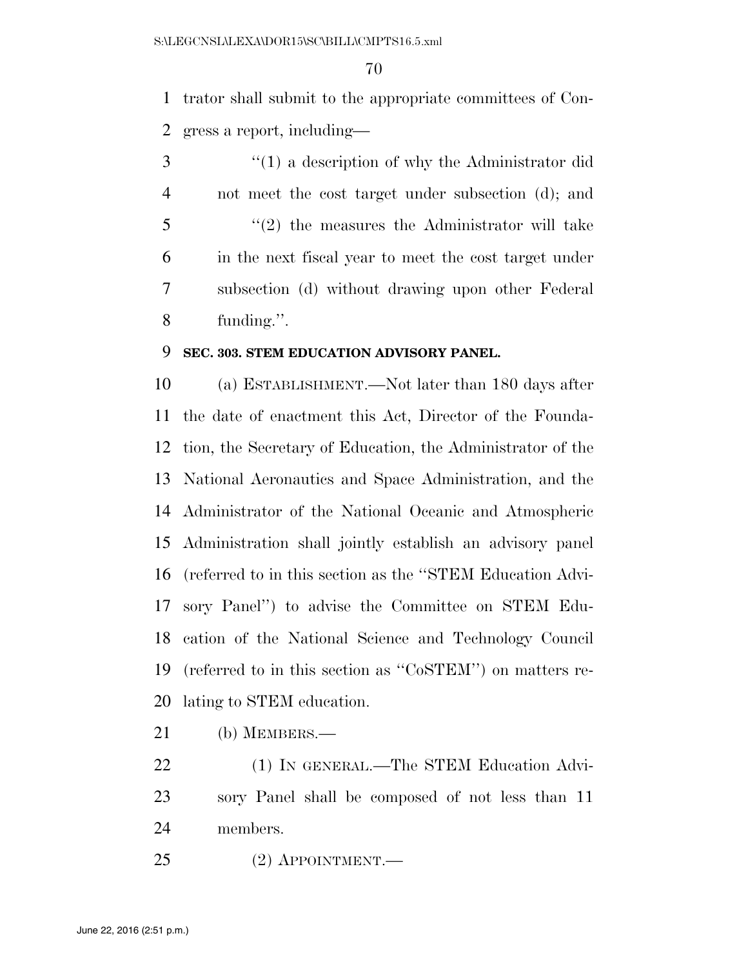trator shall submit to the appropriate committees of Con-gress a report, including—

 ''(1) a description of why the Administrator did not meet the cost target under subsection (d); and ''(2) the measures the Administrator will take in the next fiscal year to meet the cost target under subsection (d) without drawing upon other Federal funding.''.

## **SEC. 303. STEM EDUCATION ADVISORY PANEL.**

 (a) ESTABLISHMENT.—Not later than 180 days after the date of enactment this Act, Director of the Founda- tion, the Secretary of Education, the Administrator of the National Aeronautics and Space Administration, and the Administrator of the National Oceanic and Atmospheric Administration shall jointly establish an advisory panel (referred to in this section as the ''STEM Education Advi- sory Panel'') to advise the Committee on STEM Edu- cation of the National Science and Technology Council (referred to in this section as ''CoSTEM'') on matters re-lating to STEM education.

- (b) MEMBERS.—
- 22 (1) IN GENERAL.—The STEM Education Advi- sory Panel shall be composed of not less than 11 members.
- (2) APPOINTMENT.—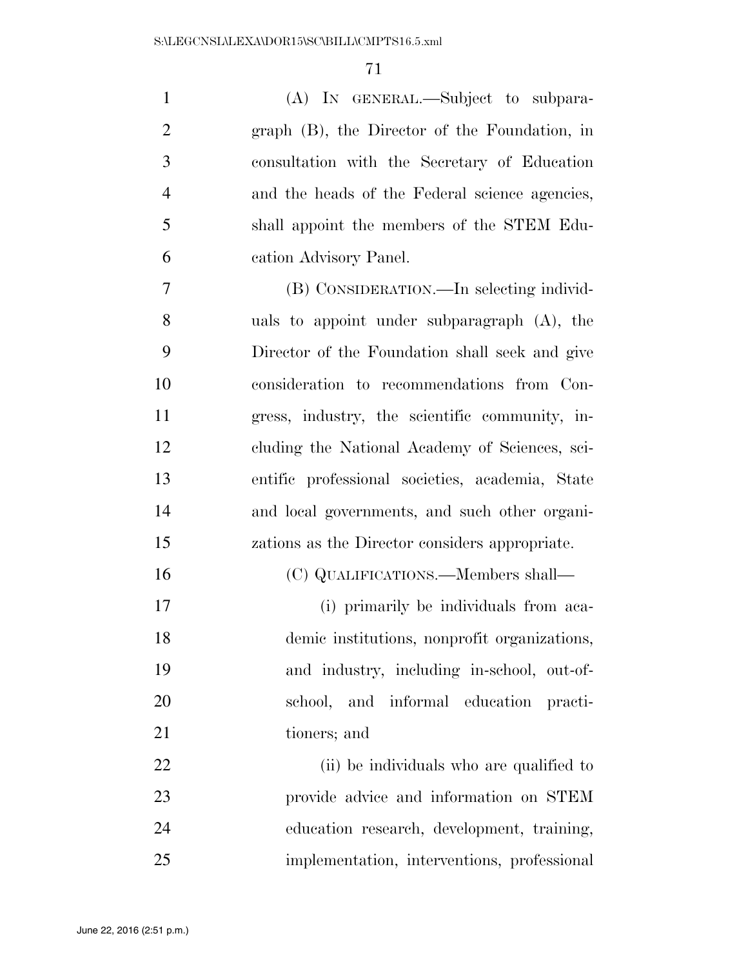| $\mathbf{1}$   | (A) IN GENERAL.—Subject to subpara-             |
|----------------|-------------------------------------------------|
| $\overline{2}$ | graph (B), the Director of the Foundation, in   |
| 3              | consultation with the Secretary of Education    |
| $\overline{4}$ | and the heads of the Federal science agencies,  |
| 5              | shall appoint the members of the STEM Edu-      |
| 6              | cation Advisory Panel.                          |
| $\overline{7}$ | (B) CONSIDERATION.—In selecting individ-        |
| 8              | uals to appoint under subparagraph (A), the     |
| 9              | Director of the Foundation shall seek and give  |
| 10             | consideration to recommendations from Con-      |
| 11             | gress, industry, the scientific community, in-  |
| 12             | cluding the National Academy of Sciences, sci-  |
| 13             | entific professional societies, academia, State |
| 14             | and local governments, and such other organi-   |
| 15             | zations as the Director considers appropriate.  |
| 16             | (C) QUALIFICATIONS.—Members shall—              |
| 17             | (i) primarily be individuals from aca-          |
| 18             | demic institutions, nonprofit organizations,    |
| 19             | and industry, including in-school, out-of-      |
| 20             | school, and informal education practi-          |
| 21             | tioners; and                                    |
| 22             | (ii) be individuals who are qualified to        |
| 23             | provide advice and information on STEM          |
| 24             | education research, development, training,      |
| 25             | implementation, interventions, professional     |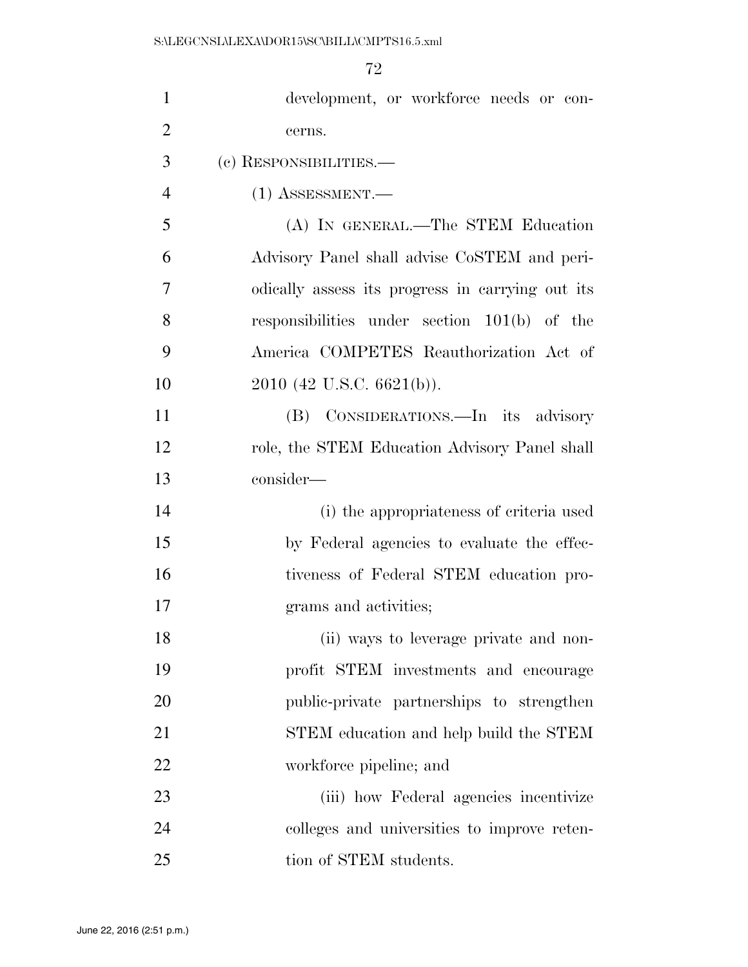| $\mathbf{1}$   | development, or workforce needs or con-          |
|----------------|--------------------------------------------------|
| $\overline{2}$ | cerns.                                           |
| 3              | (c) RESPONSIBILITIES.-                           |
| $\overline{4}$ | $(1)$ ASSESSMENT.—                               |
| 5              | (A) IN GENERAL.—The STEM Education               |
| 6              | Advisory Panel shall advise CoSTEM and peri-     |
| 7              | odically assess its progress in carrying out its |
| 8              | responsibilities under section $101(b)$ of the   |
| 9              | America COMPETES Reauthorization Act of          |
| 10             | 2010 (42 U.S.C. 6621(b)).                        |
| 11             | (B) CONSIDERATIONS.—In its advisory              |
| 12             | role, the STEM Education Advisory Panel shall    |
| 13             | consider—                                        |
| 14             | (i) the appropriateness of criteria used         |
| 15             | by Federal agencies to evaluate the effec-       |
| 16             | tiveness of Federal STEM education pro-          |
| 17             | grams and activities;                            |
| 18             | (ii) ways to leverage private and non-           |
| 19             | profit STEM investments and encourage            |
| 20             | public-private partnerships to strengthen        |
| 21             | STEM education and help build the STEM           |
| 22             | workforce pipeline; and                          |
| 23             | (iii) how Federal agencies incentivize           |
| 24             | colleges and universities to improve reten-      |
| 25             | tion of STEM students.                           |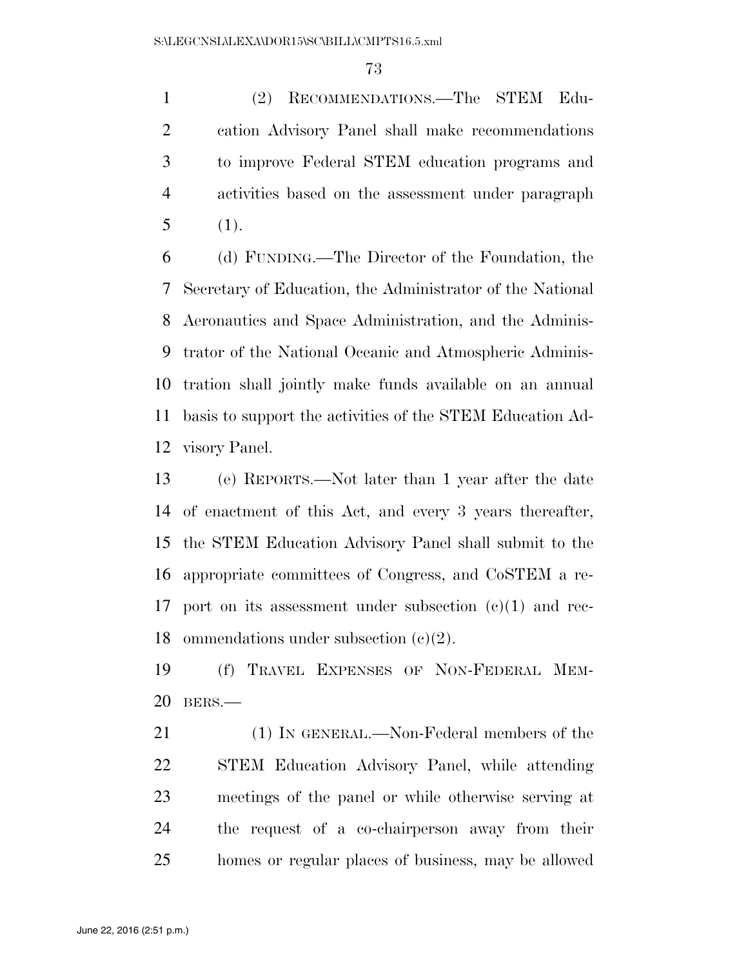(2) RECOMMENDATIONS.—The STEM Edu- cation Advisory Panel shall make recommendations to improve Federal STEM education programs and activities based on the assessment under paragraph (1).

 (d) FUNDING.—The Director of the Foundation, the Secretary of Education, the Administrator of the National Aeronautics and Space Administration, and the Adminis- trator of the National Oceanic and Atmospheric Adminis- tration shall jointly make funds available on an annual basis to support the activities of the STEM Education Ad-visory Panel.

 (e) REPORTS.—Not later than 1 year after the date of enactment of this Act, and every 3 years thereafter, the STEM Education Advisory Panel shall submit to the appropriate committees of Congress, and CoSTEM a re- port on its assessment under subsection (c)(1) and rec-ommendations under subsection (c)(2).

 (f) TRAVEL EXPENSES OF NON-FEDERAL MEM-BERS.—

 (1) IN GENERAL.—Non-Federal members of the STEM Education Advisory Panel, while attending meetings of the panel or while otherwise serving at the request of a co-chairperson away from their homes or regular places of business, may be allowed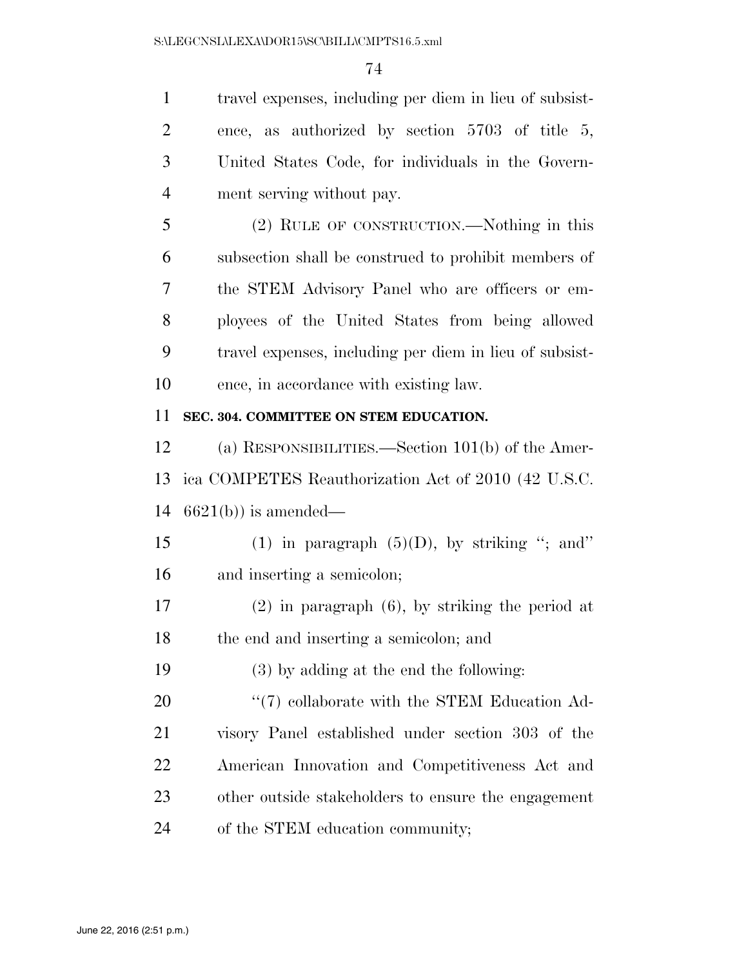travel expenses, including per diem in lieu of subsist- ence, as authorized by section 5703 of title 5, United States Code, for individuals in the Govern- ment serving without pay. (2) RULE OF CONSTRUCTION.—Nothing in this subsection shall be construed to prohibit members of the STEM Advisory Panel who are officers or em- ployees of the United States from being allowed travel expenses, including per diem in lieu of subsist- ence, in accordance with existing law. **SEC. 304. COMMITTEE ON STEM EDUCATION.**  (a) RESPONSIBILITIES.—Section 101(b) of the Amer-

 ica COMPETES Reauthorization Act of 2010 (42 U.S.C. 6621(b)) is amended—

15 (1) in paragraph  $(5)(D)$ , by striking "; and" and inserting a semicolon;

 (2) in paragraph (6), by striking the period at the end and inserting a semicolon; and

(3) by adding at the end the following:

 $\frac{1}{20}$   $\frac{1}{20}$  collaborate with the STEM Education Ad- visory Panel established under section 303 of the American Innovation and Competitiveness Act and other outside stakeholders to ensure the engagement of the STEM education community;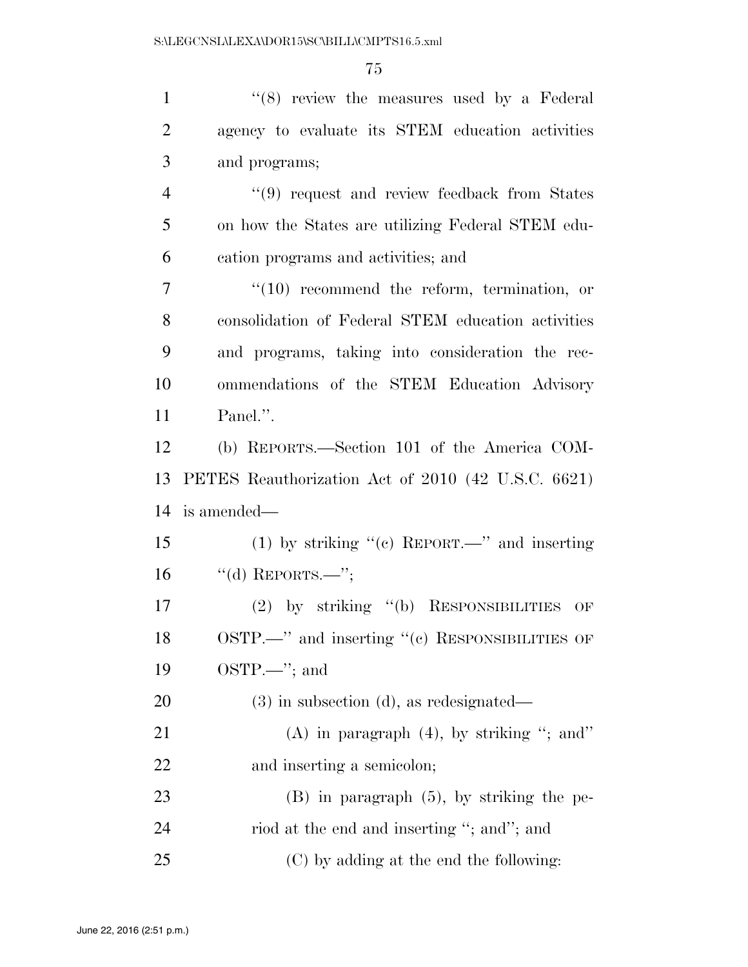| $\mathbf{1}$   | "(8) review the measures used by a Federal         |
|----------------|----------------------------------------------------|
| $\overline{2}$ | agency to evaluate its STEM education activities   |
| 3              | and programs;                                      |
| $\overline{4}$ | $\lq(9)$ request and review feedback from States   |
| 5              | on how the States are utilizing Federal STEM edu-  |
| 6              | cation programs and activities; and                |
| $\overline{7}$ | $"(10)$ recommend the reform, termination, or      |
| 8              | consolidation of Federal STEM education activities |
| 9              | and programs, taking into consideration the rec-   |
| 10             | ommendations of the STEM Education Advisory        |
| 11             | Panel.".                                           |
| 12             | (b) REPORTS.—Section 101 of the America COM-       |
| 13             | PETES Reauthorization Act of 2010 (42 U.S.C. 6621) |
| 14             | is amended—                                        |
| 15             | (1) by striking " $(e)$ REPORT.—" and inserting    |
| 16             | "(d) REPORTS.—";                                   |
| 17             | (2) by striking $(6)$ RESPONSIBILITIES<br>OF       |
| 18             | OSTP.—" and inserting "(c) RESPONSIBILITIES OF     |
| 19             | $OSTP.$ ; and                                      |
| 20             | $(3)$ in subsection $(d)$ , as redesignated—       |
| 21             | (A) in paragraph $(4)$ , by striking "; and"       |
| 22             | and inserting a semicolon;                         |
| 23             | $(B)$ in paragraph $(5)$ , by striking the pe-     |
| 24             | riod at the end and inserting "; and"; and         |
| 25             | (C) by adding at the end the following:            |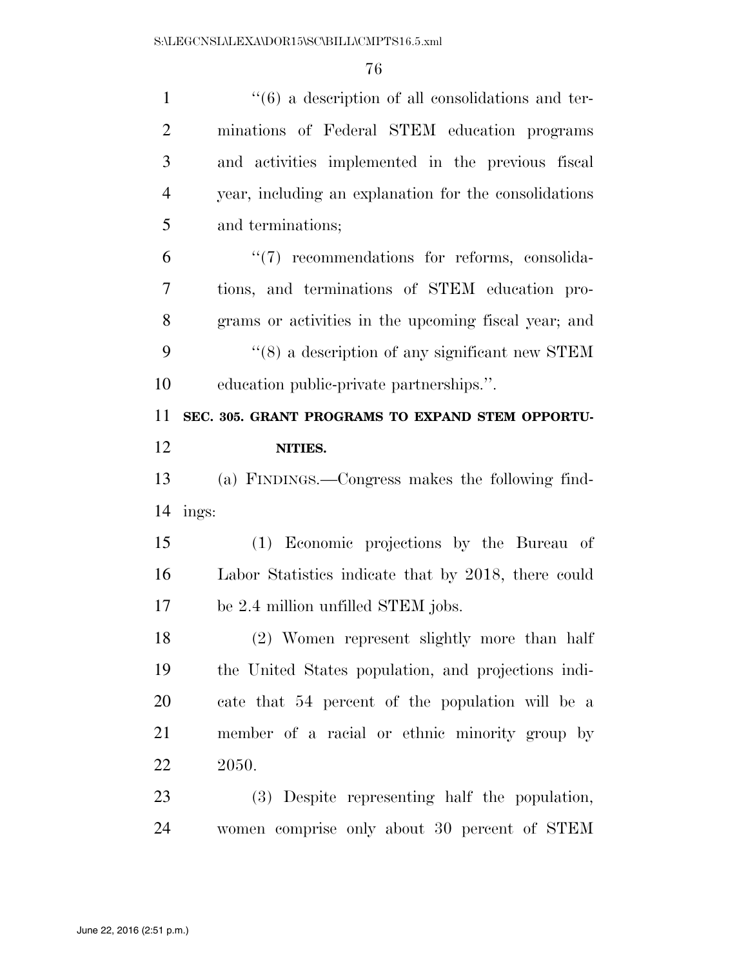| $\mathbf{1}$   | $``(6)$ a description of all consolidations and ter-       |
|----------------|------------------------------------------------------------|
| $\overline{2}$ | minations of Federal STEM education programs               |
| 3              | and activities implemented in the previous fiscal          |
| $\overline{4}$ | year, including an explanation for the consolidations      |
| 5              | and terminations;                                          |
| 6              | $\lq(7)$ recommendations for reforms, consolida-           |
| 7              | tions, and terminations of STEM education pro-             |
| 8              | grams or activities in the upcoming fiscal year; and       |
| 9              | $\cdot\cdot$ (8) a description of any significant new STEM |
| 10             | education public-private partnerships.".                   |
| 11             | SEC. 305. GRANT PROGRAMS TO EXPAND STEM OPPORTU-           |
| 12             | NITIES.                                                    |
|                |                                                            |
| 13             | (a) FINDINGS.—Congress makes the following find-           |
| 14             | ings:                                                      |
| 15             | (1) Economic projections by the Bureau of                  |
| 16             | Labor Statistics indicate that by 2018, there could        |
| 17             | be 2.4 million unfilled STEM jobs.                         |
| 18             | (2) Women represent slightly more than half                |
| 19             | the United States population, and projections indi-        |
| 20             | cate that 54 percent of the population will be a           |
| 21             | member of a racial or ethnic minority group by             |
| 22             | 2050.                                                      |
| 23             | (3) Despite representing half the population,              |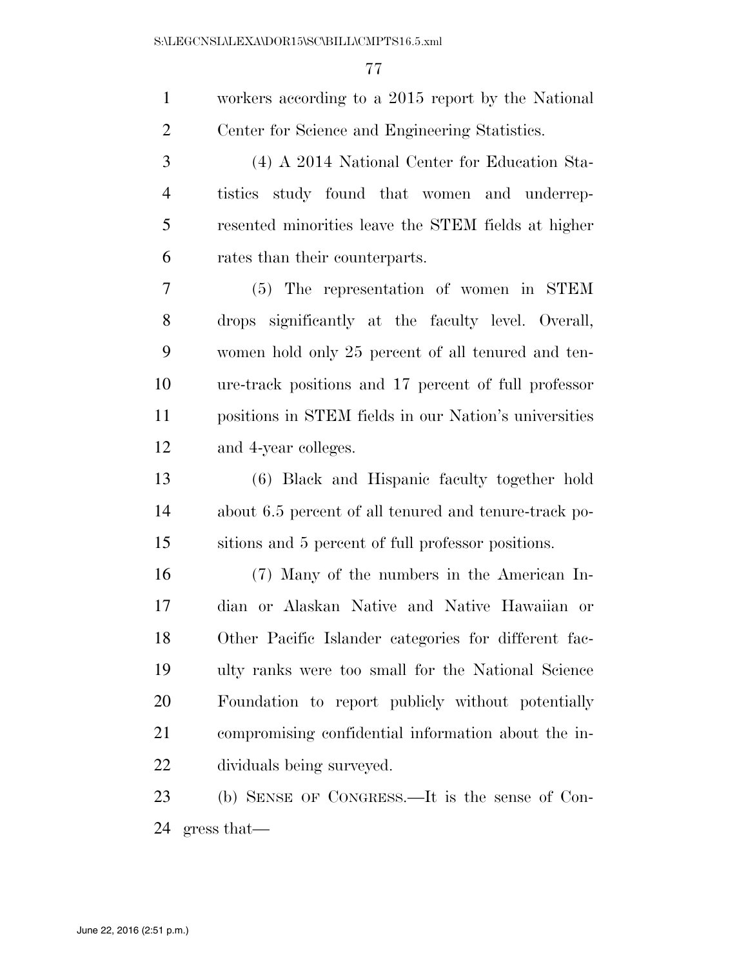| $\mathbf{1}$   | workers according to a 2015 report by the National    |
|----------------|-------------------------------------------------------|
| $\overline{2}$ | Center for Science and Engineering Statistics.        |
| 3              | (4) A 2014 National Center for Education Sta-         |
| $\overline{4}$ | tistics study found that women and underrep-          |
| 5              | resented minorities leave the STEM fields at higher   |
| 6              | rates than their counterparts.                        |
| 7              | (5) The representation of women in STEM               |
| 8              | drops significantly at the faculty level. Overall,    |
| 9              | women hold only 25 percent of all tenured and ten-    |
| 10             | ure-track positions and 17 percent of full professor  |
| 11             | positions in STEM fields in our Nation's universities |
| 12             | and 4-year colleges.                                  |
| 13             | (6) Black and Hispanic faculty together hold          |
| 14             | about 6.5 percent of all tenured and tenure-track po- |
| 15             | sitions and 5 percent of full professor positions.    |
| 16             | (7) Many of the numbers in the American In-           |
| 17             | dian or Alaskan Native and Native Hawaiian or         |
| 18             | Other Pacific Islander categories for different fac-  |
| 19             | ulty ranks were too small for the National Science    |
| 20             | Foundation to report publicly without potentially     |
| 21             | compromising confidential information about the in-   |
| 22             | dividuals being surveyed.                             |
| 23             | (b) SENSE OF CONGRESS.—It is the sense of Con-        |
| 24             | gress that                                            |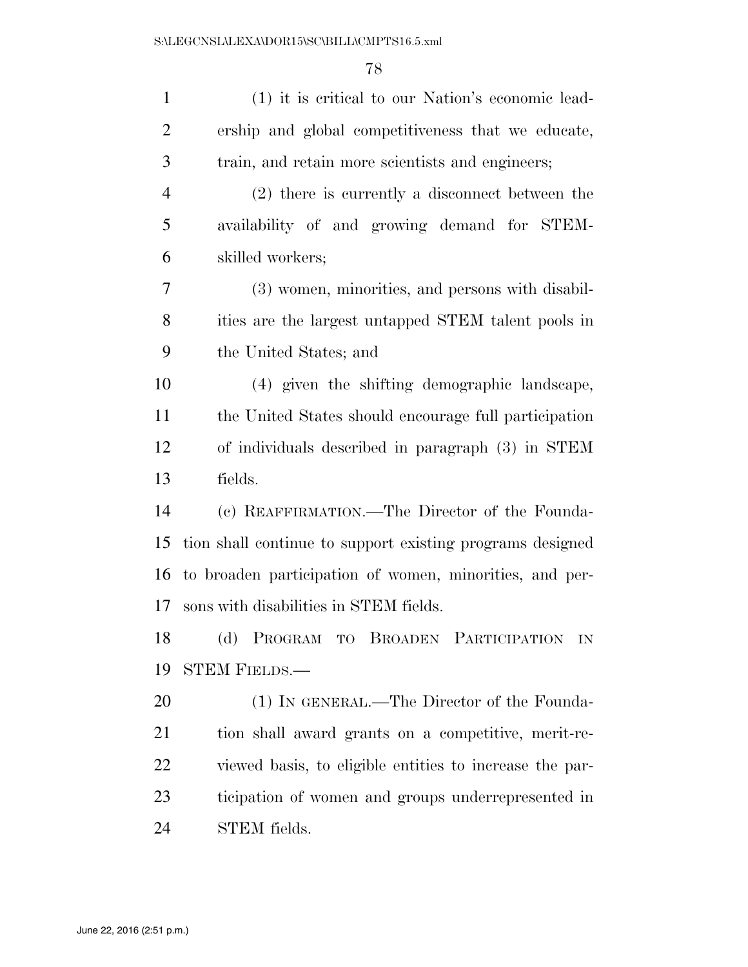| $\mathbf{1}$   | (1) it is critical to our Nation's economic lead-         |
|----------------|-----------------------------------------------------------|
| $\overline{2}$ | ership and global competitiveness that we educate,        |
| 3              | train, and retain more scientists and engineers;          |
| $\overline{4}$ | (2) there is currently a disconnect between the           |
| 5              | availability of and growing demand for STEM-              |
| 6              | skilled workers;                                          |
| 7              | (3) women, minorities, and persons with disabil-          |
| 8              | ities are the largest untapped STEM talent pools in       |
| 9              | the United States; and                                    |
| 10             | (4) given the shifting demographic landscape,             |
| 11             | the United States should encourage full participation     |
| 12             | of individuals described in paragraph (3) in STEM         |
| 13             | fields.                                                   |
| 14             | (c) REAFFIRMATION.—The Director of the Founda-            |
| 15             | tion shall continue to support existing programs designed |
| 16             | to broaden participation of women, minorities, and per-   |
| 17             | sons with disabilities in STEM fields.                    |
| 18             | (d) PROGRAM TO BROADEN PARTICIPATION<br>IN                |
| 19             | <b>STEM FIELDS.—</b>                                      |
| 20             | (1) IN GENERAL.—The Director of the Founda-               |
| 21             | tion shall award grants on a competitive, merit-re-       |
| 22             | viewed basis, to eligible entities to increase the par-   |
| 23             | ticipation of women and groups underrepresented in        |
| 24             | STEM fields.                                              |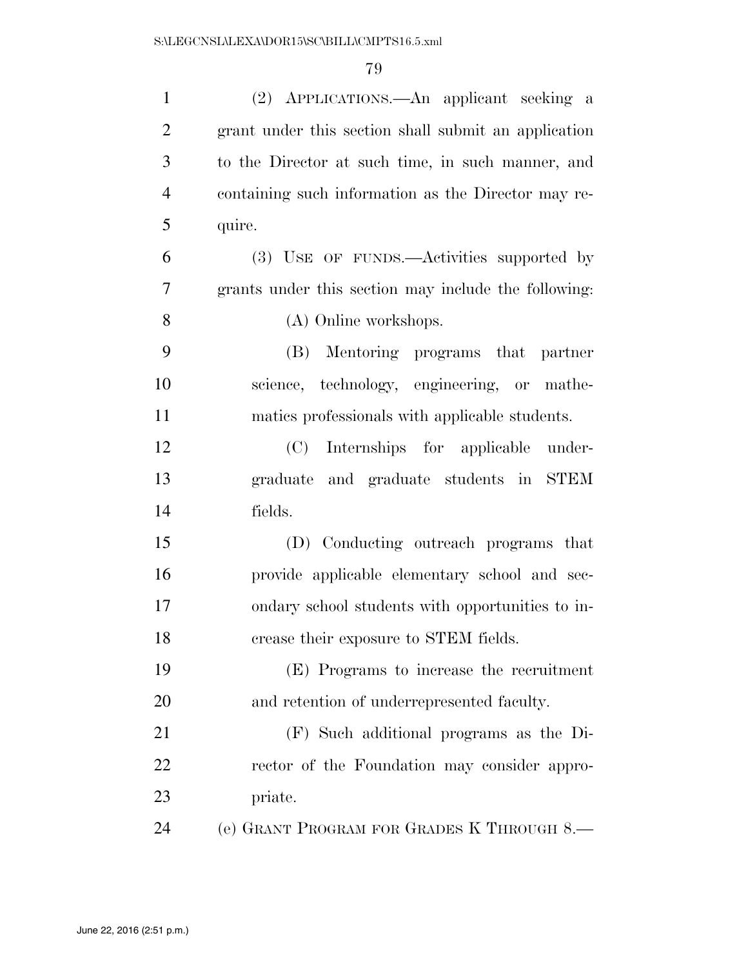| $\mathbf{1}$   | (2) APPLICATIONS.—An applicant seeking a             |
|----------------|------------------------------------------------------|
| $\overline{2}$ | grant under this section shall submit an application |
| 3              | to the Director at such time, in such manner, and    |
| $\overline{4}$ | containing such information as the Director may re-  |
| 5              | quire.                                               |
| 6              | (3) USE OF FUNDS.—Activities supported by            |
| 7              | grants under this section may include the following: |
| 8              | (A) Online workshops.                                |
| 9              | Mentoring programs that<br>(B)<br>partner            |
| 10             | science, technology, engineering, or mathe-          |
| 11             | matics professionals with applicable students.       |
| 12             | (C) Internships for applicable under-                |
| 13             | graduate and graduate students in STEM               |
| 14             | fields.                                              |
| 15             | (D) Conducting outreach programs that                |
| 16             | provide applicable elementary school and sec-        |
| 17             | ondary school students with opportunities to in-     |
| 18             | crease their exposure to STEM fields.                |
| 19             | (E) Programs to increase the recruitment             |
| 20             | and retention of underrepresented faculty.           |
| 21             | (F) Such additional programs as the Di-              |
| 22             | rector of the Foundation may consider appro-         |
| 23             | priate.                                              |
| 24             | (e) GRANT PROGRAM FOR GRADES K THROUGH 8.—           |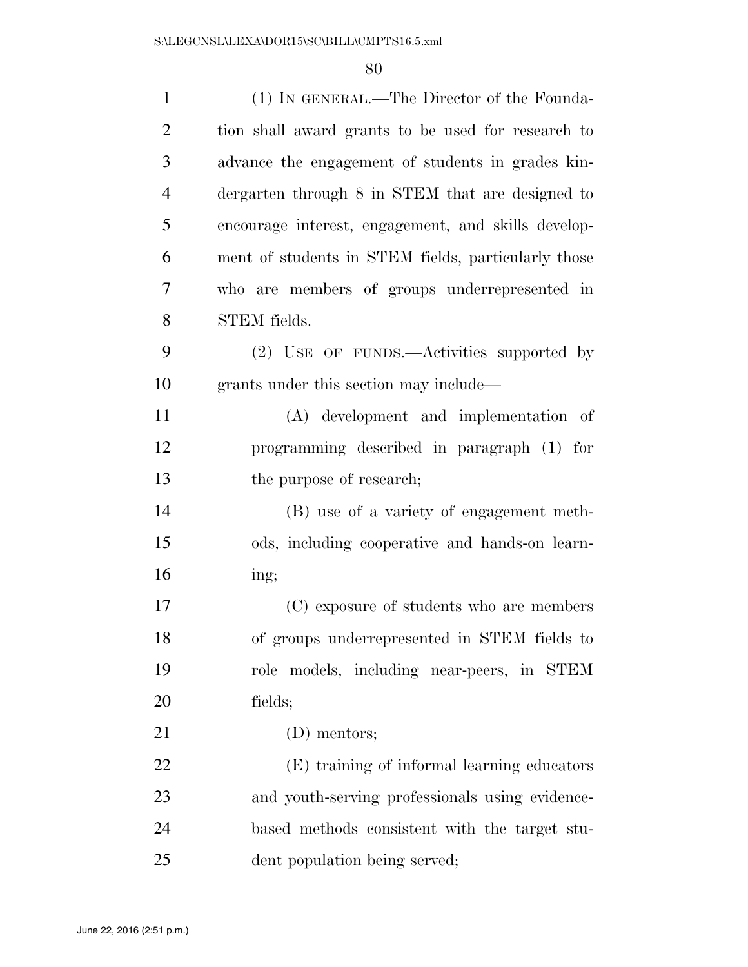| $\mathbf{1}$   | (1) IN GENERAL.—The Director of the Founda-         |
|----------------|-----------------------------------------------------|
| $\overline{2}$ | tion shall award grants to be used for research to  |
| 3              | advance the engagement of students in grades kin-   |
| $\overline{4}$ | dergarten through 8 in STEM that are designed to    |
| 5              | encourage interest, engagement, and skills develop- |
| 6              | ment of students in STEM fields, particularly those |
| 7              | who are members of groups underrepresented in       |
| 8              | <b>STEM</b> fields.                                 |
| 9              | (2) USE OF FUNDS.—Activities supported by           |
| 10             | grants under this section may include—              |
| 11             | (A) development and implementation of               |
| 12             | programming described in paragraph (1) for          |
| 13             | the purpose of research;                            |
| 14             | (B) use of a variety of engagement meth-            |
| 15             | ods, including cooperative and hands-on learn-      |
| 16             | ing;                                                |
| 17             | (C) exposure of students who are members            |
| 18             | of groups underrepresented in STEM fields to        |
| 19             | role models, including near-peers, in STEM          |
| 20             | fields;                                             |
| 21             | (D) mentors;                                        |
| 22             | (E) training of informal learning educators         |
| 23             | and youth-serving professionals using evidence-     |
| 24             | based methods consistent with the target stu-       |
| 25             | dent population being served;                       |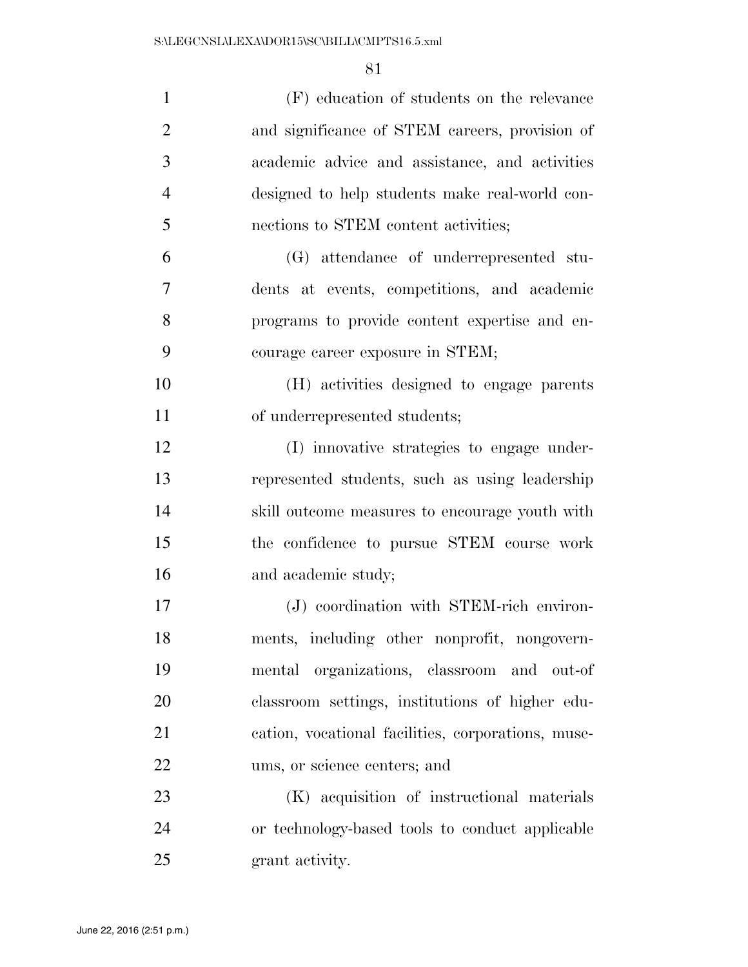| $\mathbf{1}$   | (F) education of students on the relevance         |
|----------------|----------------------------------------------------|
| $\overline{2}$ | and significance of STEM careers, provision of     |
| 3              | academic advice and assistance, and activities     |
| $\overline{4}$ | designed to help students make real-world con-     |
| 5              | nections to STEM content activities;               |
| 6              | (G) attendance of underrepresented stu-            |
| 7              | dents at events, competitions, and academic        |
| 8              | programs to provide content expertise and en-      |
| 9              | courage career exposure in STEM;                   |
| 10             | (H) activities designed to engage parents          |
| 11             | of underrepresented students;                      |
| 12             | (I) innovative strategies to engage under-         |
| 13             | represented students, such as using leadership     |
| 14             | skill outcome measures to encourage youth with     |
| 15             | the confidence to pursue STEM course work          |
| 16             | and academic study;                                |
| 17             | (J) coordination with STEM-rich environ-           |
| 18             | ments, including other nonprofit, nongovern-       |
| 19             | mental organizations, classroom and out-of         |
| 20             | classroom settings, institutions of higher edu-    |
| 21             | cation, vocational facilities, corporations, muse- |
| 22             | ums, or science centers; and                       |
| 23             | (K) acquisition of instructional materials         |
| 24             | or technology-based tools to conduct applicable    |
| 25             | grant activity.                                    |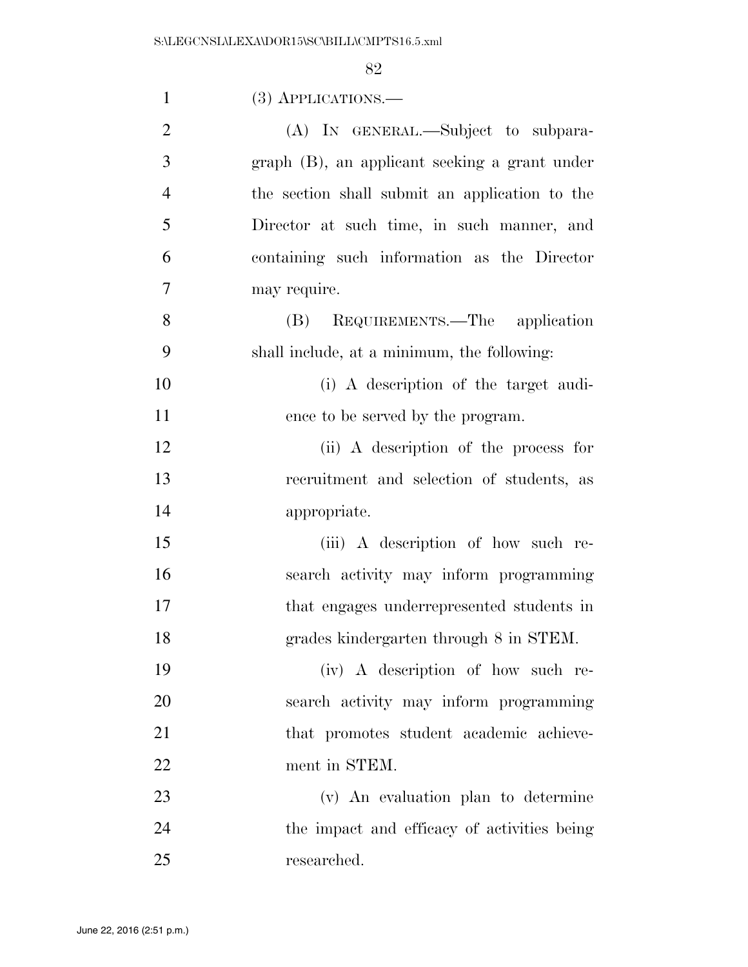| $\mathbf{1}$   | $(3)$ APPLICATIONS.—                           |
|----------------|------------------------------------------------|
| $\overline{2}$ | (A) IN GENERAL.—Subject to subpara-            |
| 3              | graph (B), an applicant seeking a grant under  |
| $\overline{4}$ | the section shall submit an application to the |
| 5              | Director at such time, in such manner, and     |
| 6              | containing such information as the Director    |
| 7              | may require.                                   |
| 8              | REQUIREMENTS.—The application<br>(B)           |
| 9              | shall include, at a minimum, the following:    |
| 10             | (i) A description of the target audi-          |
| 11             | ence to be served by the program.              |
| 12             | (ii) A description of the process for          |
| 13             | recruitment and selection of students, as      |
| 14             | appropriate.                                   |
| 15             | (iii) A description of how such re-            |
| 16             | search activity may inform programming         |
| 17             | that engages underrepresented students in      |
| 18             | grades kindergarten through 8 in STEM.         |
| 19             | (iv) A description of how such re-             |
| 20             | search activity may inform programming         |
| 21             | that promotes student academic achieve-        |
| 22             | ment in STEM.                                  |
| 23             | (v) An evaluation plan to determine            |
| 24             | the impact and efficacy of activities being    |
| 25             | researched.                                    |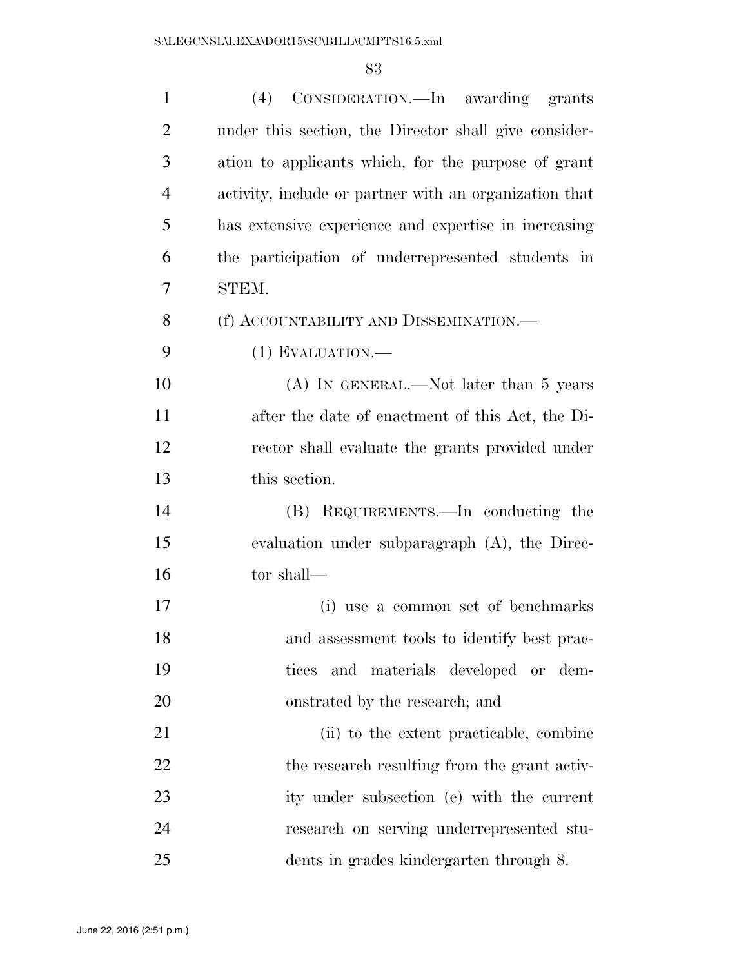| $\mathbf{1}$   | (4) CONSIDERATION.—In awarding grants                  |
|----------------|--------------------------------------------------------|
| $\overline{2}$ | under this section, the Director shall give consider-  |
| 3              | ation to applicants which, for the purpose of grant    |
| $\overline{4}$ | activity, include or partner with an organization that |
| 5              | has extensive experience and expertise in increasing   |
| 6              | the participation of underrepresented students in      |
| 7              | STEM.                                                  |
| 8              | (f) ACCOUNTABILITY AND DISSEMINATION.—                 |
| 9              | $(1)$ EVALUATION.—                                     |
| 10             | $(A)$ In GENERAL.—Not later than 5 years               |
| 11             | after the date of enactment of this Act, the Di-       |
| 12             | rector shall evaluate the grants provided under        |
| 13             | this section.                                          |
| 14             | (B) REQUIREMENTS.—In conducting the                    |
| 15             | evaluation under subparagraph (A), the Direc-          |
| 16             | tor shall—                                             |
| 17             | (i) use a common set of benchmarks                     |
| 18             | and assessment tools to identify best prac-            |
| 19             | and materials developed or dem-<br>tices               |
| 20             | onstrated by the research; and                         |
| 21             | (ii) to the extent practicable, combine                |
| 22             | the research resulting from the grant activ-           |
| 23             | ity under subsection (e) with the current              |
| 24             | research on serving underrepresented stu-              |
| 25             | dents in grades kindergarten through 8.                |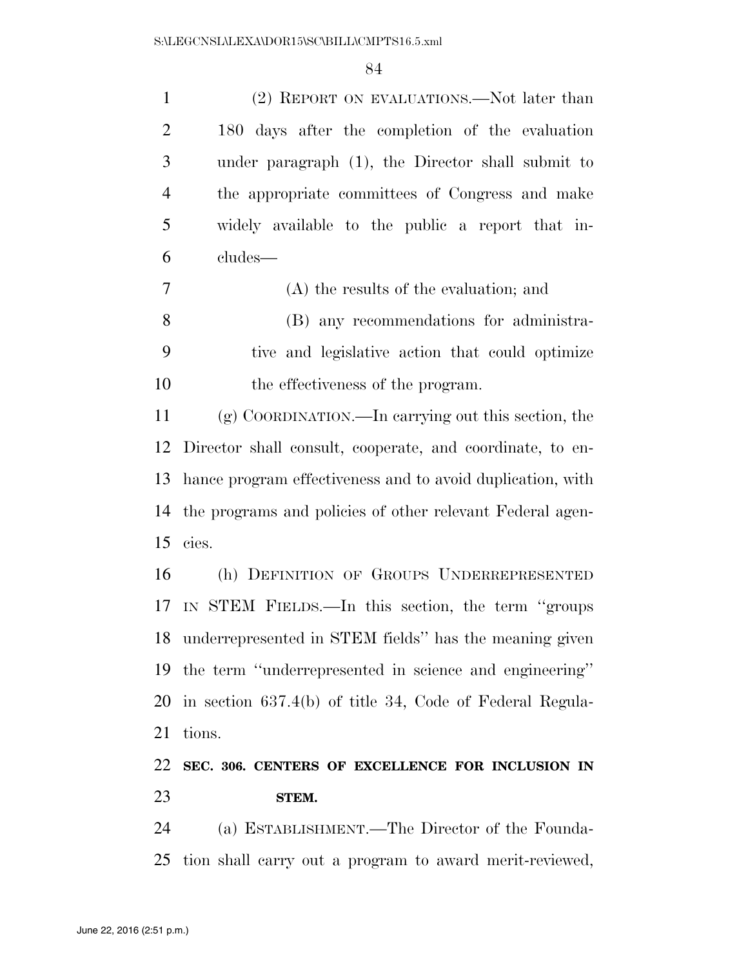|                | (2) REPORT ON EVALUATIONS.—Not later than         |
|----------------|---------------------------------------------------|
| 2              | 180 days after the completion of the evaluation   |
| 3              | under paragraph (1), the Director shall submit to |
| $\overline{4}$ | the appropriate committees of Congress and make   |
| 5              | widely available to the public a report that in-  |
| 6              | cludes—                                           |

|     | (A) the results of the evaluation; and          |
|-----|-------------------------------------------------|
| - 8 | (B) any recommendations for administra-         |
|     | tive and legislative action that could optimize |
| 10  | the effectiveness of the program.               |

 (g) COORDINATION.—In carrying out this section, the Director shall consult, cooperate, and coordinate, to en- hance program effectiveness and to avoid duplication, with the programs and policies of other relevant Federal agen-cies.

 (h) DEFINITION OF GROUPS UNDERREPRESENTED IN STEM FIELDS.—In this section, the term ''groups underrepresented in STEM fields'' has the meaning given the term ''underrepresented in science and engineering'' in section 637.4(b) of title 34, Code of Federal Regula-tions.

## **SEC. 306. CENTERS OF EXCELLENCE FOR INCLUSION IN STEM.**

 (a) ESTABLISHMENT.—The Director of the Founda-tion shall carry out a program to award merit-reviewed,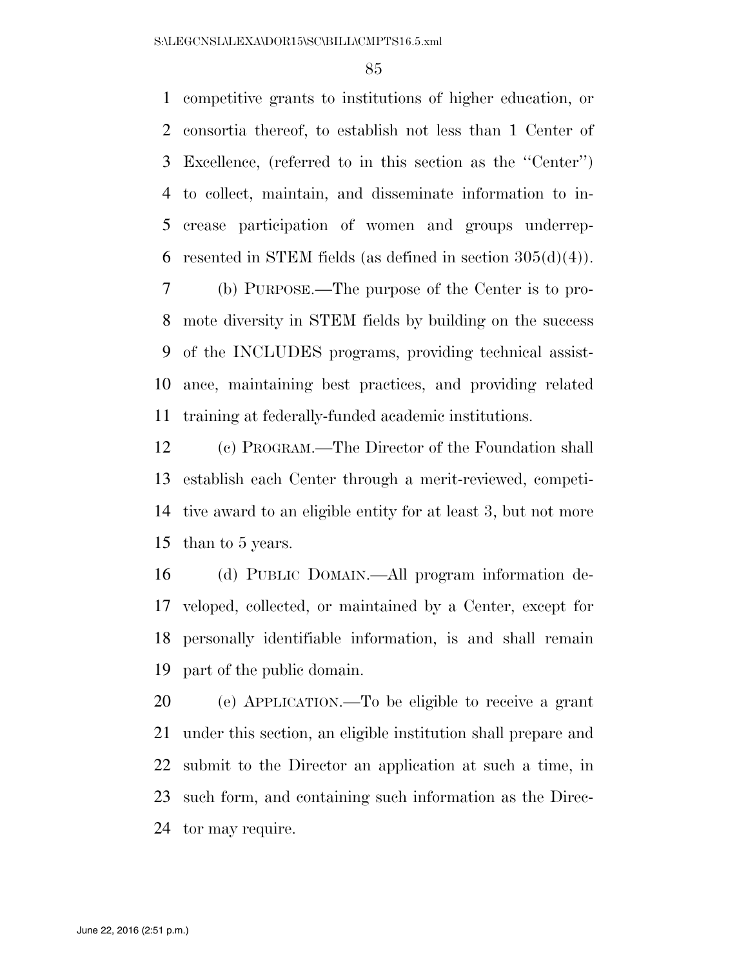competitive grants to institutions of higher education, or consortia thereof, to establish not less than 1 Center of Excellence, (referred to in this section as the ''Center'') to collect, maintain, and disseminate information to in- crease participation of women and groups underrep-6 resented in STEM fields (as defined in section  $305(d)(4)$ ).

 (b) PURPOSE.—The purpose of the Center is to pro- mote diversity in STEM fields by building on the success of the INCLUDES programs, providing technical assist- ance, maintaining best practices, and providing related training at federally-funded academic institutions.

 (c) PROGRAM.—The Director of the Foundation shall establish each Center through a merit-reviewed, competi- tive award to an eligible entity for at least 3, but not more than to 5 years.

 (d) PUBLIC DOMAIN.—All program information de- veloped, collected, or maintained by a Center, except for personally identifiable information, is and shall remain part of the public domain.

 (e) APPLICATION.—To be eligible to receive a grant under this section, an eligible institution shall prepare and submit to the Director an application at such a time, in such form, and containing such information as the Direc-tor may require.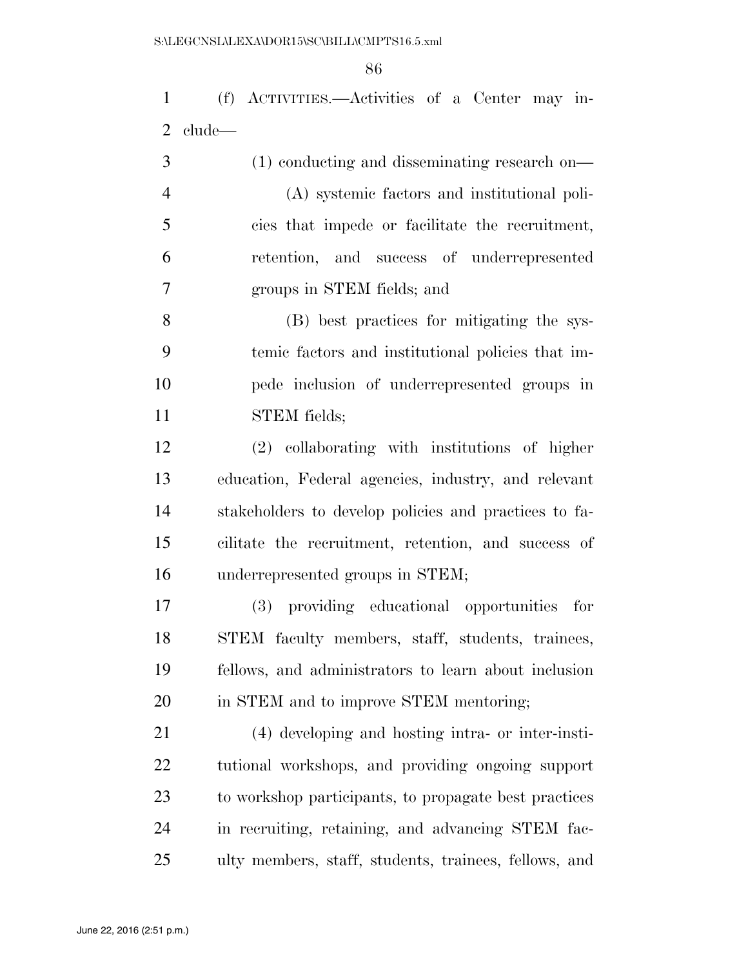(f) ACTIVITIES.—Activities of a Center may in-clude—

| 3              | $(1)$ conducting and disseminating research on— |
|----------------|-------------------------------------------------|
| $\overline{4}$ | (A) systemic factors and institutional poli-    |
| 5              | cies that impede or facilitate the recruitment, |
| 6              | retention, and success of underrepresented      |
|                | groups in STEM fields; and                      |

 (B) best practices for mitigating the sys- temic factors and institutional policies that im- pede inclusion of underrepresented groups in STEM fields;

 (2) collaborating with institutions of higher education, Federal agencies, industry, and relevant stakeholders to develop policies and practices to fa- cilitate the recruitment, retention, and success of underrepresented groups in STEM;

 (3) providing educational opportunities for STEM faculty members, staff, students, trainees, fellows, and administrators to learn about inclusion in STEM and to improve STEM mentoring;

 (4) developing and hosting intra- or inter-insti- tutional workshops, and providing ongoing support to workshop participants, to propagate best practices in recruiting, retaining, and advancing STEM fac-ulty members, staff, students, trainees, fellows, and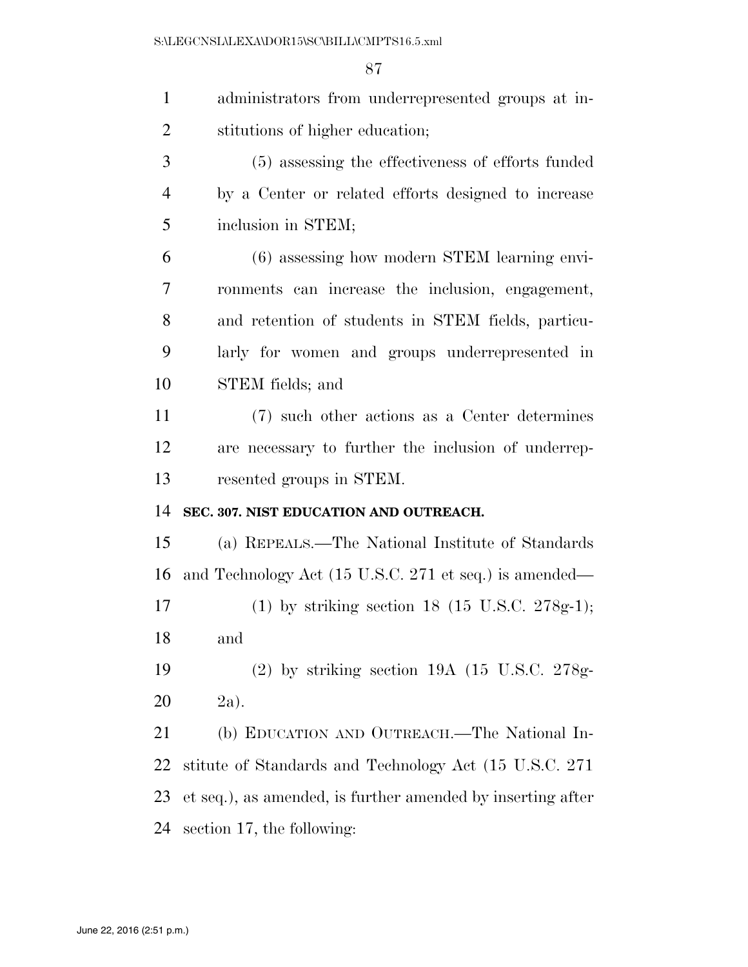| $\mathbf{1}$   | administrators from underrepresented groups at in-          |
|----------------|-------------------------------------------------------------|
| $\overline{2}$ | stitutions of higher education;                             |
| 3              | (5) assessing the effectiveness of efforts funded           |
| $\overline{4}$ | by a Center or related efforts designed to increase         |
| 5              | inclusion in STEM;                                          |
| 6              | (6) assessing how modern STEM learning envi-                |
| 7              | ronments can increase the inclusion, engagement,            |
| 8              | and retention of students in STEM fields, particu-          |
| 9              | larly for women and groups underrepresented in              |
| 10             | STEM fields; and                                            |
| 11             | (7) such other actions as a Center determines               |
| 12             | are necessary to further the inclusion of underrep-         |
| 13             | resented groups in STEM.                                    |
| 14             | SEC. 307. NIST EDUCATION AND OUTREACH.                      |
| 15             | (a) REPEALS.—The National Institute of Standards            |
| 16             | and Technology Act (15 U.S.C. 271 et seq.) is amended—      |
| 17             | (1) by striking section 18 (15 U.S.C. 278g-1);              |
| 18             | and                                                         |
| 19             | $(2)$ by striking section 19A $(15 \text{ U.S.C. } 278g$    |
| 20             | $2a$ ).                                                     |
| 21             | (b) EDUCATION AND OUTREACH.—The National In-                |
| 22             | stitute of Standards and Technology Act (15 U.S.C. 271)     |
| 23             | et seq.), as amended, is further amended by inserting after |
| 24             | section 17, the following:                                  |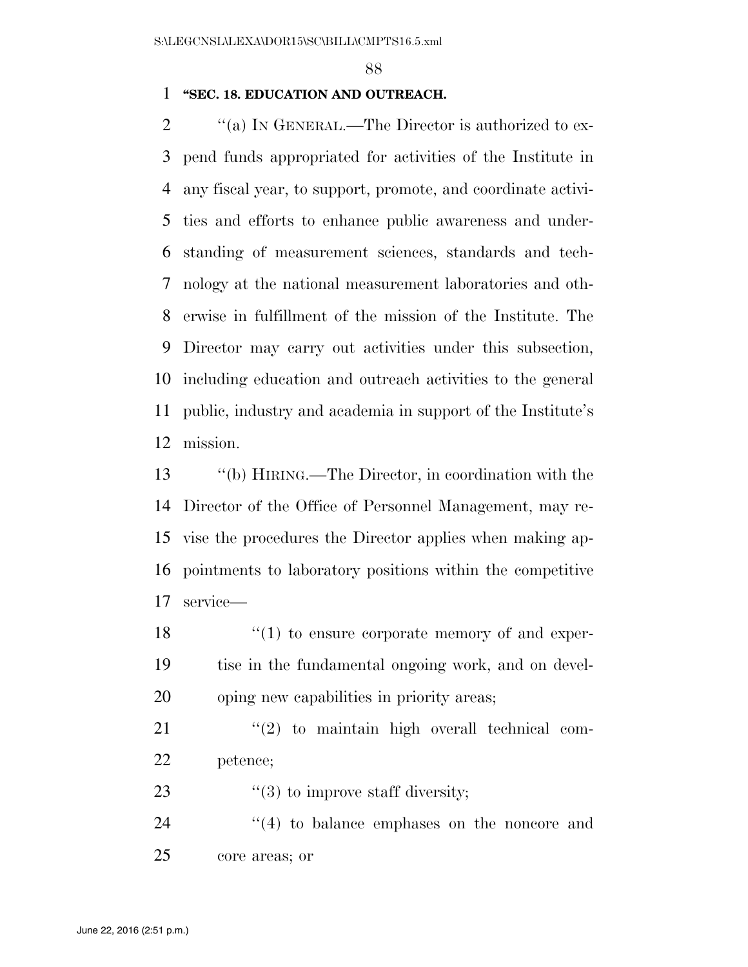#### **''SEC. 18. EDUCATION AND OUTREACH.**

 $\gamma$  (a) In GENERAL.—The Director is authorized to ex- pend funds appropriated for activities of the Institute in any fiscal year, to support, promote, and coordinate activi- ties and efforts to enhance public awareness and under- standing of measurement sciences, standards and tech- nology at the national measurement laboratories and oth- erwise in fulfillment of the mission of the Institute. The Director may carry out activities under this subsection, including education and outreach activities to the general public, industry and academia in support of the Institute's mission.

 ''(b) HIRING.—The Director, in coordination with the Director of the Office of Personnel Management, may re- vise the procedures the Director applies when making ap- pointments to laboratory positions within the competitive service—

18  $\frac{1}{2}$  (1) to ensure corporate memory of and exper- tise in the fundamental ongoing work, and on devel-oping new capabilities in priority areas;

  $\qquad$  ''(2) to maintain high overall technical com-petence;

23  $\frac{4}{3}$  to improve staff diversity;

24 ''(4) to balance emphases on the noncore and core areas; or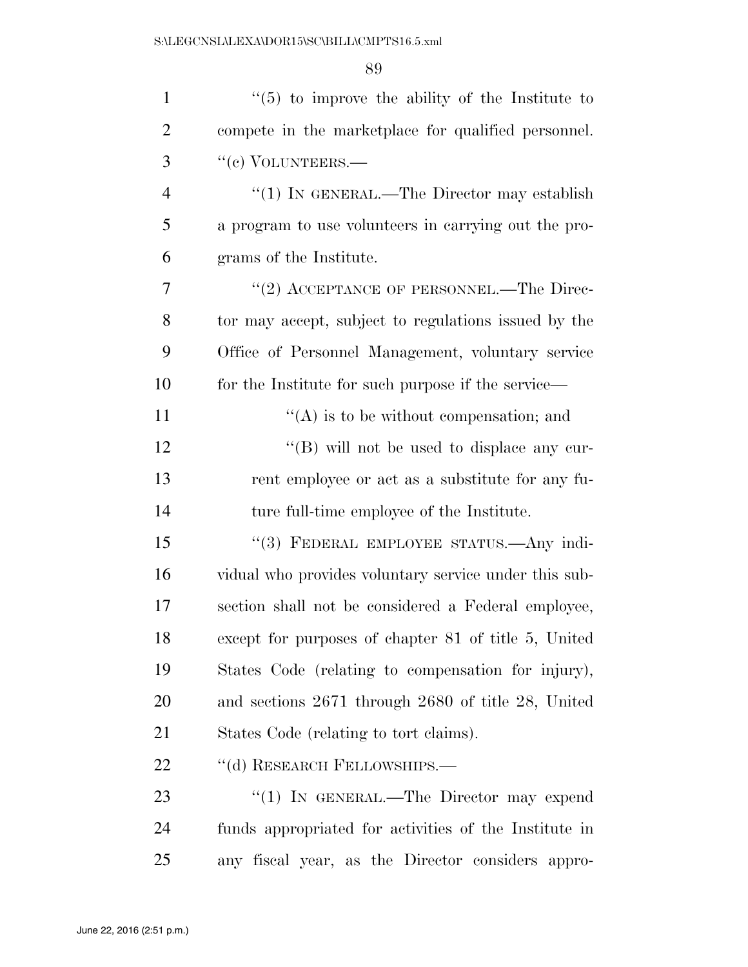| $\mathbf{1}$   | $\cdot\cdot$ (5) to improve the ability of the Institute to |
|----------------|-------------------------------------------------------------|
| $\overline{2}$ | compete in the marketplace for qualified personnel.         |
| 3              | "(c) VOLUNTEERS.—                                           |
| $\overline{4}$ | "(1) IN GENERAL.—The Director may establish                 |
| 5              | a program to use volunteers in carrying out the pro-        |
| 6              | grams of the Institute.                                     |
| 7              | "(2) ACCEPTANCE OF PERSONNEL.—The Direc-                    |
| 8              | tor may accept, subject to regulations issued by the        |
| 9              | Office of Personnel Management, voluntary service           |
| 10             | for the Institute for such purpose if the service—          |
| 11             | $\lq\lq$ is to be without compensation; and                 |
| 12             | "(B) will not be used to displace any cur-                  |
| 13             | rent employee or act as a substitute for any fu-            |
| 14             | ture full-time employee of the Institute.                   |
| 15             | "(3) FEDERAL EMPLOYEE STATUS.—Any indi-                     |
| 16             | vidual who provides voluntary service under this sub-       |
| 17             | section shall not be considered a Federal employee,         |
| 18             | except for purposes of chapter 81 of title 5, United        |
| 19             | States Code (relating to compensation for injury),          |
| 20             | and sections 2671 through 2680 of title 28, United          |
| 21             | States Code (relating to tort claims).                      |
| 22             | "(d) RESEARCH FELLOWSHIPS.-                                 |
| 23             | "(1) IN GENERAL.—The Director may expend                    |
| 24             | funds appropriated for activities of the Institute in       |
| 25             | any fiscal year, as the Director considers appro-           |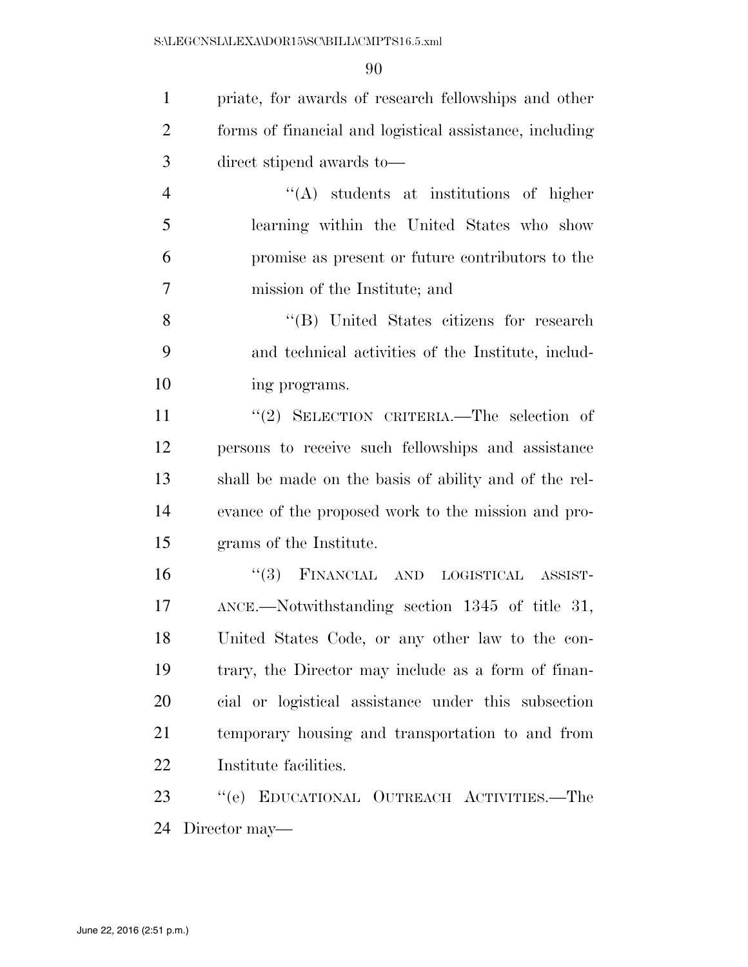priate, for awards of research fellowships and other forms of financial and logistical assistance, including direct stipend awards to— ''(A) students at institutions of higher

 learning within the United States who show promise as present or future contributors to the mission of the Institute; and

 ''(B) United States citizens for research and technical activities of the Institute, includ-ing programs.

11 ''(2) SELECTION CRITERIA.—The selection of persons to receive such fellowships and assistance shall be made on the basis of ability and of the rel- evance of the proposed work to the mission and pro-grams of the Institute.

 ''(3) FINANCIAL AND LOGISTICAL ASSIST- ANCE.—Notwithstanding section 1345 of title 31, United States Code, or any other law to the con- trary, the Director may include as a form of finan- cial or logistical assistance under this subsection temporary housing and transportation to and from Institute facilities.

 ''(e) EDUCATIONAL OUTREACH ACTIVITIES.—The Director may—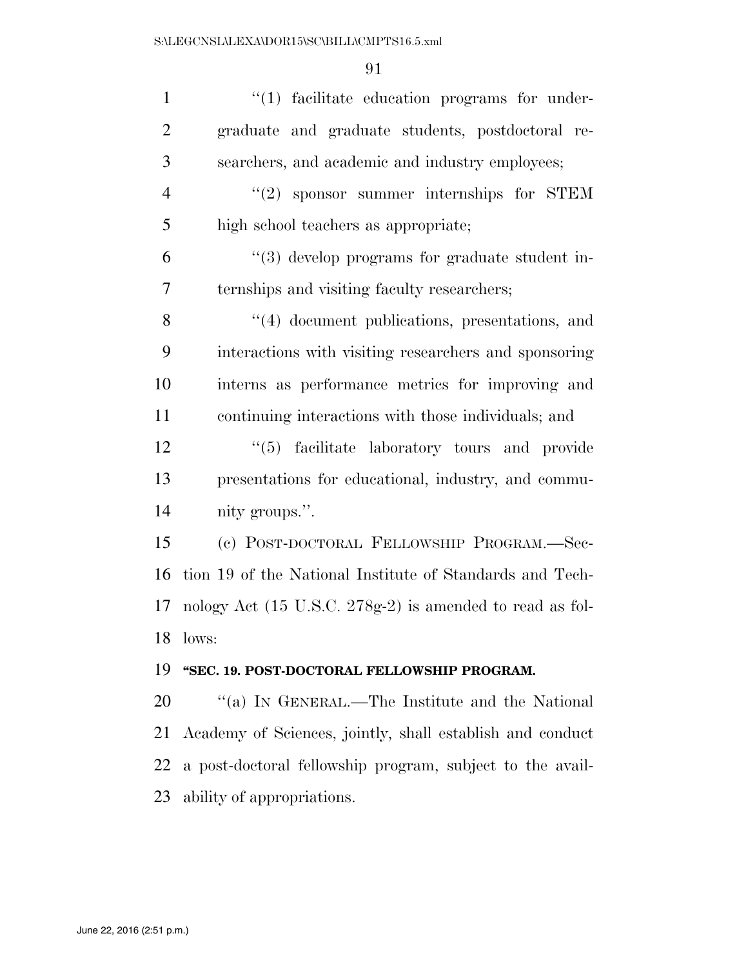| $\mathbf{1}$   | $\lq(1)$ facilitate education programs for under-         |
|----------------|-----------------------------------------------------------|
| $\overline{2}$ | graduate and graduate students, postdoctoral re-          |
| 3              | searchers, and academic and industry employees;           |
| $\overline{4}$ | $"(2)$ sponsor summer internships for STEM                |
| 5              | high school teachers as appropriate;                      |
| 6              | $\lq(3)$ develop programs for graduate student in-        |
| $\overline{7}$ | ternships and visiting faculty researchers;               |
| 8              | "(4) document publications, presentations, and            |
| 9              | interactions with visiting researchers and sponsoring     |
| 10             | interns as performance metrics for improving and          |
| 11             | continuing interactions with those individuals; and       |
| 12             | "(5) facilitate laboratory tours and provide              |
| 13             | presentations for educational, industry, and commu-       |
| 14             | nity groups.".                                            |
| 15             | (c) POST-DOCTORAL FELLOWSHIP PROGRAM.-Sec-                |
| 16             | tion 19 of the National Institute of Standards and Tech-  |
| 17             | nology Act (15 U.S.C. 278g-2) is amended to read as fol-  |
| 18             | lows:                                                     |
| 19             | "SEC. 19. POST-DOCTORAL FELLOWSHIP PROGRAM.               |
| 20             | "(a) IN GENERAL.—The Institute and the National           |
| 21             | Academy of Sciences, jointly, shall establish and conduct |
| 22             | a post-doctoral fellowship program, subject to the avail- |
| 23             | ability of appropriations.                                |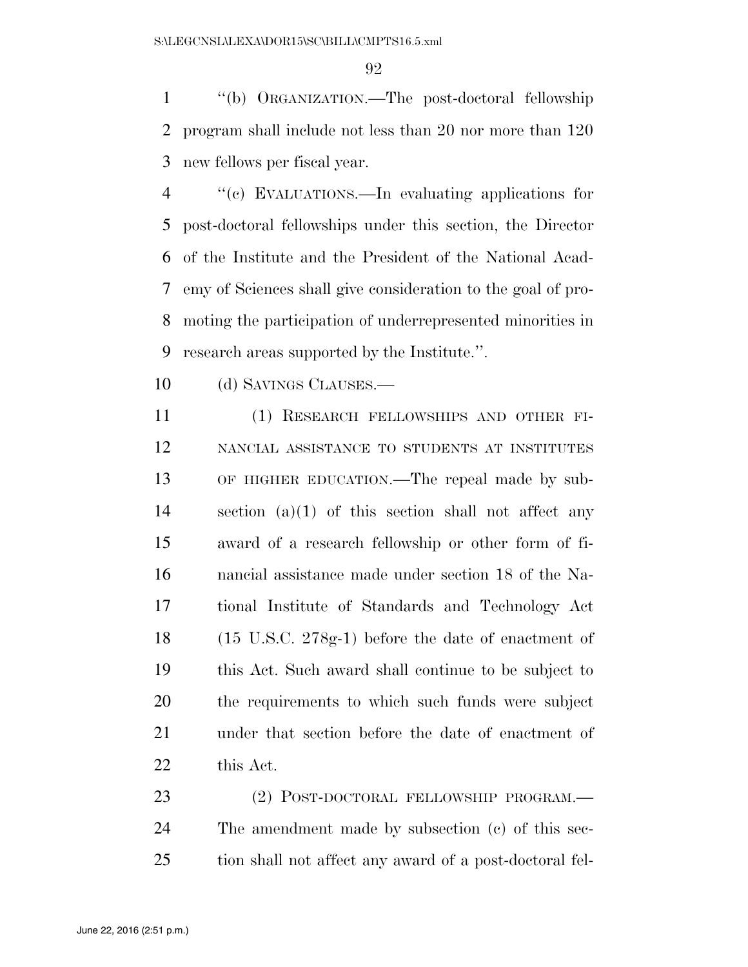''(b) ORGANIZATION.—The post-doctoral fellowship program shall include not less than 20 nor more than 120 new fellows per fiscal year.

 ''(c) EVALUATIONS.—In evaluating applications for post-doctoral fellowships under this section, the Director of the Institute and the President of the National Acad- emy of Sciences shall give consideration to the goal of pro- moting the participation of underrepresented minorities in research areas supported by the Institute.''.

10 (d) SAVINGS CLAUSES.—

 (1) RESEARCH FELLOWSHIPS AND OTHER FI- NANCIAL ASSISTANCE TO STUDENTS AT INSTITUTES OF HIGHER EDUCATION.—The repeal made by sub- section (a)(1) of this section shall not affect any award of a research fellowship or other form of fi- nancial assistance made under section 18 of the Na- tional Institute of Standards and Technology Act (15 U.S.C. 278g-1) before the date of enactment of this Act. Such award shall continue to be subject to the requirements to which such funds were subject under that section before the date of enactment of this Act.

23 (2) POST-DOCTORAL FELLOWSHIP PROGRAM.— The amendment made by subsection (c) of this sec-tion shall not affect any award of a post-doctoral fel-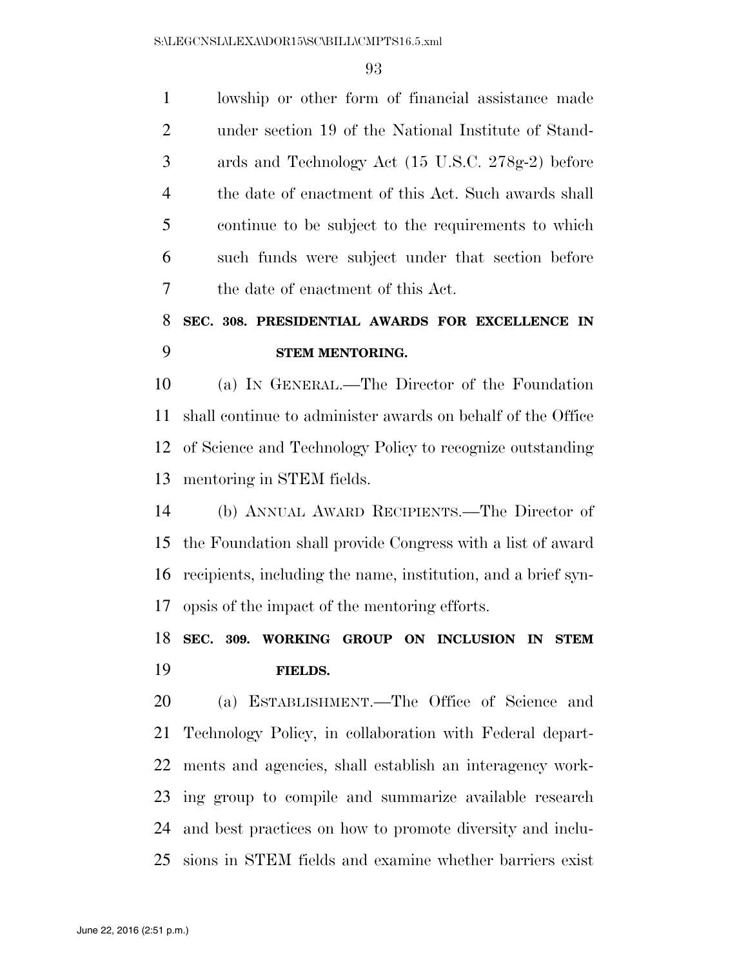lowship or other form of financial assistance made under section 19 of the National Institute of Stand- ards and Technology Act (15 U.S.C. 278g-2) before the date of enactment of this Act. Such awards shall continue to be subject to the requirements to which such funds were subject under that section before the date of enactment of this Act.

# **SEC. 308. PRESIDENTIAL AWARDS FOR EXCELLENCE IN STEM MENTORING.**

 (a) IN GENERAL.—The Director of the Foundation shall continue to administer awards on behalf of the Office of Science and Technology Policy to recognize outstanding mentoring in STEM fields.

 (b) ANNUAL AWARD RECIPIENTS.—The Director of the Foundation shall provide Congress with a list of award recipients, including the name, institution, and a brief syn-opsis of the impact of the mentoring efforts.

# **SEC. 309. WORKING GROUP ON INCLUSION IN STEM FIELDS.**

 (a) ESTABLISHMENT.—The Office of Science and Technology Policy, in collaboration with Federal depart- ments and agencies, shall establish an interagency work- ing group to compile and summarize available research and best practices on how to promote diversity and inclu-sions in STEM fields and examine whether barriers exist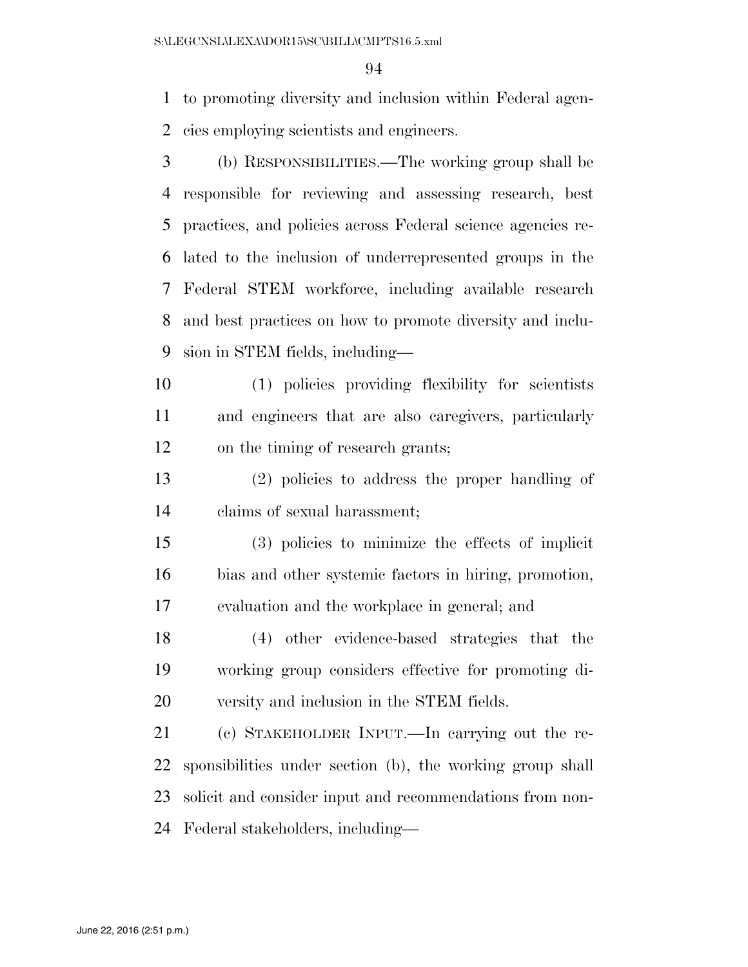to promoting diversity and inclusion within Federal agen-cies employing scientists and engineers.

- (b) RESPONSIBILITIES.—The working group shall be responsible for reviewing and assessing research, best practices, and policies across Federal science agencies re- lated to the inclusion of underrepresented groups in the Federal STEM workforce, including available research and best practices on how to promote diversity and inclu-sion in STEM fields, including—
- (1) policies providing flexibility for scientists and engineers that are also caregivers, particularly on the timing of research grants;
- (2) policies to address the proper handling of claims of sexual harassment;
- (3) policies to minimize the effects of implicit bias and other systemic factors in hiring, promotion, evaluation and the workplace in general; and
- (4) other evidence-based strategies that the working group considers effective for promoting di-versity and inclusion in the STEM fields.
- (c) STAKEHOLDER INPUT.—In carrying out the re- sponsibilities under section (b), the working group shall solicit and consider input and recommendations from non-Federal stakeholders, including—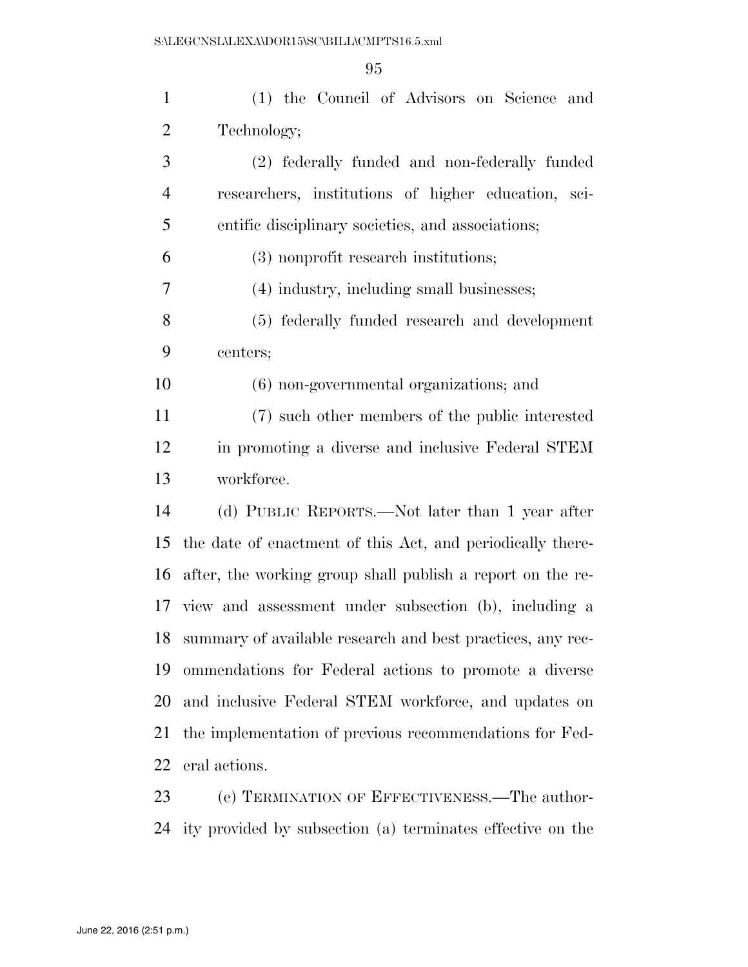| $\mathbf{1}$   | (1) the Council of Advisors on Science and                 |
|----------------|------------------------------------------------------------|
| $\overline{2}$ | Technology;                                                |
| 3              | (2) federally funded and non-federally funded              |
| $\overline{4}$ | researchers, institutions of higher education, sci-        |
| 5              | entific disciplinary societies, and associations;          |
| 6              | (3) nonprofit research institutions;                       |
| 7              | (4) industry, including small businesses;                  |
| 8              | (5) federally funded research and development              |
| 9              | centers;                                                   |
| 10             | (6) non-governmental organizations; and                    |
| 11             | (7) such other members of the public interested            |
| 12             | in promoting a diverse and inclusive Federal STEM          |
| 13             | workforce.                                                 |
| 14             | (d) PUBLIC REPORTS.—Not later than 1 year after            |
| 15             | the date of enactment of this Act, and periodically there- |
| 16             | after, the working group shall publish a report on the re- |
|                | 17 view and assessment under subsection (b), including a   |
| 18             | summary of available research and best practices, any rec- |
| 19             | ommendations for Federal actions to promote a diverse      |
| 20             | and inclusive Federal STEM workforce, and updates on       |
| 21             | the implementation of previous recommendations for Fed-    |
| 22             | eral actions.                                              |
| 23             | (e) TERMINATION OF EFFECTIVENESS.—The author-              |

ity provided by subsection (a) terminates effective on the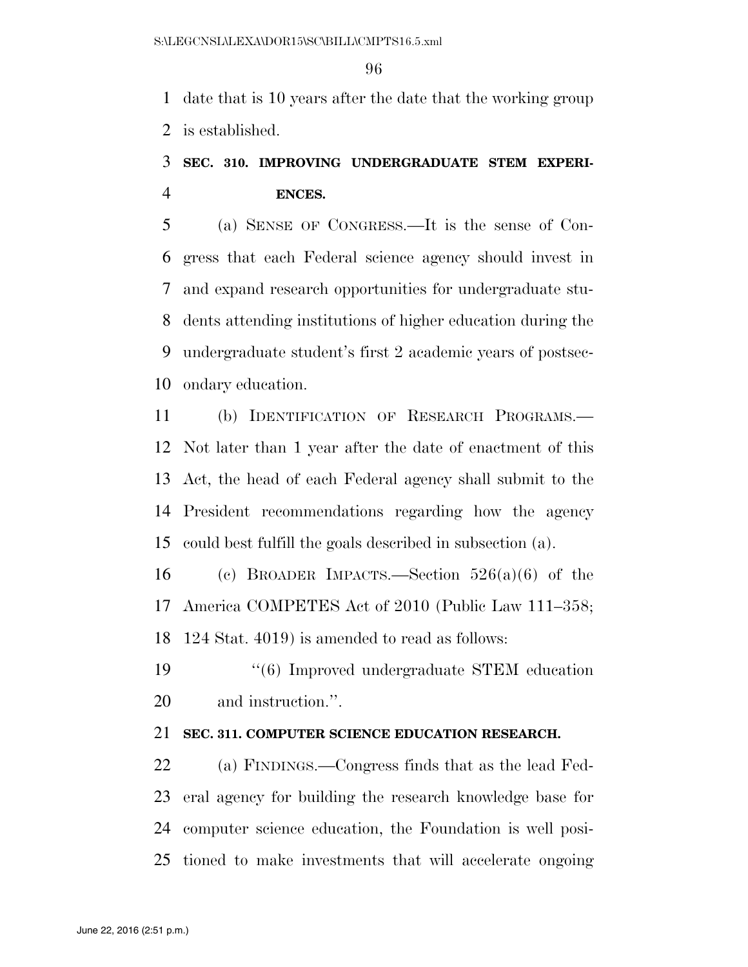date that is 10 years after the date that the working group is established.

## **SEC. 310. IMPROVING UNDERGRADUATE STEM EXPERI-ENCES.**

 (a) SENSE OF CONGRESS.—It is the sense of Con- gress that each Federal science agency should invest in and expand research opportunities for undergraduate stu- dents attending institutions of higher education during the undergraduate student's first 2 academic years of postsec-ondary education.

 (b) IDENTIFICATION OF RESEARCH PROGRAMS.— Not later than 1 year after the date of enactment of this Act, the head of each Federal agency shall submit to the President recommendations regarding how the agency could best fulfill the goals described in subsection (a).

16 (c) BROADER IMPACTS.—Section  $526(a)(6)$  of the America COMPETES Act of 2010 (Public Law 111–358; 124 Stat. 4019) is amended to read as follows:

 ''(6) Improved undergraduate STEM education and instruction.''.

### **SEC. 311. COMPUTER SCIENCE EDUCATION RESEARCH.**

 (a) FINDINGS.—Congress finds that as the lead Fed- eral agency for building the research knowledge base for computer science education, the Foundation is well posi-tioned to make investments that will accelerate ongoing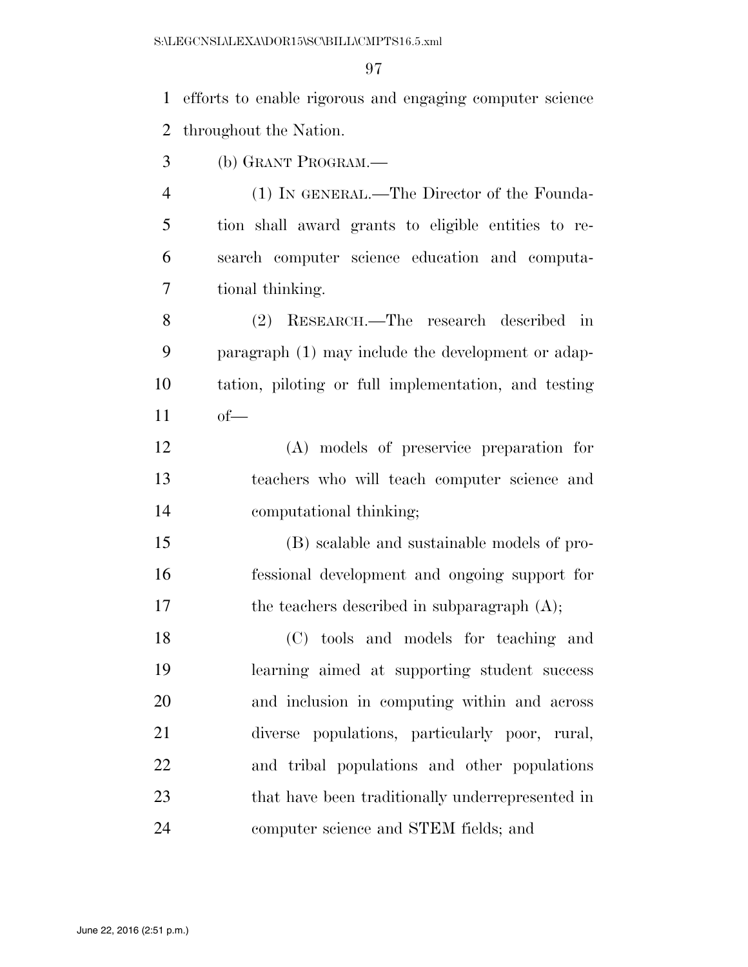efforts to enable rigorous and engaging computer science throughout the Nation.

(b) GRANT PROGRAM.—

 (1) IN GENERAL.—The Director of the Founda- tion shall award grants to eligible entities to re- search computer science education and computa-tional thinking.

 (2) RESEARCH.—The research described in paragraph (1) may include the development or adap- tation, piloting or full implementation, and testing of—

 (A) models of preservice preparation for teachers who will teach computer science and computational thinking;

 (B) scalable and sustainable models of pro- fessional development and ongoing support for 17 the teachers described in subparagraph  $(A)$ ;

 (C) tools and models for teaching and learning aimed at supporting student success and inclusion in computing within and across diverse populations, particularly poor, rural, and tribal populations and other populations that have been traditionally underrepresented in computer science and STEM fields; and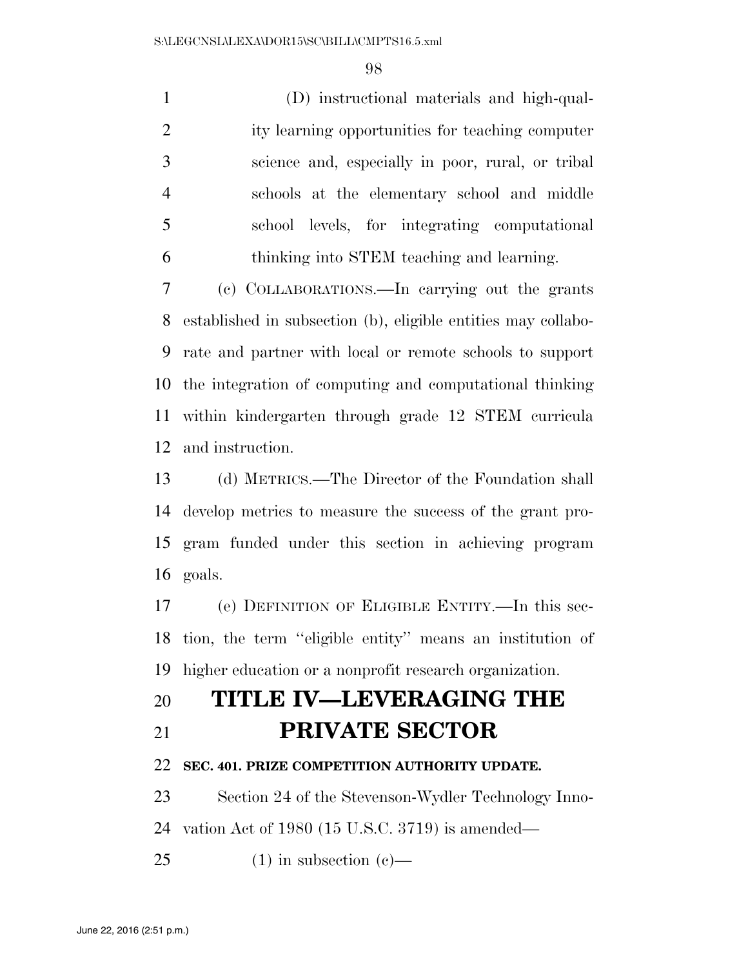(D) instructional materials and high-qual- ity learning opportunities for teaching computer science and, especially in poor, rural, or tribal schools at the elementary school and middle school levels, for integrating computational thinking into STEM teaching and learning. (c) COLLABORATIONS.—In carrying out the grants

 established in subsection (b), eligible entities may collabo- rate and partner with local or remote schools to support the integration of computing and computational thinking within kindergarten through grade 12 STEM curricula and instruction.

 (d) METRICS.—The Director of the Foundation shall develop metrics to measure the success of the grant pro- gram funded under this section in achieving program goals.

 (e) DEFINITION OF ELIGIBLE ENTITY.—In this sec- tion, the term ''eligible entity'' means an institution of higher education or a nonprofit research organization.

# **TITLE IV—LEVERAGING THE PRIVATE SECTOR**

#### **SEC. 401. PRIZE COMPETITION AUTHORITY UPDATE.**

Section 24 of the Stevenson-Wydler Technology Inno-

vation Act of 1980 (15 U.S.C. 3719) is amended—

25 (1) in subsection  $(c)$ —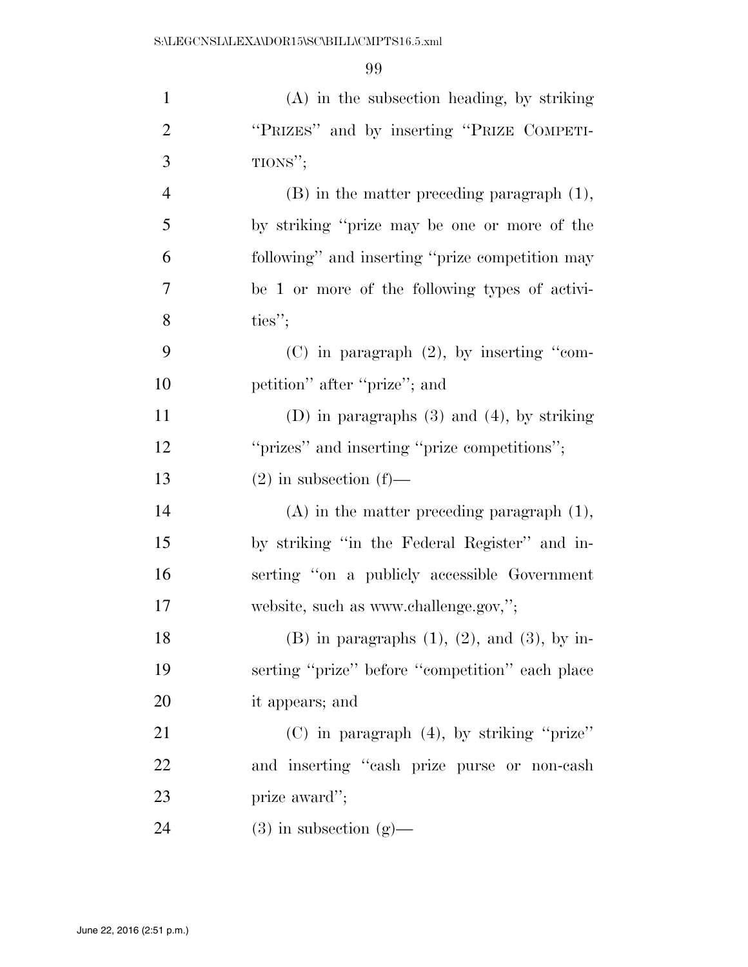| $\mathbf{1}$   | $(A)$ in the subsection heading, by striking           |
|----------------|--------------------------------------------------------|
| $\overline{2}$ | "PRIZES" and by inserting "PRIZE COMPETI-              |
| 3              | TIONS";                                                |
| $\overline{4}$ | $(B)$ in the matter preceding paragraph $(1)$ ,        |
| 5              | by striking "prize may be one or more of the           |
| 6              | following" and inserting "prize competition may        |
| 7              | be 1 or more of the following types of activi-         |
| 8              | ties";                                                 |
| 9              | $(C)$ in paragraph $(2)$ , by inserting "com-          |
| 10             | petition" after "prize"; and                           |
| 11             | (D) in paragraphs $(3)$ and $(4)$ , by striking        |
| 12             | "prizes" and inserting "prize competitions";           |
| 13             | $(2)$ in subsection $(f)$ —                            |
| 14             | $(A)$ in the matter preceding paragraph $(1)$ ,        |
| 15             | by striking "in the Federal Register" and in-          |
| 16             | serting "on a publicly accessible Government           |
| 17             | website, such as www.challenge.gov,";                  |
| 18             | $(B)$ in paragraphs $(1)$ , $(2)$ , and $(3)$ , by in- |
| 19             | serting "prize" before "competition" each place        |
| 20             | it appears; and                                        |
| 21             | $(C)$ in paragraph $(4)$ , by striking "prize"         |
| 22             | and inserting "cash prize purse or non-cash"           |
| 23             | prize award";                                          |
| 24             | $(3)$ in subsection $(g)$ —                            |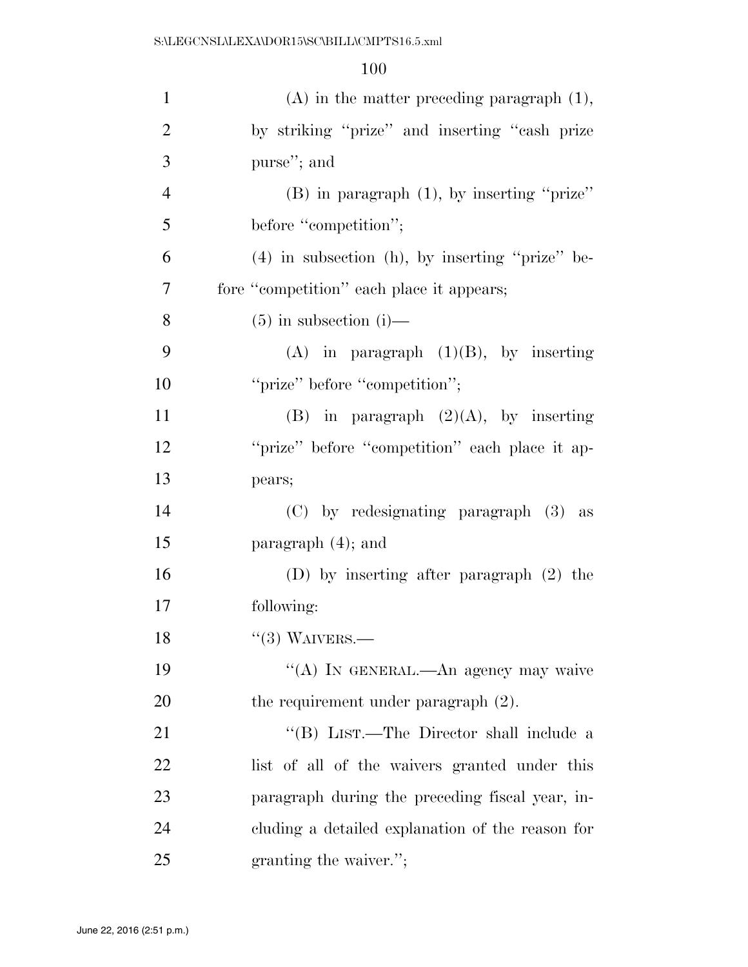| $\mathbf{1}$   | $(A)$ in the matter preceding paragraph $(1)$ ,      |
|----------------|------------------------------------------------------|
| $\overline{2}$ | by striking "prize" and inserting "cash prize        |
| 3              | purse"; and                                          |
| $\overline{4}$ | $(B)$ in paragraph $(1)$ , by inserting "prize"      |
| 5              | before "competition";                                |
| 6              | $(4)$ in subsection $(h)$ , by inserting "prize" be- |
| 7              | fore "competition" each place it appears;            |
| 8              | $(5)$ in subsection (i)—                             |
| 9              | $(A)$ in paragraph $(1)(B)$ , by inserting           |
| 10             | "prize" before "competition";                        |
| 11             | (B) in paragraph $(2)(A)$ , by inserting             |
| 12             | "prize" before "competition" each place it ap-       |
| 13             | pears;                                               |
| 14             | (C) by redesignating paragraph (3) as                |
| 15             | paragraph $(4)$ ; and                                |
| 16             | (D) by inserting after paragraph $(2)$ the           |
| 17             | following:                                           |
| 18             | $``(3)$ WAIVERS.—                                    |
| 19             | "(A) IN GENERAL.—An agency may waive                 |
| 20             | the requirement under paragraph $(2)$ .              |
| 21             | "(B) LIST.—The Director shall include a              |
| 22             | list of all of the waivers granted under this        |
| 23             | paragraph during the preceding fiscal year, in-      |
| 24             | cluding a detailed explanation of the reason for     |
| 25             | granting the waiver.";                               |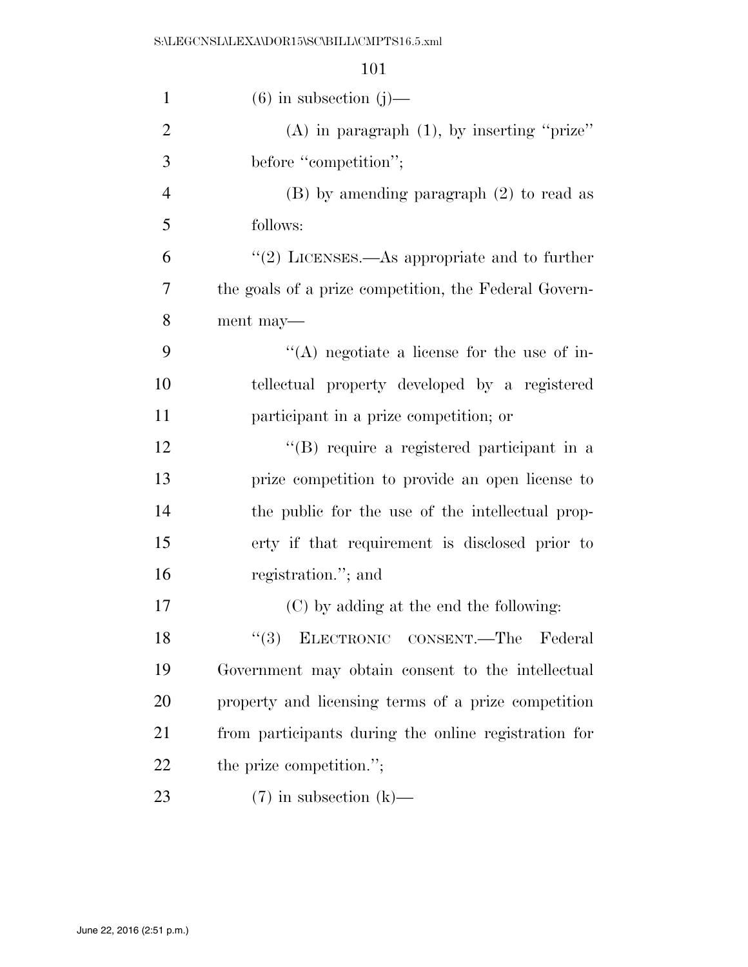| $\mathbf{1}$   | $(6)$ in subsection $(j)$ —                                  |
|----------------|--------------------------------------------------------------|
| $\mathfrak{2}$ | (A) in paragraph $(1)$ , by inserting "prize"                |
| 3              | before "competition";                                        |
| $\overline{4}$ | $(B)$ by amending paragraph $(2)$ to read as                 |
| 5              | follows:                                                     |
| 6              | $\cdot\cdot\cdot(2)$ LICENSES.—As appropriate and to further |
| 7              | the goals of a prize competition, the Federal Govern-        |
| 8              | ment may—                                                    |
| 9              | $\lq\lq$ negotiate a license for the use of in-              |
| 10             | tellectual property developed by a registered                |
| 11             | participant in a prize competition; or                       |
| 12             | "(B) require a registered participant in a                   |
| 13             | prize competition to provide an open license to              |
| 14             | the public for the use of the intellectual prop-             |
| 15             | erty if that requirement is disclosed prior to               |
| 16             | registration."; and                                          |
| 17             | (C) by adding at the end the following:                      |
| 18             | "(3) ELECTRONIC CONSENT.—The Federal                         |
| 19             | Government may obtain consent to the intellectual            |
| 20             | property and licensing terms of a prize competition          |
| 21             | from participants during the online registration for         |
| 22             | the prize competition.";                                     |
| 23             | $(7)$ in subsection $(k)$ —                                  |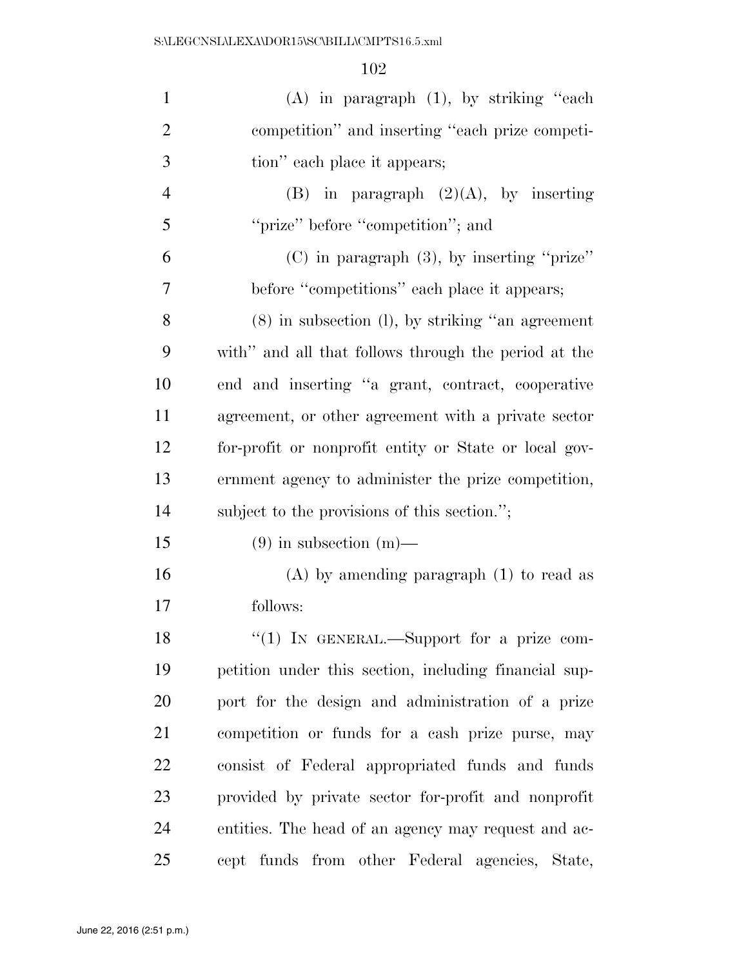| $\mathbf{1}$   | $(A)$ in paragraph $(1)$ , by striking "each          |
|----------------|-------------------------------------------------------|
| $\overline{2}$ | competition" and inserting "each prize competi-       |
| 3              | tion" each place it appears;                          |
| $\overline{4}$ | $(B)$ in paragraph $(2)(A)$ , by inserting            |
| 5              | "prize" before "competition"; and                     |
| 6              | $(C)$ in paragraph $(3)$ , by inserting "prize"       |
| 7              | before "competitions" each place it appears;          |
| 8              | $(8)$ in subsection $(l)$ , by striking "an agreement |
| 9              | with" and all that follows through the period at the  |
| 10             | end and inserting "a grant, contract, cooperative     |
| 11             | agreement, or other agreement with a private sector   |
| 12             | for-profit or nonprofit entity or State or local gov- |
| 13             | ernment agency to administer the prize competition,   |
| 14             | subject to the provisions of this section.";          |
| 15             | $(9)$ in subsection $(m)$ —                           |
| 16             | $(A)$ by amending paragraph $(1)$ to read as          |
| 17             | follows:                                              |
| 18             | " $(1)$ IN GENERAL.—Support for a prize com-          |
| 19             | petition under this section, including financial sup- |
| 20             | port for the design and administration of a prize     |
| 21             | competition or funds for a cash prize purse, may      |
| 22             | consist of Federal appropriated funds and funds       |
| 23             | provided by private sector for-profit and nonprofit   |
| 24             | entities. The head of an agency may request and ac-   |
| 25             | cept funds from other Federal agencies, State,        |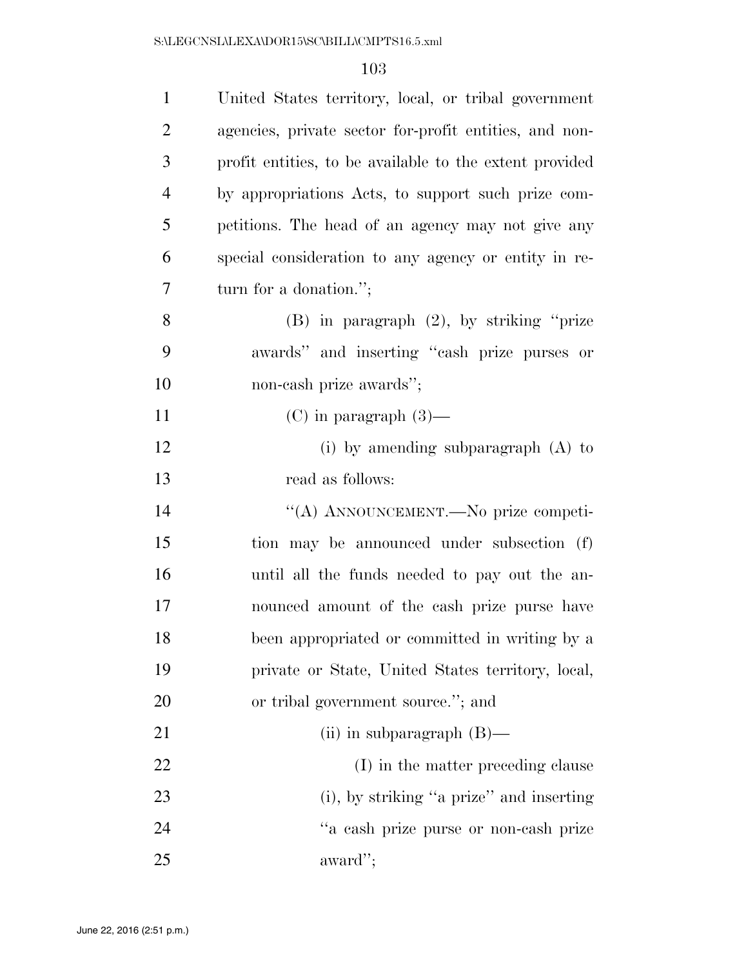| $\mathbf{1}$   | United States territory, local, or tribal government    |
|----------------|---------------------------------------------------------|
| $\overline{2}$ | agencies, private sector for-profit entities, and non-  |
| 3              | profit entities, to be available to the extent provided |
| $\overline{4}$ | by appropriations Acts, to support such prize com-      |
| 5              | petitions. The head of an agency may not give any       |
| 6              | special consideration to any agency or entity in re-    |
| 7              | turn for a donation.";                                  |
| 8              | $(B)$ in paragraph $(2)$ , by striking "prize           |
| 9              | awards" and inserting "cash prize purses or             |
| 10             | non-cash prize awards";                                 |
| 11             | $(C)$ in paragraph $(3)$ —                              |
| 12             | (i) by amending subparagraph $(A)$ to                   |
| 13             | read as follows:                                        |
| 14             | "(A) ANNOUNCEMENT.—No prize competi-                    |
| 15             | tion may be announced under subsection (f)              |
| 16             | until all the funds needed to pay out the an-           |
| 17             | nounced amount of the cash prize purse have             |
| 18             | been appropriated or committed in writing by a          |
| 19             | private or State, United States territory, local,       |
| 20             | or tribal government source."; and                      |
| 21             | (ii) in subparagraph $(B)$ —                            |
| 22             | (I) in the matter preceding clause                      |
| 23             | (i), by striking "a prize" and inserting                |
| 24             | "a cash prize purse or non-cash prize                   |
| 25             | award";                                                 |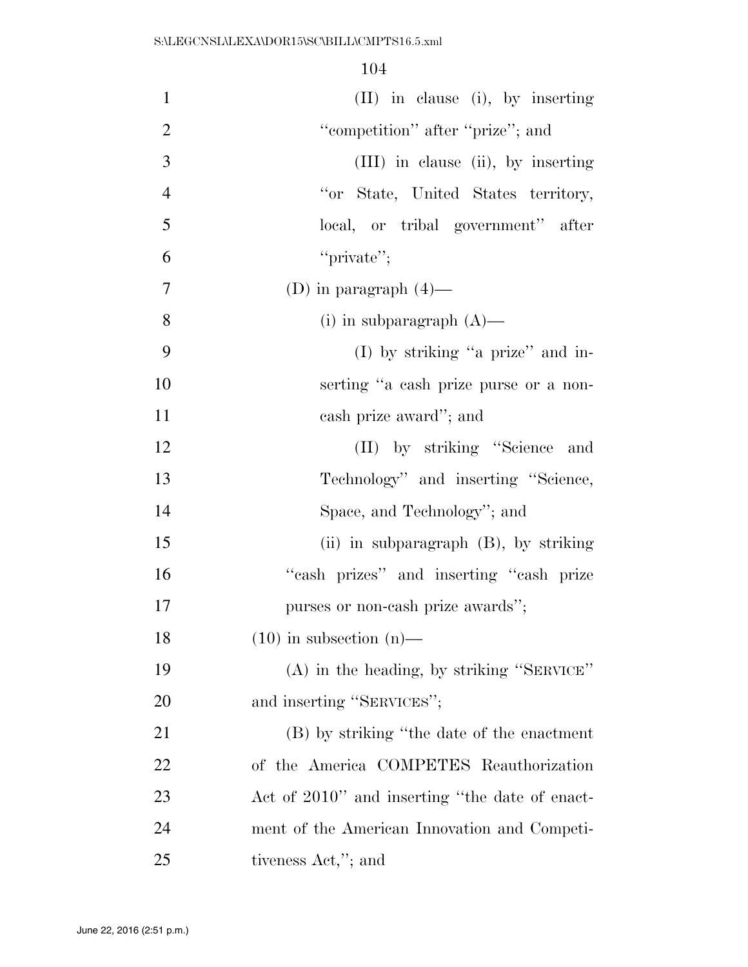| $\mathbf{1}$   | (II) in clause (i), by inserting               |
|----------------|------------------------------------------------|
| $\overline{2}$ | "competition" after "prize"; and               |
| 3              | (III) in clause (ii), by inserting             |
| $\overline{4}$ | "or State, United States territory,            |
| 5              | local, or tribal government" after             |
| 6              | "private";                                     |
| $\overline{7}$ | (D) in paragraph $(4)$ —                       |
| 8              | (i) in subparagraph $(A)$ —                    |
| 9              | (I) by striking "a prize" and in-              |
| 10             | serting "a cash prize purse or a non-          |
| 11             | cash prize award"; and                         |
| 12             | (II) by striking "Science and                  |
| 13             | Technology" and inserting "Science,            |
| 14             | Space, and Technology"; and                    |
| 15             | (ii) in subparagraph $(B)$ , by striking       |
| 16             | "cash prizes" and inserting "cash prize        |
| 17             | purses or non-cash prize awards";              |
| 18             | $(10)$ in subsection $(n)$ —                   |
| 19             | $(A)$ in the heading, by striking "SERVICE"    |
| 20             | and inserting "SERVICES";                      |
| 21             | (B) by striking "the date of the enactment     |
| <u>22</u>      | of the America COMPETES Reauthorization        |
| 23             | Act of 2010" and inserting "the date of enact- |
| 24             | ment of the American Innovation and Competi-   |
| 25             | tiveness Act,"; and                            |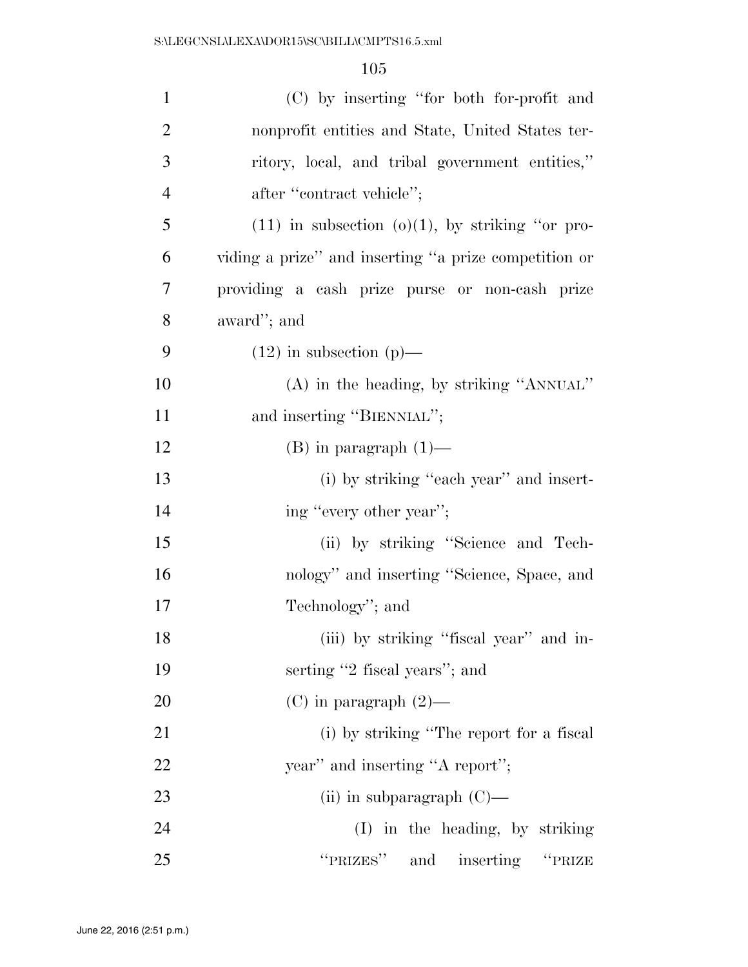| $\mathbf{1}$   | (C) by inserting "for both for-profit and             |
|----------------|-------------------------------------------------------|
| $\overline{2}$ | nonprofit entities and State, United States ter-      |
| 3              | ritory, local, and tribal government entities,"       |
| $\overline{4}$ | after "contract vehicle";                             |
| 5              | $(11)$ in subsection $(0)(1)$ , by striking "or pro-  |
| 6              | viding a prize" and inserting "a prize competition or |
| $\overline{7}$ | providing a cash prize purse or non-cash prize        |
| 8              | award"; and                                           |
| 9              | $(12)$ in subsection $(p)$ —                          |
| 10             | $(A)$ in the heading, by striking "ANNUAL"            |
| 11             | and inserting "BIENNIAL";                             |
| 12             | $(B)$ in paragraph $(1)$ —                            |
| 13             | (i) by striking "each year" and insert-               |
| 14             | ing "every other year";                               |
| 15             | (ii) by striking "Science and Tech-                   |
| 16             | nology" and inserting "Science, Space, and            |
| 17             | Technology"; and                                      |
| 18             | (iii) by striking "fiscal year" and in-               |
| 19             | serting "2 fiscal years"; and                         |
| 20             | $(C)$ in paragraph $(2)$ —                            |
| 21             | (i) by striking "The report for a fiscal              |
| 22             | year" and inserting "A report";                       |
| 23             | (ii) in subparagraph $(C)$ —                          |
| 24             | (I) in the heading, by striking                       |
| 25             | "PRIZES" and inserting "PRIZE                         |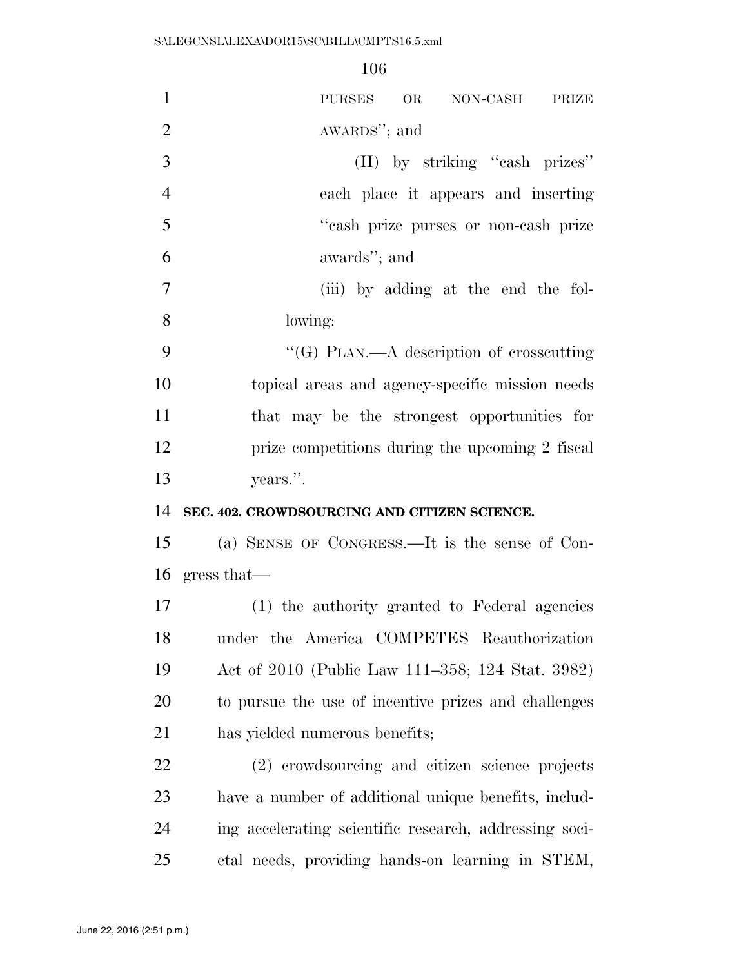| $\mathbf{1}$   | OR<br>PURSES<br>NON-CASH<br>PRIZE                      |
|----------------|--------------------------------------------------------|
| $\overline{2}$ | AWARDS"; and                                           |
| 3              | (II) by striking "cash prizes"                         |
| $\overline{4}$ | each place it appears and inserting                    |
| 5              | "cash prize purses or non-cash prize                   |
| 6              | awards"; and                                           |
| $\overline{7}$ | (iii) by adding at the end the fol-                    |
| 8              | lowing:                                                |
| 9              | "(G) PLAN.—A description of crosscutting               |
| 10             | topical areas and agency-specific mission needs        |
| 11             | that may be the strongest opportunities for            |
| 12             | prize competitions during the upcoming 2 fiscal        |
| 13             | years.".                                               |
| 14             | SEC. 402. CROWDSOURCING AND CITIZEN SCIENCE.           |
|                |                                                        |
| 15             | (a) SENSE OF CONGRESS.—It is the sense of Con-         |
| 16             | gress that—                                            |
| 17             | (1) the authority granted to Federal agencies          |
| 18             | under the America COMPETES Reauthorization             |
| 19             | Act of 2010 (Public Law 111–358; 124 Stat. 3982)       |
| 20             | to pursue the use of incentive prizes and challenges   |
| 21             | has yielded numerous benefits;                         |
| 22             | (2) crowdsourcing and citizen science projects         |
| 23             | have a number of additional unique benefits, includ-   |
| 24             | ing accelerating scientific research, addressing soci- |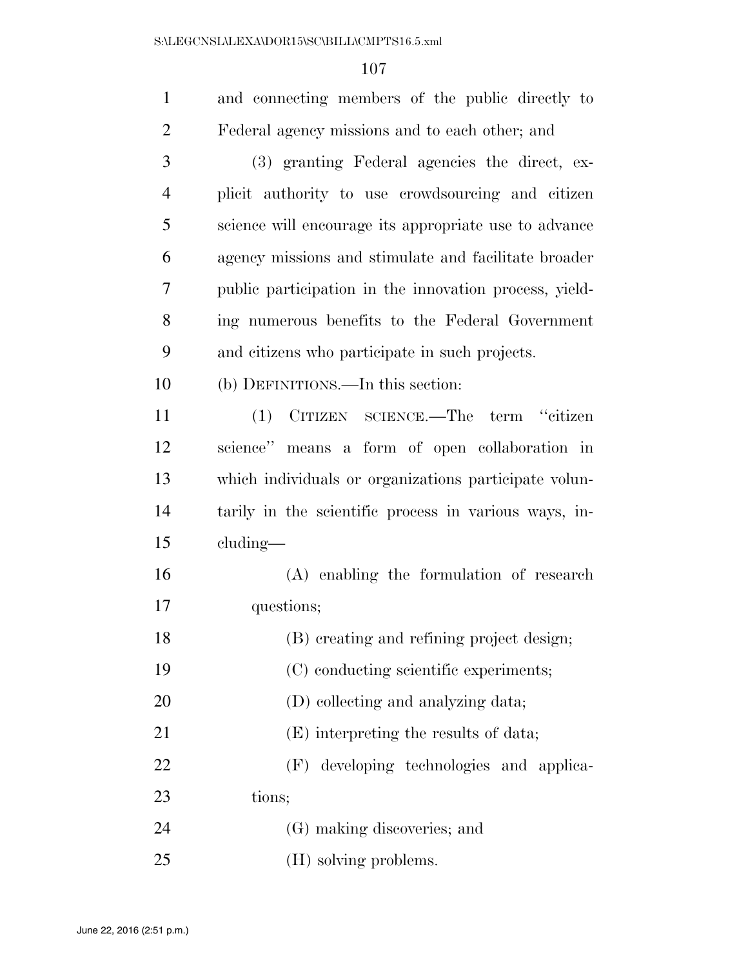| $\mathbf{1}$   | and connecting members of the public directly to       |
|----------------|--------------------------------------------------------|
| $\overline{2}$ | Federal agency missions and to each other; and         |
| 3              | (3) granting Federal agencies the direct, ex-          |
| $\overline{4}$ | plicit authority to use crowdsourcing and citizen      |
| 5              | science will encourage its appropriate use to advance  |
| 6              | agency missions and stimulate and facilitate broader   |
| 7              | public participation in the innovation process, yield- |
| 8              | ing numerous benefits to the Federal Government        |
| 9              | and citizens who participate in such projects.         |
| 10             | (b) DEFINITIONS.—In this section:                      |
| 11             | CITIZEN SCIENCE.—The term "citizen<br>(1)              |
| 12             | science" means a form of open collaboration in         |
| 13             | which individuals or organizations participate volun-  |
| 14             | tarily in the scientific process in various ways, in-  |
| 15             | cluding—                                               |
| 16             | (A) enabling the formulation of research               |
| 17             | questions;                                             |
| 18             | (B) creating and refining project design;              |
| 19             | (C) conducting scientific experiments;                 |
| 20             | (D) collecting and analyzing data;                     |
| 21             | (E) interpreting the results of data;                  |
| 22             | (F) developing technologies and applica-               |
| 23             | tions;                                                 |
| 24             | (G) making discoveries; and                            |
| 25             | (H) solving problems.                                  |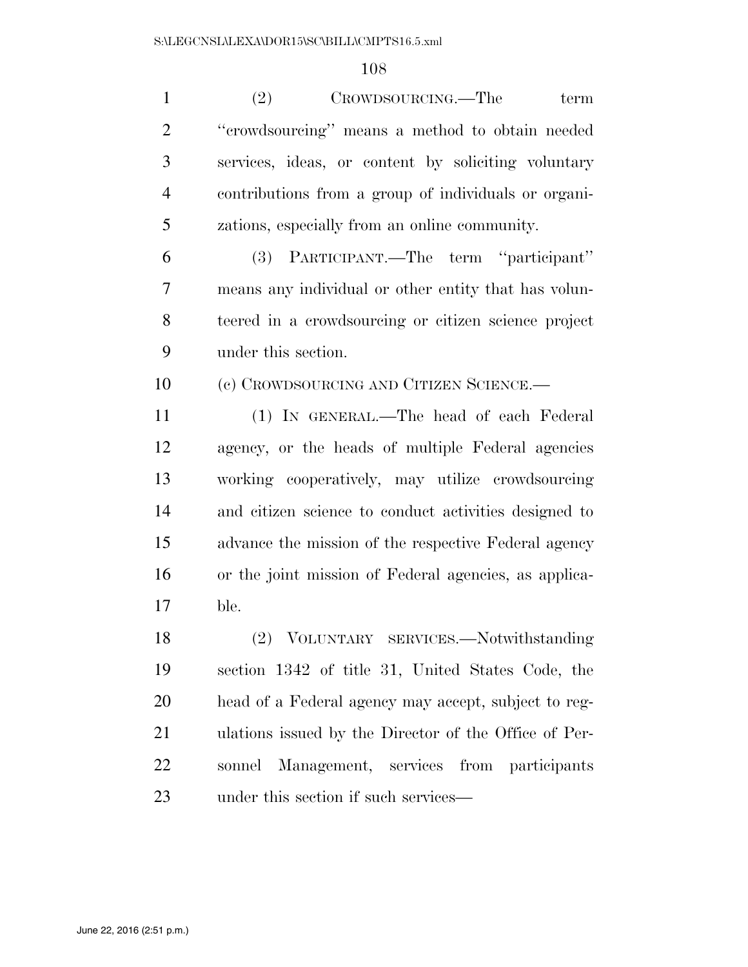| $\mathbf{1}$   | (2)<br>CROWDSOURCING.—The<br>term                     |
|----------------|-------------------------------------------------------|
| $\overline{2}$ | "crowdsourcing" means a method to obtain needed       |
| 3              | services, ideas, or content by soliciting voluntary   |
| $\overline{4}$ | contributions from a group of individuals or organi-  |
| 5              | zations, especially from an online community.         |
| 6              | (3) PARTICIPANT.—The term "participant"               |
| 7              | means any individual or other entity that has volun-  |
| 8              | teered in a crowdsourcing or citizen science project  |
| 9              | under this section.                                   |
| 10             | (c) CROWDSOURCING AND CITIZEN SCIENCE.—               |
| 11             | (1) IN GENERAL.—The head of each Federal              |
| 12             | agency, or the heads of multiple Federal agencies     |
| 13             | working cooperatively, may utilize crowdsourcing      |
| 14             | and citizen science to conduct activities designed to |
| 15             | advance the mission of the respective Federal agency  |
| 16             | or the joint mission of Federal agencies, as applica- |
| 17             | ble.                                                  |
| 18             | (2) VOLUNTARY SERVICES.-Notwithstanding               |
| 19             | section 1342 of title 31, United States Code, the     |
| 20             | head of a Federal agency may accept, subject to reg-  |
| 21             | ulations issued by the Director of the Office of Per- |
| 22             | Management, services from participants<br>sonnel      |
| 23             | under this section if such services—                  |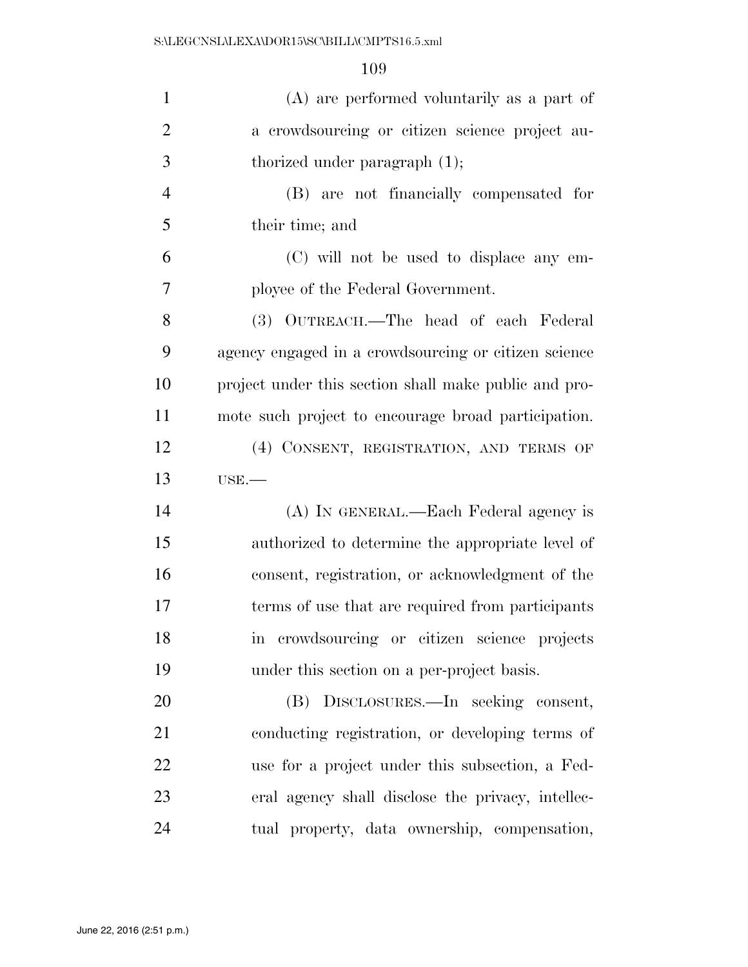| $\mathbf{1}$   | (A) are performed voluntarily as a part of            |
|----------------|-------------------------------------------------------|
| $\overline{2}$ | a crowdsourcing or citizen science project au-        |
| 3              | thorized under paragraph $(1)$ ;                      |
| $\overline{4}$ | (B) are not financially compensated for               |
| 5              | their time; and                                       |
| 6              | (C) will not be used to displace any em-              |
| $\overline{7}$ | ployee of the Federal Government.                     |
| 8              | (3) OUTREACH.—The head of each Federal                |
| 9              | agency engaged in a crowdsourcing or citizen science  |
| 10             | project under this section shall make public and pro- |
| 11             | mote such project to encourage broad participation.   |
| 12             | (4) CONSENT, REGISTRATION, AND TERMS OF               |
| 13             | $USE. -$                                              |
|                |                                                       |
| 14             | (A) IN GENERAL.—Each Federal agency is                |
| 15             | authorized to determine the appropriate level of      |
| 16             | consent, registration, or acknowledgment of the       |
| 17             | terms of use that are required from participants      |
| 18             | crowdsourcing or citizen science projects<br>m        |
| 19             | under this section on a per-project basis.            |
| 20             | (B) DISCLOSURES.—In seeking consent,                  |
| 21             | conducting registration, or developing terms of       |
| 22             | use for a project under this subsection, a Fed-       |
| 23             | eral agency shall disclose the privacy, intellec-     |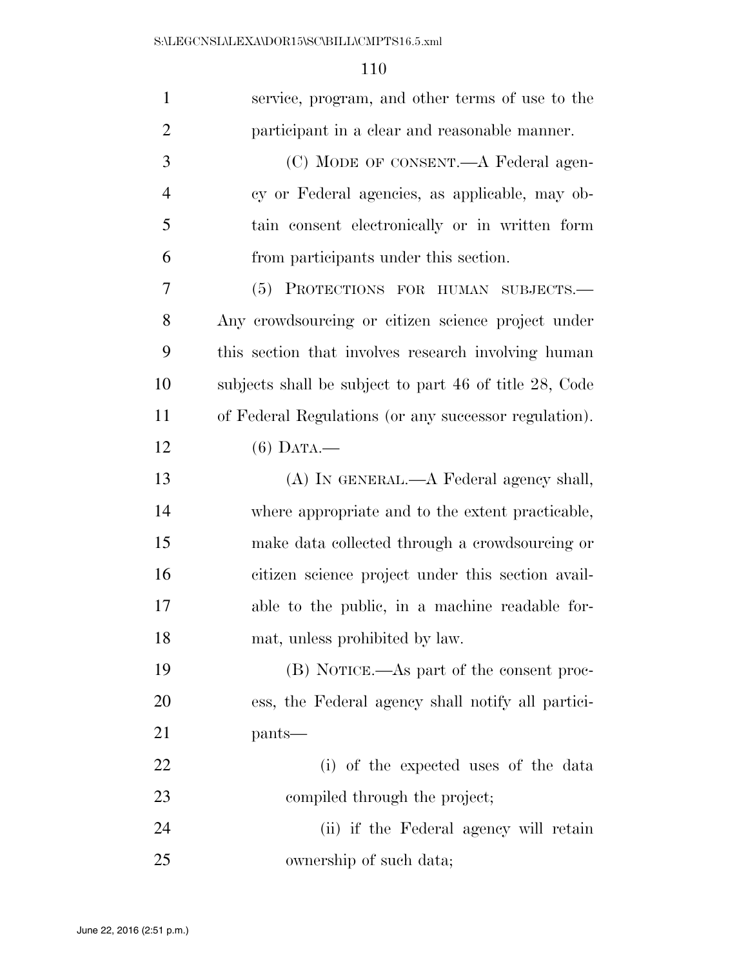| $\mathbf{1}$   | service, program, and other terms of use to the        |
|----------------|--------------------------------------------------------|
| $\overline{2}$ | participant in a clear and reasonable manner.          |
| 3              | (C) MODE OF CONSENT.—A Federal agen-                   |
| $\overline{4}$ | cy or Federal agencies, as applicable, may ob-         |
| 5              | tain consent electronically or in written form         |
| 6              | from participants under this section.                  |
| 7              | PROTECTIONS FOR HUMAN SUBJECTS.-<br>(5)                |
| 8              | Any crowdsourcing or citizen science project under     |
| 9              | this section that involves research involving human    |
| 10             | subjects shall be subject to part 46 of title 28, Code |
| 11             | of Federal Regulations (or any successor regulation).  |
| 12             | $(6)$ DATA.—                                           |
| 13             | (A) IN GENERAL.—A Federal agency shall,                |
| 14             | where appropriate and to the extent practicable,       |
| 15             | make data collected through a crowdsourcing or         |
| 16             | citizen science project under this section avail-      |
| 17             | able to the public, in a machine readable for-         |
| 18             | mat, unless prohibited by law.                         |
| 19             | (B) NOTICE.—As part of the consent proc-               |
| 20             | ess, the Federal agency shall notify all partici-      |
| 21             | pants—                                                 |
| 22             | (i) of the expected uses of the data                   |
| 23             | compiled through the project;                          |
| 24             | (ii) if the Federal agency will retain                 |
| 25             | ownership of such data;                                |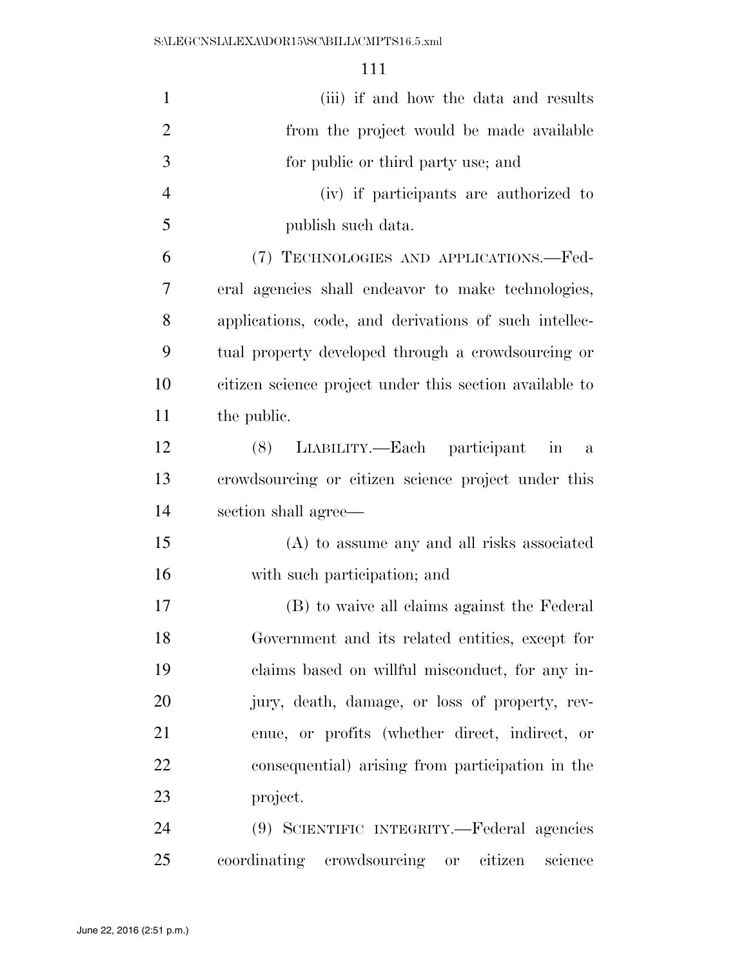| $\mathbf{1}$   | (iii) if and how the data and results                          |
|----------------|----------------------------------------------------------------|
| $\overline{2}$ | from the project would be made available                       |
| 3              | for public or third party use; and                             |
| $\overline{4}$ | (iv) if participants are authorized to                         |
| 5              | publish such data.                                             |
| 6              | (7) TECHNOLOGIES AND APPLICATIONS.—Fed-                        |
| 7              | eral agencies shall endeavor to make technologies,             |
| 8              | applications, code, and derivations of such intellec-          |
| 9              | tual property developed through a crowdsourcing or             |
| 10             | citizen science project under this section available to        |
| 11             | the public.                                                    |
| 12             | (8) LIABILITY.—Each participant<br>$\overline{\text{in}}$<br>a |
| 13             | crowdsourcing or citizen science project under this            |
| 14             | section shall agree—                                           |
| 15             | (A) to assume any and all risks associated                     |
| 16             | with such participation; and                                   |
| $17\,$         | (B) to waive all claims against the Federal                    |
| 18             | Government and its related entities, except for                |
| 19             | claims based on willful misconduct, for any in-                |
| 20             | jury, death, damage, or loss of property, rev-                 |
| 21             | enue, or profits (whether direct, indirect, or                 |
| 22             | consequential) arising from participation in the               |
| 23             | project.                                                       |
| 24             | (9) SCIENTIFIC INTEGRITY.—Federal agencies                     |
| 25             | coordinating crowdsourcing or citizen<br>science               |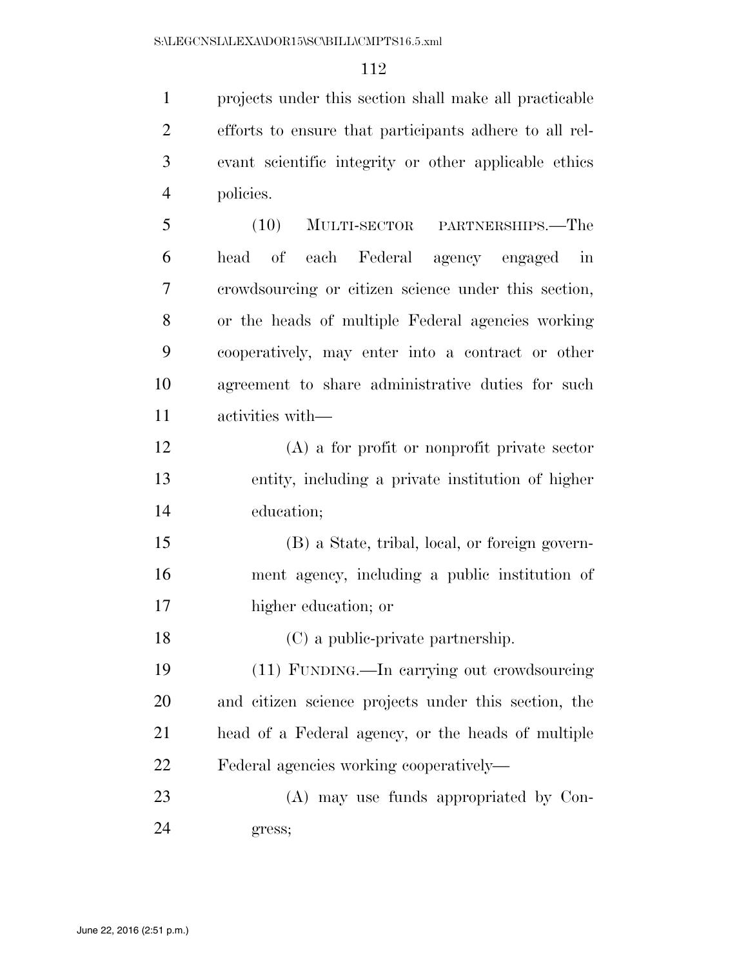projects under this section shall make all practicable efforts to ensure that participants adhere to all rel- evant scientific integrity or other applicable ethics policies.

 (10) MULTI-SECTOR PARTNERSHIPS.—The head of each Federal agency engaged in crowdsourcing or citizen science under this section, or the heads of multiple Federal agencies working cooperatively, may enter into a contract or other agreement to share administrative duties for such activities with—

 (A) a for profit or nonprofit private sector entity, including a private institution of higher education;

 (B) a State, tribal, local, or foreign govern- ment agency, including a public institution of higher education; or

(C) a public-private partnership.

 (11) FUNDING.—In carrying out crowdsourcing and citizen science projects under this section, the head of a Federal agency, or the heads of multiple Federal agencies working cooperatively—

 (A) may use funds appropriated by Con-gress;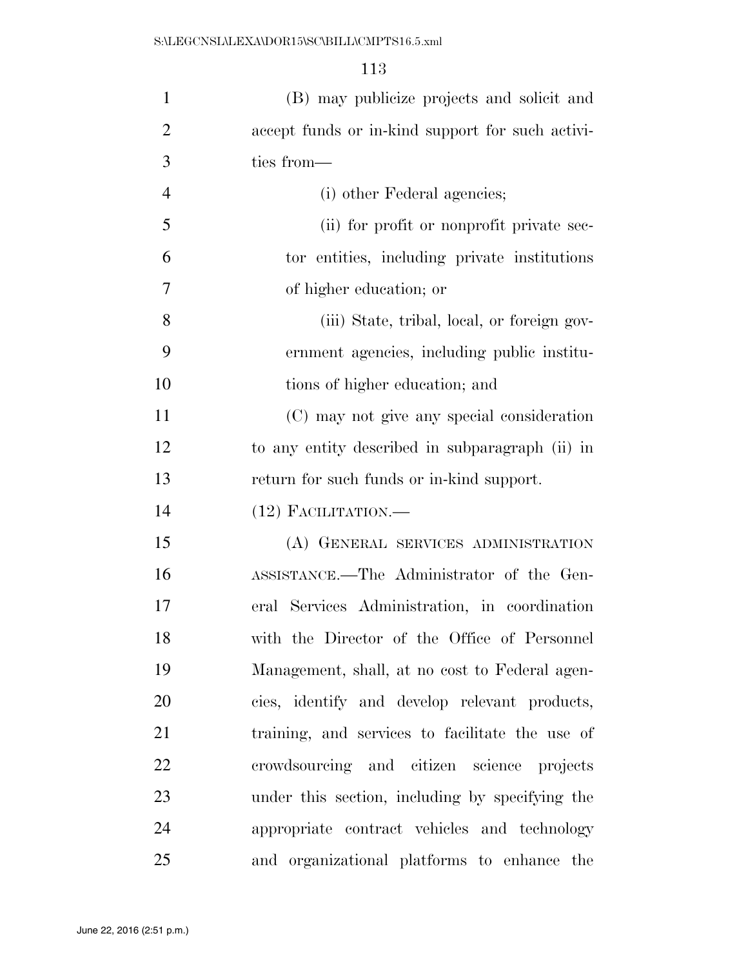| $\mathbf{1}$   | (B) may publicize projects and solicit and       |
|----------------|--------------------------------------------------|
| $\overline{2}$ | accept funds or in-kind support for such activi- |
| 3              | ties from—                                       |
| $\overline{4}$ | (i) other Federal agencies;                      |
| 5              | (ii) for profit or nonprofit private sec-        |
| 6              | tor entities, including private institutions     |
| $\tau$         | of higher education; or                          |
| 8              | (iii) State, tribal, local, or foreign gov-      |
| 9              | ernment agencies, including public institu-      |
| 10             | tions of higher education; and                   |
| 11             | (C) may not give any special consideration       |
| 12             | to any entity described in subparagraph (ii) in  |
| 13             | return for such funds or in-kind support.        |
| 14             | $(12)$ FACILITATION.—                            |
| 15             | (A) GENERAL SERVICES ADMINISTRATION              |
| 16             | ASSISTANCE.—The Administrator of the Gen-        |
| 17             | eral Services Administration, in coordination    |
| 18             | with the Director of the Office of Personnel     |
| 19             | Management, shall, at no cost to Federal agen-   |
| 20             | cies, identify and develop relevant products,    |
| 21             | training, and services to facilitate the use of  |
| 22             | crowdsourcing and citizen science projects       |
| 23             | under this section, including by specifying the  |
| 24             | appropriate contract vehicles and technology     |
| 25             | and organizational platforms to enhance the      |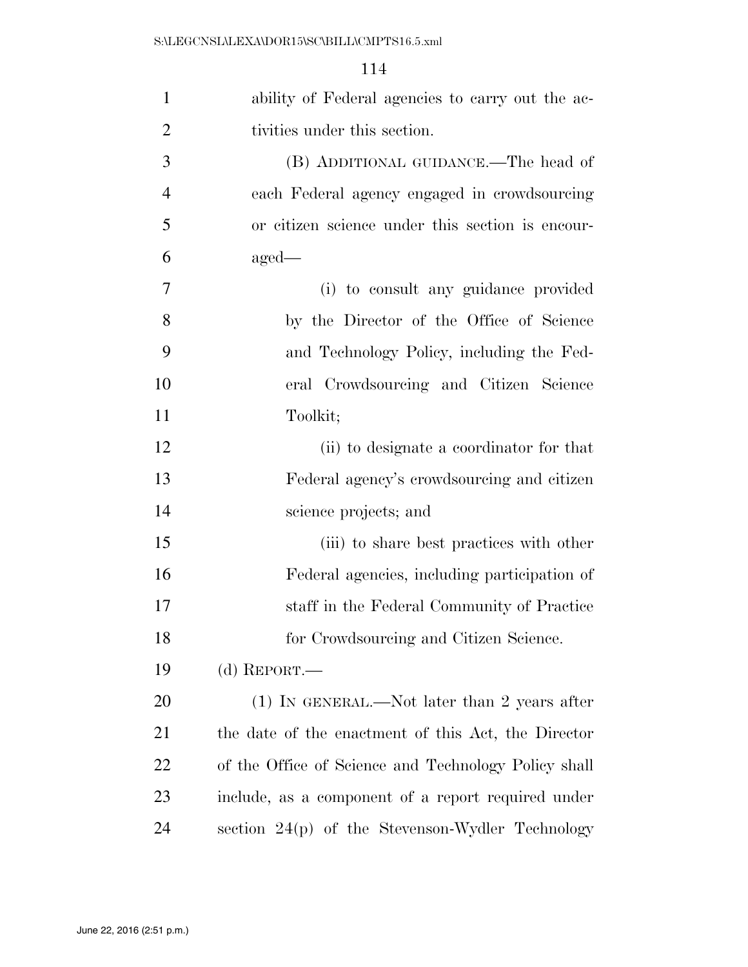| $\mathbf{1}$   | ability of Federal agencies to carry out the ac-     |
|----------------|------------------------------------------------------|
| $\overline{2}$ | tivities under this section.                         |
| 3              | (B) ADDITIONAL GUIDANCE.—The head of                 |
| $\overline{4}$ | each Federal agency engaged in crowdsourcing         |
| 5              | or citizen science under this section is encour-     |
| 6              | $aged-$                                              |
| 7              | (i) to consult any guidance provided                 |
| 8              | by the Director of the Office of Science             |
| 9              | and Technology Policy, including the Fed-            |
| 10             | eral Crowdsourcing and Citizen Science               |
| 11             | Toolkit;                                             |
| 12             | (ii) to designate a coordinator for that             |
| 13             | Federal agency's crowdsourcing and citizen           |
| 14             | science projects; and                                |
| 15             | (iii) to share best practices with other             |
| 16             | Federal agencies, including participation of         |
| 17             | staff in the Federal Community of Practice           |
| 18             | for Crowdsourcing and Citizen Science.               |
| 19             | (d) REPORT.—                                         |
| <b>20</b>      | $(1)$ In GENERAL.—Not later than 2 years after       |
| 21             | the date of the enactment of this Act, the Director  |
| 22             | of the Office of Science and Technology Policy shall |
| 23             | include, as a component of a report required under   |
| 24             | section 24(p) of the Stevenson-Wydler Technology     |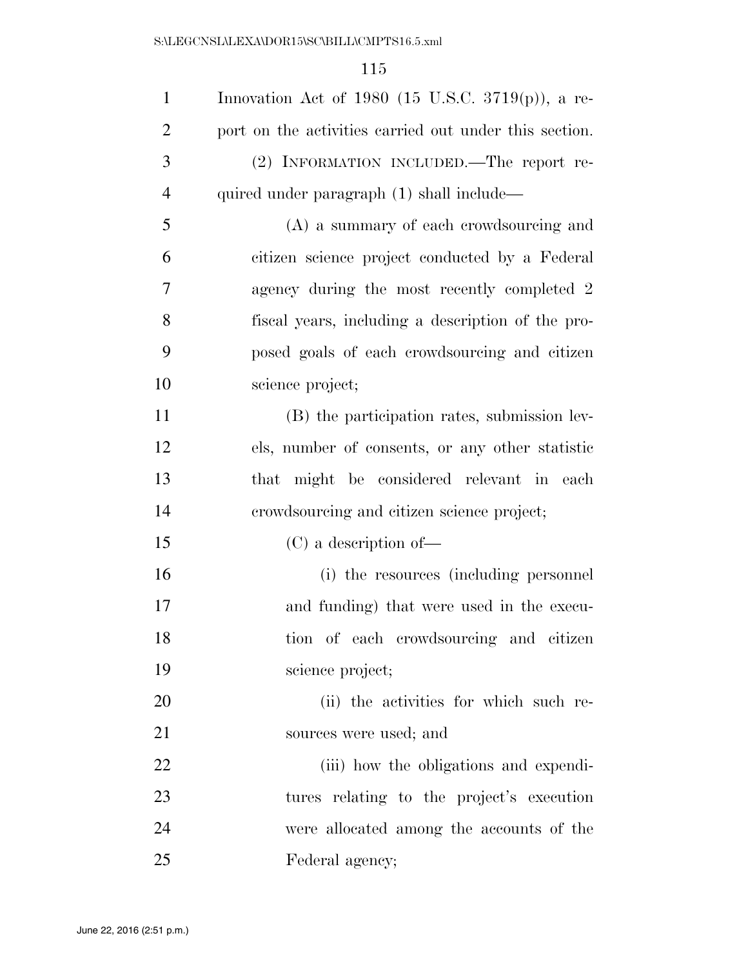| $\mathbf{1}$   | Innovation Act of 1980 (15 U.S.C. 3719 $(p)$ ), a re-  |
|----------------|--------------------------------------------------------|
| $\overline{2}$ | port on the activities carried out under this section. |
| 3              | (2) INFORMATION INCLUDED. The report re-               |
| $\overline{4}$ | quired under paragraph (1) shall include—              |
| 5              | (A) a summary of each crowdsourcing and                |
| 6              | citizen science project conducted by a Federal         |
| 7              | agency during the most recently completed 2            |
| 8              | fiscal years, including a description of the pro-      |
| 9              | posed goals of each crowdsourcing and citizen          |
| 10             | science project;                                       |
| 11             | (B) the participation rates, submission lev-           |
| 12             | els, number of consents, or any other statistic        |
| 13             | that might be considered relevant in each              |
| 14             | crowdsourcing and citizen science project;             |
| 15             | $(C)$ a description of —                               |
| 16             | (i) the resources (including personnel                 |
| 17             | and funding) that were used in the execu-              |
| 18             | tion of each crowdsourcing and citizen                 |
| 19             | science project;                                       |
| 20             | (ii) the activities for which such re-                 |
| 21             | sources were used; and                                 |
| 22             | (iii) how the obligations and expendi-                 |
| 23             | tures relating to the project's execution              |
| 24             | were allocated among the accounts of the               |
| 25             | Federal agency;                                        |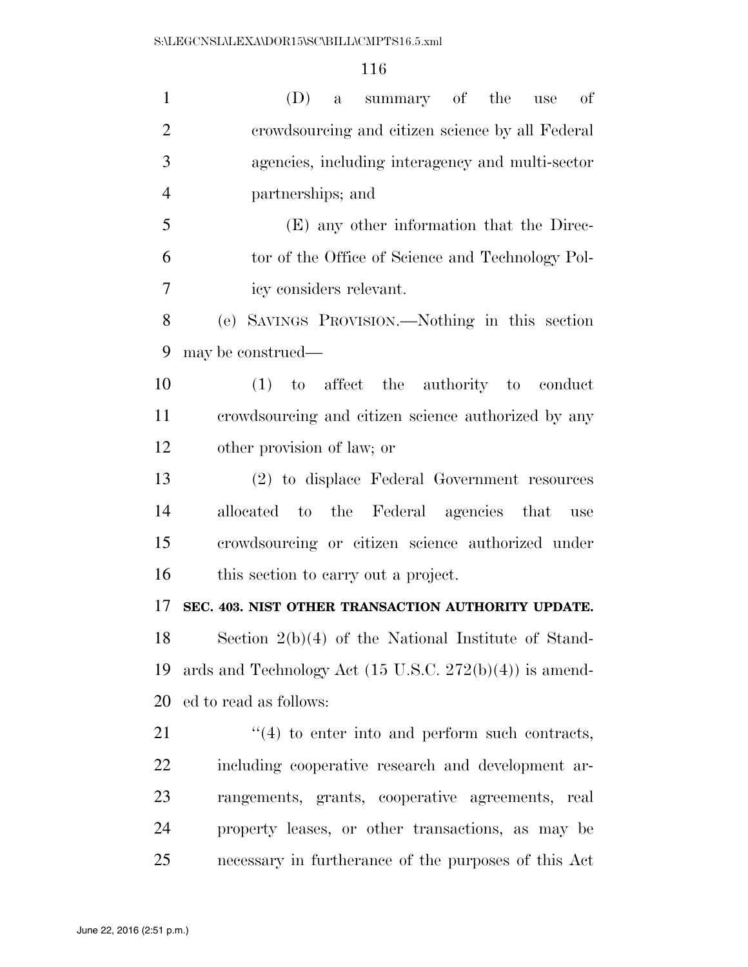| $\mathbf{1}$   | (D) a summary of the use<br>of                                     |
|----------------|--------------------------------------------------------------------|
| $\overline{2}$ | crowdsourcing and citizen science by all Federal                   |
| 3              | agencies, including interagency and multi-sector                   |
| $\overline{4}$ | partnerships; and                                                  |
| 5              | (E) any other information that the Direc-                          |
| 6              | tor of the Office of Science and Technology Pol-                   |
| 7              | icy considers relevant.                                            |
| 8              | (e) SAVINGS PROVISION.—Nothing in this section                     |
| 9              | may be construed—                                                  |
| 10             | $(1)$ to affect the authority to conduct                           |
| 11             | crowdsourcing and citizen science authorized by any                |
| 12             | other provision of law; or                                         |
| 13             | (2) to displace Federal Government resources                       |
| 14             | allocated to the Federal agencies that<br>use                      |
| 15             | crowdsourcing or citizen science authorized under                  |
| 16             | this section to carry out a project.                               |
| 17             | SEC. 403. NIST OTHER TRANSACTION AUTHORITY UPDATE.                 |
| 18             | Section $2(b)(4)$ of the National Institute of Stand-              |
| 19             | ards and Technology Act $(15 \text{ U.S.C. } 272(b)(4))$ is amend- |
| 20             | ed to read as follows:                                             |
| 21             | $\cdot$ (4) to enter into and perform such contracts,              |
| 22             | including cooperative research and development ar-                 |
| 23             | rangements, grants, cooperative agreements, real                   |
| 24             | property leases, or other transactions, as may be                  |
| 25             | necessary in furtherance of the purposes of this Act               |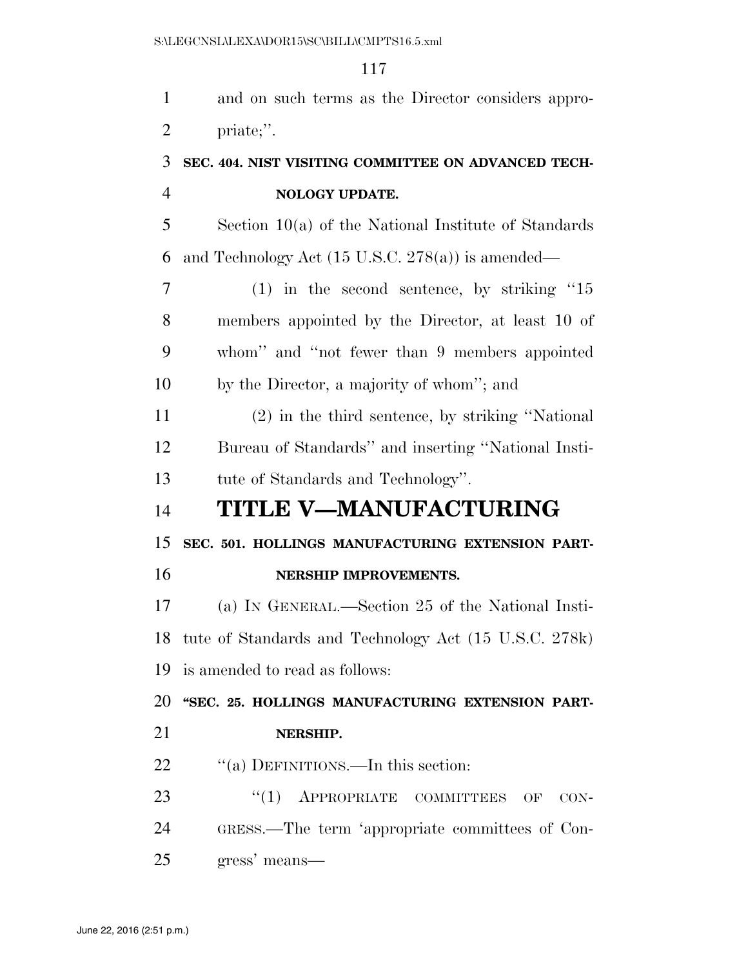and on such terms as the Director considers appro- priate;''. **SEC. 404. NIST VISITING COMMITTEE ON ADVANCED TECH- NOLOGY UPDATE.**  Section 10(a) of the National Institute of Standards 6 and Technology Act  $(15 \text{ U.S.C. } 278(a))$  is amended— (1) in the second sentence, by striking ''15 members appointed by the Director, at least 10 of whom'' and ''not fewer than 9 members appointed by the Director, a majority of whom''; and (2) in the third sentence, by striking ''National Bureau of Standards'' and inserting ''National Insti- tute of Standards and Technology''. **TITLE V—MANUFACTURING SEC. 501. HOLLINGS MANUFACTURING EXTENSION PART- NERSHIP IMPROVEMENTS.**  (a) IN GENERAL.—Section 25 of the National Insti- tute of Standards and Technology Act (15 U.S.C. 278k) is amended to read as follows: **''SEC. 25. HOLLINGS MANUFACTURING EXTENSION PART- NERSHIP.**  22 "(a) DEFINITIONS.—In this section: 23 "(1) APPROPRIATE COMMITTEES OF CON-

GRESS.—The term 'appropriate committees of Con-

gress' means—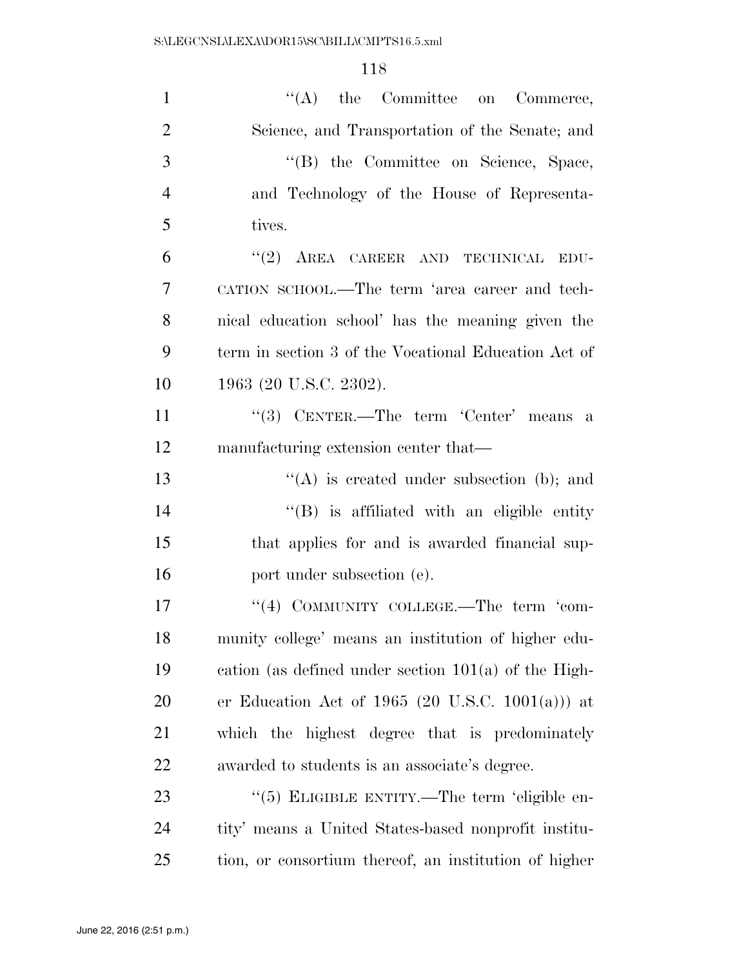| $\mathbf{1}$   | $\lq\lq$ the Committee on Commerce,                    |
|----------------|--------------------------------------------------------|
| $\overline{2}$ | Science, and Transportation of the Senate; and         |
| 3              | "(B) the Committee on Science, Space,                  |
| $\overline{4}$ | and Technology of the House of Representa-             |
| 5              | tives.                                                 |
| 6              | $``(2)$ AREA CAREER AND TECHNICAL<br>EDU-              |
| 7              | CATION SCHOOL.—The term 'area career and tech-         |
| 8              | nical education school' has the meaning given the      |
| 9              | term in section 3 of the Vocational Education Act of   |
| 10             | 1963 (20 U.S.C. 2302).                                 |
| 11             | "(3) CENTER.—The term 'Center' means a                 |
| 12             | manufacturing extension center that—                   |
| 13             | $\lq\lq$ is created under subsection (b); and          |
| 14             | "(B) is affiliated with an eligible entity             |
| 15             | that applies for and is awarded financial sup-         |
| 16             | port under subsection (e).                             |
| 17             | "(4) COMMUNITY COLLEGE.—The term 'com-                 |
| 18             | munity college' means an institution of higher edu-    |
| 19             | cation (as defined under section $101(a)$ of the High- |
| 20             | er Education Act of 1965 (20 U.S.C. 1001(a))) at       |
| 21             | which the highest degree that is predominately         |
| 22             | awarded to students is an associate's degree.          |
| 23             | "(5) ELIGIBLE ENTITY.—The term 'eligible en-           |
| 24             | tity' means a United States-based nonprofit institu-   |
| 25             | tion, or consortium thereof, an institution of higher  |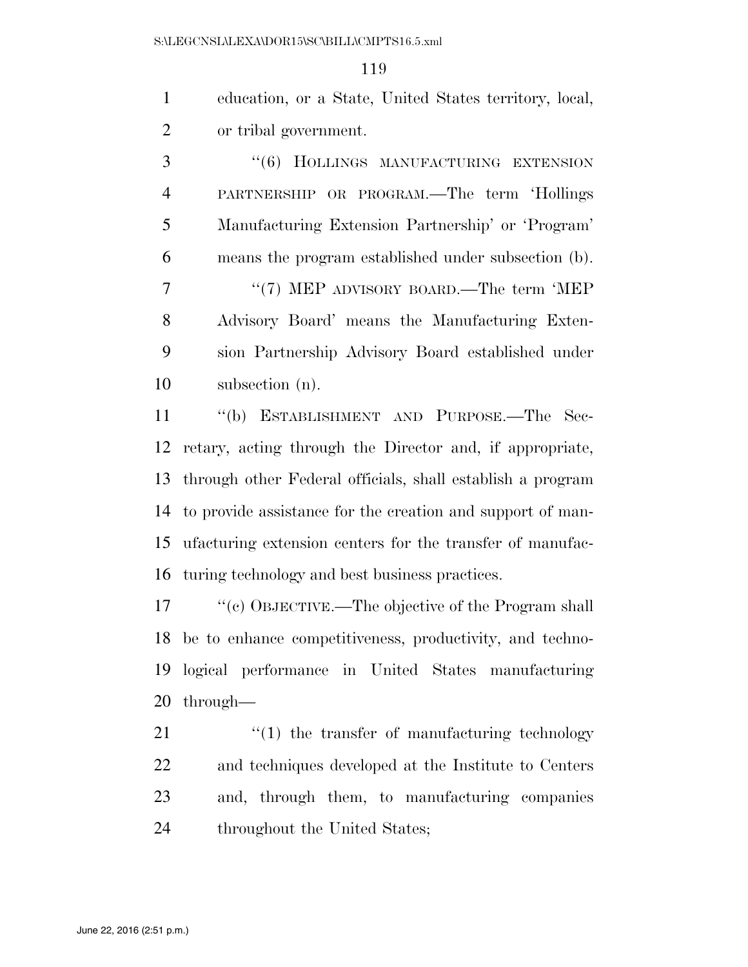education, or a State, United States territory, local, or tribal government.

3 "(6) HOLLINGS MANUFACTURING EXTENSION PARTNERSHIP OR PROGRAM.—The term 'Hollings Manufacturing Extension Partnership' or 'Program' means the program established under subsection (b). 7 "'(7) MEP ADVISORY BOARD.—The term 'MEP Advisory Board' means the Manufacturing Exten- sion Partnership Advisory Board established under subsection (n).

 ''(b) ESTABLISHMENT AND PURPOSE.—The Sec- retary, acting through the Director and, if appropriate, through other Federal officials, shall establish a program to provide assistance for the creation and support of man- ufacturing extension centers for the transfer of manufac-turing technology and best business practices.

 ''(c) OBJECTIVE.—The objective of the Program shall be to enhance competitiveness, productivity, and techno- logical performance in United States manufacturing through—

 $\frac{u'(1)}{v}$  the transfer of manufacturing technology and techniques developed at the Institute to Centers and, through them, to manufacturing companies 24 throughout the United States;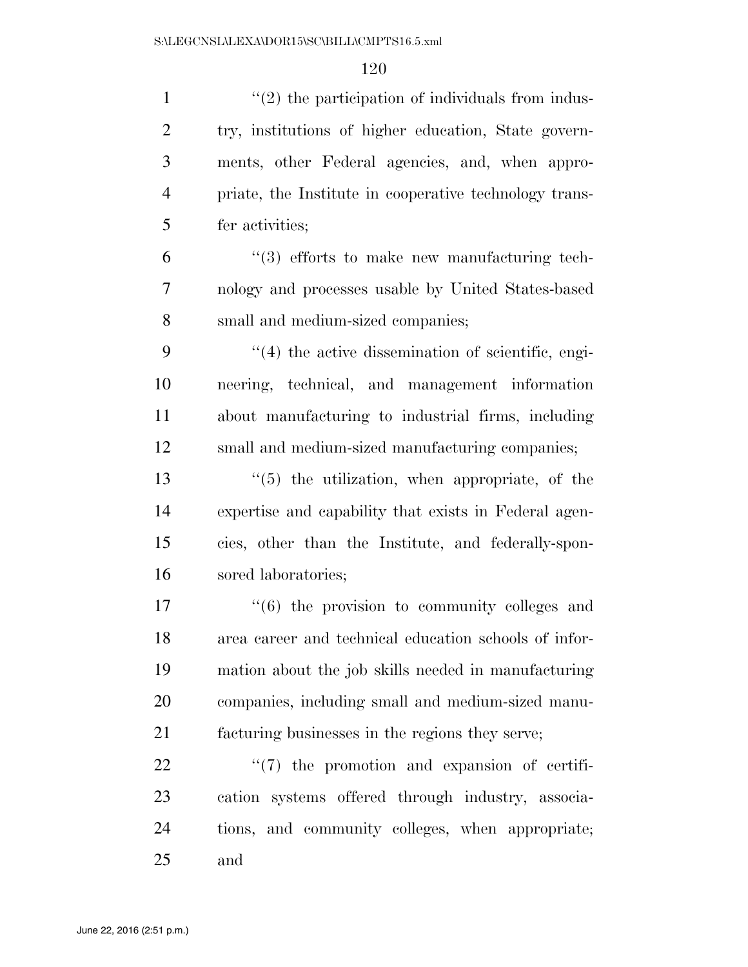| $\mathbf{1}$   | $\lq(2)$ the participation of individuals from indus-    |
|----------------|----------------------------------------------------------|
| $\overline{2}$ | try, institutions of higher education, State govern-     |
| 3              | ments, other Federal agencies, and, when appro-          |
| $\overline{4}$ | priate, the Institute in cooperative technology trans-   |
| 5              | fer activities;                                          |
| 6              | $\cdot\cdot$ (3) efforts to make new manufacturing tech- |
| $\overline{7}$ | nology and processes usable by United States-based       |
| 8              | small and medium-sized companies;                        |
| 9              | $\lq(4)$ the active dissemination of scientific, engi-   |
| 10             | neering, technical, and management information           |
| 11             | about manufacturing to industrial firms, including       |
| 12             | small and medium-sized manufacturing companies;          |
| 13             | $\lq(5)$ the utilization, when appropriate, of the       |
| 14             | expertise and capability that exists in Federal agen-    |
| 15             | cies, other than the Institute, and federally-spon-      |
| 16             | sored laboratories;                                      |
| 17             | $(6)$ the provision to community colleges and            |
| 18             | area career and technical education schools of infor-    |
| 19             | mation about the job skills needed in manufacturing      |
| 20             | companies, including small and medium-sized manu-        |
| 21             | facturing businesses in the regions they serve;          |
| 22             | $\lq(7)$ the promotion and expansion of certifi-         |
| 23             | cation systems offered through industry, associa-        |
| 24             | tions, and community colleges, when appropriate;         |
| 25             | and                                                      |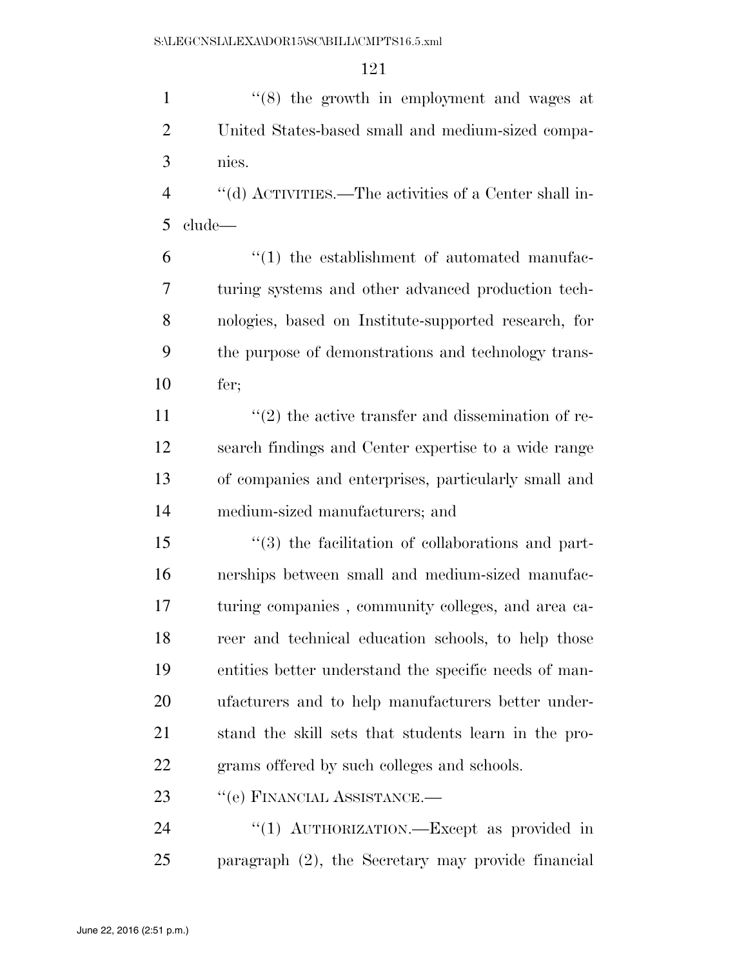1 ''(8) the growth in employment and wages at United States-based small and medium-sized compa-nies.

 ''(d) ACTIVITIES.—The activities of a Center shall in-clude—

 $(1)$  the establishment of automated manufac- turing systems and other advanced production tech- nologies, based on Institute-supported research, for the purpose of demonstrations and technology trans-fer;

 $\frac{1}{2}$  the active transfer and dissemination of re- search findings and Center expertise to a wide range of companies and enterprises, particularly small and medium-sized manufacturers; and

 ''(3) the facilitation of collaborations and part- nerships between small and medium-sized manufac- turing companies , community colleges, and area ca- reer and technical education schools, to help those entities better understand the specific needs of man- ufacturers and to help manufacturers better under- stand the skill sets that students learn in the pro-grams offered by such colleges and schools.

23 "(e) FINANCIAL ASSISTANCE.—

24 "(1) AUTHORIZATION.—Except as provided in paragraph (2), the Secretary may provide financial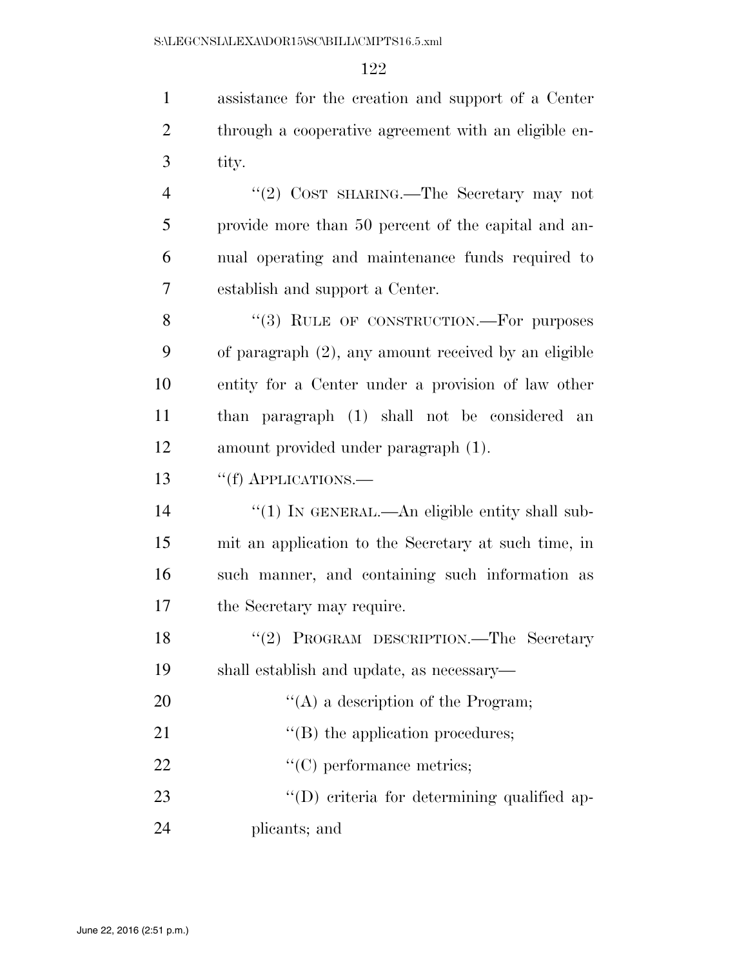1 assistance for the creation and support of a Center 2 through a cooperative agreement with an eligible en-3 tity.

 ''(2) COST SHARING.—The Secretary may not provide more than 50 percent of the capital and an- nual operating and maintenance funds required to establish and support a Center.

8 "(3) RULE OF CONSTRUCTION.—For purposes of paragraph (2), any amount received by an eligible entity for a Center under a provision of law other than paragraph (1) shall not be considered an amount provided under paragraph (1).

### 13 "(f) APPLICATIONS.—

 $\frac{1}{2}$  (1) In GENERAL.—An eligible entity shall sub- mit an application to the Secretary at such time, in such manner, and containing such information as the Secretary may require.

18 ''(2) PROGRAM DESCRIPTION.—The Secretary 19 shall establish and update, as necessary—

20  $\langle (A)$  a description of the Program;

21  $\text{``(B)}$  the application procedures;

22  $\cdot$  (C) performance metrics;

23  $\text{``(D) criteria for determining qualified ap-}$ 24 plicants; and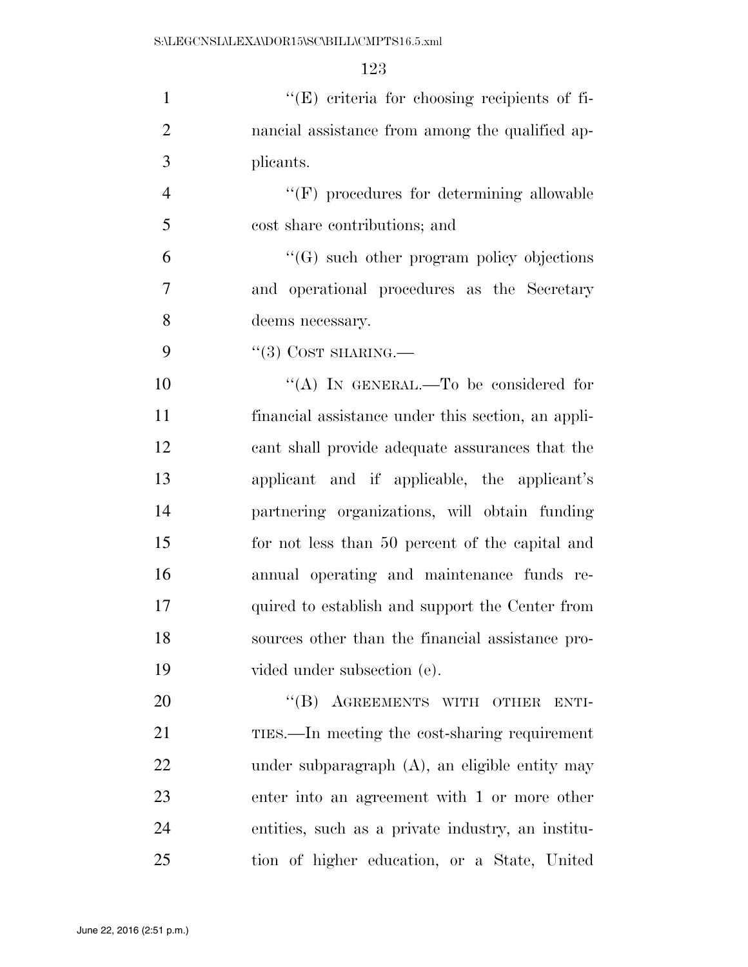| $\mathbf{1}$   | $\lq\lq$ criteria for choosing recipients of fi-   |
|----------------|----------------------------------------------------|
| $\overline{2}$ | nancial assistance from among the qualified ap-    |
| 3              | plicants.                                          |
| $\overline{4}$ | $``(F)$ procedures for determining allowable       |
| 5              | cost share contributions; and                      |
| 6              | $\lq\lq(G)$ such other program policy objections   |
| 7              | and operational procedures as the Secretary        |
| 8              | deems necessary.                                   |
| 9              | $\lq(3)$ COST SHARING.—                            |
| 10             | "(A) IN GENERAL.—To be considered for              |
| 11             | financial assistance under this section, an appli- |
| 12             | cant shall provide adequate assurances that the    |
| 13             | applicant and if applicable, the applicant's       |
| $1\Lambda$     | partnering enganizations will obtain funding       |

 partnering organizations, will obtain funding for not less than 50 percent of the capital and annual operating and maintenance funds re- quired to establish and support the Center from sources other than the financial assistance pro-vided under subsection (e).

20 "(B) AGREEMENTS WITH OTHER ENTI- TIES.—In meeting the cost-sharing requirement under subparagraph (A), an eligible entity may enter into an agreement with 1 or more other entities, such as a private industry, an institu-tion of higher education, or a State, United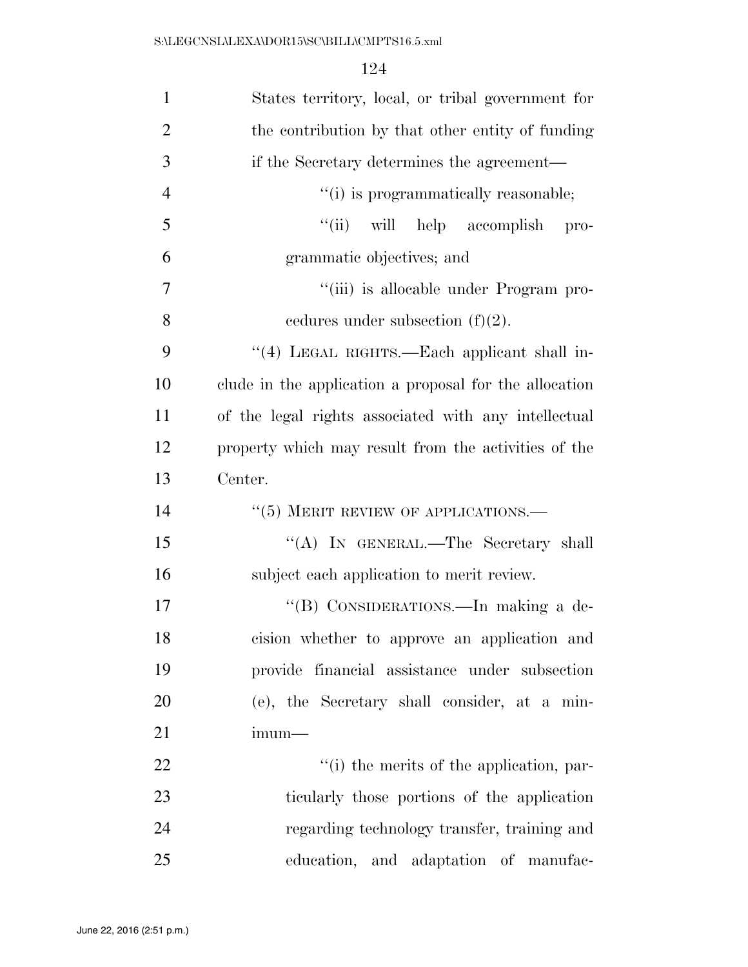| $\mathbf{1}$   | States territory, local, or tribal government for      |
|----------------|--------------------------------------------------------|
| $\overline{2}$ | the contribution by that other entity of funding       |
| 3              | if the Secretary determines the agreement—             |
| $\overline{4}$ | "(i) is programmatically reasonable;                   |
| 5              | "(ii) will help accomplish pro-                        |
| 6              | grammatic objectives; and                              |
| $\overline{7}$ | "(iii) is allocable under Program pro-                 |
| 8              | cedures under subsection $(f)(2)$ .                    |
| 9              | "(4) LEGAL RIGHTS.—Each applicant shall in-            |
| 10             | clude in the application a proposal for the allocation |
| 11             | of the legal rights associated with any intellectual   |
| 12             | property which may result from the activities of the   |
| 13             | Center.                                                |
| 14             | $``(5)$ MERIT REVIEW OF APPLICATIONS.—                 |
| 15             | "(A) IN GENERAL.—The Secretary shall                   |
| 16             | subject each application to merit review.              |
| 17             | "(B) CONSIDERATIONS.—In making a de-                   |
| 18             | cision whether to approve an application and           |
| 19             | provide financial assistance under subsection          |
| 20             | (e), the Secretary shall consider, at a min-           |
| 21             | $imum-$                                                |
|                |                                                        |
| 22             | "(i) the merits of the application, par-               |
| 23             | ticularly those portions of the application            |
| 24             | regarding technology transfer, training and            |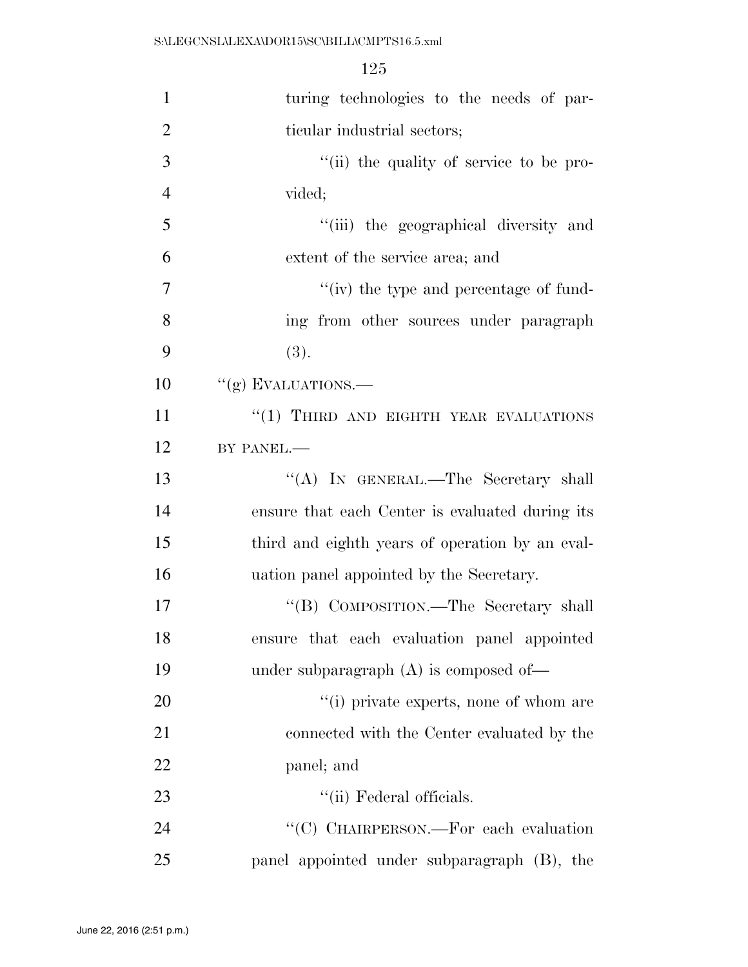| 1              | turing technologies to the needs of par-        |
|----------------|-------------------------------------------------|
| $\overline{2}$ | ticular industrial sectors;                     |
| 3              | "(ii) the quality of service to be pro-         |
| $\overline{4}$ | vided;                                          |
| 5              | "(iii) the geographical diversity and           |
| 6              | extent of the service area; and                 |
| 7              | "(iv) the type and percentage of fund-          |
| 8              | ing from other sources under paragraph          |
| 9              | (3).                                            |
| 10             | "(g) EVALUATIONS.-                              |
| 11             | "(1) THIRD AND EIGHTH YEAR EVALUATIONS          |
| 12             | BY PANEL.-                                      |
| 13             | "(A) IN GENERAL.—The Secretary shall            |
| 14             | ensure that each Center is evaluated during its |
| 15             | third and eighth years of operation by an eval- |
| 16             | uation panel appointed by the Secretary.        |
| 17             | "(B) COMPOSITION.—The Secretary shall           |
| 18             | ensure that each evaluation panel appointed     |
| 19             | under subparagraph $(A)$ is composed of-        |
| 20             | "(i) private experts, none of whom are          |
| 21             | connected with the Center evaluated by the      |
| 22             | panel; and                                      |
| 23             | "(ii) Federal officials.                        |
| 24             | "(C) CHAIRPERSON.—For each evaluation           |
| 25             | panel appointed under subparagraph (B), the     |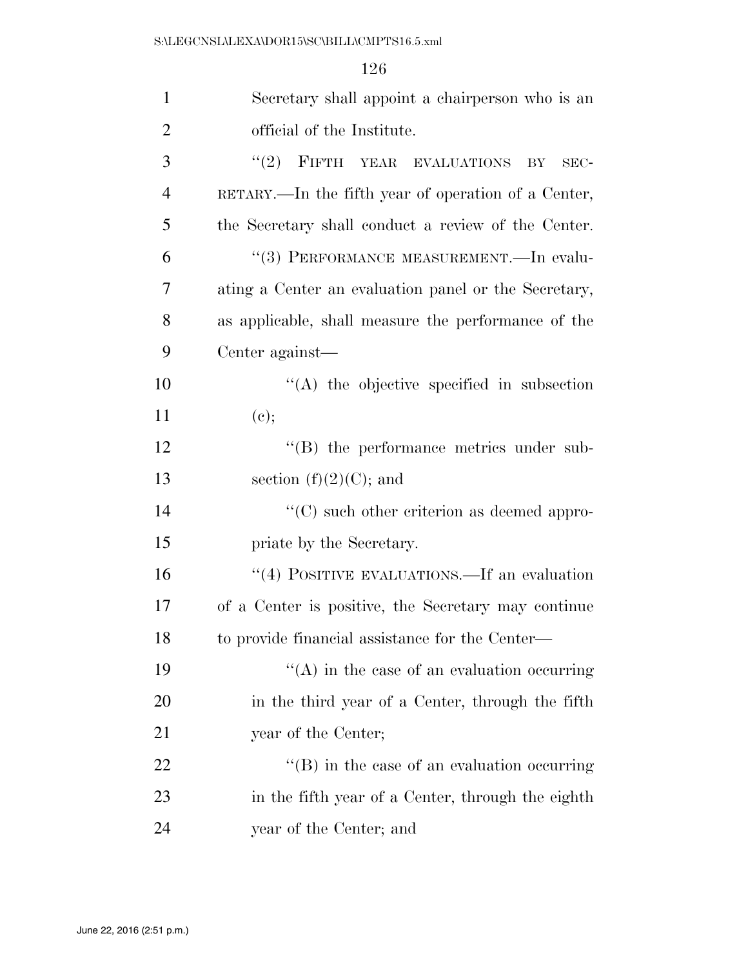| $\mathbf{1}$   | Secretary shall appoint a chairperson who is an      |
|----------------|------------------------------------------------------|
| $\overline{2}$ | official of the Institute.                           |
| 3              | (2)<br>FIFTH YEAR EVALUATIONS<br>BY<br>$SEC-$        |
| $\overline{4}$ | RETARY.—In the fifth year of operation of a Center,  |
| 5              | the Secretary shall conduct a review of the Center.  |
| 6              | "(3) PERFORMANCE MEASUREMENT.—In evalu-              |
| 7              | ating a Center an evaluation panel or the Secretary, |
| 8              | as applicable, shall measure the performance of the  |
| 9              | Center against—                                      |
| 10             | $\lq\lq$ the objective specified in subsection       |
| 11             | (e);                                                 |
| 12             | $\lq\lq$ the performance metrics under sub-          |
| 13             | section $(f)(2)(C)$ ; and                            |
| 14             | $\lq\lq$ such other criterion as deemed appro-       |
| 15             | priate by the Secretary.                             |
| 16             | "(4) POSITIVE EVALUATIONS.—If an evaluation          |
| 17             | of a Center is positive, the Secretary may continue  |
| 18             | to provide financial assistance for the Center—      |
| 19             | $\cdot$ (A) in the case of an evaluation occurring   |
| 20             | in the third year of a Center, through the fifth     |
| 21             | year of the Center;                                  |
| 22             | $\lq\lq$ (B) in the case of an evaluation occurring  |
| 23             | in the fifth year of a Center, through the eighth    |
| 24             | year of the Center; and                              |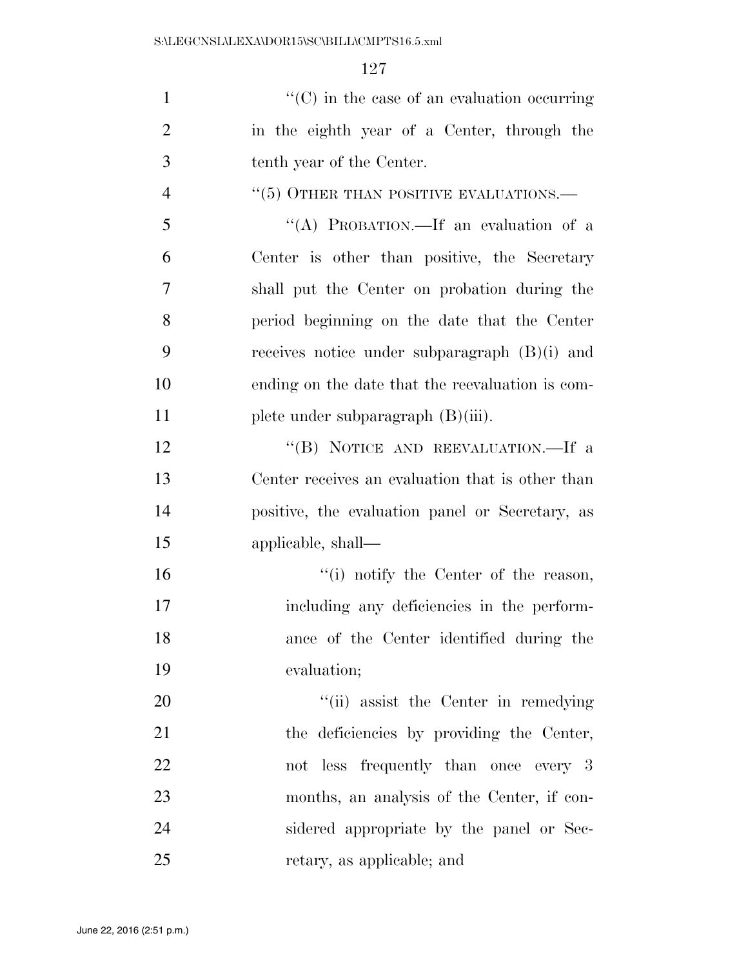| $\mathbf{1}$   | $\cdot\cdot$ (C) in the case of an evaluation occurring |
|----------------|---------------------------------------------------------|
| $\overline{2}$ | in the eighth year of a Center, through the             |
| 3              | tenth year of the Center.                               |
| $\overline{4}$ | $``(5)$ OTHER THAN POSITIVE EVALUATIONS.—               |
| 5              | "(A) PROBATION.—If an evaluation of a                   |
| 6              | Center is other than positive, the Secretary            |
| $\tau$         | shall put the Center on probation during the            |
| 8              | period beginning on the date that the Center            |
| 9              | receives notice under subparagraph $(B)(i)$ and         |
| 10             | ending on the date that the reevaluation is com-        |
| 11             | plete under subparagraph $(B)(iii)$ .                   |
| 12             | "(B) NOTICE AND REEVALUATION.—If a                      |
| 13             | Center receives an evaluation that is other than        |
| 14             | positive, the evaluation panel or Secretary, as         |
| 15             | applicable, shall—                                      |
| 16             | "(i) notify the Center of the reason,                   |
| 17             | including any deficiencies in the perform-              |
| 18             | ance of the Center identified during the                |
| 19             | evaluation;                                             |
| 20             | "(ii) assist the Center in remedying                    |
| 21             | the deficiencies by providing the Center,               |
| 22             | not less frequently than once every 3                   |
| 23             | months, an analysis of the Center, if con-              |
| 24             | sidered appropriate by the panel or Sec-                |
| 25             | retary, as applicable; and                              |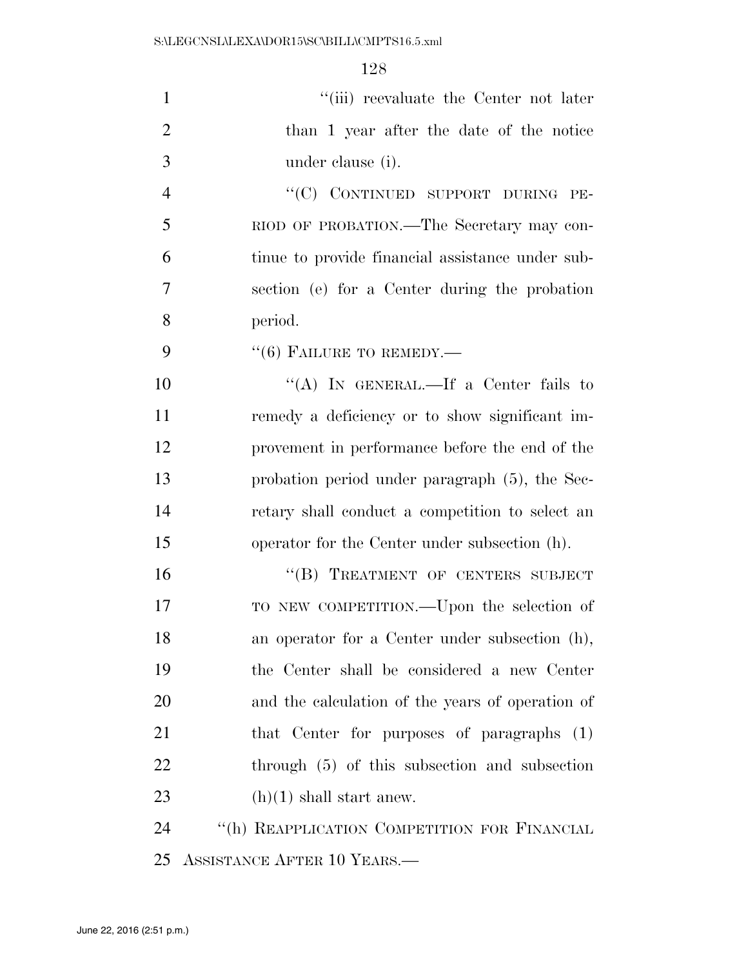| $\mathbf{1}$   | "(iii) reevaluate the Center not later           |
|----------------|--------------------------------------------------|
| $\overline{2}$ | than 1 year after the date of the notice         |
| 3              | under clause (i).                                |
| $\overline{4}$ | "(C) CONTINUED SUPPORT DURING PE-                |
| 5              | RIOD OF PROBATION.—The Secretary may con-        |
| 6              | tinue to provide financial assistance under sub- |
| 7              | section (e) for a Center during the probation    |
| 8              | period.                                          |
| 9              | $``(6)$ FAILURE TO REMEDY.—                      |
| 10             | "(A) IN GENERAL.—If a Center fails to            |
| 11             | remedy a deficiency or to show significant im-   |
| 12             | provement in performance before the end of the   |
| 13             | probation period under paragraph (5), the Sec-   |
| 14             | retary shall conduct a competition to select an  |
| 15             | operator for the Center under subsection (h).    |
| 16             | "(B) TREATMENT OF CENTERS SUBJECT                |
| 17             | TO NEW COMPETITION.—Upon the selection of        |
| 18             | an operator for a Center under subsection (h),   |
| 19             | the Center shall be considered a new Center      |
| 20             | and the calculation of the years of operation of |
| 21             | that Center for purposes of paragraphs (1)       |
| 22             | through (5) of this subsection and subsection    |
| 23             | $(h)(1)$ shall start anew.                       |
| 24             | "(h) REAPPLICATION COMPETITION FOR FINANCIAL     |
| 25             | ASSISTANCE AFTER 10 YEARS.—                      |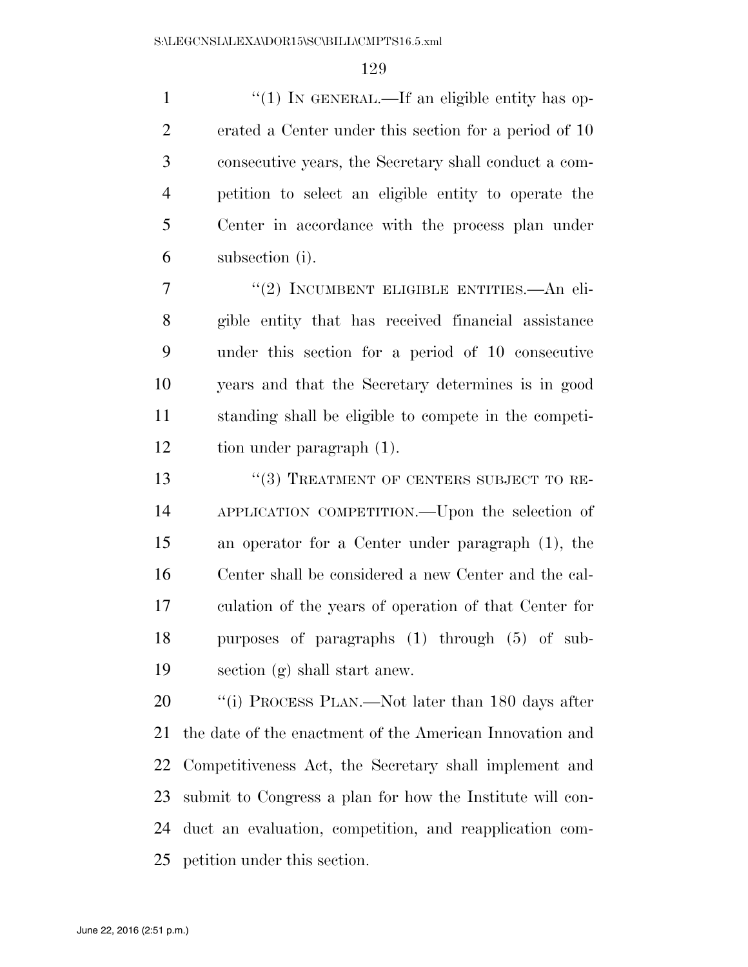1 "(1) IN GENERAL.—If an eligible entity has op- erated a Center under this section for a period of 10 consecutive years, the Secretary shall conduct a com- petition to select an eligible entity to operate the Center in accordance with the process plan under subsection (i).

7 "(2) INCUMBENT ELIGIBLE ENTITIES.—An eli- gible entity that has received financial assistance under this section for a period of 10 consecutive years and that the Secretary determines is in good standing shall be eligible to compete in the competi-tion under paragraph (1).

13 "(3) TREATMENT OF CENTERS SUBJECT TO RE- APPLICATION COMPETITION.—Upon the selection of an operator for a Center under paragraph (1), the Center shall be considered a new Center and the cal- culation of the years of operation of that Center for purposes of paragraphs (1) through (5) of sub-section (g) shall start anew.

20 "(i) PROCESS PLAN.—Not later than 180 days after the date of the enactment of the American Innovation and Competitiveness Act, the Secretary shall implement and submit to Congress a plan for how the Institute will con- duct an evaluation, competition, and reapplication com-petition under this section.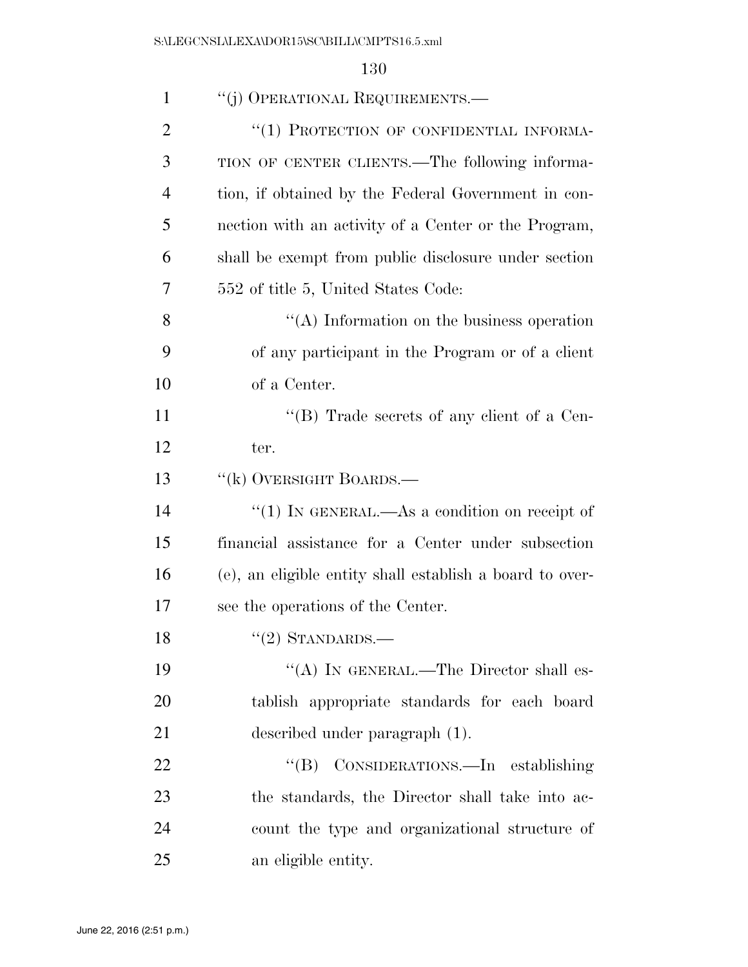| $\mathbf{1}$ | "(j) OPERATIONAL REQUIREMENTS.—                          |
|--------------|----------------------------------------------------------|
| 2            | "(1) PROTECTION OF CONFIDENTIAL INFORMA-                 |
| 3            | TION OF CENTER CLIENTS.—The following informa-           |
| 4            | tion, if obtained by the Federal Government in con-      |
| 5            | nection with an activity of a Center or the Program,     |
| 6            | shall be exempt from public disclosure under section     |
| 7            | 552 of title 5, United States Code:                      |
| 8            | $\lq\lq$ . Information on the business operation         |
| 9            | of any participant in the Program or of a client         |
| 10           | of a Center.                                             |
| 11           | "(B) Trade secrets of any client of a Cen-               |
| 12           | ter.                                                     |
| 13           | "(k) OVERSIGHT BOARDS.—                                  |
| 14           | "(1) IN GENERAL.—As a condition on receipt of            |
| 15           | financial assistance for a Center under subsection       |
| 16           | (e), an eligible entity shall establish a board to over- |
| 17           | see the operations of the Center.                        |
| 18           | $\lq(2)$ STANDARDS.—                                     |
| 19           | "(A) IN GENERAL.—The Director shall es-                  |
| 20           | tablish appropriate standards for each board             |
| 21           | described under paragraph (1).                           |
| 22           | "(B) CONSIDERATIONS.—In establishing                     |
| 23           | the standards, the Director shall take into ac-          |
| 24           | count the type and organizational structure of           |
| 25           | an eligible entity.                                      |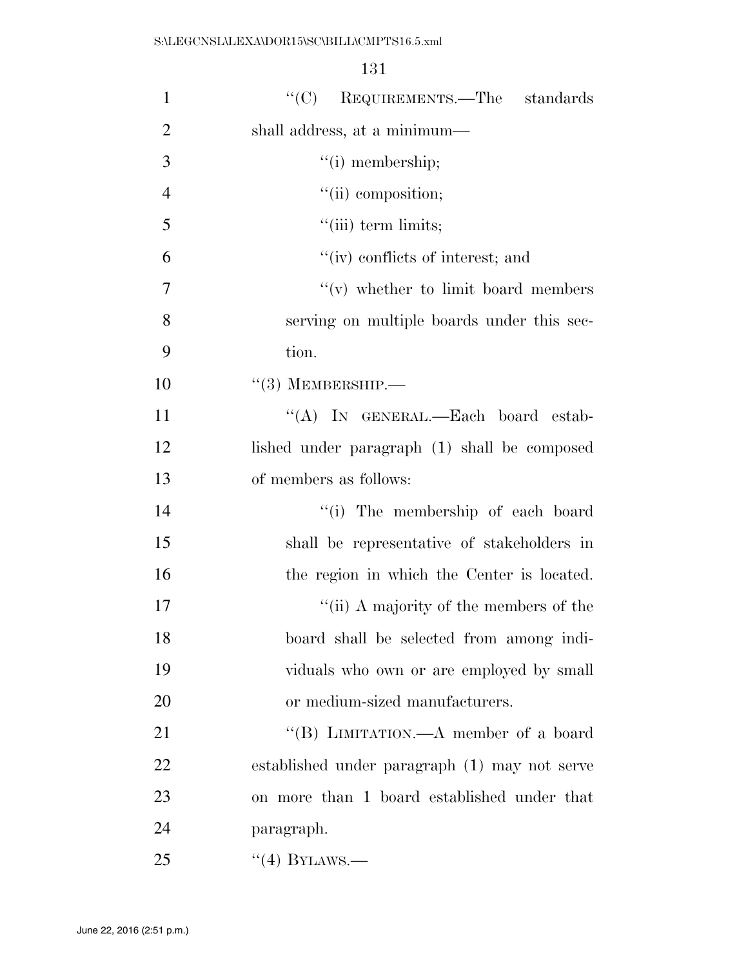| $\mathbf{1}$   | "(C) REQUIREMENTS.—The standards              |
|----------------|-----------------------------------------------|
| $\overline{2}$ | shall address, at a minimum—                  |
| 3              | $"(i)$ membership;                            |
| $\overline{4}$ | "(ii) composition;                            |
| 5              | $\lq\lq$ (iii) term limits;                   |
| 6              | "(iv) conflicts of interest; and              |
| $\overline{7}$ | $f'(v)$ whether to limit board members        |
| 8              | serving on multiple boards under this sec-    |
| 9              | tion.                                         |
| 10             | $``(3)$ MEMBERSHIP.—                          |
| 11             | "(A) IN GENERAL.—Each board estab-            |
| 12             | lished under paragraph (1) shall be composed  |
| 13             | of members as follows:                        |
| 14             | "(i) The membership of each board             |
| 15             | shall be representative of stakeholders in    |
| 16             | the region in which the Center is located.    |
| 17             | "(ii) A majority of the members of the        |
| 18             | board shall be selected from among indi-      |
| 19             | viduals who own or are employed by small      |
| 20             | or medium-sized manufacturers.                |
| 21             | "(B) LIMITATION.—A member of a board          |
| 22             | established under paragraph (1) may not serve |
| 23             | on more than 1 board established under that   |
| 24             | paragraph.                                    |
| 25             | $``(4)$ BYLAWS.—                              |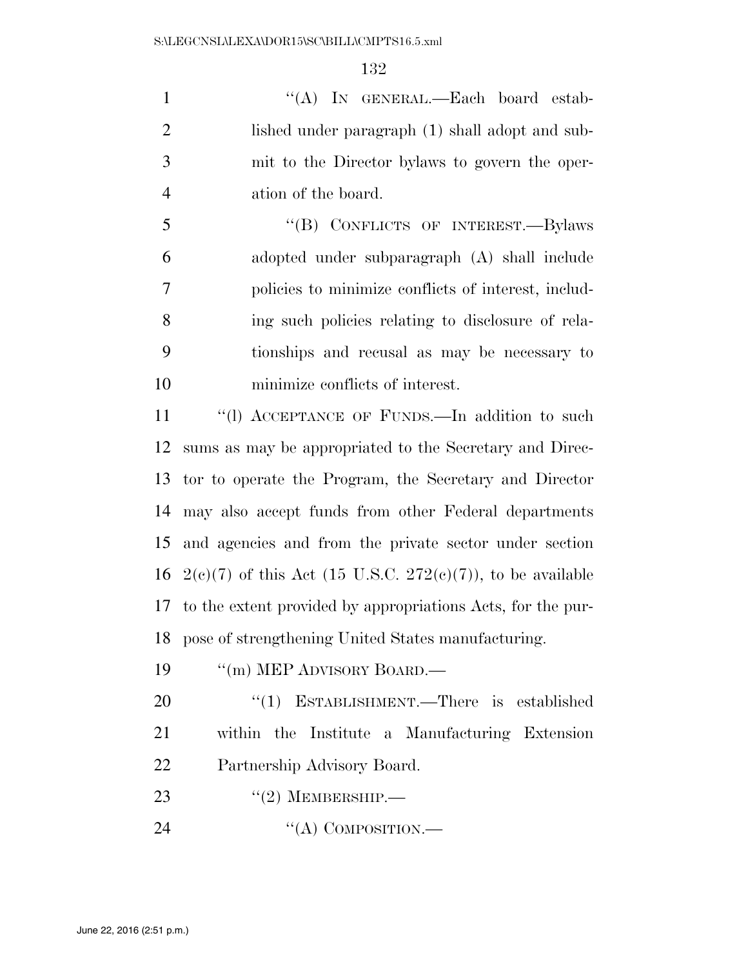1 "'(A) In GENERAL.—Each board estab-2 lished under paragraph (1) shall adopt and sub- mit to the Director bylaws to govern the oper-ation of the board.

 ''(B) CONFLICTS OF INTEREST.—Bylaws adopted under subparagraph (A) shall include policies to minimize conflicts of interest, includ- ing such policies relating to disclosure of rela- tionships and recusal as may be necessary to minimize conflicts of interest.

11 "(1) ACCEPTANCE OF FUNDS.—In addition to such sums as may be appropriated to the Secretary and Direc- tor to operate the Program, the Secretary and Director may also accept funds from other Federal departments and agencies and from the private sector under section 16 2(e)(7) of this Act (15 U.S.C. 272(e)(7)), to be available to the extent provided by appropriations Acts, for the pur-pose of strengthening United States manufacturing.

19 <sup>"</sup>(m) MEP ADVISORY BOARD.—

20 "(1) ESTABLISHMENT.—There is established within the Institute a Manufacturing Extension Partnership Advisory Board.

23  $((2)$  MEMBERSHIP.

24 "(A) COMPOSITION.—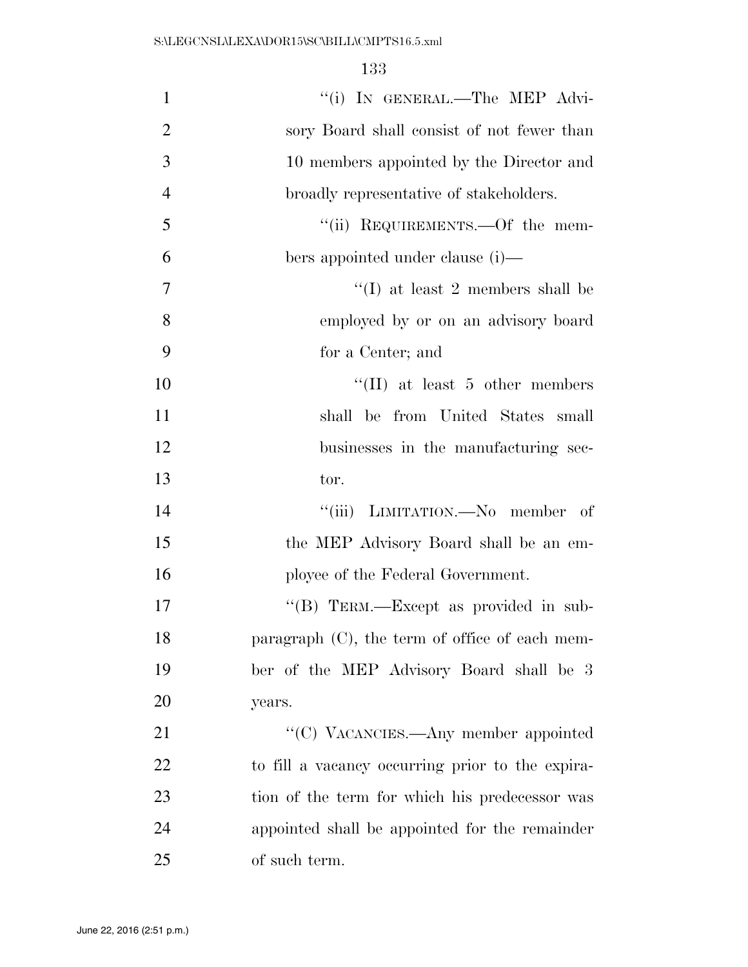| $\mathbf{1}$   | "(i) IN GENERAL.-The MEP Advi-                    |
|----------------|---------------------------------------------------|
| $\overline{2}$ | sory Board shall consist of not fewer than        |
| 3              | 10 members appointed by the Director and          |
| $\overline{4}$ | broadly representative of stakeholders.           |
| 5              | "(ii) REQUIREMENTS.—Of the mem-                   |
| 6              | bers appointed under clause (i)—                  |
| 7              | "(I) at least 2 members shall be                  |
| 8              | employed by or on an advisory board               |
| 9              | for a Center; and                                 |
| 10             | $\lq\lq$ (II) at least 5 other members            |
| 11             | shall be from United States small                 |
| 12             | businesses in the manufacturing sec-              |
| 13             | tor.                                              |
| 14             | "(iii) LIMITATION.—No member of                   |
| 15             | the MEP Advisory Board shall be an em-            |
| 16             | ployee of the Federal Government.                 |
| 17             | "(B) TERM.—Except as provided in sub-             |
| 18             | paragraph $(C)$ , the term of office of each mem- |
| 19             | ber of the MEP Advisory Board shall be 3          |
| 20             | years.                                            |
| 21             | "(C) VACANCIES.—Any member appointed              |
| 22             | to fill a vacancy occurring prior to the expira-  |
| 23             | tion of the term for which his predecessor was    |
| 24             | appointed shall be appointed for the remainder    |
| 25             | of such term.                                     |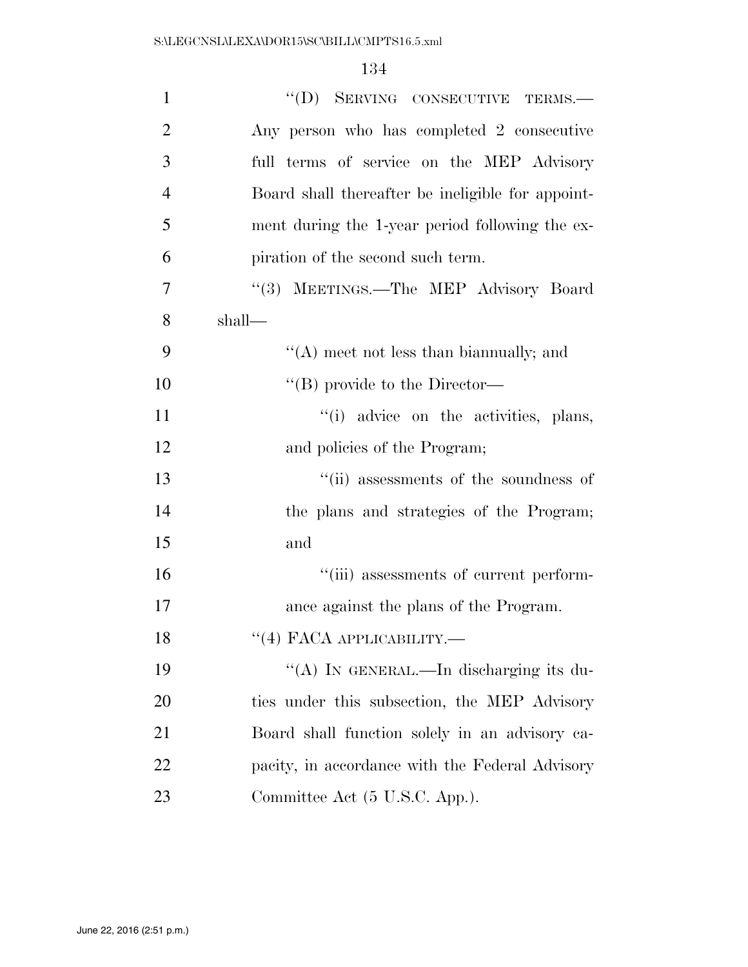| $\mathbf{1}$   | "(D) SERVING CONSECUTIVE TERMS.-                  |
|----------------|---------------------------------------------------|
| $\overline{2}$ | Any person who has completed 2 consecutive        |
| 3              | full terms of service on the MEP Advisory         |
| $\overline{4}$ | Board shall thereafter be ineligible for appoint- |
| 5              | ment during the 1-year period following the ex-   |
| 6              | piration of the second such term.                 |
| 7              | "(3) MEETINGS.—The MEP Advisory Board             |
| 8              | shall—                                            |
| 9              | "(A) meet not less than biannually; and           |
| 10             | $\lq\lq (B)$ provide to the Director—             |
| 11             | "(i) advice on the activities, plans,             |
| 12             | and policies of the Program;                      |
| 13             | "(ii) assessments of the soundness of             |
| 14             | the plans and strategies of the Program;          |
| 15             | and                                               |
| 16             | "(iii) assessments of current perform-            |
| 17             | ance against the plans of the Program.            |
| 18             | $``(4)$ FACA APPLICABILITY.—                      |
| 19             | "(A) IN GENERAL.—In discharging its du-           |
| <b>20</b>      | ties under this subsection, the MEP Advisory      |
| 21             | Board shall function solely in an advisory ca-    |
| 22             | pacity, in accordance with the Federal Advisory   |
| 23             | Committee Act (5 U.S.C. App.).                    |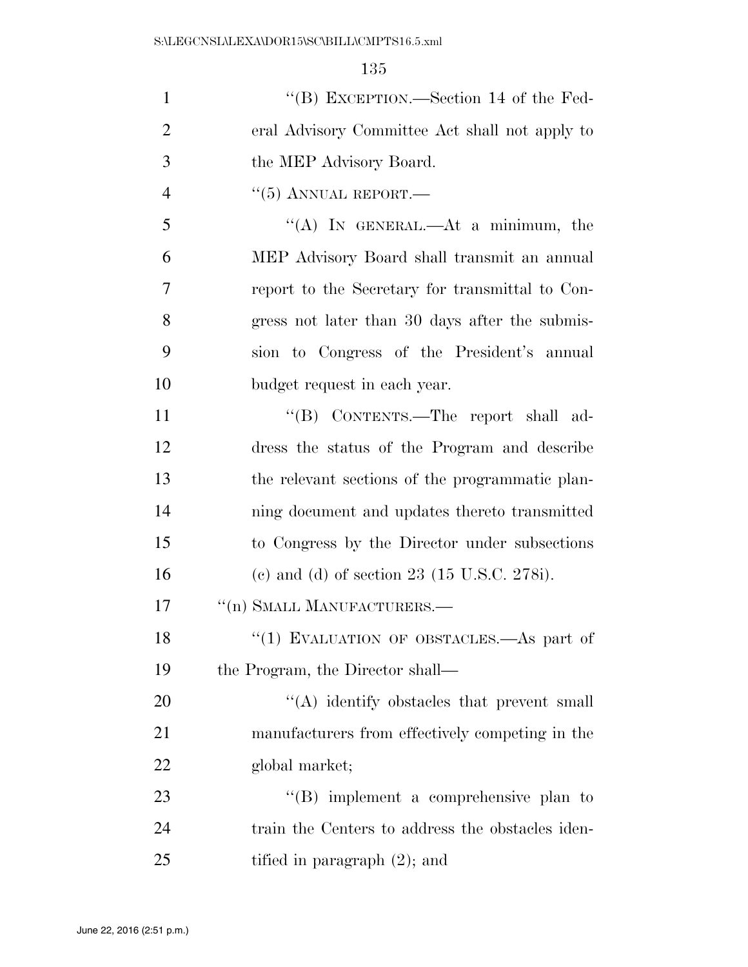| $\mathbf{1}$   | "(B) EXCEPTION.—Section 14 of the Fed-                  |
|----------------|---------------------------------------------------------|
| $\overline{2}$ | eral Advisory Committee Act shall not apply to          |
| 3              | the MEP Advisory Board.                                 |
| $\overline{4}$ | $``(5)$ ANNUAL REPORT.—                                 |
| 5              | "(A) IN GENERAL.—At a minimum, the                      |
| 6              | MEP Advisory Board shall transmit an annual             |
| 7              | report to the Secretary for transmittal to Con-         |
| 8              | gress not later than 30 days after the submis-          |
| 9              | sion to Congress of the President's annual              |
| 10             | budget request in each year.                            |
| 11             | "(B) CONTENTS.—The report shall ad-                     |
| 12             | dress the status of the Program and describe            |
| 13             | the relevant sections of the programmatic plan-         |
| 14             | ning document and updates thereto transmitted           |
| 15             | to Congress by the Director under subsections           |
| 16             | (c) and (d) of section 23 $(15 \text{ U.S.C. } 278i)$ . |
| 17             | "(n) SMALL MANUFACTURERS.-                              |
| 18             | "(1) EVALUATION OF OBSTACLES.—As part of                |
| 19             | the Program, the Director shall—                        |
| 20             | "(A) identify obstacles that prevent small              |
| 21             | manufacturers from effectively competing in the         |
| 22             | global market;                                          |
| 23             | $\lq\lq (B)$ implement a comprehensive plan to          |
| 24             | train the Centers to address the obstacles iden-        |
| 25             | tified in paragraph $(2)$ ; and                         |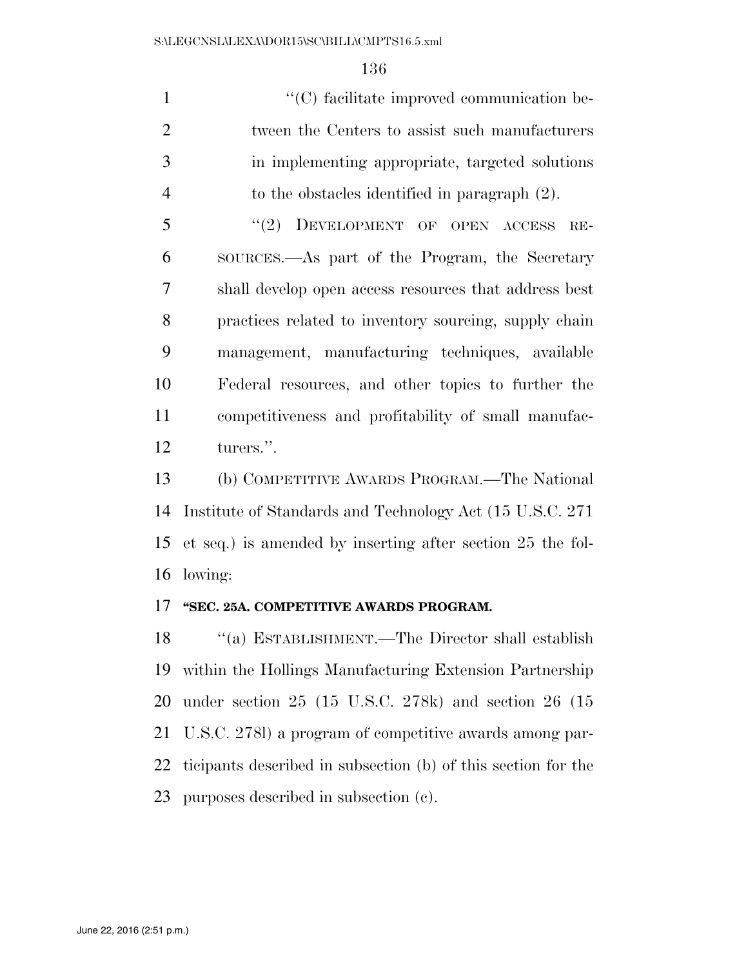$\cdot$  (C) facilitate improved communication be- tween the Centers to assist such manufacturers in implementing appropriate, targeted solutions to the obstacles identified in paragraph (2).

5 "(2) DEVELOPMENT OF OPEN ACCESS RE- SOURCES.—As part of the Program, the Secretary shall develop open access resources that address best practices related to inventory sourcing, supply chain management, manufacturing techniques, available Federal resources, and other topics to further the competitiveness and profitability of small manufac-turers.''.

 (b) COMPETITIVE AWARDS PROGRAM.—The National Institute of Standards and Technology Act (15 U.S.C. 271 et seq.) is amended by inserting after section 25 the fol-lowing:

#### **''SEC. 25A. COMPETITIVE AWARDS PROGRAM.**

 ''(a) ESTABLISHMENT.—The Director shall establish within the Hollings Manufacturing Extension Partnership under section 25 (15 U.S.C. 278k) and section 26 (15 U.S.C. 278l) a program of competitive awards among par- ticipants described in subsection (b) of this section for the purposes described in subsection (c).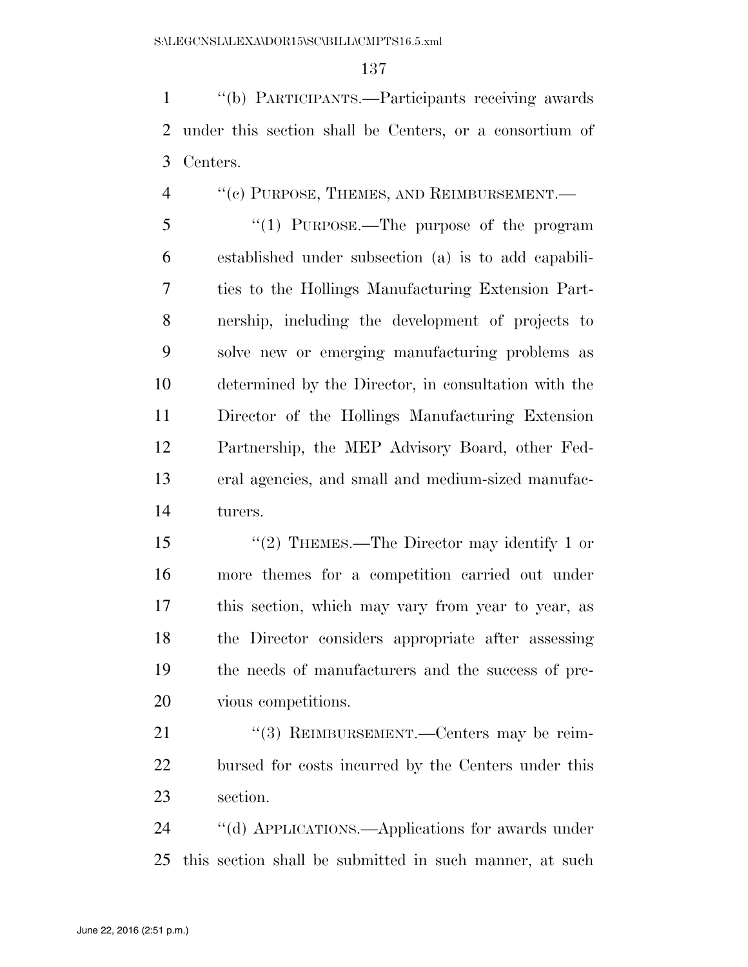''(b) PARTICIPANTS.—Participants receiving awards under this section shall be Centers, or a consortium of Centers.

4 "(c) PURPOSE, THEMES, AND REIMBURSEMENT.—

5 "(1) PURPOSE.—The purpose of the program established under subsection (a) is to add capabili- ties to the Hollings Manufacturing Extension Part- nership, including the development of projects to solve new or emerging manufacturing problems as determined by the Director, in consultation with the Director of the Hollings Manufacturing Extension Partnership, the MEP Advisory Board, other Fed- eral agencies, and small and medium-sized manufac-turers.

 ''(2) THEMES.—The Director may identify 1 or more themes for a competition carried out under this section, which may vary from year to year, as the Director considers appropriate after assessing the needs of manufacturers and the success of pre-vious competitions.

21 "(3) REIMBURSEMENT.—Centers may be reim- bursed for costs incurred by the Centers under this section.

 ''(d) APPLICATIONS.—Applications for awards under this section shall be submitted in such manner, at such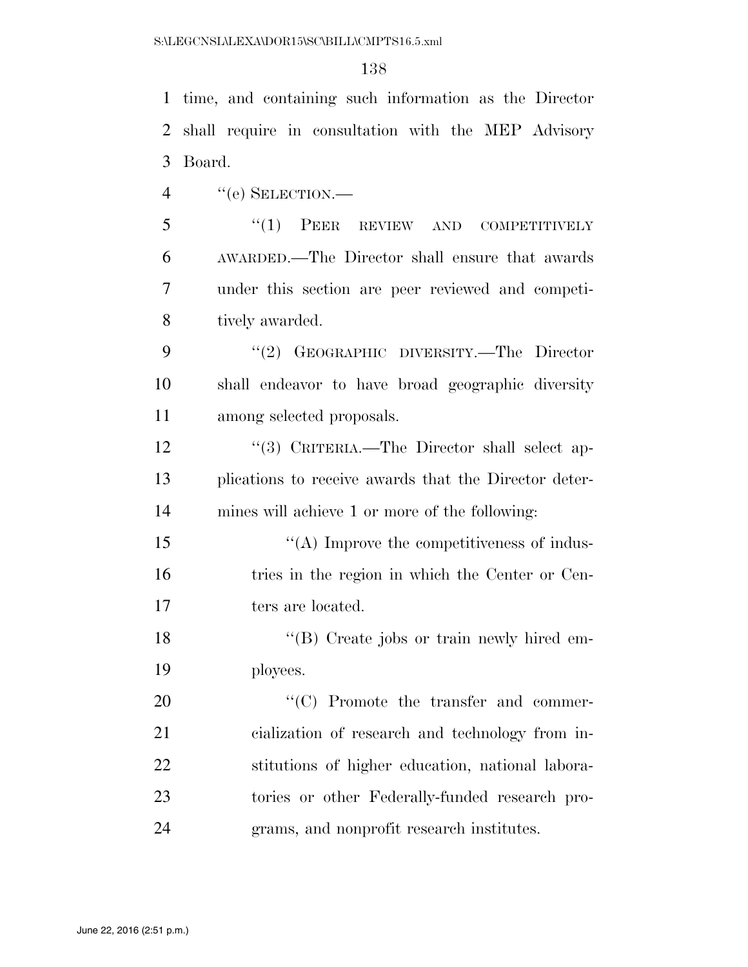time, and containing such information as the Director shall require in consultation with the MEP Advisory Board.

''(e) SELECTION.—

5 "(1) PEER REVIEW AND COMPETITIVELY AWARDED.—The Director shall ensure that awards under this section are peer reviewed and competi-tively awarded.

9 "(2) GEOGRAPHIC DIVERSITY.—The Director shall endeavor to have broad geographic diversity among selected proposals.

12 "(3) CRITERIA.—The Director shall select ap- plications to receive awards that the Director deter-mines will achieve 1 or more of the following:

15  $\cdot$  (A) Improve the competitiveness of indus-16 tries in the region in which the Center or Cen-17 ters are located.

18 ''(B) Create jobs or train newly hired em-ployees.

 $\cdot$  (C) Promote the transfer and commer- cialization of research and technology from in- stitutions of higher education, national labora- tories or other Federally-funded research pro-grams, and nonprofit research institutes.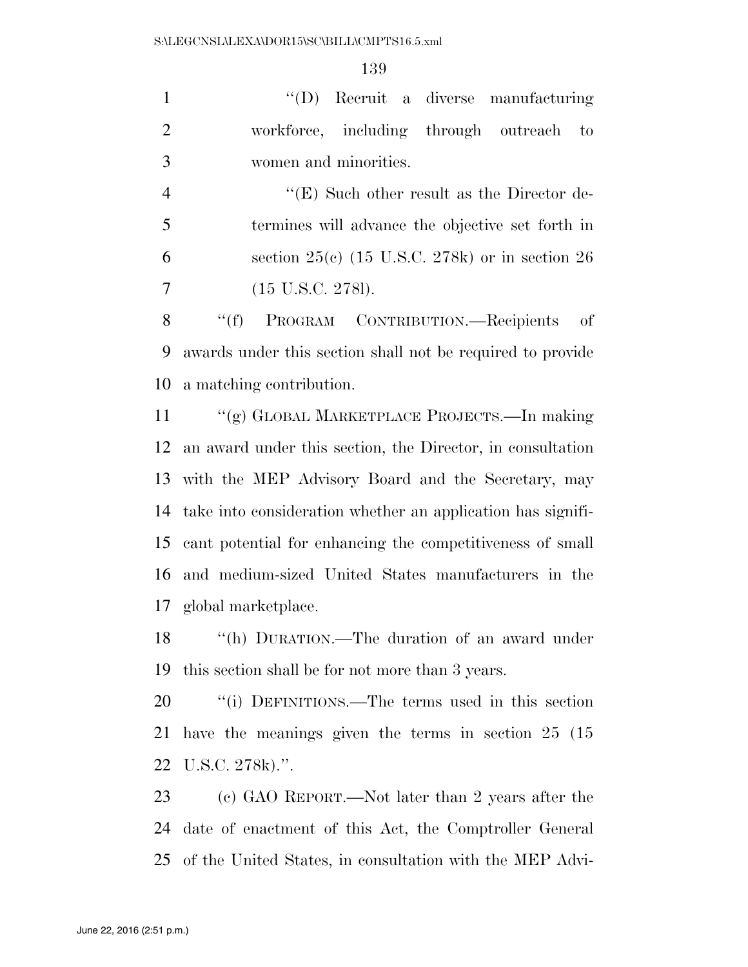''(D) Recruit a diverse manufacturing 2 workforce, including through outreach to women and minorities.

4 ''(E) Such other result as the Director de- termines will advance the objective set forth in section 25(c) (15 U.S.C. 278k) or in section 26 (15 U.S.C. 278l).

8 "(f) PROGRAM CONTRIBUTION.—Recipients of awards under this section shall not be required to provide a matching contribution.

 ''(g) GLOBAL MARKETPLACE PROJECTS.—In making an award under this section, the Director, in consultation with the MEP Advisory Board and the Secretary, may take into consideration whether an application has signifi- cant potential for enhancing the competitiveness of small and medium-sized United States manufacturers in the global marketplace.

 ''(h) DURATION.—The duration of an award under this section shall be for not more than 3 years.

20 "(i) DEFINITIONS.—The terms used in this section have the meanings given the terms in section 25 (15 U.S.C. 278k).''.

 (c) GAO REPORT.—Not later than 2 years after the date of enactment of this Act, the Comptroller General of the United States, in consultation with the MEP Advi-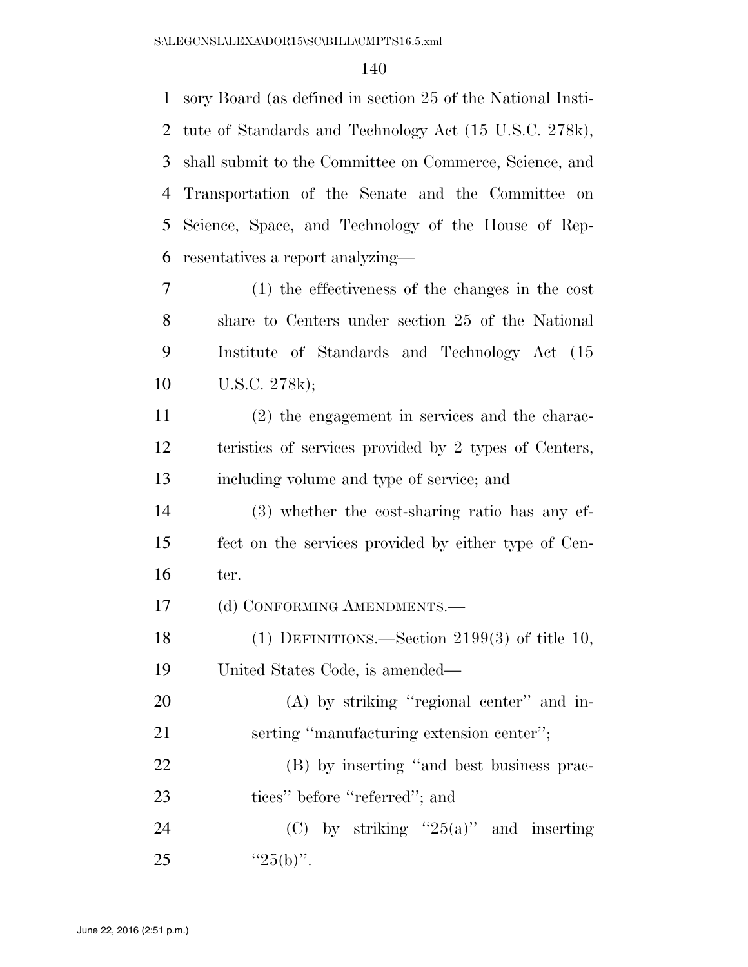sory Board (as defined in section 25 of the National Insti- tute of Standards and Technology Act (15 U.S.C. 278k), shall submit to the Committee on Commerce, Science, and Transportation of the Senate and the Committee on Science, Space, and Technology of the House of Rep- resentatives a report analyzing— (1) the effectiveness of the changes in the cost share to Centers under section 25 of the National Institute of Standards and Technology Act (15 U.S.C. 278k); (2) the engagement in services and the charac- teristics of services provided by 2 types of Centers, including volume and type of service; and (3) whether the cost-sharing ratio has any ef- fect on the services provided by either type of Cen- ter. 17 (d) CONFORMING AMENDMENTS.— (1) DEFINITIONS.—Section 2199(3) of title 10, United States Code, is amended— 20 (A) by striking "regional center" and in-21 serting "manufacturing extension center"; (B) by inserting ''and best business prac-23 tices'' before "referred"; and 24 (C) by striking  $25(a)$  and inserting 25  $"25(b)"$ .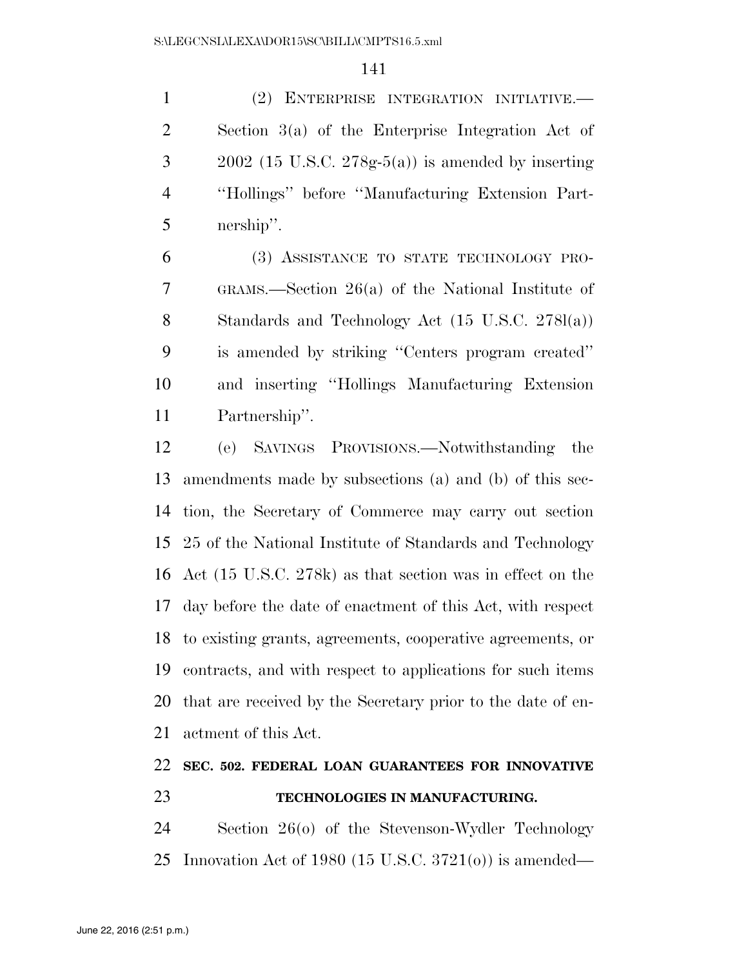(2) ENTERPRISE INTEGRATION INITIATIVE.— Section 3(a) of the Enterprise Integration Act of  $3 \qquad 2002$  (15 U.S.C. 278g-5(a)) is amended by inserting ''Hollings'' before ''Manufacturing Extension Part-nership''.

 (3) ASSISTANCE TO STATE TECHNOLOGY PRO- GRAMS.—Section 26(a) of the National Institute of Standards and Technology Act (15 U.S.C. 278l(a)) is amended by striking ''Centers program created'' and inserting ''Hollings Manufacturing Extension Partnership''.

 (e) SAVINGS PROVISIONS.—Notwithstanding the amendments made by subsections (a) and (b) of this sec- tion, the Secretary of Commerce may carry out section 25 of the National Institute of Standards and Technology Act (15 U.S.C. 278k) as that section was in effect on the day before the date of enactment of this Act, with respect to existing grants, agreements, cooperative agreements, or contracts, and with respect to applications for such items that are received by the Secretary prior to the date of en-actment of this Act.

# **SEC. 502. FEDERAL LOAN GUARANTEES FOR INNOVATIVE TECHNOLOGIES IN MANUFACTURING.**

 Section 26(o) of the Stevenson-Wydler Technology Innovation Act of 1980 (15 U.S.C. 3721(o)) is amended—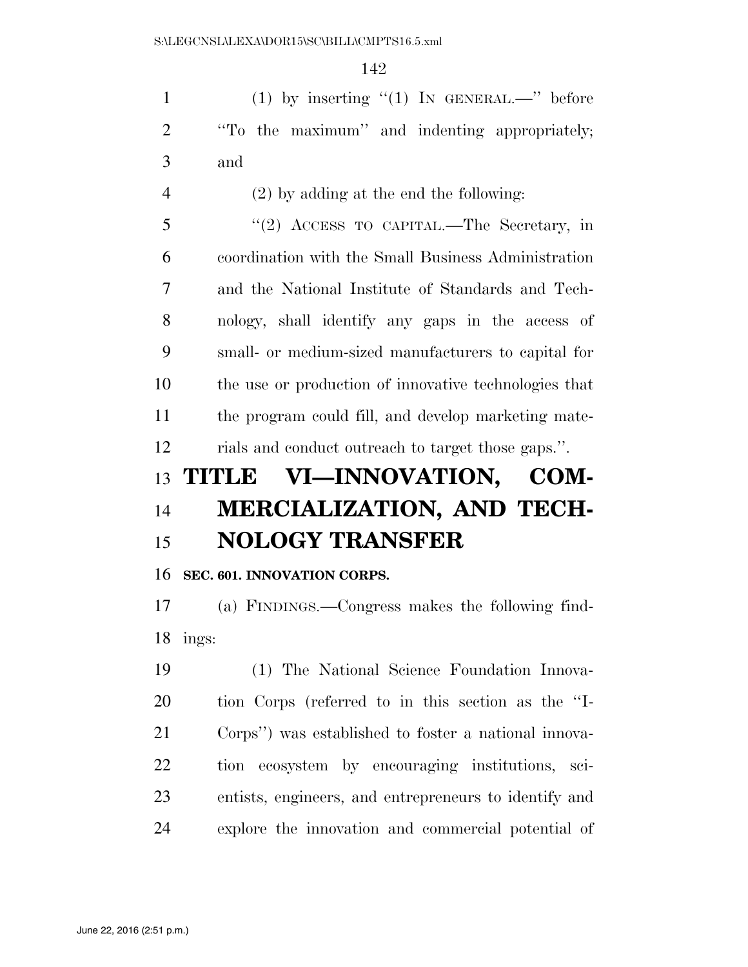1 (1) by inserting  $(1)$  IN GENERAL.—" before ''To the maximum'' and indenting appropriately; and

(2) by adding at the end the following:

 ''(2) ACCESS TO CAPITAL.—The Secretary, in coordination with the Small Business Administration and the National Institute of Standards and Tech- nology, shall identify any gaps in the access of small- or medium-sized manufacturers to capital for the use or production of innovative technologies that the program could fill, and develop marketing mate-rials and conduct outreach to target those gaps.''.

# **TITLE VI—INNOVATION, COM- MERCIALIZATION, AND TECH-NOLOGY TRANSFER**

#### **SEC. 601. INNOVATION CORPS.**

 (a) FINDINGS.—Congress makes the following find-ings:

 (1) The National Science Foundation Innova- tion Corps (referred to in this section as the ''I- Corps'') was established to foster a national innova- tion ecosystem by encouraging institutions, sci- entists, engineers, and entrepreneurs to identify and explore the innovation and commercial potential of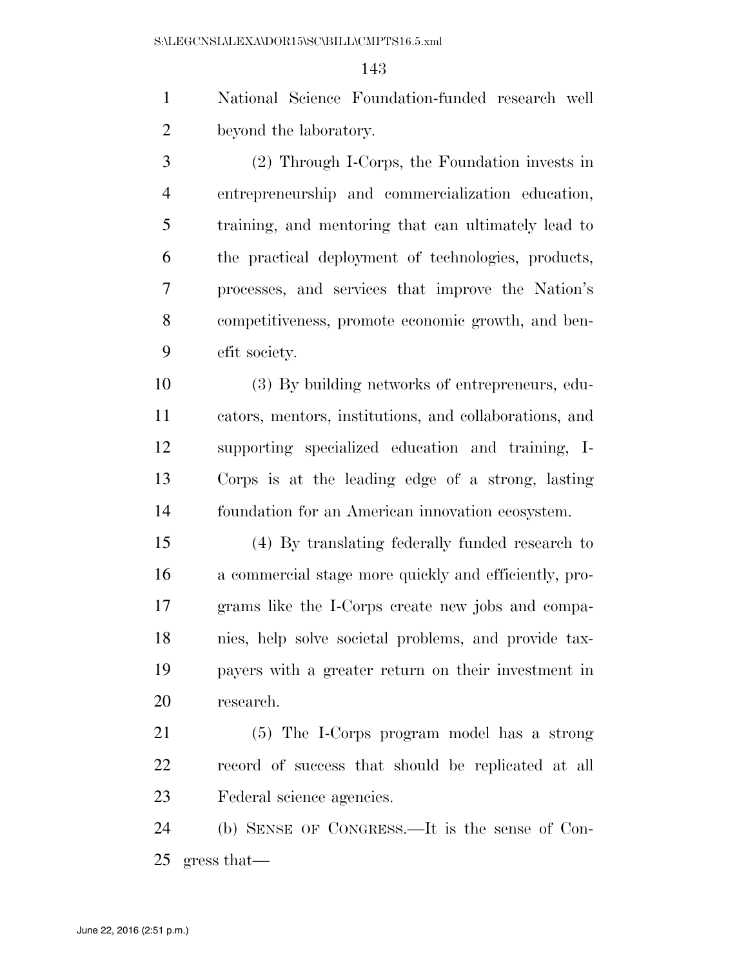National Science Foundation-funded research well beyond the laboratory.

 (2) Through I-Corps, the Foundation invests in entrepreneurship and commercialization education, training, and mentoring that can ultimately lead to the practical deployment of technologies, products, processes, and services that improve the Nation's competitiveness, promote economic growth, and ben-efit society.

 (3) By building networks of entrepreneurs, edu- cators, mentors, institutions, and collaborations, and supporting specialized education and training, I- Corps is at the leading edge of a strong, lasting foundation for an American innovation ecosystem.

 (4) By translating federally funded research to a commercial stage more quickly and efficiently, pro- grams like the I-Corps create new jobs and compa- nies, help solve societal problems, and provide tax- payers with a greater return on their investment in research.

 (5) The I-Corps program model has a strong record of success that should be replicated at all Federal science agencies.

 (b) SENSE OF CONGRESS.—It is the sense of Con-gress that—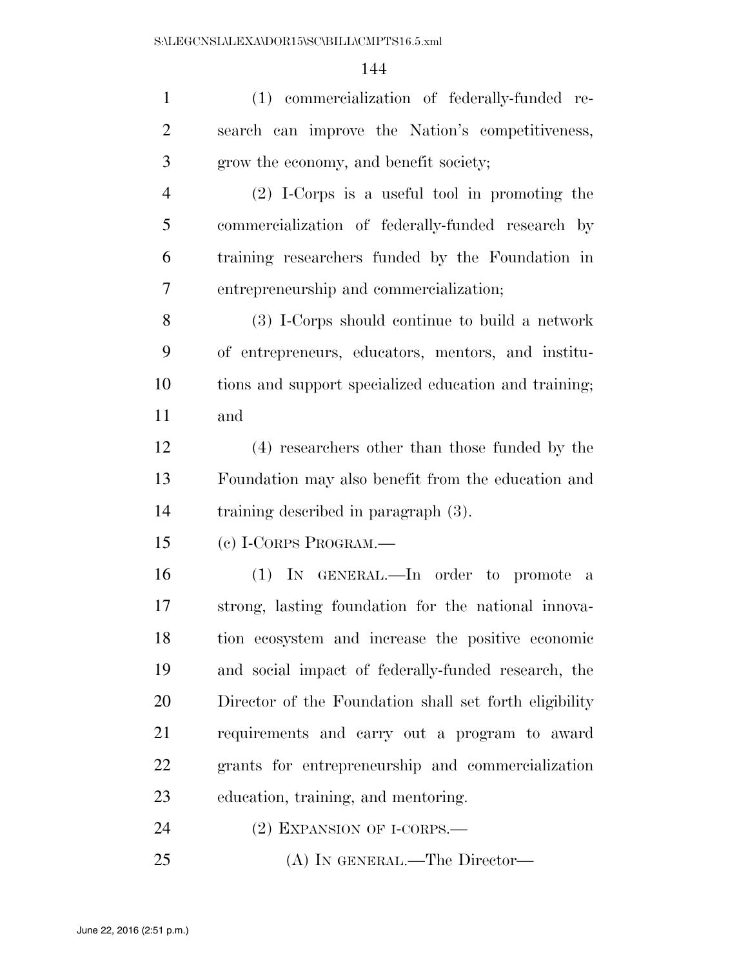| $\mathbf{1}$   | (1) commercialization of federally-funded re-          |
|----------------|--------------------------------------------------------|
| $\overline{2}$ | search can improve the Nation's competitiveness,       |
| 3              | grow the economy, and benefit society;                 |
| $\overline{4}$ | $(2)$ I-Corps is a useful tool in promoting the        |
| 5              | commercialization of federally-funded research by      |
| 6              | training researchers funded by the Foundation in       |
| 7              | entrepreneurship and commercialization;                |
| 8              | (3) I-Corps should continue to build a network         |
| 9              | of entrepreneurs, educators, mentors, and institu-     |
| 10             | tions and support specialized education and training;  |
| 11             | and                                                    |
| 12             | (4) researchers other than those funded by the         |
| 13             | Foundation may also benefit from the education and     |
| 14             | training described in paragraph $(3)$ .                |
| 15             | (c) I-CORPS PROGRAM.—                                  |
| 16             | (1) IN GENERAL.—In order to promote a                  |
| 17             | strong, lasting foundation for the national innova-    |
| 18             | tion ecosystem and increase the positive economic      |
| 19             | and social impact of federally-funded research, the    |
| 20             | Director of the Foundation shall set forth eligibility |
| 21             | requirements and carry out a program to award          |
| 22             | grants for entrepreneurship and commercialization      |
| 23             | education, training, and mentoring.                    |
| 24             | $(2)$ EXPANSION OF I-CORPS.—                           |
| 25             | (A) IN GENERAL.—The Director—                          |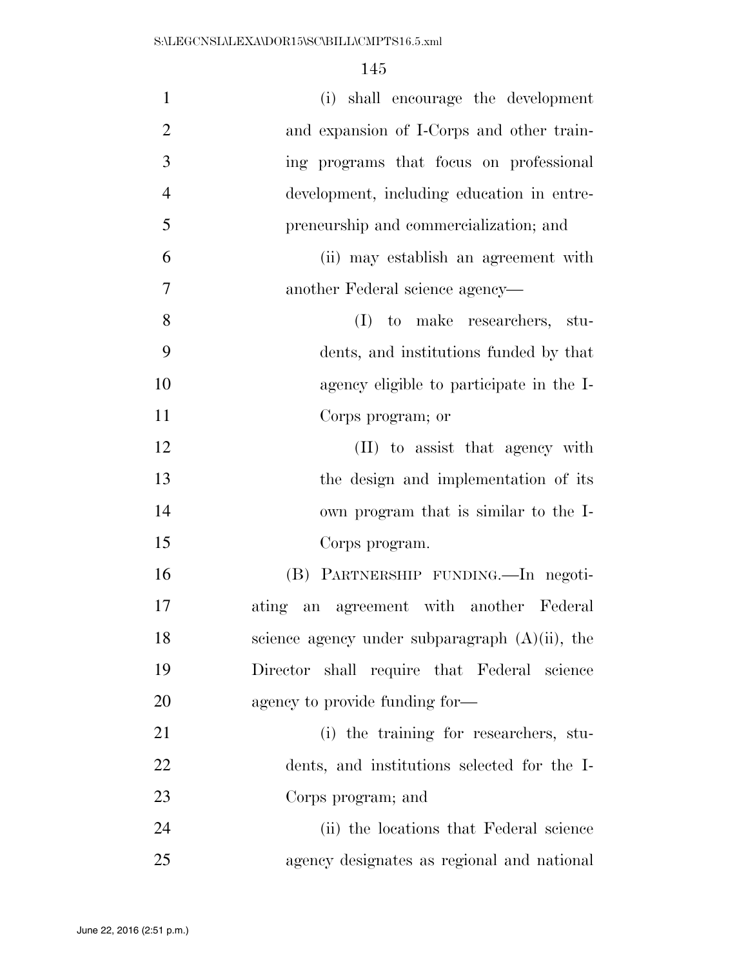| $\mathbf{1}$   | (i) shall encourage the development               |
|----------------|---------------------------------------------------|
| $\overline{2}$ | and expansion of I-Corps and other train-         |
| 3              | ing programs that focus on professional           |
| $\overline{4}$ | development, including education in entre-        |
| 5              | preneurship and commercialization; and            |
| 6              | (ii) may establish an agreement with              |
| 7              | another Federal science agency—                   |
| 8              | (I) to make researchers, stu-                     |
| 9              | dents, and institutions funded by that            |
| 10             | agency eligible to participate in the I-          |
| 11             | Corps program; or                                 |
| 12             | (II) to assist that agency with                   |
| 13             | the design and implementation of its              |
| 14             | own program that is similar to the I-             |
| 15             | Corps program.                                    |
| 16             | (B) PARTNERSHIP FUNDING.—In negoti-               |
| 17             | ating an agreement with another Federal           |
| 18             | science agency under subparagraph $(A)(ii)$ , the |
| 19             | Director shall require that Federal science       |
| 20             | agency to provide funding for—                    |
| 21             | (i) the training for researchers, stu-            |
| 22             | dents, and institutions selected for the I-       |
| 23             | Corps program; and                                |
| 24             | (ii) the locations that Federal science           |
| 25             | agency designates as regional and national        |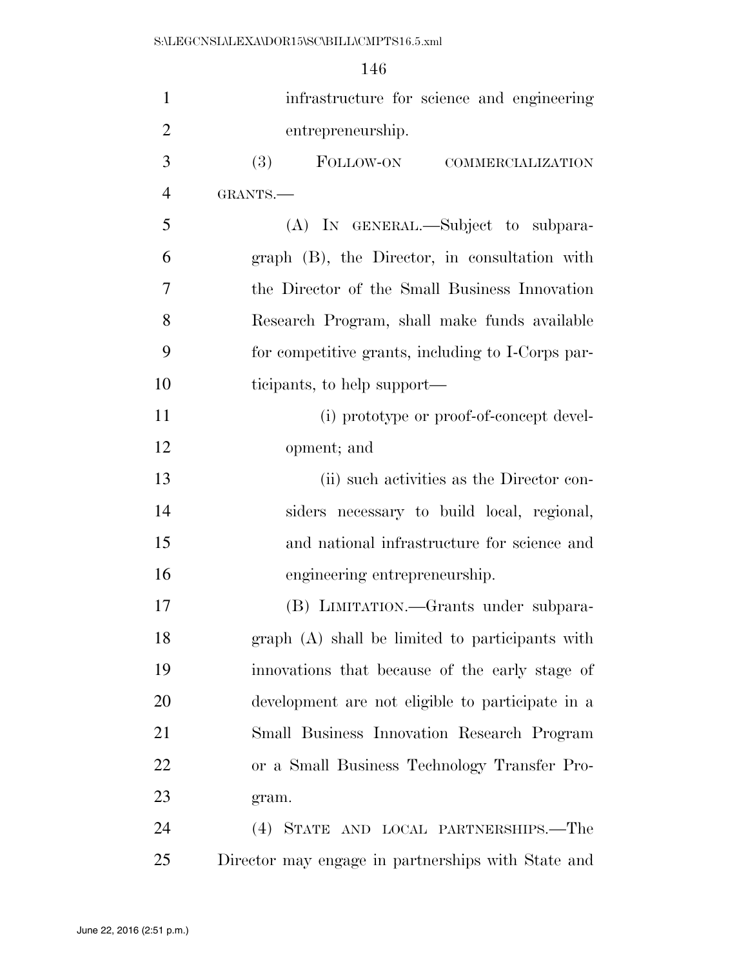| $\mathbf{1}$   | infrastructure for science and engineering         |
|----------------|----------------------------------------------------|
| $\overline{2}$ | entrepreneurship.                                  |
| 3              | FOLLOW-ON COMMERCIALIZATION<br>(3)                 |
| $\overline{4}$ | GRANTS.                                            |
| 5              | (A) IN GENERAL.—Subject to subpara-                |
| 6              | graph (B), the Director, in consultation with      |
| 7              | the Director of the Small Business Innovation      |
| 8              | Research Program, shall make funds available       |
| 9              | for competitive grants, including to I-Corps par-  |
| 10             | ticipants, to help support—                        |
| 11             | (i) prototype or proof-of-concept devel-           |
| 12             | opment; and                                        |
| 13             | (ii) such activities as the Director con-          |
| 14             | siders necessary to build local, regional,         |
| 15             | and national infrastructure for science and        |
| 16             | engineering entrepreneurship.                      |
| 17             | (B) LIMITATION.—Grants under subpara-              |
| 18             | graph (A) shall be limited to participants with    |
| 19             | innovations that because of the early stage of     |
| 20             | development are not eligible to participate in a   |
| 21             | Small Business Innovation Research Program         |
| 22             | or a Small Business Technology Transfer Pro-       |
| 23             | gram.                                              |
| 24             | (4) STATE AND LOCAL PARTNERSHIPS.—The              |
| 25             | Director may engage in partnerships with State and |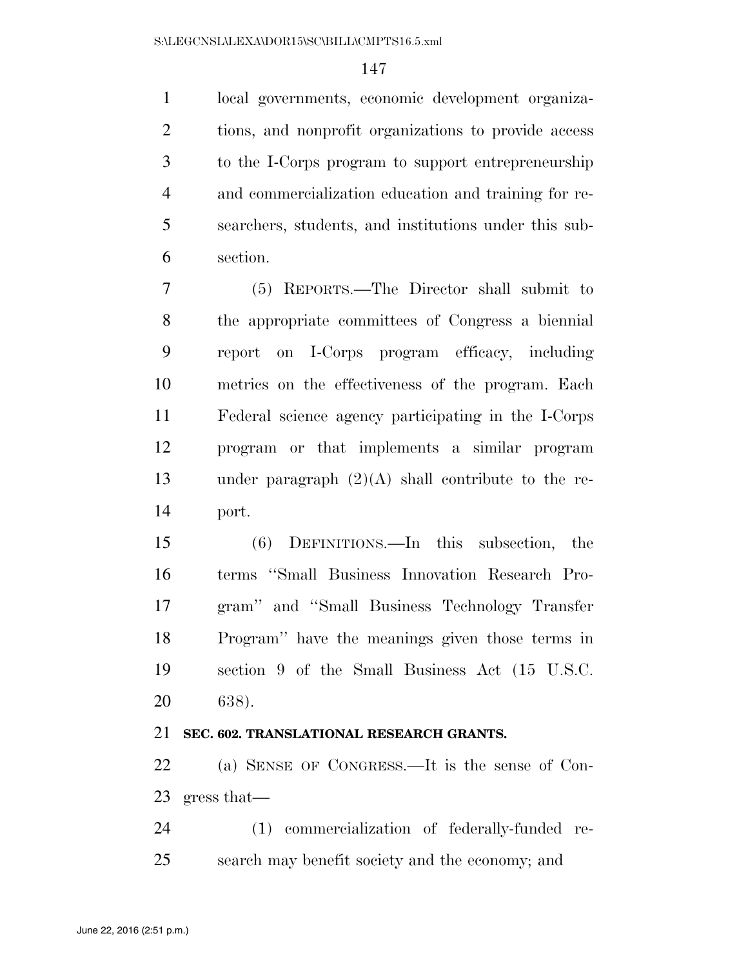local governments, economic development organiza- tions, and nonprofit organizations to provide access to the I-Corps program to support entrepreneurship and commercialization education and training for re- searchers, students, and institutions under this sub-section.

 (5) REPORTS.—The Director shall submit to the appropriate committees of Congress a biennial report on I-Corps program efficacy, including metrics on the effectiveness of the program. Each Federal science agency participating in the I-Corps program or that implements a similar program under paragraph (2)(A) shall contribute to the re-port.

 (6) DEFINITIONS.—In this subsection, the terms ''Small Business Innovation Research Pro- gram'' and ''Small Business Technology Transfer Program'' have the meanings given those terms in section 9 of the Small Business Act (15 U.S.C. 638).

## **SEC. 602. TRANSLATIONAL RESEARCH GRANTS.**

 (a) SENSE OF CONGRESS.—It is the sense of Con-gress that—

 (1) commercialization of federally-funded re-search may benefit society and the economy; and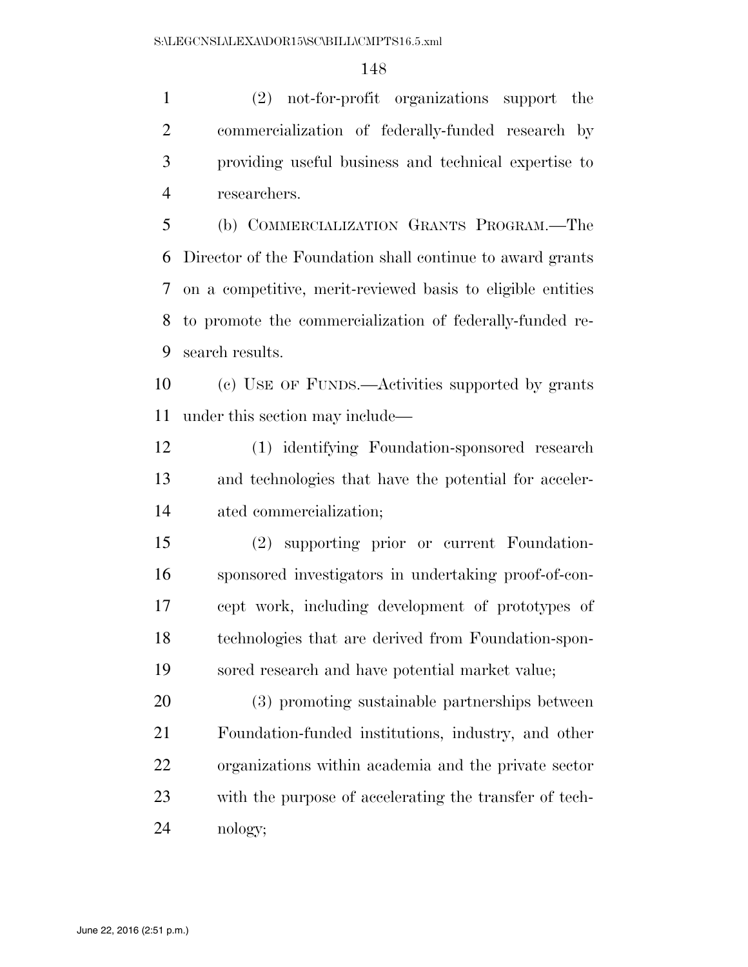(2) not-for-profit organizations support the commercialization of federally-funded research by providing useful business and technical expertise to researchers.

 (b) COMMERCIALIZATION GRANTS PROGRAM.—The Director of the Foundation shall continue to award grants on a competitive, merit-reviewed basis to eligible entities to promote the commercialization of federally-funded re-search results.

 (c) USE OF FUNDS.—Activities supported by grants under this section may include—

 (1) identifying Foundation-sponsored research and technologies that have the potential for acceler-ated commercialization;

 (2) supporting prior or current Foundation- sponsored investigators in undertaking proof-of-con- cept work, including development of prototypes of technologies that are derived from Foundation-spon-sored research and have potential market value;

 (3) promoting sustainable partnerships between Foundation-funded institutions, industry, and other organizations within academia and the private sector with the purpose of accelerating the transfer of tech-nology;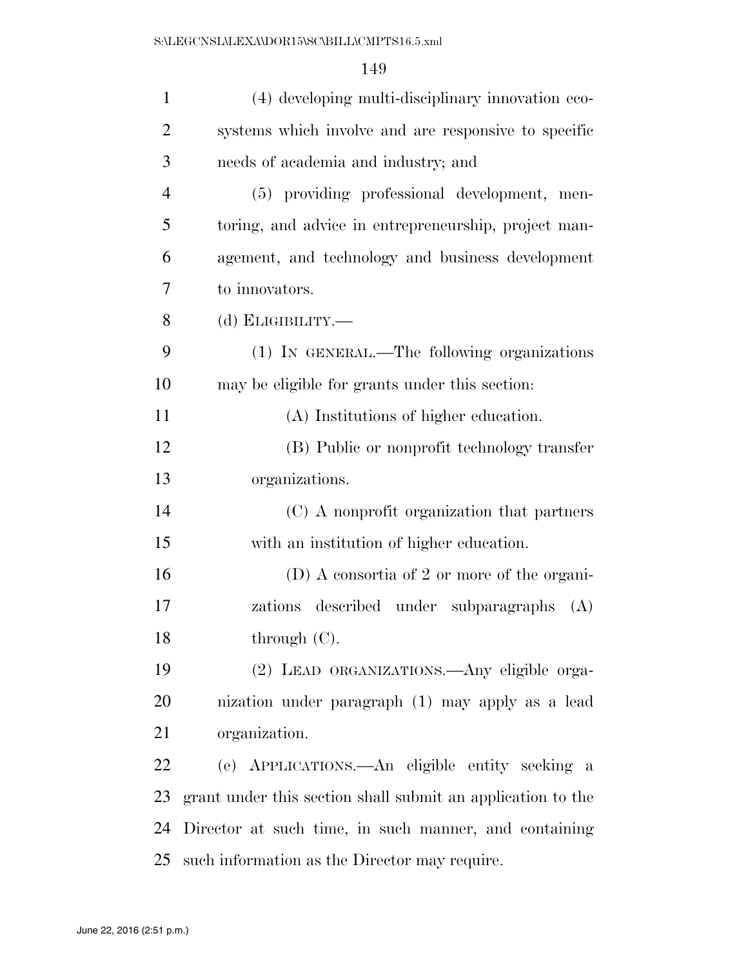| $\mathbf{1}$   | (4) developing multi-disciplinary innovation eco-           |
|----------------|-------------------------------------------------------------|
| $\overline{2}$ | systems which involve and are responsive to specific        |
| 3              | needs of academia and industry; and                         |
| $\overline{4}$ | (5) providing professional development, men-                |
| 5              | toring, and advice in entrepreneurship, project man-        |
| 6              | agement, and technology and business development            |
| 7              | to innovators.                                              |
| 8              | (d) $E$ LIGIBILITY.—                                        |
| 9              | (1) IN GENERAL.—The following organizations                 |
| 10             | may be eligible for grants under this section:              |
| 11             | (A) Institutions of higher education.                       |
| 12             | (B) Public or nonprofit technology transfer                 |
| 13             | organizations.                                              |
| 14             | (C) A nonprofit organization that partners                  |
| 15             | with an institution of higher education.                    |
| 16             | $(D)$ A consortia of 2 or more of the organi-               |
| 17             | zations described under subparagraphs<br>(A)                |
| 18             | through (C).                                                |
| 19             | (2) LEAD ORGANIZATIONS.—Any eligible orga-                  |
| 20             | nization under paragraph (1) may apply as a lead            |
| 21             | organization.                                               |
| 22             | (e) APPLICATIONS.—An eligible entity seeking a              |
| 23             | grant under this section shall submit an application to the |
| 24             | Director at such time, in such manner, and containing       |
| 25             | such information as the Director may require.               |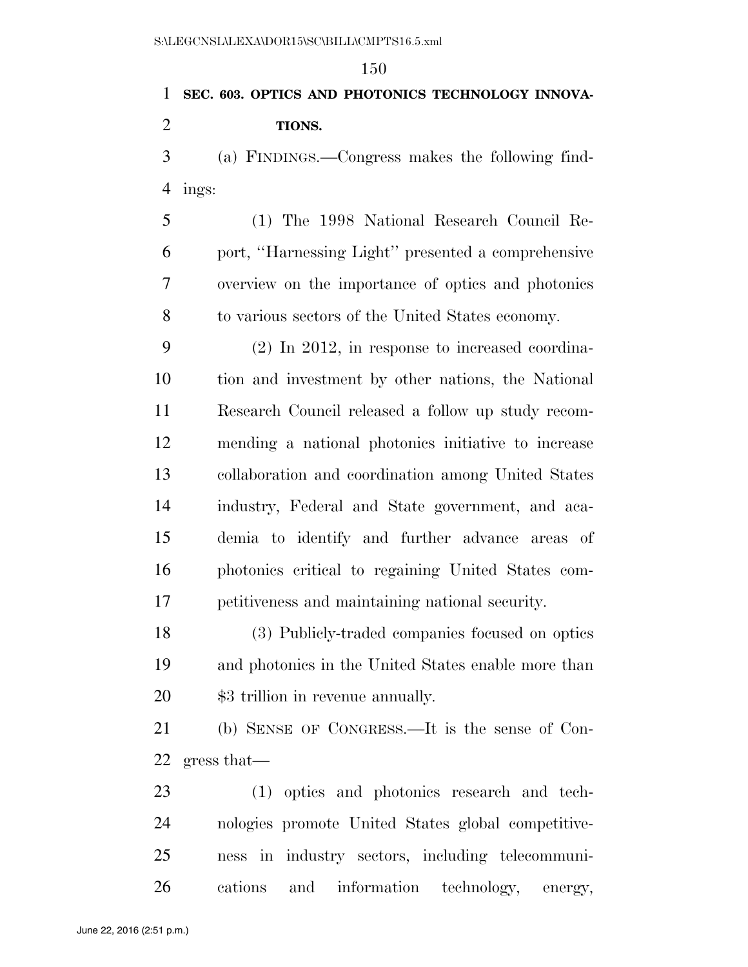## **SEC. 603. OPTICS AND PHOTONICS TECHNOLOGY INNOVA- TIONS.**  (a) FINDINGS.—Congress makes the following find-ings:

 (1) The 1998 National Research Council Re- port, ''Harnessing Light'' presented a comprehensive overview on the importance of optics and photonics to various sectors of the United States economy.

 (2) In 2012, in response to increased coordina- tion and investment by other nations, the National Research Council released a follow up study recom- mending a national photonics initiative to increase collaboration and coordination among United States industry, Federal and State government, and aca- demia to identify and further advance areas of photonics critical to regaining United States com-petitiveness and maintaining national security.

 (3) Publicly-traded companies focused on optics and photonics in the United States enable more than \$3 trillion in revenue annually.

 (b) SENSE OF CONGRESS.—It is the sense of Con-gress that—

 (1) optics and photonics research and tech- nologies promote United States global competitive- ness in industry sectors, including telecommuni-cations and information technology, energy,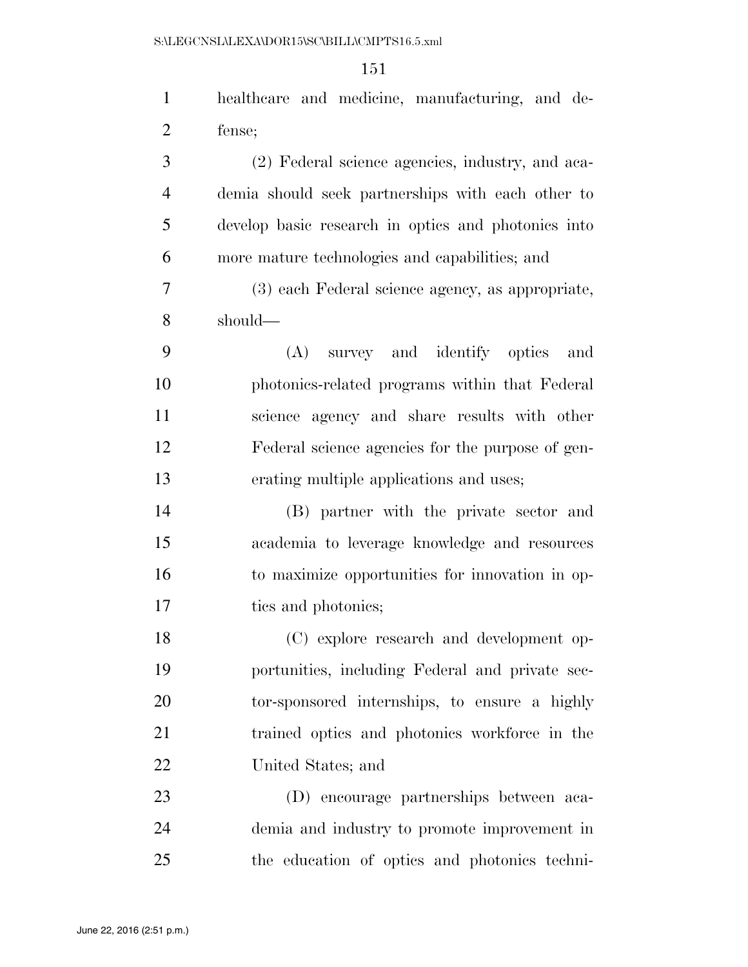| $\mathbf{1}$   | healthcare and medicine, manufacturing, and de-     |
|----------------|-----------------------------------------------------|
| $\overline{2}$ | fense;                                              |
| 3              | (2) Federal science agencies, industry, and aca-    |
| $\overline{4}$ | demia should seek partnerships with each other to   |
| 5              | develop basic research in optics and photonics into |
| 6              | more mature technologies and capabilities; and      |
| 7              | (3) each Federal science agency, as appropriate,    |
| 8              | should-                                             |
| 9              | (A) survey and identify optics<br>and               |
| 10             | photonics-related programs within that Federal      |
| 11             | science agency and share results with other         |
| 12             | Federal science agencies for the purpose of gen-    |
| 13             | erating multiple applications and uses;             |
| 14             | (B) partner with the private sector and             |
| 15             | academia to leverage knowledge and resources        |
| 16             | to maximize opportunities for innovation in op-     |
| 17             | tics and photonics;                                 |
| 18             | (C) explore research and development op-            |
| 19             | portunities, including Federal and private sec-     |
| 20             | tor-sponsored internships, to ensure a highly       |
| 21             | trained optics and photonics workforce in the       |
| 22             | United States; and                                  |
| 23             | (D) encourage partnerships between aca-             |
| 24             | demia and industry to promote improvement in        |
| 25             | the education of optics and photonics techni-       |